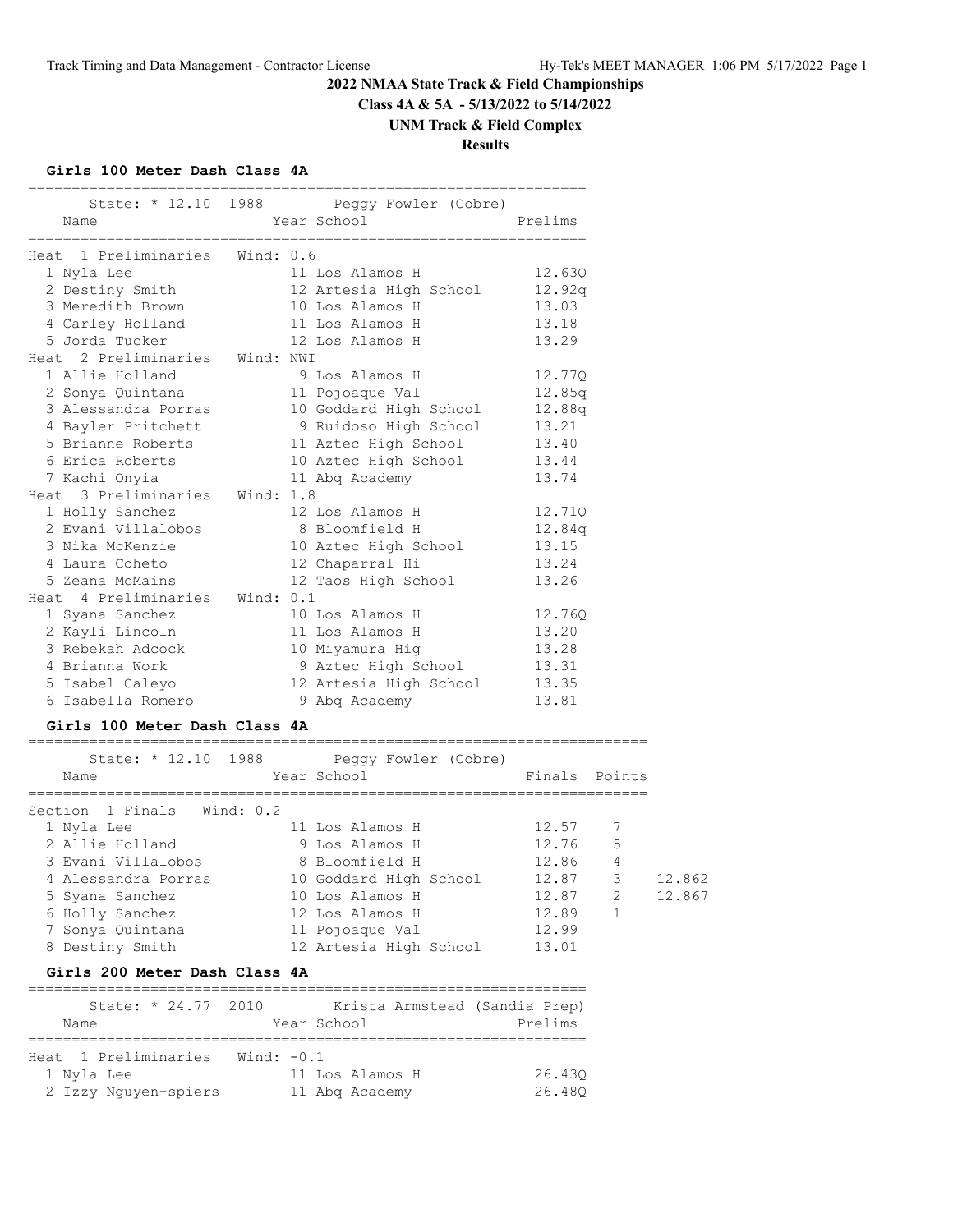**Class 4A & 5A - 5/13/2022 to 5/14/2022**

# **UNM Track & Field Complex**

**Results**

#### **Girls 100 Meter Dash Class 4A**

|                                | State: * 12.10 1988 Peggy Fowler (Cobre) |         |
|--------------------------------|------------------------------------------|---------|
| Name                           | Year School                              | Prelims |
|                                |                                          |         |
| Heat 1 Preliminaries Wind: 0.6 |                                          |         |
| 1 Nyla Lee                     | 11 Los Alamos H                          | 12.630  |
| 2 Destiny Smith                | 12 Artesia High School                   | 12.92q  |
| 3 Meredith Brown               | 10 Los Alamos H                          | 13.03   |
| 4 Carley Holland               | 11 Los Alamos H                          | 13.18   |
| 5 Jorda Tucker                 | 12 Los Alamos H                          | 13.29   |
| Heat 2 Preliminaries Wind: NWI |                                          |         |
| 1 Allie Holland                | 9 Los Alamos H                           | 12.77Q  |
| 2 Sonya Quintana               | 11 Pojoaque Val                          | 12.85q  |
| 3 Alessandra Porras            | 10 Goddard High School                   | 12.88q  |
| 4 Bayler Pritchett             | 9 Ruidoso High School                    | 13.21   |
| 5 Brianne Roberts              | 11 Aztec High School                     | 13.40   |
| 6 Erica Roberts                | 10 Aztec High School                     | 13.44   |
| 7 Kachi Onyia                  | 11 Abg Academy                           | 13.74   |
| Heat 3 Preliminaries Wind: 1.8 |                                          |         |
| 1 Holly Sanchez                | 12 Los Alamos H                          | 12.71Q  |
| 2 Evani Villalobos             | 8 Bloomfield H                           | 12.84q  |
| 3 Nika McKenzie                | 10 Aztec High School                     | 13.15   |
| 4 Laura Coheto                 | 12 Chaparral Hi                          | 13.24   |
| 5 Zeana McMains                | 12 Taos High School                      | 13.26   |
| Heat 4 Preliminaries Wind: 0.1 |                                          |         |
| 1 Syana Sanchez                | 10 Los Alamos H                          | 12.760  |
| 2 Kayli Lincoln                | 11 Los Alamos H                          | 13.20   |
| 3 Rebekah Adcock               | 10 Miyamura Hiq                          | 13.28   |
| 4 Brianna Work                 | 9 Aztec High School                      | 13.31   |
| 5 Isabel Caleyo                | 12 Artesia High School                   | 13.35   |
| 6 Isabella Romero              | 9 Abg Academy                            | 13.81   |

#### **Girls 100 Meter Dash Class 4A**

| State: * 12.10 1988<br>Name | Peggy Fowler (Cobre)<br>Year School | Finals Points |   |        |
|-----------------------------|-------------------------------------|---------------|---|--------|
| Section 1 Finals Wind: 0.2  |                                     |               |   |        |
| 1 Nyla Lee                  | 11 Los Alamos H                     | 12.57         | 7 |        |
| 2 Allie Holland             | 9 Los Alamos H                      | 12.76         | 5 |        |
| 3 Evani Villalobos          | 8 Bloomfield H                      | 12.86         | 4 |        |
| 4 Alessandra Porras         | 10 Goddard High School              | 12.87         | 3 | 12.862 |
| 5 Syana Sanchez             | 10 Los Alamos H                     | 12.87         | 2 | 12.867 |
| 6 Holly Sanchez             | 12 Los Alamos H                     | 12.89         |   |        |
| 7 Sonya Quintana            | 11 Pojoaque Val                     | 12.99         |   |        |
| 8 Destiny Smith             | 12 Artesia High School              | 13.01         |   |        |

#### **Girls 200 Meter Dash Class 4A**

| State: * 24.77 2010  | Krista Armstead (Sandia Prep) |         |
|----------------------|-------------------------------|---------|
| Name                 | Year School                   | Prelims |
|                      |                               |         |
| Heat 1 Preliminaries | Wind: $-0.1$                  |         |
| 1 Nyla Lee           | 11 Los Alamos H               | 26.430  |
| 2 Izzy Nguyen-spiers | 11 Abg Academy                | 26.480  |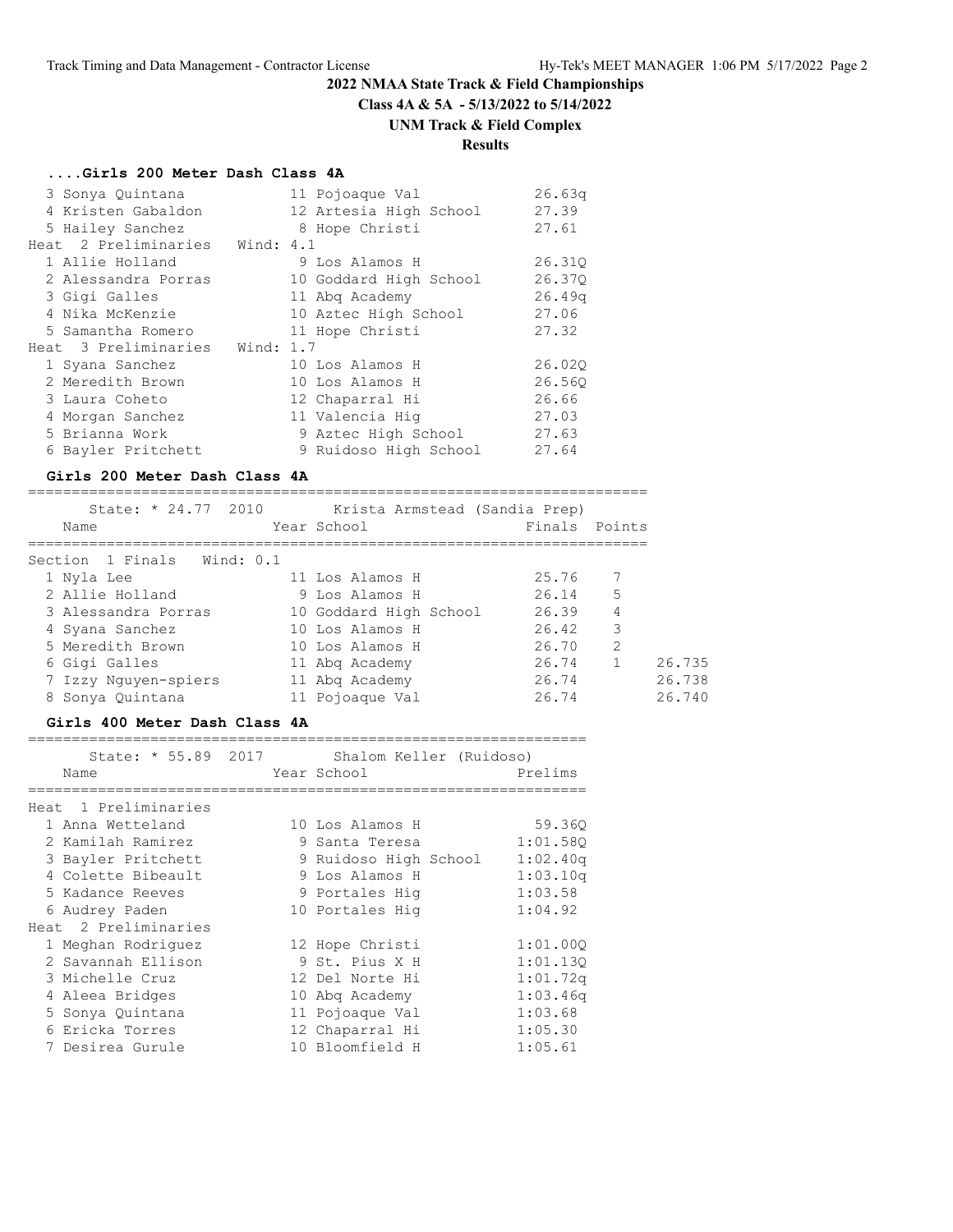**Class 4A & 5A - 5/13/2022 to 5/14/2022**

# **UNM Track & Field Complex**

=======================================================================

# **Results**

#### **....Girls 200 Meter Dash Class 4A**

| 3 Sonya Quintana               |  | 11 Pojoaque Val        | 26.63q |
|--------------------------------|--|------------------------|--------|
| 4 Kristen Gabaldon             |  | 12 Artesia High School | 27.39  |
| 5 Hailey Sanchez               |  | 8 Hope Christi         | 27.61  |
| Heat 2 Preliminaries Wind: 4.1 |  |                        |        |
| 1 Allie Holland                |  | 9 Los Alamos H         | 26.310 |
| 2 Alessandra Porras            |  | 10 Goddard High School | 26.370 |
| 3 Gigi Galles                  |  | 11 Abg Academy         | 26.49q |
| 4 Nika McKenzie                |  | 10 Aztec High School   | 27.06  |
| 5 Samantha Romero              |  | 11 Hope Christi        | 27.32  |
| Heat 3 Preliminaries Wind: 1.7 |  |                        |        |
| 1 Syana Sanchez                |  | 10 Los Alamos H        | 26.020 |
| 2 Meredith Brown               |  | 10 Los Alamos H        | 26.560 |
| 3 Laura Coheto                 |  | 12 Chaparral Hi        | 26.66  |
| 4 Morgan Sanchez               |  | 11 Valencia Hig        | 27.03  |
| 5 Brianna Work                 |  | 9 Aztec High School    | 27.63  |
| 6 Bayler Pritchett             |  | 9 Ruidoso High School  | 27.64  |

#### **Girls 200 Meter Dash Class 4A**

| State: * 24.77 2010<br>Name | Krista Armstead (Sandia Prep)<br>Year School | Finals Points   |
|-----------------------------|----------------------------------------------|-----------------|
| Section 1 Finals Wind: 0.1  |                                              |                 |
| 1 Nyla Lee                  | 11 Los Alamos H                              | 25.76<br>- 7    |
| 2 Allie Holland             | 9 Los Alamos H                               | 5<br>26.14      |
| 3 Alessandra Porras         | 10 Goddard High School                       | 26.39<br>4      |
| 4 Syana Sanchez             | 10 Los Alamos H                              | 3<br>26.42      |
| 5 Meredith Brown            | 10 Los Alamos H                              | 2<br>26.70      |
| 6 Gigi Galles               | 11 Abg Academy                               | 26.735<br>26.74 |
| 7 Izzy Nguyen-spiers        | 11 Abg Academy                               | 26.738<br>26.74 |
| 8 Sonya Quintana            | 11 Pojoaque Val                              | 26.740<br>26.74 |

#### **Girls 400 Meter Dash Class 4A**

| State: * 55.89 2017  | Shalom Keller (Ruidoso) |          |
|----------------------|-------------------------|----------|
| Name                 | Year School             | Prelims  |
| Heat 1 Preliminaries |                         |          |
| 1 Anna Wetteland     | 10 Los Alamos H         | 59.360   |
| 2 Kamilah Ramirez    | 9 Santa Teresa          | 1:01.580 |
| 3 Bayler Pritchett   | 9 Ruidoso High School   | 1:02.40q |
| 4 Colette Bibeault   | 9 Los Alamos H          | 1:03.10q |
| 5 Kadance Reeves     | 9 Portales Hig          | 1:03.58  |
| 6 Audrey Paden       | 10 Portales Hig         | 1:04.92  |
| Heat 2 Preliminaries |                         |          |
| 1 Meghan Rodriguez   | 12 Hope Christi         | 1:01.000 |
| 2 Savannah Ellison   | 9 St. Pius X H          | 1:01.130 |
| 3 Michelle Cruz      | 12 Del Norte Hi         | 1:01.72q |
| 4 Aleea Bridges      | 10 Abg Academy          | 1:03.46q |
| 5 Sonya Quintana     | 11 Pojoaque Val         | 1:03.68  |
| 6 Ericka Torres      | 12 Chaparral Hi         | 1:05.30  |
| 7 Desirea Gurule     | 10 Bloomfield H         | 1:05.61  |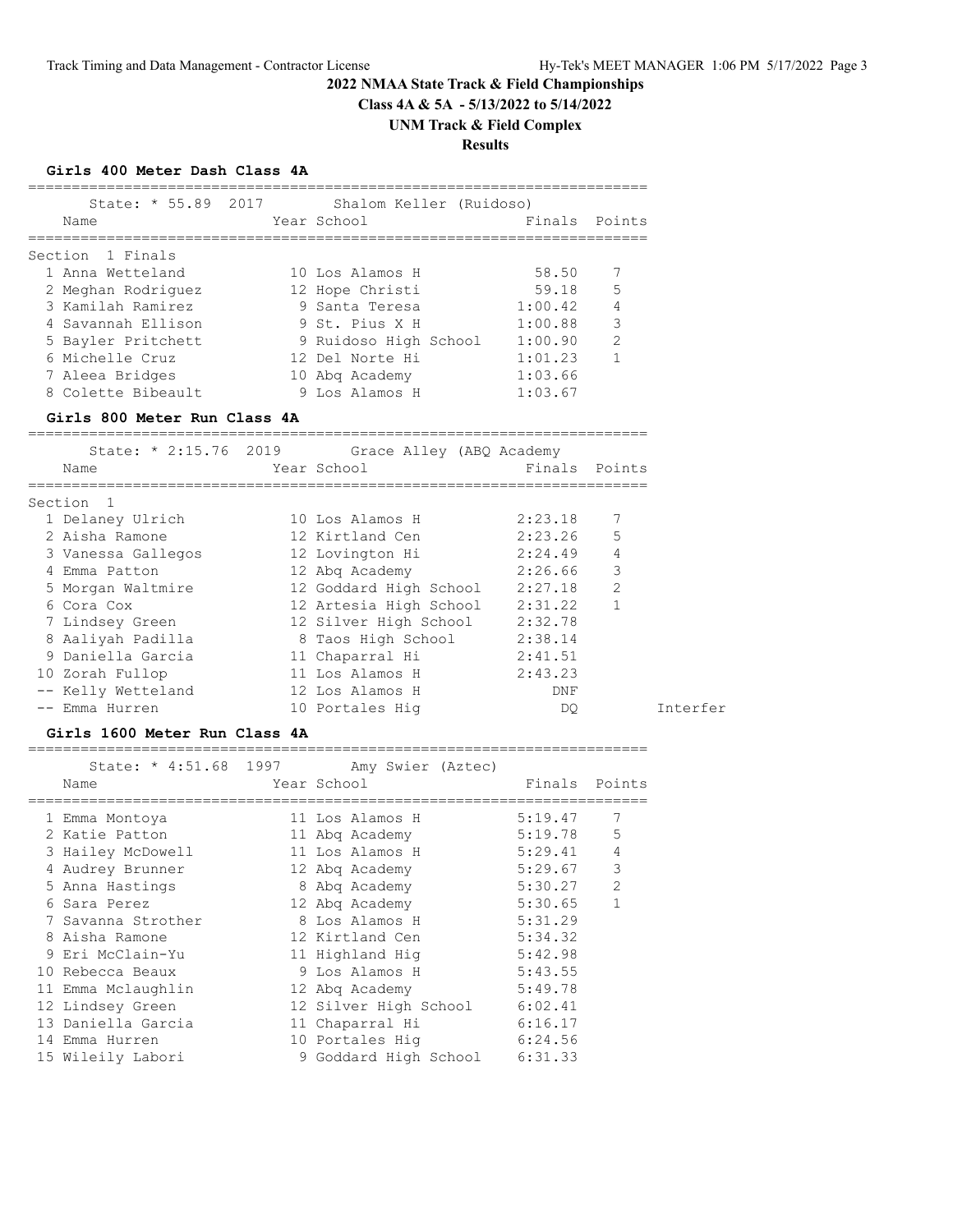**Class 4A & 5A - 5/13/2022 to 5/14/2022**

# **UNM Track & Field Complex**

# **Results**

#### **Girls 400 Meter Dash Class 4A**

| Name               |                     |                                                                                                                                              |                                                                   |
|--------------------|---------------------|----------------------------------------------------------------------------------------------------------------------------------------------|-------------------------------------------------------------------|
| Section 1 Finals   |                     |                                                                                                                                              |                                                                   |
| 1 Anna Wetteland   |                     | 58.50                                                                                                                                        | 7                                                                 |
| 2 Meghan Rodriguez |                     | 59.18                                                                                                                                        | 5                                                                 |
| 3 Kamilah Ramirez  |                     | 1:00.42                                                                                                                                      | $\overline{4}$                                                    |
| 4 Savannah Ellison |                     | 1:00.88                                                                                                                                      | 3                                                                 |
| 5 Bayler Pritchett |                     | 1:00.90                                                                                                                                      | $\mathcal{P}$                                                     |
| 6 Michelle Cruz    |                     | 1:01.23                                                                                                                                      | 1                                                                 |
| 7 Aleea Bridges    |                     | 1:03.66                                                                                                                                      |                                                                   |
| 8 Colette Bibeault |                     | 1:03.67                                                                                                                                      |                                                                   |
|                    | State: * 55.89 2017 | Year School<br>10 Los Alamos H<br>12 Hope Christi<br>9 Santa Teresa<br>9 St. Pius X H<br>12 Del Norte Hi<br>10 Abg Academy<br>9 Los Alamos H | Shalom Keller (Ruidoso)<br>Finals Points<br>9 Ruidoso High School |

#### **Girls 800 Meter Run Class 4A**

| State: * 2:15.76 2019 | Grace Alley (ABQ Academy |               |                |
|-----------------------|--------------------------|---------------|----------------|
| Name                  | Year School              | Finals Points |                |
| Section 1             |                          |               |                |
| 1 Delaney Ulrich      | 10 Los Alamos H          | 2:23.18       | 7              |
| 2 Aisha Ramone        | 12 Kirtland Cen          | $2:23.26$ 5   |                |
| 3 Vanessa Gallegos    | 12 Lovington Hi          | 2:24.49       | $\overline{4}$ |
| 4 Emma Patton         | 12 Abg Academy           | 2:26.66       | 3              |
| 5 Morgan Waltmire     | 12 Goddard High School   | 2:27.18       | $\overline{2}$ |
| 6 Cora Cox            | 12 Artesia High School   | 2:31.22       | 1              |
| 7 Lindsey Green       | 12 Silver High School    | 2:32.78       |                |
| 8 Aaliyah Padilla     | 8 Taos High School       | 2:38.14       |                |
| 9 Daniella Garcia     | 11 Chaparral Hi          | 2:41.51       |                |
| 10 Zorah Fullop       | 11 Los Alamos H          | 2:43.23       |                |
| -- Kelly Wetteland    | 12 Los Alamos H          | DNF           |                |
| -- Emma Hurren        | 10 Portales Hig          | DO.           | Interfer       |

#### **Girls 1600 Meter Run Class 4A**

=======================================================================

| Name               | State: * 4:51.68 1997 Amy Swier (Aztec)<br>Year School | Finals Points |                |
|--------------------|--------------------------------------------------------|---------------|----------------|
|                    |                                                        |               |                |
| 1 Emma Montoya     | 11 Los Alamos H                                        | 5:19.47       | 7              |
| 2 Katie Patton     | 11 Abg Academy                                         | 5:19.78       | 5              |
| 3 Hailey McDowell  | 11 Los Alamos H                                        | 5:29.41       | $\overline{4}$ |
| 4 Audrey Brunner   | 12 Abg Academy                                         | 5:29.67       | 3              |
| 5 Anna Hastings    | 8 Abg Academy                                          | 5:30.27       | $\overline{2}$ |
| 6 Sara Perez       | 12 Abg Academy                                         | 5:30.65       | $\mathbf{1}$   |
| 7 Savanna Strother | 8 Los Alamos H                                         | 5:31.29       |                |
| 8 Aisha Ramone     | 12 Kirtland Cen                                        | 5:34.32       |                |
| 9 Eri McClain-Yu   | 11 Highland Hig                                        | 5:42.98       |                |
| 10 Rebecca Beaux   | 9 Los Alamos H                                         | 5:43.55       |                |
| 11 Emma Mclaughlin | 12 Abg Academy                                         | 5:49.78       |                |
| 12 Lindsey Green   | 12 Silver High School 6:02.41                          |               |                |
| 13 Daniella Garcia | 11 Chaparral Hi                                        | 6:16.17       |                |
| 14 Emma Hurren     | 10 Portales Hiq                                        | 6:24.56       |                |
| 15 Wileily Labori  | 9 Goddard High School                                  | 6:31.33       |                |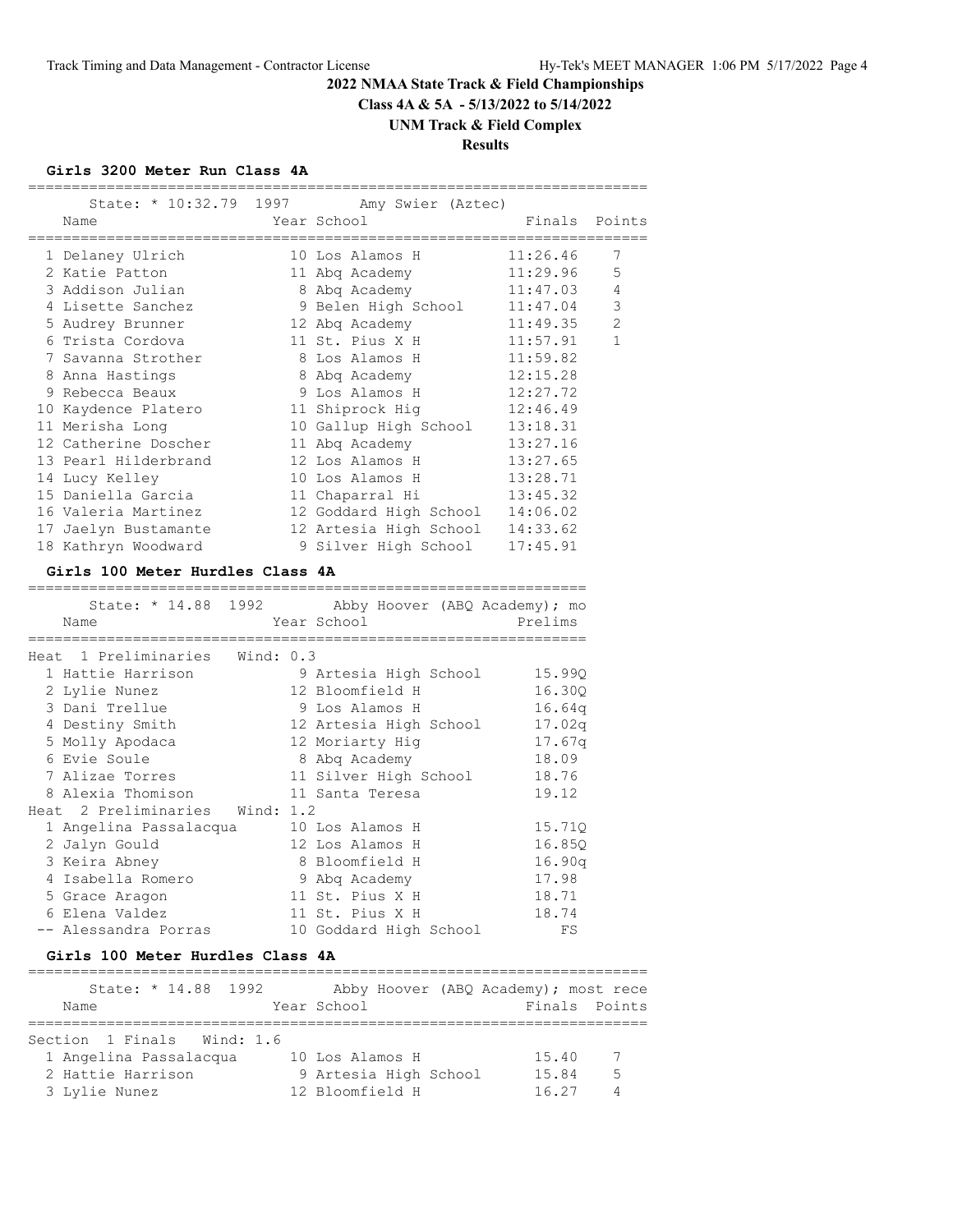**Class 4A & 5A - 5/13/2022 to 5/14/2022**

# **UNM Track & Field Complex**

# **Results**

#### **Girls 3200 Meter Run Class 4A**

|                                        | State: * 10:32.79 1997 Amy Swier (Aztec) |               |                |
|----------------------------------------|------------------------------------------|---------------|----------------|
| Name                                   | Year School                              | Finals Points |                |
| ==================<br>1 Delaney Ulrich | ============<br>10 Los Alamos H          | 11:26.46      | 7              |
| 2 Katie Patton                         | 11 Abq Academy 11:29.96                  |               | 5              |
| 3 Addison Julian                       | 8 Abq Academy                            | 11:47.03      | $\overline{4}$ |
| 4 Lisette Sanchez                      | 9 Belen High School 11:47.04             |               | 3              |
| 5 Audrey Brunner                       | 12 Abq Academy 11:49.35                  |               | $\overline{c}$ |
| 6 Trista Cordova                       | 11 St. Pius X H 11:57.91                 |               | $\mathbf{1}$   |
| 7 Savanna Strother                     | 8 Los Alamos H                           | 11:59.82      |                |
| 8 Anna Hastings                        | 8 Abq Academy                            | 12:15.28      |                |
| 9 Rebecca Beaux                        | 9 Los Alamos H 12:27.72                  |               |                |
| 10 Kaydence Platero                    | 11 Shiprock Hig 12:46.49                 |               |                |
| 11 Merisha Long                        | 10 Gallup High School 13:18.31           |               |                |
| 12 Catherine Doscher                   | 11 Abq Academy 13:27.16                  |               |                |
| 13 Pearl Hilderbrand                   | 12 Los Alamos H                          | 13:27.65      |                |
| 14 Lucy Kelley                         | 10 Los Alamos H                          | 13:28.71      |                |
| 15 Daniella Garcia                     | 11 Chaparral Hi 13:45.32                 |               |                |
| 16 Valeria Martinez                    | 12 Goddard High School 14:06.02          |               |                |
| 17 Jaelyn Bustamante                   | 12 Artesia High School 14:33.62          |               |                |
| 18 Kathryn Woodward                    | 9 Silver High School                     | 17:45.91      |                |

#### **Girls 100 Meter Hurdles Class 4A**

|                                |   | State: * 14.88 1992 Abby Hoover (ABQ Academy); mo |         |
|--------------------------------|---|---------------------------------------------------|---------|
| Name                           |   | Year School                                       | Prelims |
|                                |   |                                                   |         |
| Heat 1 Preliminaries Wind: 0.3 |   |                                                   |         |
| 1 Hattie Harrison              |   | 9 Artesia High School                             | 15.990  |
| 2 Lylie Nunez                  |   | 12 Bloomfield H                                   | 16.30Q  |
| 3 Dani Trellue                 |   | 9 Los Alamos H                                    | 16.64q  |
| 4 Destiny Smith                |   | 12 Artesia High School                            | 17.02q  |
| 5 Molly Apodaca                |   | 12 Moriarty Hig                                   | 17.67q  |
| 6 Evie Soule                   |   | 8 Abg Academy                                     | 18.09   |
| 7 Alizae Torres                |   | 11 Silver High School                             | 18.76   |
| 8 Alexia Thomison              |   | 11 Santa Teresa                                   | 19.12   |
| Heat 2 Preliminaries Wind: 1.2 |   |                                                   |         |
| 1 Angelina Passalacqua         |   | 10 Los Alamos H                                   | 15.710  |
| 2 Jalyn Gould                  |   | 12 Los Alamos H                                   | 16.85Q  |
| 3 Keira Abney                  | 8 | Bloomfield H                                      | 16.90q  |
| 4 Isabella Romero              |   | 9 Abg Academy                                     | 17.98   |
| 5 Grace Aragon                 |   | 11 St. Pius X H                                   | 18.71   |
| 6 Elena Valdez                 |   | 11 St. Pius X H                                   | 18.74   |
| -- Alessandra Porras           |   | 10 Goddard High School                            | FS      |

#### **Girls 100 Meter Hurdles Class 4A**

| State: * 14.88 1992        | Abby Hoover (ABQ Academy); most rece |               |                 |
|----------------------------|--------------------------------------|---------------|-----------------|
| Name                       | Year School                          | Finals Points |                 |
|                            |                                      |               |                 |
| Section 1 Finals Wind: 1.6 |                                      |               |                 |
| 1 Angelina Passalacqua     | 10 Los Alamos H                      | 15.40         | $7\overline{ }$ |
| 2 Hattie Harrison          | 9 Artesia High School                | 15.84         | -5              |
|                            |                                      |               |                 |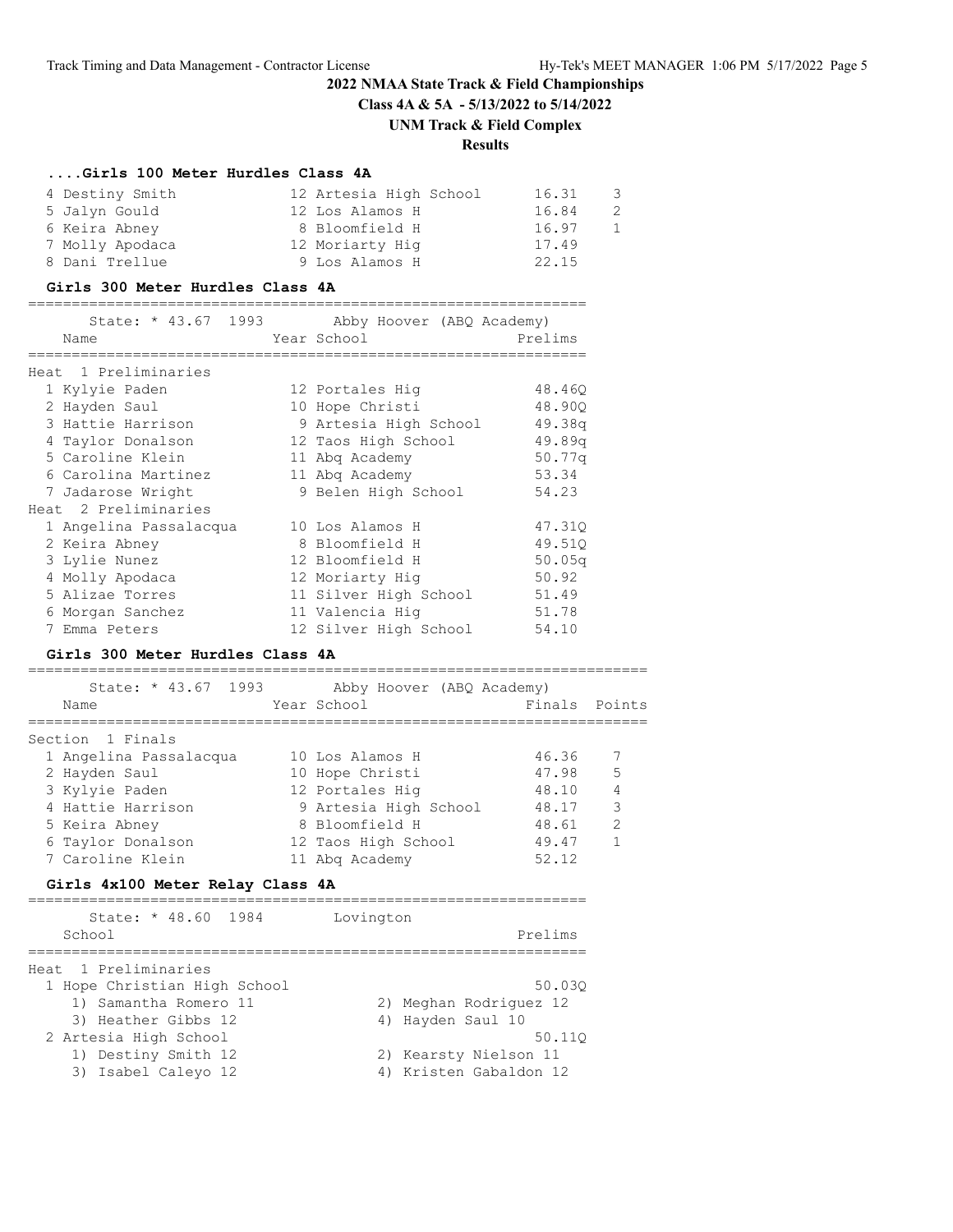# **2022 NMAA State Track & Field Championships Class 4A & 5A - 5/13/2022 to 5/14/2022**

# **UNM Track & Field Complex**

# **Results**

# **....Girls 100 Meter Hurdles Class 4A**

| 4 Destiny Smith | 12 Artesia High School | 16.31 | -3- |
|-----------------|------------------------|-------|-----|
| 5 Jalyn Gould   | 12 Los Alamos H        | 16.84 | -2  |
| 6 Keira Abney   | 8 Bloomfield H         | 16.97 | 1   |
| 7 Molly Apodaca | 12 Moriarty Hig        | 17.49 |     |
| 8 Dani Trellue  | 9 Los Alamos H         | 22.15 |     |

#### **Girls 300 Meter Hurdles Class 4A**

|       | State: * 43.67 1993    | Abby Hoover (ABQ Academy) |         |
|-------|------------------------|---------------------------|---------|
|       | Name                   | Year School               | Prelims |
| Heat. | 1 Preliminaries        |                           |         |
|       | 1 Kylyie Paden         | 12 Portales Hig           | 48.460  |
|       | 2 Hayden Saul          | 10 Hope Christi           | 48.900  |
|       | 3 Hattie Harrison      | 9 Artesia High School     | 49.38q  |
|       | 4 Taylor Donalson      | 12 Taos High School       | 49.89q  |
|       | 5 Caroline Klein       | 11 Abg Academy            | 50.77q  |
|       | 6 Carolina Martinez    | 11 Abg Academy            | 53.34   |
|       | 7 Jadarose Wright      | 9 Belen High School       | 54.23   |
|       | Heat 2 Preliminaries   |                           |         |
|       | 1 Angelina Passalacqua | 10 Los Alamos H           | 47.310  |
|       | 2 Keira Abney          | 8 Bloomfield H            | 49.51Q  |
|       | 3 Lylie Nunez          | 12 Bloomfield H           | 50.05q  |
|       | 4 Molly Apodaca        | 12 Moriarty Hig           | 50.92   |
|       | 5 Alizae Torres        | 11 Silver High School     | 51.49   |
|       | 6 Morgan Sanchez       | 11 Valencia Hiq           | 51.78   |
|       | 7 Emma Peters          | 12 Silver High School     | 54.10   |

#### **Girls 300 Meter Hurdles Class 4A**

| State: * 43.67 1993<br>Name | Abby Hoover (ABQ Academy)<br>Year School | Finals | Points         |
|-----------------------------|------------------------------------------|--------|----------------|
| Section 1 Finals            |                                          |        |                |
| 1 Angelina Passalacqua      | 10 Los Alamos H                          | 46.36  |                |
| 2 Hayden Saul               | 10 Hope Christi                          | 47.98  | .5             |
| 3 Kylyie Paden              | 12 Portales Hig                          | 48.10  | $\overline{4}$ |
| 4 Hattie Harrison           | 9 Artesia High School                    | 48.17  | $\mathcal{R}$  |
| 5 Keira Abney               | 8 Bloomfield H                           | 48.61  | $\mathcal{P}$  |
| 6 Taylor Donalson           | 12 Taos High School                      | 49.47  |                |
| 7 Caroline Klein            | 11 Abg Academy                           | 52.12  |                |

# **Girls 4x100 Meter Relay Class 4A**

| State: * 48.60 1984<br>School | Lovington<br>Prelims   |
|-------------------------------|------------------------|
|                               |                        |
| Heat 1 Preliminaries          |                        |
| 1 Hope Christian High School  | 50.030                 |
| 1) Samantha Romero 11         | 2) Meghan Rodriguez 12 |
| 3) Heather Gibbs 12           | 4) Hayden Saul 10      |
| 2 Artesia High School         | 50.110                 |
| 1) Destiny Smith 12           | 2) Kearsty Nielson 11  |
| 3) Isabel Caleyo 12           | 4) Kristen Gabaldon 12 |
|                               |                        |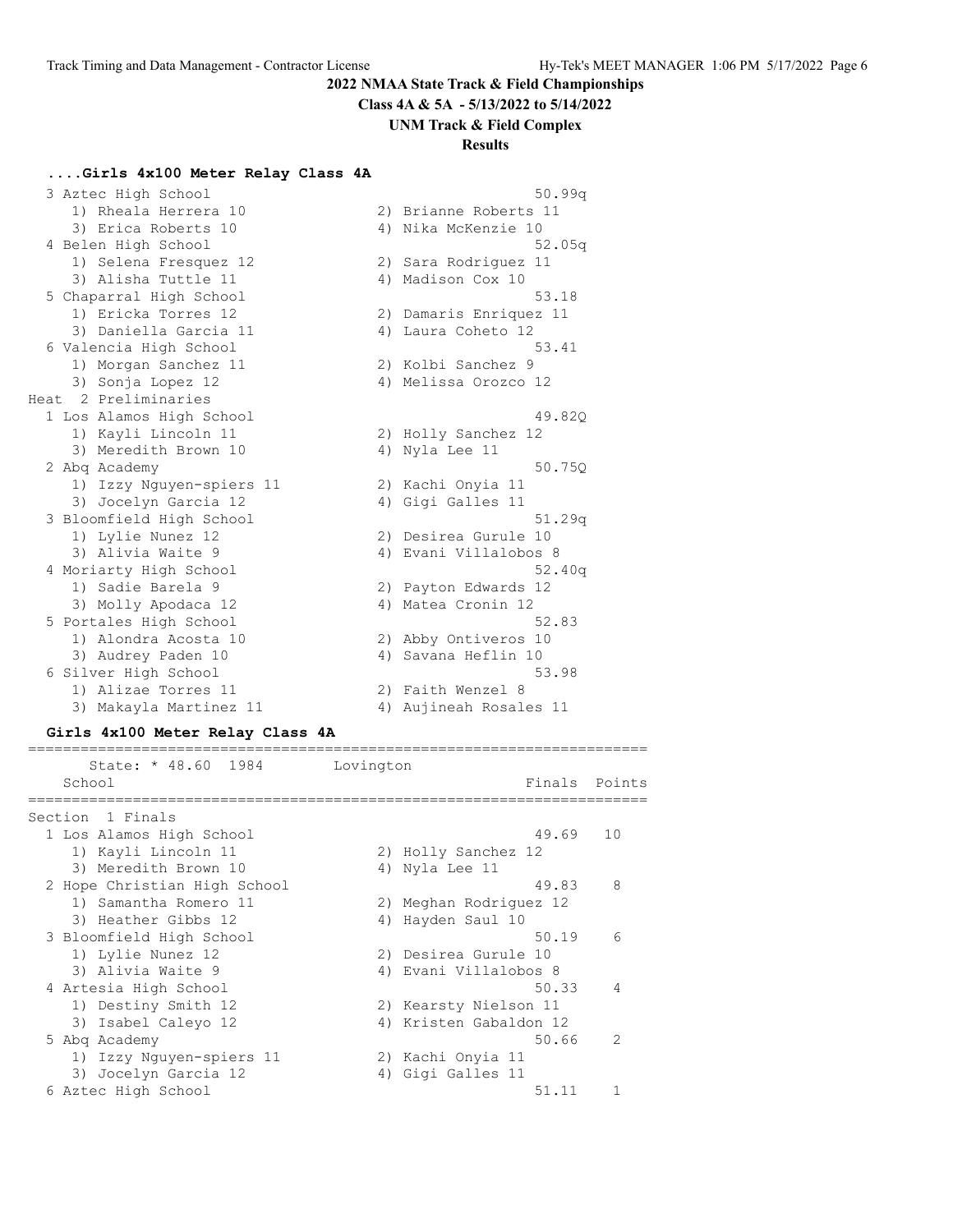**Class 4A & 5A - 5/13/2022 to 5/14/2022**

#### **UNM Track & Field Complex**

#### **Results**

#### **....Girls 4x100 Meter Relay Class 4A**

|  | 3 Aztec High School      |    | 50.99q                 |
|--|--------------------------|----|------------------------|
|  | 1) Rheala Herrera 10     |    | 2) Brianne Roberts 11  |
|  | 3) Erica Roberts 10      |    | 4) Nika McKenzie 10    |
|  | 4 Belen High School      |    | 52.05q                 |
|  | 1) Selena Fresquez 12    |    | 2) Sara Rodriquez 11   |
|  | 3) Alisha Tuttle 11      |    | 4) Madison Cox 10      |
|  | 5 Chaparral High School  |    | 53.18                  |
|  | 1) Ericka Torres 12      |    | 2) Damaris Enriquez 11 |
|  | 3) Daniella Garcia 11    |    | 4) Laura Coheto 12     |
|  | 6 Valencia High School   |    | 53.41                  |
|  | 1) Morgan Sanchez 11     |    | 2) Kolbi Sanchez 9     |
|  | 3) Sonja Lopez 12        |    | 4) Melissa Orozco 12   |
|  | Heat 2 Preliminaries     |    |                        |
|  | 1 Los Alamos High School |    | 49.820                 |
|  | 1) Kayli Lincoln 11      |    | 2) Holly Sanchez 12    |
|  | 3) Meredith Brown 10     |    | 4) Nyla Lee 11         |
|  | 2 Abg Academy            |    | 50.750                 |
|  | 1) Izzy Nguyen-spiers 11 |    | 2) Kachi Onyia 11      |
|  | 3) Jocelyn Garcia 12     |    | 4) Gigi Galles 11      |
|  | 3 Bloomfield High School |    | 51.29q                 |
|  | 1) Lylie Nunez 12        |    | 2) Desirea Gurule 10   |
|  | 3) Alivia Waite 9        |    | 4) Evani Villalobos 8  |
|  | 4 Moriarty High School   |    | 52.40q                 |
|  | 1) Sadie Barela 9        |    | 2) Payton Edwards 12   |
|  | 3) Molly Apodaca 12      |    | 4) Matea Cronin 12     |
|  | 5 Portales High School   |    | 52.83                  |
|  | 1) Alondra Acosta 10     |    | 2) Abby Ontiveros 10   |
|  | 3) Audrey Paden 10       | 4) | Savana Heflin 10       |
|  | 6 Silver High School     |    | 53.98                  |
|  | 1) Alizae Torres 11      |    | 2) Faith Wenzel 8      |
|  | 3) Makayla Martinez 11   |    | 4) Aujineah Rosales 11 |

#### **Girls 4x100 Meter Relay Class 4A**

State: \* 48.60 1984 Lovington School **Finals** Points ======================================================================= Section 1 Finals 1 Los Alamos High School 49.69 10 1) Kayli Lincoln 11 2) Holly Sanchez 12 3) Meredith Brown 10 (4) Ayla Lee 11 2 Hope Christian High School 49.83 8 1) Samantha Romero 11 2) Meghan Rodriguez 12 3) Heather Gibbs 12 4) Hayden Saul 10 3 Bloomfield High School 50.19 6 1) Lylie Nunez 12 2) Desirea Gurule 10 3) Alivia Waite 9 4) Evani Villalobos 8 4 Artesia High School 50.33 4 1) Destiny Smith 12 2) Kearsty Nielson 11 3) Isabel Caleyo 12 4) Kristen Gabaldon 12 5 Abq Academy 50.66 2 1) Izzy Nguyen-spiers 11 2) Kachi Onyia 11 3) Jocelyn Garcia 12 (4) Gigi Galles 11 6 Aztec High School 51.11 1

=======================================================================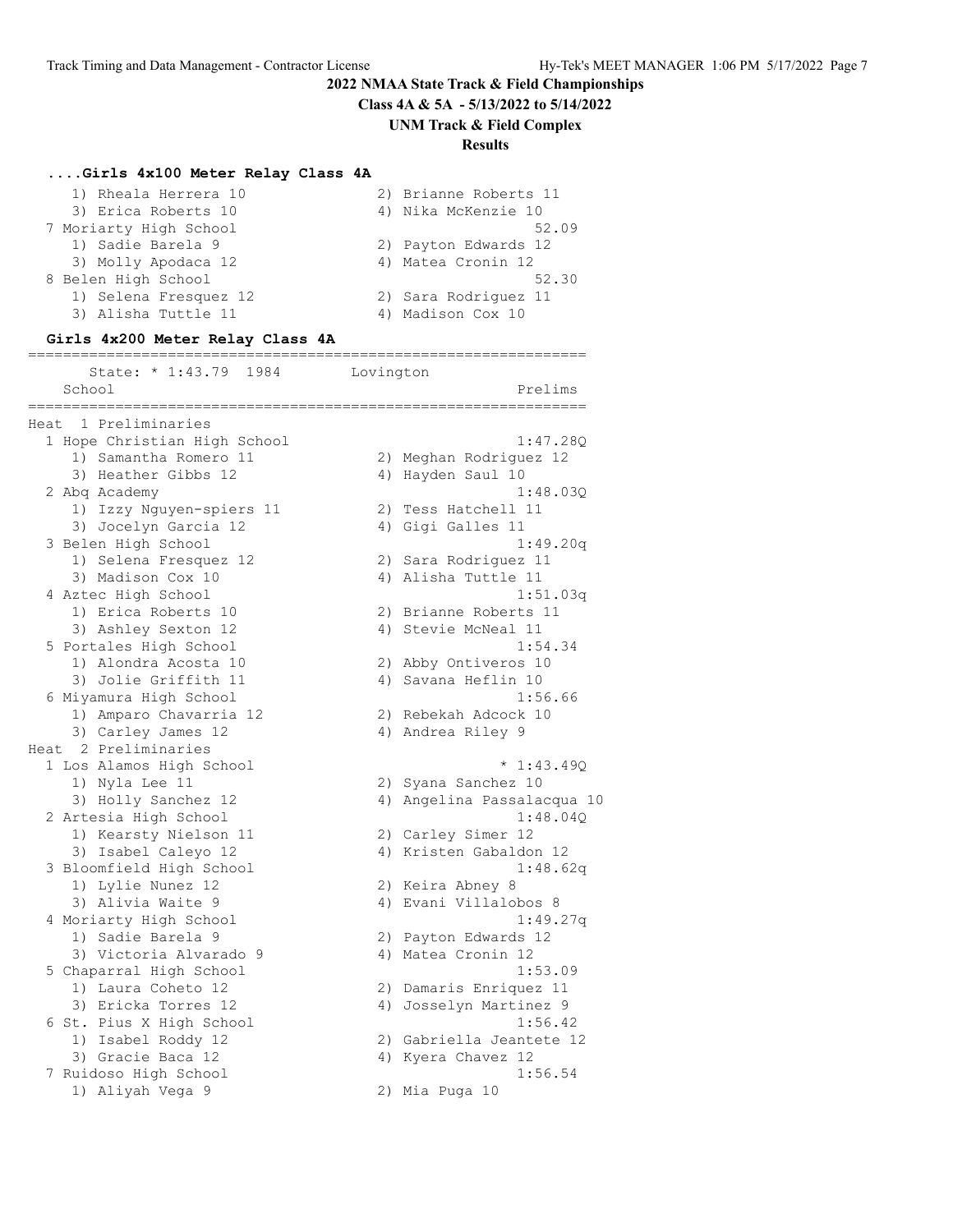**Class 4A & 5A - 5/13/2022 to 5/14/2022**

**UNM Track & Field Complex**

# **Results**

# **....Girls 4x100 Meter Relay Class 4A**

| 1) Rheala Herrera 10   | 2) Brianne Roberts 11 |
|------------------------|-----------------------|
| 3) Erica Roberts 10    | 4) Nika McKenzie 10   |
| 7 Moriarty High School | 52.09                 |
| 1) Sadie Barela 9      | 2) Payton Edwards 12  |
| 3) Molly Apodaca 12    | 4) Matea Cronin 12    |
| 8 Belen High School    | 52.30                 |
| 1) Selena Fresquez 12  | 2) Sara Rodriguez 11  |
| 3) Alisha Tuttle 11    | 4) Madison Cox 10     |
|                        |                       |

# **Girls 4x200 Meter Relay Class 4A**

| State: * 1:43.79<br>1984     | Lovington                  |
|------------------------------|----------------------------|
| School<br>__________         | Prelims<br>-------------   |
| Heat 1 Preliminaries         |                            |
| 1 Hope Christian High School | 1:47.28Q                   |
| 1) Samantha Romero 11        | 2) Meghan Rodriguez 12     |
| 3) Heather Gibbs 12          | 4) Hayden Saul 10          |
| 2 Abq Academy                | 1:48.03Q                   |
| 1) Izzy Nguyen-spiers 11     | 2) Tess Hatchell 11        |
| 3) Jocelyn Garcia 12         | 4) Gigi Galles 11          |
| 3 Belen High School          | 1:49.20q                   |
| 1) Selena Fresquez 12        | 2) Sara Rodriguez 11       |
| 3) Madison Cox 10            | 4) Alisha Tuttle 11        |
| 4 Aztec High School          | 1:51.03q                   |
| 1) Erica Roberts 10          | 2) Brianne Roberts 11      |
| 3) Ashley Sexton 12          | 4) Stevie McNeal 11        |
| 5 Portales High School       | 1:54.34                    |
| 1) Alondra Acosta 10         | 2) Abby Ontiveros 10       |
| 3) Jolie Griffith 11         | 4) Savana Heflin 10        |
| 6 Miyamura High School       | 1:56.66                    |
| 1) Amparo Chavarria 12       | 2) Rebekah Adcock 10       |
| 3) Carley James 12           | 4) Andrea Riley 9          |
| Heat 2 Preliminaries         |                            |
| 1 Los Alamos High School     | $* 1:43.490$               |
| 1) Nyla Lee 11               | 2) Syana Sanchez 10        |
| 3) Holly Sanchez 12          | 4) Angelina Passalacqua 10 |
| 2 Artesia High School        | 1:48.04Q                   |
| 1) Kearsty Nielson 11        | 2) Carley Simer 12         |
| 3) Isabel Caleyo 12          | 4) Kristen Gabaldon 12     |
| 3 Bloomfield High School     | 1:48.62q                   |
| 1) Lylie Nunez 12            | 2) Keira Abney 8           |
| 3) Alivia Waite 9            | 4) Evani Villalobos 8      |
| 4 Moriarty High School       | 1:49.27q                   |
| 1) Sadie Barela 9            | 2) Payton Edwards 12       |
| 3) Victoria Alvarado 9       | 4) Matea Cronin 12         |
| 5 Chaparral High School      | 1:53.09                    |
| 1) Laura Coheto 12           | 2) Damaris Enriquez 11     |
| 3) Ericka Torres 12          | 4) Josselyn Martinez 9     |
| 6 St. Pius X High School     | 1:56.42                    |
| 1) Isabel Roddy 12           | 2) Gabriella Jeantete 12   |
| 3) Gracie Baca 12            | 4) Kyera Chavez 12         |
| 7 Ruidoso High School        | 1:56.54                    |
| 1) Aliyah Vega 9             | 2) Mia Puga 10             |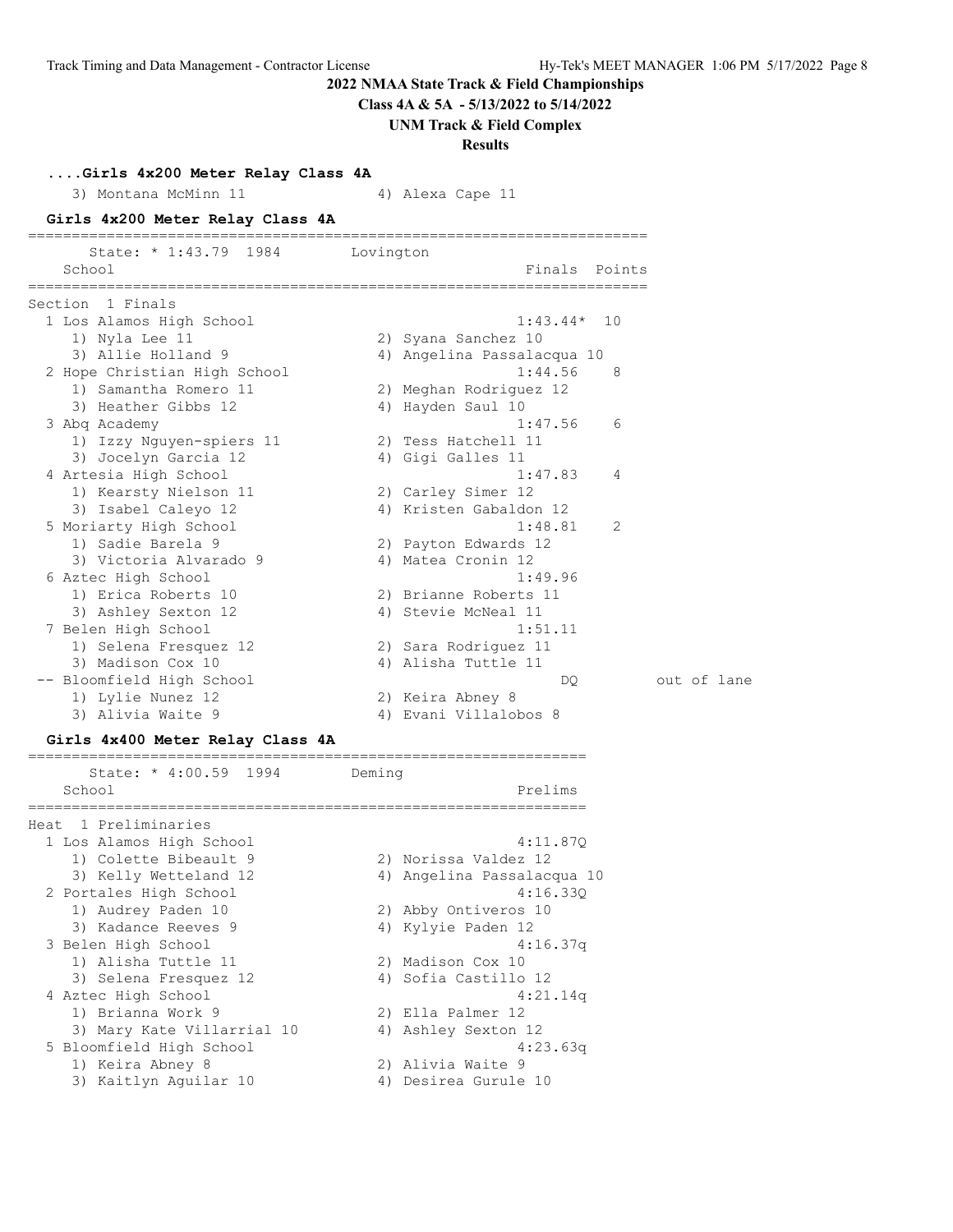**Class 4A & 5A - 5/13/2022 to 5/14/2022**

**UNM Track & Field Complex**

#### **Results**

**....Girls 4x200 Meter Relay Class 4A**

3) Montana McMinn 11 4) Alexa Cape 11

#### **Girls 4x200 Meter Relay Class 4A**

| State: * 1:43.79 1984 Lovington<br>School | Finals Points              |    |
|-------------------------------------------|----------------------------|----|
| Section 1 Finals                          |                            |    |
| 1 Los Alamos High School                  | $1:43.44*$                 | 10 |
| 1) Nyla Lee 11                            | 2) Syana Sanchez 10        |    |
| 3) Allie Holland 9                        | 4) Angelina Passalacqua 10 |    |
| 2 Hope Christian High School              | 1:44.56                    | -8 |
| 1) Samantha Romero 11                     | 2) Meghan Rodriguez 12     |    |
| 3) Heather Gibbs 12                       | 4) Hayden Saul 10          |    |
| 3 Abg Academy                             | 1:47.56                    | 6  |
| 1) Izzy Nguyen-spiers 11                  | 2) Tess Hatchell 11        |    |
| 3) Jocelyn Garcia 12                      | 4) Gigi Galles 11          |    |
| 4 Artesia High School                     | 1:47.83                    | 4  |
| 1) Kearsty Nielson 11                     | 2) Carley Simer 12         |    |
| 3) Isabel Caleyo 12                       | 4) Kristen Gabaldon 12     |    |
| 5 Moriarty High School                    | 1:48.81                    | -2 |
| 1) Sadie Barela 9                         | 2) Payton Edwards 12       |    |
| 3) Victoria Alvarado 9                    | 4) Matea Cronin 12         |    |
| 6 Aztec High School                       | 1:49.96                    |    |
| 1) Erica Roberts 10                       | 2) Brianne Roberts 11      |    |
| 3) Ashley Sexton 12                       | 4) Stevie McNeal 11        |    |
| 7 Belen High School                       | 1:51.11                    |    |
| 1) Selena Fresquez 12                     | 2) Sara Rodriquez 11       |    |
| 3) Madison Cox 10                         | 4) Alisha Tuttle 11        |    |
| -- Bloomfield High School                 | DO                         |    |
| 1) Lylie Nunez 12                         | 2) Keira Abney 8           |    |
| 3) Alivia Waite 9                         | 4) Evani Villalobos 8      |    |

#### **Girls 4x400 Meter Relay Class 4A**

================================================================ State: \* 4:00.59 1994 Deming School Prelims ================================================================ Heat 1 Preliminaries 1 Los Alamos High School 4:11.87Q 1) Colette Bibeault 9 2) Norissa Valdez 12 3) Kelly Wetteland 12 4) Angelina Passalacqua 10 2 Portales High School 4:16.33Q 1) Audrey Paden 10 2) Abby Ontiveros 10 3) Kadance Reeves 9 4) Kylyie Paden 12 3 Belen High School 4:16.37q 1) Alisha Tuttle 11 2) Madison Cox 10 3) Selena Fresquez 12 (4) Sofia Castillo 12 4 Aztec High School 4:21.14q 1) Brianna Work 9 2) Ella Palmer 12 3) Mary Kate Villarrial 10 4) Ashley Sexton 12 5 Bloomfield High School 4:23.63q 1) Keira Abney 8 2) Alivia Waite 9 3) Kaitlyn Aguilar 10 1988 - 400 Desirea Gurule 10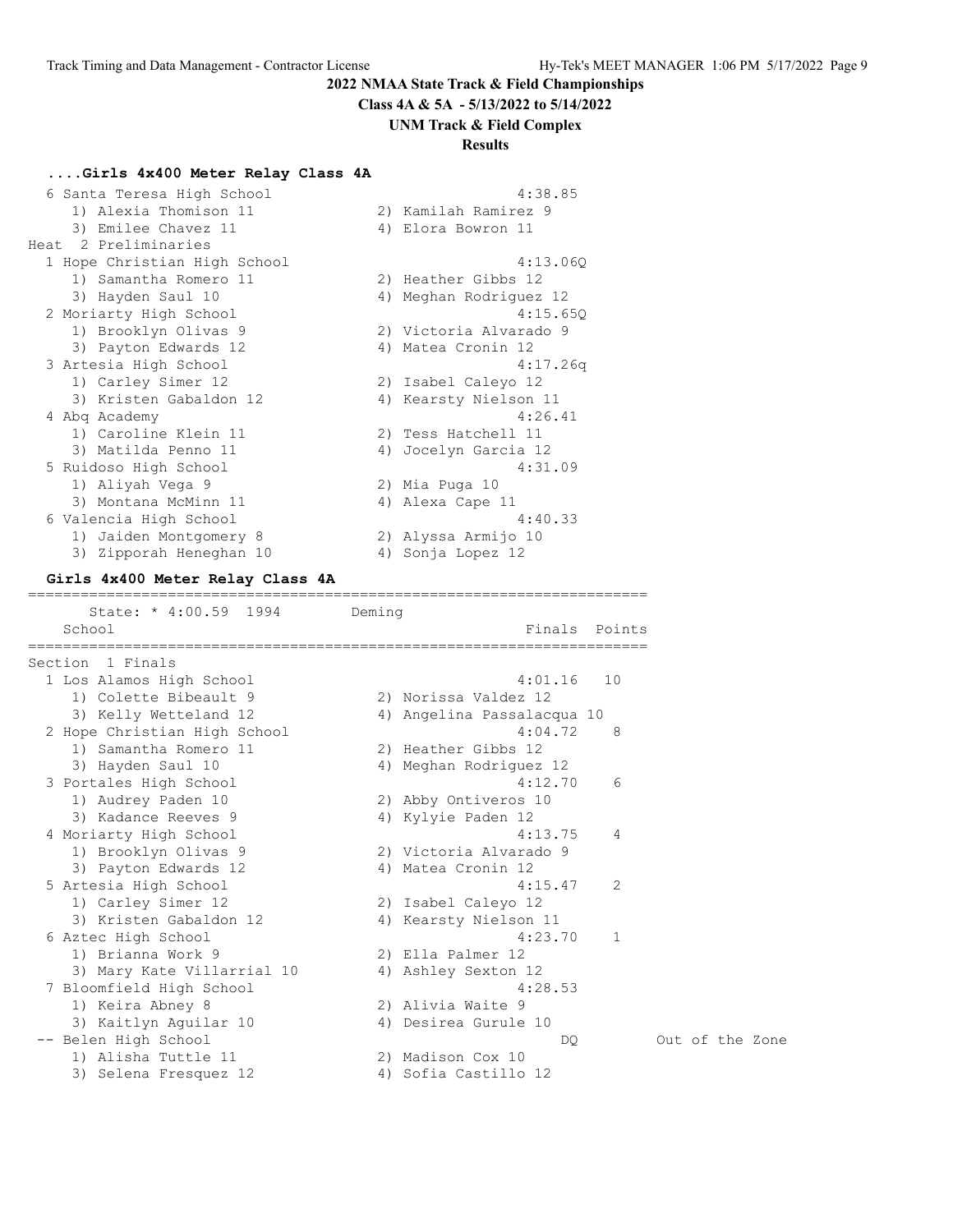**Class 4A & 5A - 5/13/2022 to 5/14/2022**

#### **UNM Track & Field Complex**

#### **Results**

#### **....Girls 4x400 Meter Relay Class 4A**

|    | 4:38.85                    |
|----|----------------------------|
|    | 2) Kamilah Ramirez 9       |
|    | Elora Bowron 11            |
|    |                            |
|    | 4:13.060                   |
|    | 2) Heather Gibbs 12        |
|    | Meghan Rodriguez 12        |
|    | 4:15.65Q                   |
|    | 2) Victoria Alvarado 9     |
| 4) | Matea Cronin 12            |
|    | 4:17.26q                   |
|    | 2) Isabel Caleyo 12        |
|    | Kearsty Nielson 11         |
|    | 4:26.41                    |
|    | 2) Tess Hatchell 11        |
|    | Jocelyn Garcia 12          |
|    | 4:31.09                    |
|    | 2) Mia Puga 10             |
|    | 4) Alexa Cape 11           |
|    | 4:40.33                    |
|    | 2) Alyssa Armijo 10        |
|    | Sonja Lopez 12             |
|    | 4)<br>4)<br>4)<br>4)<br>4) |

=======================================================================

#### **Girls 4x400 Meter Relay Class 4A**

State: \* 4:00.59 1994 Deming School **Finals** Points ======================================================================= Section 1 Finals 1 Los Alamos High School 4:01.16 10 1) Colette Bibeault 9 2) Norissa Valdez 12 3) Kelly Wetteland 12 4) Angelina Passalacqua 10 2 Hope Christian High School 4:04.72 8 1) Samantha Romero 11 2) Heather Gibbs 12 3) Hayden Saul 10 4) Meghan Rodriguez 12 3 Portales High School 4:12.70 6 1) Audrey Paden 10 2) Abby Ontiveros 10 3) Kadance Reeves 9 4) Kylyie Paden 12 4 Moriarty High School 4:13.75 4 1) Brooklyn Olivas 9 2) Victoria Alvarado 9 3) Payton Edwards 12 (4) Matea Cronin 12 5 Artesia High School 4:15.47 2 1) Carley Simer 12 2) Isabel Caleyo 12 3) Kristen Gabaldon 12 4) Kearsty Nielson 11 6 Aztec High School 4:23.70 1 1) Brianna Work 9 2) Ella Palmer 12 3) Mary Kate Villarrial 10 4) Ashley Sexton 12 7 Bloomfield High School 4:28.53 1) Keira Abney 8 2) Alivia Waite 9 3) Kaitlyn Aguilar 10 1988 - 400 Desirea Gurule 10 -- Belen High School DQ Out of the Zone 1) Alisha Tuttle 11 2) Madison Cox 10 3) Selena Fresquez 12 (4) Sofia Castillo 12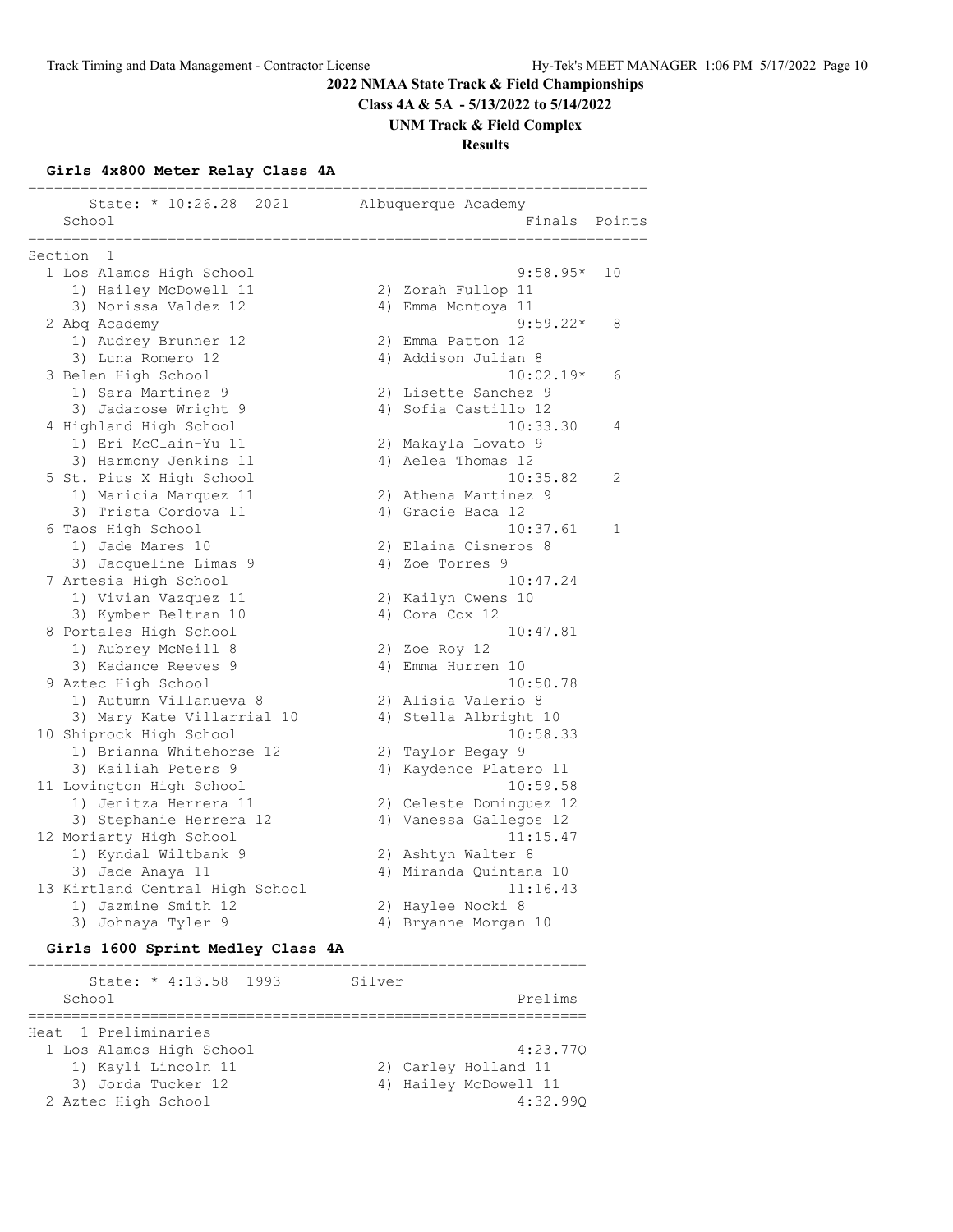**Class 4A & 5A - 5/13/2022 to 5/14/2022**

**UNM Track & Field Complex**

**Results**

# **Girls 4x800 Meter Relay Class 4A**

|                                         |                         | ======================== |              |
|-----------------------------------------|-------------------------|--------------------------|--------------|
| State: * 10:26.28 2021<br>School        | Albuquerque Academy     | Finals                   | Points       |
| ==============<br>===================== |                         | =================        |              |
| 1<br>Section                            |                         |                          |              |
| 1 Los Alamos High School                |                         | $9:58.95*$               | 10           |
| 1) Hailey McDowell 11                   | 2) Zorah Fullop 11      |                          |              |
| 3) Norissa Valdez 12                    | 4) Emma Montoya 11      |                          |              |
| 2 Abq Academy                           |                         | $9:59.22*$               | 8            |
| 1) Audrey Brunner 12                    | 2) Emma Patton 12       |                          |              |
| 3) Luna Romero 12                       | 4) Addison Julian 8     |                          |              |
| 3 Belen High School                     |                         | $10:02.19*$              | 6            |
| 1) Sara Martinez 9                      | 2) Lisette Sanchez 9    |                          |              |
| 3) Jadarose Wright 9                    | 4) Sofia Castillo 12    |                          |              |
| 4 Highland High School                  |                         | 10:33.30                 | 4            |
| 1) Eri McClain-Yu 11                    | 2) Makayla Lovato 9     |                          |              |
| 3) Harmony Jenkins 11                   | 4) Aelea Thomas 12      |                          |              |
| 5 St. Pius X High School                |                         | 10:35.82                 | 2            |
| 1) Maricia Marquez 11                   | 2) Athena Martinez 9    |                          |              |
| 3) Trista Cordova 11                    | 4) Gracie Baca 12       |                          |              |
| 6 Taos High School                      |                         | 10:37.61                 | $\mathbf{1}$ |
| 1) Jade Mares 10                        | 2) Elaina Cisneros 8    |                          |              |
| 3) Jacqueline Limas 9                   | 4) Zoe Torres 9         |                          |              |
| 7 Artesia High School                   |                         | 10:47.24                 |              |
| 1) Vivian Vazquez 11                    | 2) Kailyn Owens 10      |                          |              |
| 3) Kymber Beltran 10                    | 4) Cora Cox 12          |                          |              |
| 8 Portales High School                  |                         | 10:47.81                 |              |
| 1) Aubrey McNeill 8                     | 2) Zoe Roy 12           |                          |              |
| 3) Kadance Reeves 9                     | 4) Emma Hurren 10       |                          |              |
| 9 Aztec High School                     |                         | 10:50.78                 |              |
| 1) Autumn Villanueva 8                  | 2) Alisia Valerio 8     |                          |              |
| 3) Mary Kate Villarrial 10              | 4) Stella Albright 10   |                          |              |
| 10 Shiprock High School                 |                         | 10:58.33                 |              |
| 1) Brianna Whitehorse 12                | 2) Taylor Begay 9       |                          |              |
| 3) Kailiah Peters 9                     | 4) Kaydence Platero 11  |                          |              |
| 11 Lovington High School                |                         | 10:59.58                 |              |
| 1) Jenitza Herrera 11                   | 2) Celeste Dominguez 12 |                          |              |
| 3) Stephanie Herrera 12                 | 4) Vanessa Gallegos 12  |                          |              |
| 12 Moriarty High School                 |                         | 11:15.47                 |              |
| 1) Kyndal Wiltbank 9                    | 2) Ashtyn Walter 8      |                          |              |
| 3) Jade Anaya 11                        | 4) Miranda Quintana 10  |                          |              |
| 13 Kirtland Central High School         |                         | 11:16.43                 |              |
| 1) Jazmine Smith 12                     | 2) Haylee Nocki 8       |                          |              |
| 3) Johnaya Tyler 9                      | 4) Bryanne Morgan 10    |                          |              |

# **Girls 1600 Sprint Medley Class 4A**

| Silver                |
|-----------------------|
| Prelims               |
|                       |
|                       |
| 4:23.770              |
| 2) Carley Holland 11  |
| 4) Hailey McDowell 11 |
| 4:32.990              |
|                       |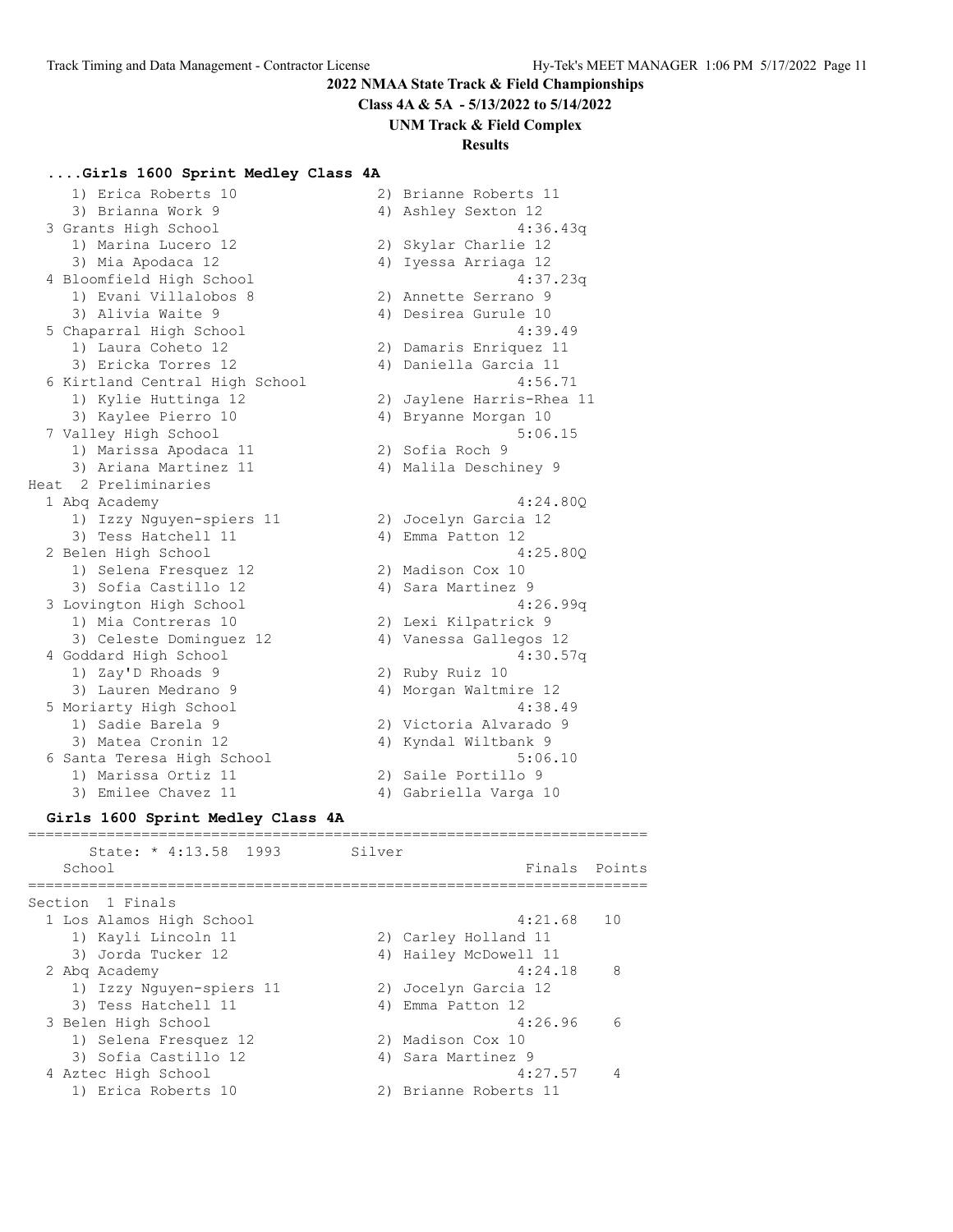**Class 4A & 5A - 5/13/2022 to 5/14/2022**

**UNM Track & Field Complex**

# **Results**

# **....Girls 1600 Sprint Medley Class 4A**

| 1) Erica Roberts 10                         |    | 2) Brianne Roberts 11     |
|---------------------------------------------|----|---------------------------|
| 3) Brianna Work 9                           |    | 4) Ashley Sexton 12       |
|                                             |    |                           |
| 3 Grants High School<br>1) Marina Lucero 12 | 2) | 4:36.43q                  |
|                                             |    | Skylar Charlie 12         |
| 3) Mia Apodaca 12                           | 4) | Iyessa Arriaga 12         |
| 4 Bloomfield High School                    |    | 4:37.23q                  |
| 1) Evani Villalobos 8                       |    | 2) Annette Serrano 9      |
| 3) Alivia Waite 9                           |    | 4) Desirea Gurule 10      |
| 5 Chaparral High School                     |    | 4:39.49                   |
| 1) Laura Coheto 12                          |    | 2) Damaris Enriquez 11    |
| 3) Ericka Torres 12                         |    | 4) Daniella Garcia 11     |
| 6 Kirtland Central High School              |    | 4:56.71                   |
| 1) Kylie Huttinga 12                        |    | 2) Jaylene Harris-Rhea 11 |
| 3) Kaylee Pierro 10                         |    | 4) Bryanne Morgan 10      |
| 7 Valley High School                        |    | 5:06.15                   |
| 1) Marissa Apodaca 11                       |    | 2) Sofia Roch 9           |
| 3) Ariana Martinez 11                       |    | 4) Malila Deschiney 9     |
| Heat 2 Preliminaries                        |    |                           |
| 1 Abq Academy                               |    | 4:24.80Q                  |
| 1) Izzy Nguyen-spiers 11                    |    | 2) Jocelyn Garcia 12      |
| 3) Tess Hatchell 11                         | 4) | Emma Patton 12            |
| 2 Belen High School                         |    | 4:25.800                  |
| 1) Selena Fresquez 12                       |    | 2) Madison Cox 10         |
| 3) Sofia Castillo 12                        |    | 4) Sara Martinez 9        |
| 3 Lovington High School                     |    | 4:26.99q                  |
| 1) Mia Contreras 10                         |    | 2) Lexi Kilpatrick 9      |
| 3) Celeste Dominquez 12                     |    | 4) Vanessa Gallegos 12    |
| 4 Goddard High School                       |    | 4:30.57q                  |
| 1) Zay'D Rhoads 9                           |    | 2) Ruby Ruiz 10           |
| 3) Lauren Medrano 9                         |    | 4) Morgan Waltmire 12     |
| 5 Moriarty High School                      |    | 4:38.49                   |
| 1) Sadie Barela 9                           |    | 2) Victoria Alvarado 9    |
| 3) Matea Cronin 12                          |    | 4) Kyndal Wiltbank 9      |
| 6 Santa Teresa High School                  |    | 5:06.10                   |
| 1) Marissa Ortiz 11                         | 2) | Saile Portillo 9          |
| 3) Emilee Chavez 11                         |    | 4) Gabriella Varga 10     |
|                                             |    |                           |

# **Girls 1600 Sprint Medley Class 4A**

|        | State: * 4:13.58 1993    | Silver |                       |               |
|--------|--------------------------|--------|-----------------------|---------------|
| School |                          |        |                       | Finals Points |
|        | Section 1 Finals         |        |                       |               |
|        | 1 Los Alamos High School |        | $4:21.68$ 10          |               |
|        | 1) Kayli Lincoln 11      |        | 2) Carley Holland 11  |               |
|        | 3) Jorda Tucker 12       |        | 4) Hailey McDowell 11 |               |
|        | 2 Abg Academy            |        | 4:24.18               | - 8           |
|        | 1) Izzy Nguyen-spiers 11 |        | 2) Jocelyn Garcia 12  |               |
|        | 3) Tess Hatchell 11      |        | 4) Emma Patton 12     |               |
|        | 3 Belen High School      |        | 4:26.96               | - 6           |
|        | 1) Selena Fresquez 12    |        | 2) Madison Cox 10     |               |
|        | 3) Sofia Castillo 12     |        | 4) Sara Martinez 9    |               |
|        | 4 Aztec High School      |        | 4:27.57               |               |
|        | 1) Erica Roberts 10      |        | 2) Brianne Roberts 11 |               |
|        |                          |        |                       |               |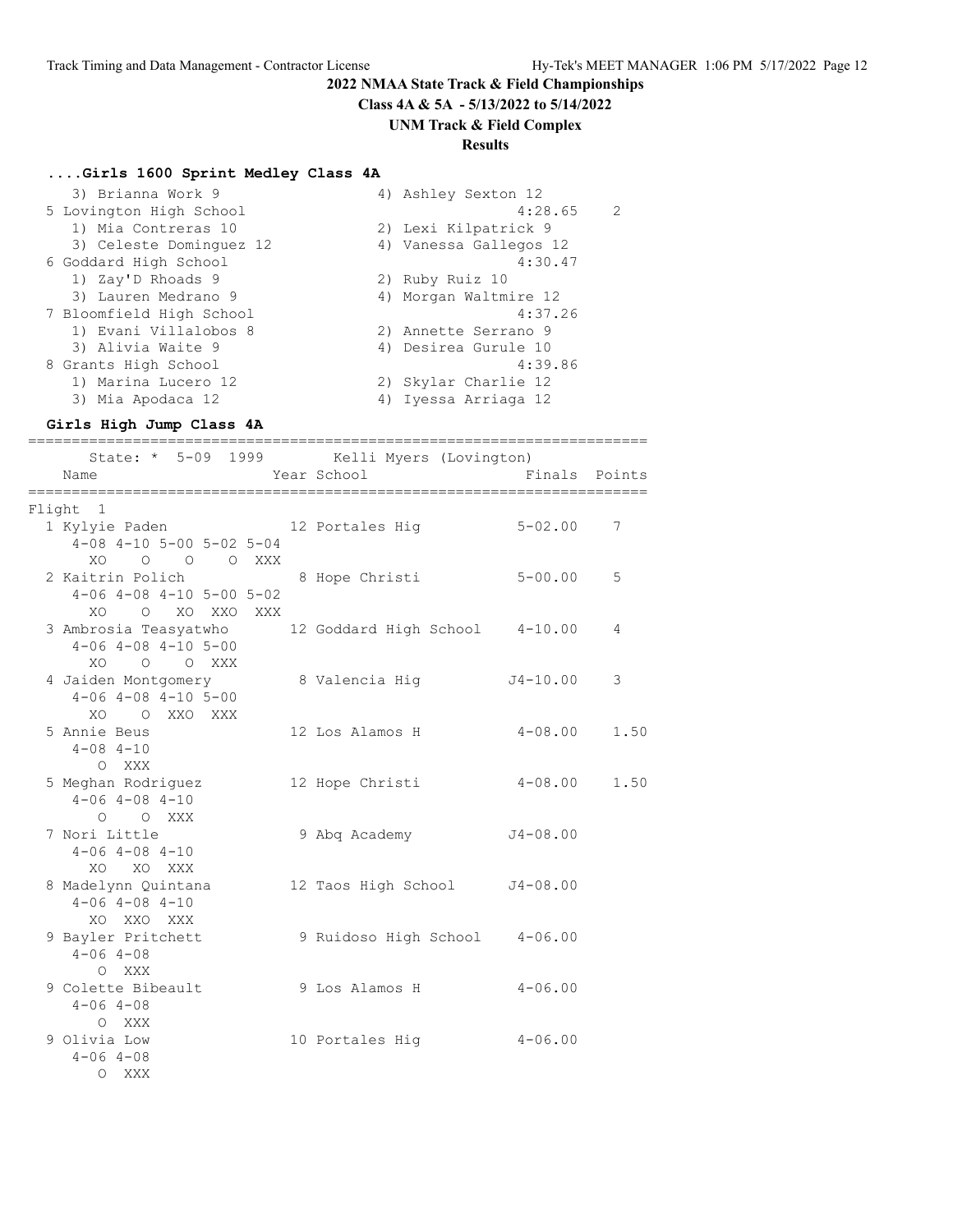**Class 4A & 5A - 5/13/2022 to 5/14/2022**

# **UNM Track & Field Complex**

# **Results**

#### **....Girls 1600 Sprint Medley Class 4A**

| 3) Brianna Work 9        | 4) Ashley Sexton 12    |
|--------------------------|------------------------|
| 5 Lovington High School  | 4:28.65<br>2           |
| 1) Mia Contreras 10      | 2) Lexi Kilpatrick 9   |
| 3) Celeste Dominguez 12  | 4) Vanessa Gallegos 12 |
| 6 Goddard High School    | 4:30.47                |
| 1) Zay'D Rhoads 9        | 2) Ruby Ruiz 10        |
| 3) Lauren Medrano 9      | 4) Morgan Waltmire 12  |
| 7 Bloomfield High School | 4:37.26                |
| 1) Evani Villalobos 8    | 2) Annette Serrano 9   |
| 3) Alivia Waite 9        | 4) Desirea Gurule 10   |
| 8 Grants High School     | 4:39.86                |
| 1) Marina Lucero 12      | 2) Skylar Charlie 12   |
| 3) Mia Apodaca 12        | 4) Iyessa Arriaga 12   |

#### **Girls High Jump Class 4A**

======================================================================= State: \* 5-09 1999 Kelli Myers (Lovington)

| Name                                                                                              | $101111$ $119011$<br>Year School      | Finals Points |      |
|---------------------------------------------------------------------------------------------------|---------------------------------------|---------------|------|
| Flight 1                                                                                          |                                       |               |      |
| 1 Kylyie Paden 12 Portales Hig 5-02.00<br>$4-08$ $4-10$ $5-00$ $5-02$ $5-04$<br>XO O O O XXX      |                                       |               | 7    |
| 2 Kaitrin Polich<br>$4-06$ $4-08$ $4-10$ $5-00$ $5-02$<br>XOOXOXXOXXX                             | 8 Hope Christi                        | $5 - 00.00$   | 5    |
| 3 Ambrosia Teasyatwho 12 Goddard High School 4-10.00<br>$4-06$ $4-08$ $4-10$ $5-00$<br>XO O O XXX |                                       |               | 4    |
| 4 Jaiden Montgomery<br>$4-06$ $4-08$ $4-10$ $5-00$<br>XO O XXO XXX                                | 8 Valencia Hig               J4-10.00 |               | 3    |
| 5 Annie Beus<br>$4 - 08$ $4 - 10$<br>O XXX                                                        | $12$ Los Alamos H $4-08.00$           |               | 1.50 |
| 5 Meghan Rodriguez<br>$4 - 06$ $4 - 08$ $4 - 10$<br>O O XXX                                       | 12 Hope Christi 4-08.00 1.50          |               |      |
| 7 Nori Little<br>$4 - 06$ $4 - 08$ $4 - 10$<br>XO XO XXX                                          | 9 Abq Academy                         | $J4 - 08.00$  |      |
| 8 Madelynn Quintana<br>$4 - 06$ $4 - 08$ $4 - 10$<br>XO XXO XXX                                   | 12 Taos High School J4-08.00          |               |      |
| 9 Bayler Pritchett<br>$4 - 06$ $4 - 08$<br>O XXX                                                  | 9 Ruidoso High School 4-06.00         |               |      |
| 9 Colette Bibeault 9 Los Alamos H<br>$4 - 06$ $4 - 08$<br>O XXX                                   |                                       | $4 - 06.00$   |      |
| 9 Olivia Low<br>$4 - 06$ $4 - 08$<br>O XXX                                                        | 10 Portales Hig                       | $4 - 06.00$   |      |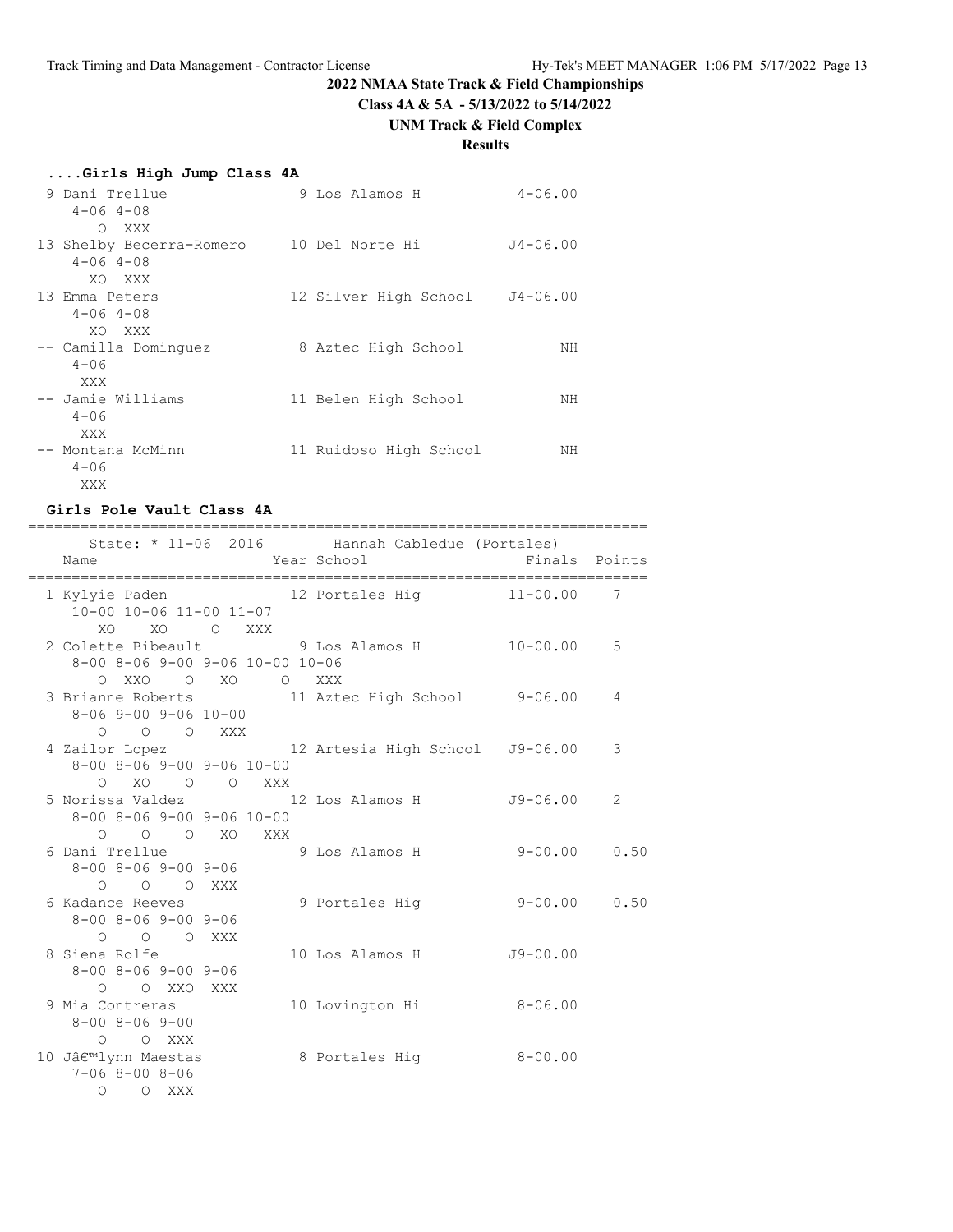**Class 4A & 5A - 5/13/2022 to 5/14/2022**

# **UNM Track & Field Complex**

# **Results**

| Girls High Jump Class 4A                      |                        |              |
|-----------------------------------------------|------------------------|--------------|
| 9 Dani Trellue<br>$4 - 06$ $4 - 08$           | 9 Los Alamos H         | $4 - 06.00$  |
| O XXX                                         |                        |              |
| 13 Shelby Becerra-Romero<br>$4 - 06$ $4 - 08$ | 10 Del Norte Hi        | $J4 - 06.00$ |
| XO XXX                                        |                        |              |
| 13 Emma Peters                                | 12 Silver High School  | $J4 - 06.00$ |
| $4 - 06$ $4 - 08$<br>XO XXX                   |                        |              |
| -- Camilla Dominquez                          | 8 Aztec High School    | NΗ           |
| $4 - 06$<br>XXX                               |                        |              |
| -- Jamie Williams                             | 11 Belen High School   | ΝH           |
| $4 - 06$                                      |                        |              |
| XXX                                           |                        |              |
| -- Montana McMinn<br>$4 - 06$                 | 11 Ruidoso High School | ΝH           |
| XXX                                           |                        |              |

#### **Girls Pole Vault Class 4A**

| ===========<br>State: * 11-06 2016 Hannah Cabledue (Portales)<br>Name  |                             |            |                |
|------------------------------------------------------------------------|-----------------------------|------------|----------------|
|                                                                        |                             |            |                |
| 1 Kylyie Paden 12 Portales Hig 11-00.00 7                              |                             |            |                |
| 10-00 10-06 11-00 11-07                                                |                             |            |                |
| XO XO O XXX                                                            |                             |            |                |
| 2 Colette Bibeault 9 Los Alamos H 10-00.00                             |                             |            | 5              |
| 8-00 8-06 9-00 9-06 10-00 10-06                                        |                             |            |                |
| OXXO OXO OXXX                                                          |                             |            |                |
| 3 Brianne Roberts 11 Aztec High School 9-06.00<br>8-06 9-00 9-06 10-00 |                             |            | 4              |
| O O O XXX                                                              |                             |            |                |
| 4 Zailor Lopez 12 Artesia High School J9-06.00                         |                             |            | 3              |
| 8-00 8-06 9-00 9-06 10-00                                              |                             |            |                |
| O XO O O XXX                                                           |                             |            |                |
| 5 Norissa Valdez 12 Los Alamos H                                       |                             | J9-06.00   | $\overline{2}$ |
| $8 - 00$ $8 - 06$ $9 - 00$ $9 - 06$ $10 - 00$                          |                             |            |                |
| O O O XO XXX                                                           |                             |            |                |
| 6 Dani Trellue                                                         | 9 Los Alamos H 9-00.00 0.50 |            |                |
| 8-00 8-06 9-00 9-06                                                    |                             |            |                |
| O O O XXX                                                              |                             |            |                |
| 6 Kadance Reeves                                                       |                             |            |                |
| $8 - 00$ $8 - 06$ $9 - 00$ $9 - 06$                                    |                             |            |                |
| O O O XXX                                                              |                             |            |                |
| 8 Siena Rolfe                                                          | 10 Los Alamos H             | $J9-00.00$ |                |
| 8-00 8-06 9-00 9-06                                                    |                             |            |                |
| O O XXO XXX                                                            |                             |            |                |
| 9 Mia Contreras                                                        | 10 Lovington Hi 8-06.00     |            |                |
| $8 - 00$ $8 - 06$ $9 - 00$                                             |                             |            |                |
| O O XXX                                                                |                             |            |                |
| 10 J'lynn Maestas                                                      | 8 Portales Hig 8-00.00      |            |                |
| $7 - 068 - 008 - 06$                                                   |                             |            |                |
| O O XXX                                                                |                             |            |                |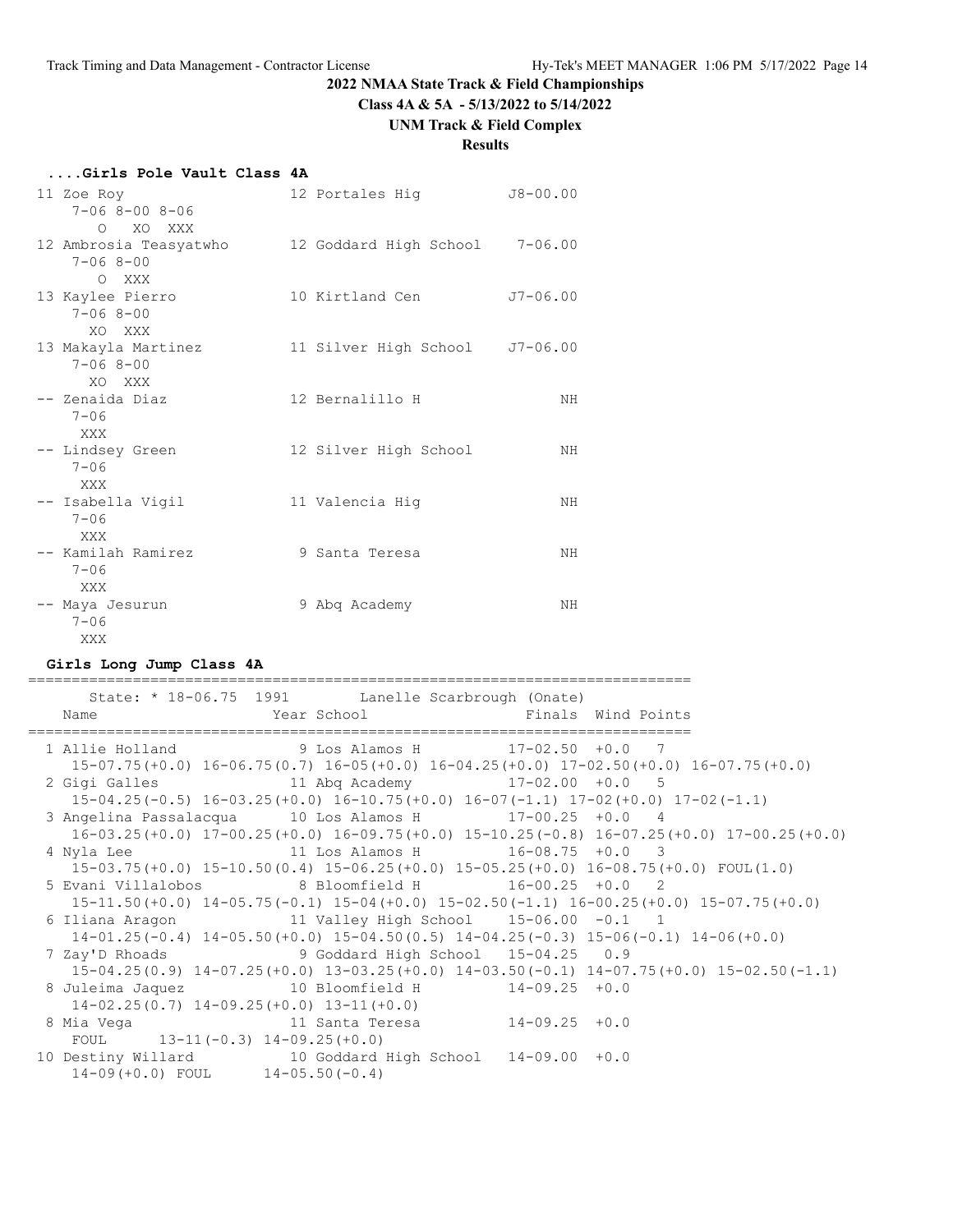**Class 4A & 5A - 5/13/2022 to 5/14/2022**

# **UNM Track & Field Complex**

# **Results**

| Girls Pole Vault Class 4A |  |  |  |  |  |
|---------------------------|--|--|--|--|--|
|---------------------------|--|--|--|--|--|

| 11 Zoe Roy<br>$7 - 068 - 008 - 06$<br>O XO XXX    | 12 Portales Hig                | $J8 - 00.00$ |
|---------------------------------------------------|--------------------------------|--------------|
| 12 Ambrosia Teasyatwho<br>$7 - 068 - 00$<br>O XXX | 12 Goddard High School 7-06.00 |              |
| 13 Kaylee Pierro<br>$7 - 068 - 00$<br>XO XXX      | 10 Kirtland Cen                | $J7 - 06.00$ |
| 13 Makayla Martinez<br>$7 - 068 - 00$<br>XO XXX   | 11 Silver High School J7-06.00 |              |
| -- Zenaida Diaz<br>$7 - 06$<br>XXX                | 12 Bernalillo H                | NH           |
| -- Lindsey Green<br>$7 - 06$<br>XXX               | 12 Silver High School          | NH           |
| -- Isabella Vigil<br>$7 - 06$<br>XXX              | 11 Valencia Hig                | NH           |
| -- Kamilah Ramirez<br>$7 - 06$<br>XXX             | 9 Santa Teresa                 | NH           |
| -- Maya Jesurun<br>$7 - 06$<br>XXX                | 9 Abq Academy                  | NH           |

#### **Girls Long Jump Class 4A**

|                                     | State: * 18-06.75 1991 Lanelle Scarbrough (Onate)       |                                                                                                       |  |
|-------------------------------------|---------------------------------------------------------|-------------------------------------------------------------------------------------------------------|--|
| Name                                | Year School Terms of Finals Wind Points                 |                                                                                                       |  |
|                                     | 1 Allie Holland 9 Los Alamos H 17-02.50 +0.0 7          |                                                                                                       |  |
|                                     |                                                         | $15-07.75(+0.0)$ $16-06.75(0.7)$ $16-05(+0.0)$ $16-04.25(+0.0)$ $17-02.50(+0.0)$ $16-07.75(+0.0)$     |  |
|                                     | 2 Gigi Galles 11 Abq Academy 17-02.00 +0.0 5            |                                                                                                       |  |
|                                     |                                                         | $15-04.25(-0.5)$ $16-03.25(+0.0)$ $16-10.75(+0.0)$ $16-07(-1.1)$ $17-02(+0.0)$ $17-02(-1.1)$          |  |
|                                     | 3 Angelina Passalacqua 10 Los Alamos H 17-00.25 +0.0 4  |                                                                                                       |  |
|                                     |                                                         | $16-03.25(+0.0)$ $17-00.25(+0.0)$ $16-09.75(+0.0)$ $15-10.25(-0.8)$ $16-07.25(+0.0)$ $17-00.25(+0.0)$ |  |
|                                     | 4 Nyla Lee 11 Los Alamos H 16-08.75 +0.0 3              |                                                                                                       |  |
|                                     |                                                         | $15-03.75(+0.0)$ $15-10.50(0.4)$ $15-06.25(+0.0)$ $15-05.25(+0.0)$ $16-08.75(+0.0)$ FOUL $(1.0)$      |  |
|                                     | 5 Evani Villalobos 8 Bloomfield H 16-00.25 +0.0 2       |                                                                                                       |  |
|                                     |                                                         | $15-11.50(+0.0)$ $14-05.75(-0.1)$ $15-04(+0.0)$ $15-02.50(-1.1)$ $16-00.25(+0.0)$ $15-07.75(+0.0)$    |  |
|                                     | 6 Iliana Aragon 11 Valley High School 15-06.00 -0.1 1   |                                                                                                       |  |
|                                     |                                                         | $14-01.25(-0.4)$ $14-05.50(+0.0)$ $15-04.50(0.5)$ $14-04.25(-0.3)$ $15-06(-0.1)$ $14-06(+0.0)$        |  |
|                                     | 7 Zay'D Rhoads 9 Goddard High School 15-04.25 0.9       |                                                                                                       |  |
|                                     |                                                         | $15-04.25(0.9)$ $14-07.25(+0.0)$ $13-03.25(+0.0)$ $14-03.50(-0.1)$ $14-07.75(+0.0)$ $15-02.50(-1.1)$  |  |
|                                     | 8 Juleima Jaquez 10 Bloomfield H 14-09.25 +0.0          |                                                                                                       |  |
|                                     | $14-02.25(0.7)$ $14-09.25(+0.0)$ $13-11(+0.0)$          |                                                                                                       |  |
|                                     | 8 Mia Vega (a) 11 Santa Teresa (a) 14-09.25 +0.0        |                                                                                                       |  |
| FOUL $13-11(-0.3) 14-09.25(+0.0)$   |                                                         |                                                                                                       |  |
|                                     | 10 Destiny Willard 10 Goddard High School 14-09.00 +0.0 |                                                                                                       |  |
| $14-09(+0.0)$ FOUL $14-05.50(-0.4)$ |                                                         |                                                                                                       |  |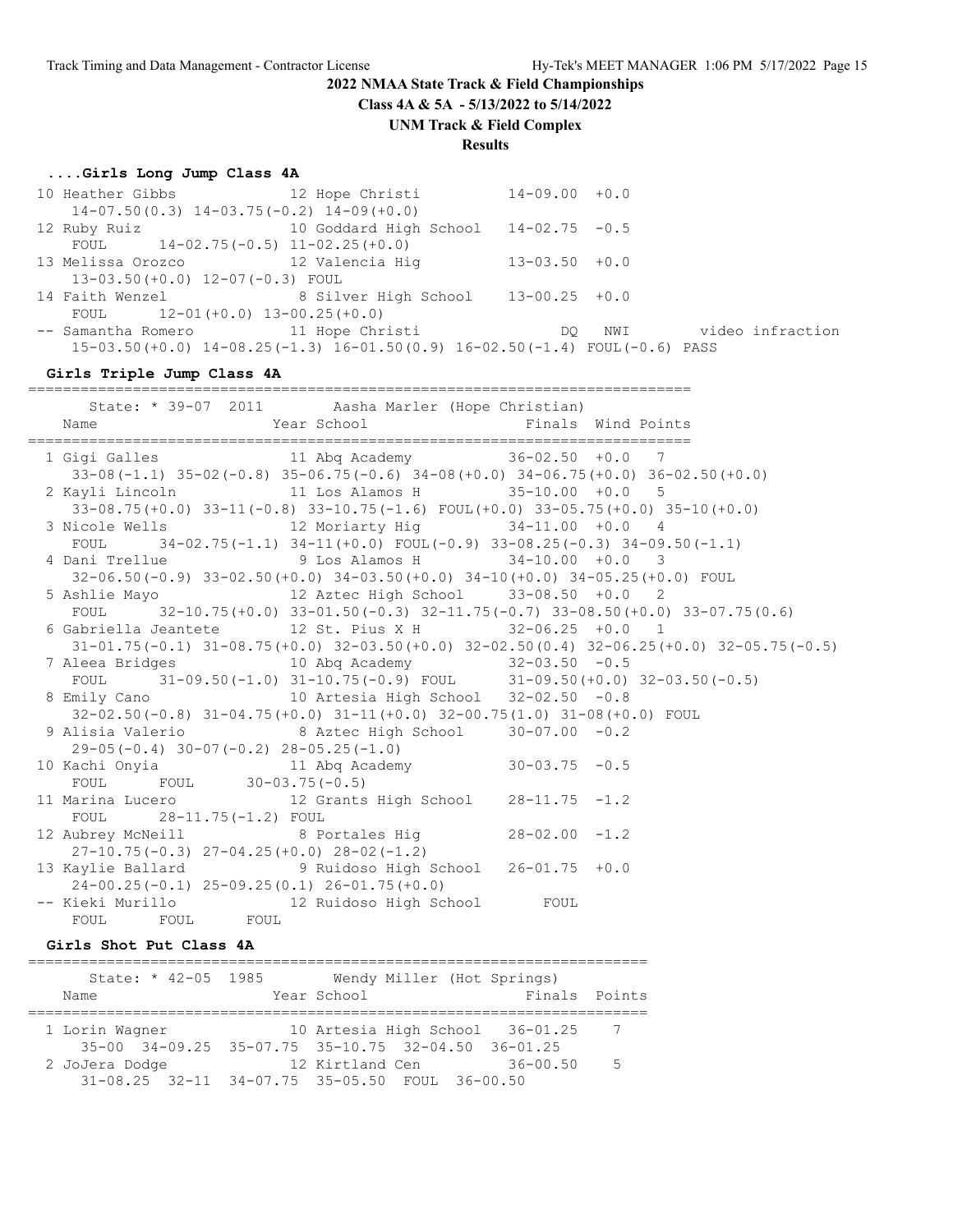**Class 4A & 5A - 5/13/2022 to 5/14/2022**

#### **UNM Track & Field Complex**

# **Results**

#### **....Girls Long Jump Class 4A**

|                                                | 10 Heather Gibbs 12 Hope Christi 14-09.00 +0.0                                         |                    |                      |  |
|------------------------------------------------|----------------------------------------------------------------------------------------|--------------------|----------------------|--|
| $14-07.50(0.3)$ $14-03.75(-0.2)$ $14-09(+0.0)$ |                                                                                        |                    |                      |  |
|                                                | 12 Ruby Ruiz 10 Goddard High School 14-02.75 -0.5                                      |                    |                      |  |
| FOUL $14-02.75(-0.5)$ $11-02.25(+0.0)$         |                                                                                        |                    |                      |  |
| 13 Melissa Orozco (12 Valencia Hig             |                                                                                        | $13 - 03.50 + 0.0$ |                      |  |
| $13-03.50 (+0.0)$ $12-07(-0.3)$ FOUL           |                                                                                        |                    |                      |  |
|                                                | 14 Faith Wenzel 8 Silver High School 13-00.25 +0.0                                     |                    |                      |  |
| FOUL $12-01(+0.0) 13-00.25(+0.0)$              |                                                                                        |                    |                      |  |
|                                                | -- Samantha Romero 11 Hope Christi CDQ                                                 |                    | NWI video infraction |  |
|                                                | $15-03.50 (+0.0)$ $14-08.25 (-1.3)$ $16-01.50 (0.9)$ $16-02.50 (-1.4)$ FOUL(-0.6) PASS |                    |                      |  |

#### **Girls Triple Jump Class 4A**

============================================================================

| Name                     |                                                                                              |                                                                                                      |
|--------------------------|----------------------------------------------------------------------------------------------|------------------------------------------------------------------------------------------------------|
|                          | 1 Gigi Galles 11 Abq Academy 36-02.50 +0.0 7                                                 |                                                                                                      |
|                          | $33-08(-1.1)$ $35-02(-0.8)$ $35-06.75(-0.6)$ $34-08(+0.0)$ $34-06.75(+0.0)$ $36-02.50(+0.0)$ |                                                                                                      |
|                          | 2 Kayli Lincoln 11 Los Alamos H 35-10.00 +0.0 5                                              |                                                                                                      |
|                          | $33-08.75(+0.0)$ $33-11(-0.8)$ $33-10.75(-1.6)$ $FOUL(+0.0)$ $33-05.75(+0.0)$ $35-10(+0.0)$  |                                                                                                      |
|                          | 3 Nicole Wells 12 Moriarty Hig 34-11.00 +0.0 4                                               |                                                                                                      |
|                          | FOUL $34-02.75(-1.1)$ $34-11(+0.0)$ FOUL $(-0.9)$ $33-08.25(-0.3)$ $34-09.50(-1.1)$          |                                                                                                      |
|                          | 4 Dani Trellue                 9 Los Alamos H           34-10.00 +0.0   3                    |                                                                                                      |
|                          | 32-06.50(-0.9) 33-02.50(+0.0) 34-03.50(+0.0) 34-10(+0.0) 34-05.25(+0.0) FOUL                 |                                                                                                      |
|                          |                                                                                              |                                                                                                      |
|                          | FOUL $32-10.75 (+0.0) 33-01.50 (-0.3) 32-11.75 (-0.7) 33-08.50 (+0.0) 33-07.75 (0.6)$        |                                                                                                      |
|                          | 6 Gabriella Jeantete 12 St. Pius X H 32-06.25 +0.0 1                                         |                                                                                                      |
|                          |                                                                                              | $31-01.75(-0.1)$ $31-08.75(+0.0)$ $32-03.50(+0.0)$ $32-02.50(0.4)$ $32-06.25(+0.0)$ $32-05.75(-0.5)$ |
|                          | 7 Aleea Bridges 10 Abq Academy 32-03.50 -0.5                                                 |                                                                                                      |
|                          | FOUL $31-09.50(-1.0) 31-10.75(-0.9)$ FOUL $31-09.50(+0.0) 32-03.50(-0.5)$                    |                                                                                                      |
|                          | 8 Emily Cano                 10 Artesia High School   32-02.50 -0.8                          |                                                                                                      |
|                          | $32-02.50(-0.8)$ $31-04.75(+0.0)$ $31-11(+0.0)$ $32-00.75(1.0)$ $31-08(+0.0)$ FOUL           |                                                                                                      |
|                          | 9 Alisia Valerio 8 Aztec High School 30-07.00 -0.2                                           |                                                                                                      |
|                          | $29-05(-0.4)$ 30-07(-0.2) 28-05.25(-1.0)                                                     |                                                                                                      |
|                          | 10 Kachi Onyia                   11 Abq Academy             30-03.75 -0.5                    |                                                                                                      |
|                          | FOUL FOUL $30-03.75(-0.5)$                                                                   |                                                                                                      |
|                          | 11 Marina Lucero 12 Grants High School 28-11.75 -1.2                                         |                                                                                                      |
| FOUL 28-11.75(-1.2) FOUL |                                                                                              |                                                                                                      |
|                          | 12 Aubrey McNeill 8 Portales Hig 28-02.00 -1.2                                               |                                                                                                      |
|                          | $27-10.75(-0.3)$ $27-04.25(+0.0)$ $28-02(-1.2)$                                              |                                                                                                      |
|                          | 13 Kaylie Ballard 9 Ruidoso High School 26-01.75 +0.0                                        |                                                                                                      |
|                          | $24-00.25(-0.1)$ $25-09.25(0.1)$ $26-01.75(+0.0)$                                            |                                                                                                      |
|                          | -- Kieki Murillo                   12 Ruidoso High School         FOUL                       |                                                                                                      |
| FOUL FOUL FOUL           |                                                                                              |                                                                                                      |

#### **Girls Shot Put Class 4A**

| State: * $42-05$ 1985 | Wendy Miller (Hot Springs)                                     |               |                |
|-----------------------|----------------------------------------------------------------|---------------|----------------|
| Name                  | Year School                                                    | Finals Points |                |
|                       |                                                                |               |                |
| 1 Lorin Wagner        | 10 Artesia High School 36-01.25                                |               | $\overline{7}$ |
|                       | $35-00$ $34-09.25$ $35-07.75$ $35-10.75$ $32-04.50$ $36-01.25$ |               |                |
| 2 JoJera Dodge        | 12 Kirtland Cen                                                | 36-00.50      | $5^{\circ}$    |
|                       | 31-08.25 32-11 34-07.75 35-05.50 FOUL 36-00.50                 |               |                |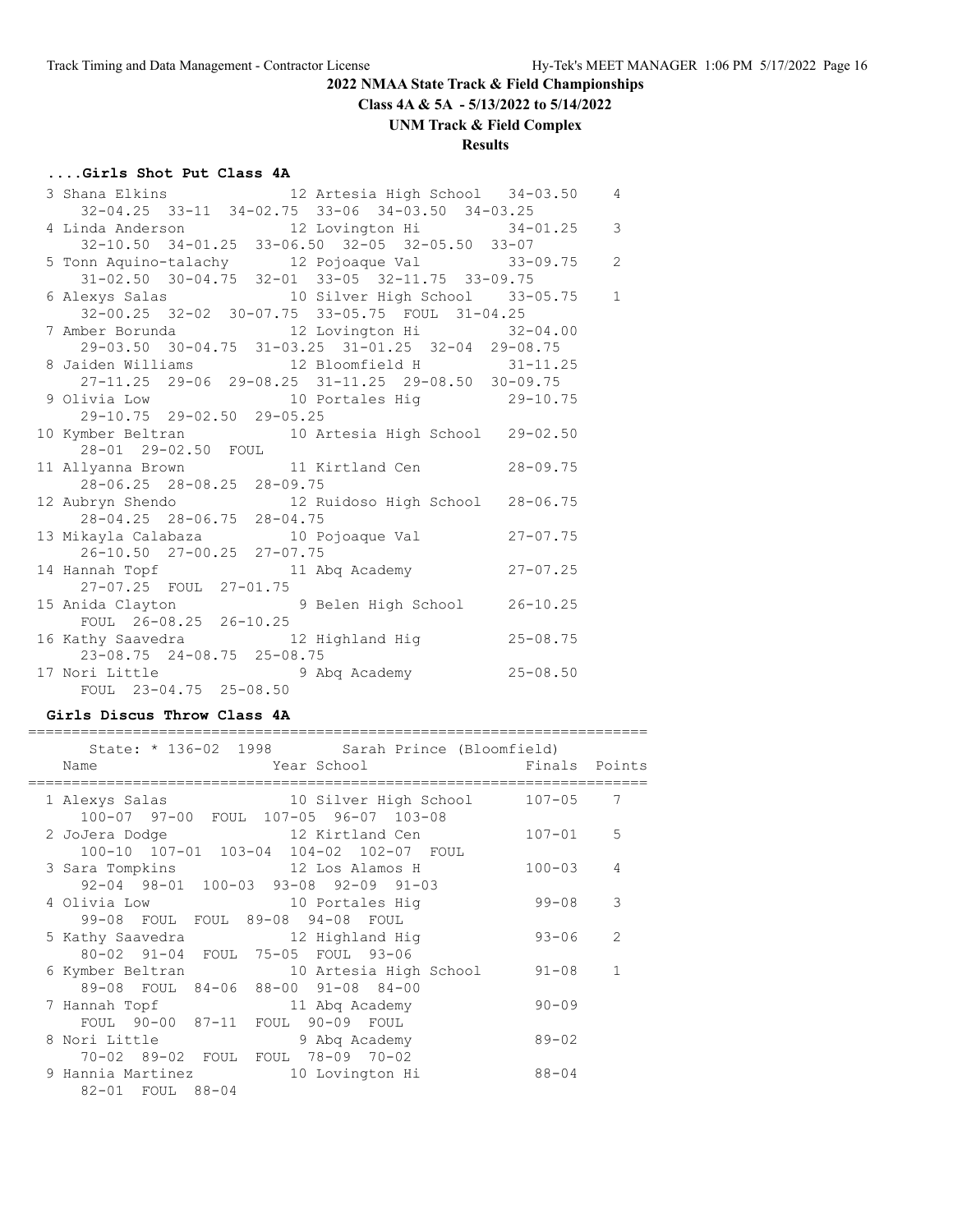**Class 4A & 5A - 5/13/2022 to 5/14/2022**

**UNM Track & Field Complex**

# **Results**

# **....Girls Shot Put Class 4A**

|                            | 3 Shana Elkins 12 Artesia High School 34-03.50 4                               |                |
|----------------------------|--------------------------------------------------------------------------------|----------------|
|                            | 32-04.25 33-11 34-02.75 33-06 34-03.50 34-03.25                                |                |
|                            | 4 Linda Anderson 12 Lovington Hi 34-01.25 3                                    |                |
|                            | 32-10.50 34-01.25 33-06.50 32-05 32-05.50 33-07                                |                |
|                            | 5 Tonn Aquino-talachy 12 Pojoaque Val 33-09.75                                 | $\overline{c}$ |
|                            | 31-02.50 30-04.75 32-01 33-05 32-11.75 33-09.75                                |                |
|                            | 6 Alexys Salas 10 Silver High School 33-05.75                                  | $1\,$          |
|                            | 32-00.25 32-02 30-07.75 33-05.75 FOUL 31-04.25                                 |                |
|                            | 7 Amber Borunda 12 Lovington Hi 32-04.00                                       |                |
|                            | 29-03.50 30-04.75 31-03.25 31-01.25 32-04 29-08.75                             |                |
|                            | 8 Jaiden Williams 12 Bloomfield H 31-11.25                                     |                |
|                            | 27-11.25 29-06 29-08.25 31-11.25 29-08.50 30-09.75                             |                |
|                            | 9 Olivia Low 10 Portales Hig 29-10.75                                          |                |
| 29-10.75 29-02.50 29-05.25 |                                                                                |                |
|                            | 10 Kymber Beltran 10 Artesia High School 29-02.50                              |                |
| 28-01 29-02.50 FOUL        |                                                                                |                |
|                            | 11 Allyanna Brown 11 Kirtland Cen 28-09.75                                     |                |
| 28-06.25 28-08.25 28-09.75 |                                                                                |                |
|                            | 12 Aubryn Shendo 12 Ruidoso High School 28-06.75<br>28-04.25 28-06.75 28-04.75 |                |
|                            |                                                                                |                |
|                            | 13 Mikayla Calabaza (10 Pojoaque Val (27-07.75)                                |                |
| 26-10.50 27-00.25 27-07.75 |                                                                                |                |
|                            | 14 Hannah Topf 11 Abq Academy 27-07.25                                         |                |
| 27-07.25 FOUL 27-01.75     |                                                                                |                |
|                            | 15 Anida Clayton 9 Belen High School 26-10.25                                  |                |
| FOUL 26-08.25 26-10.25     |                                                                                |                |
|                            | 16 Kathy Saavedra 12 Highland Hig 25-08.75                                     |                |
| 23-08.75 24-08.75 25-08.75 |                                                                                |                |
|                            | 17 Nori Little 3 Abq Academy 25-08.50                                          |                |
| FOUL 23-04.75 25-08.50     |                                                                                |                |

#### **Girls Discus Throw Class 4A**

| State: * 136-02 1998 Sarah Prince (Bloomfield)                                                                                                                       |               |                |
|----------------------------------------------------------------------------------------------------------------------------------------------------------------------|---------------|----------------|
| External School Year School<br>Name                                                                                                                                  | Finals Points |                |
| 10 Silver High School<br>1 Alexys Salas<br>100-07 97-00 FOUL 107-05 96-07 103-08                                                                                     | 107-05        | 7              |
| 2 JoJera Dodge 12 Kirtland Cen<br>100-10 107-01 103-04 104-02 102-07 FOUL                                                                                            | $107 - 01$    | 5              |
| 3 Sara Tompkins 12 Los Alamos H<br>92-04 98-01 100-03 93-08 92-09 91-03                                                                                              | $100 - 03$    | $\overline{4}$ |
| 4 Olivia Low 10 Portales Hiq<br>99-08 FOUL FOUL 89-08 94-08 FOUL                                                                                                     | 99-08         | 3              |
| 5 Kathy Saavedra 12 Highland Hig<br>80-02 91-04 FOUL 75-05 FOUL 93-06                                                                                                | $93 - 06$     | $\overline{2}$ |
| 6 Kymber Beltran 10 Artesia High School<br>89-08 FOUL 84-06 88-00 91-08 84-00                                                                                        | 91-08         | 1              |
| 7 Hannah Topf 11 Abq Academy<br>FOUL 90-00 87-11 FOUL 90-09 FOUL                                                                                                     | $90 - 09$     |                |
| 8 Nori Little Contract Service Service Service Service Service Service Service Service Service Service Service<br>9 Abg Academy<br>70-02 89-02 FOUL FOUL 78-09 70-02 | $89 - 02$     |                |
| 9 Hannia Martinez<br>10 Lovington Hi<br>82-01 FOUL 88-04                                                                                                             | $88 - 04$     |                |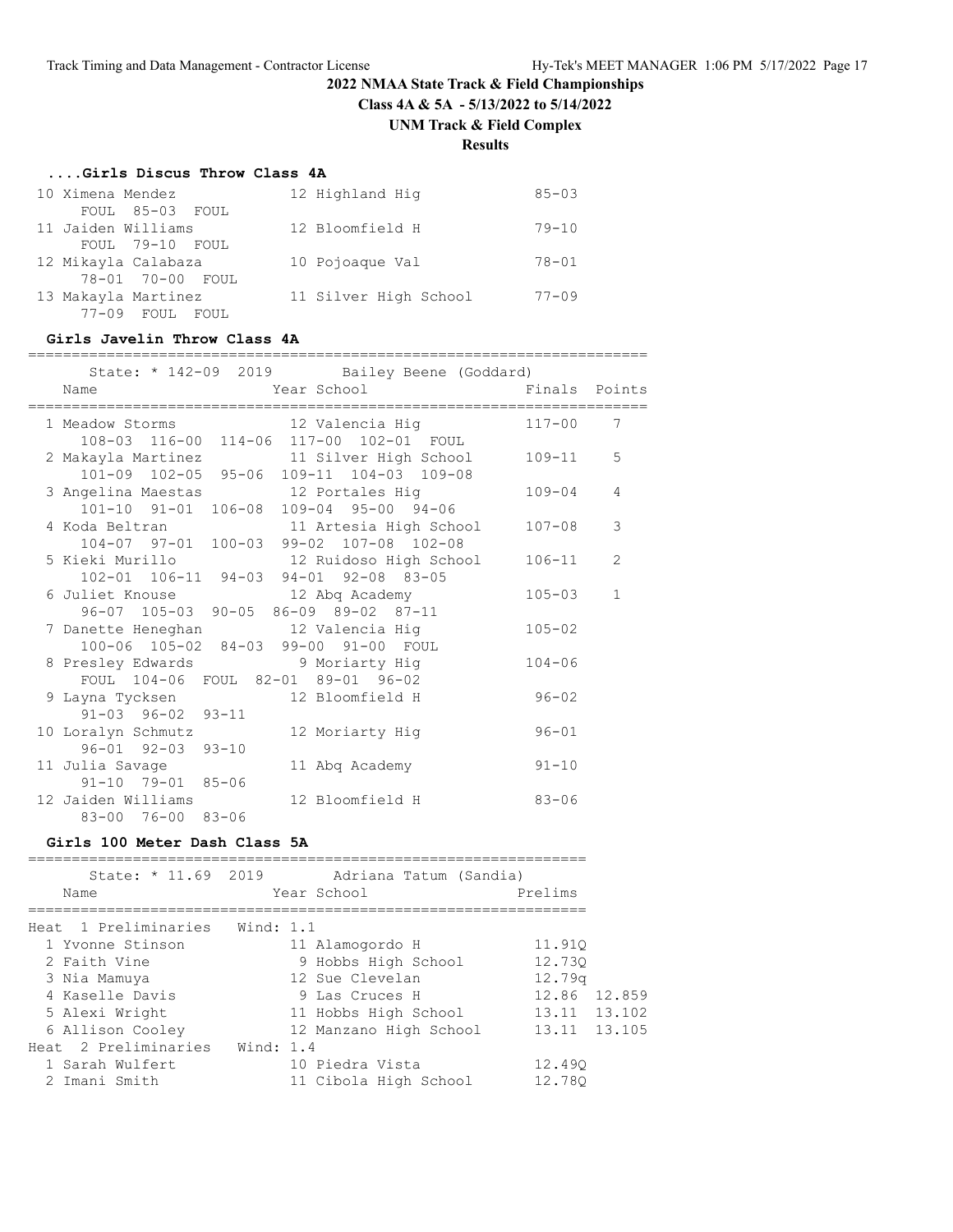**Class 4A & 5A - 5/13/2022 to 5/14/2022**

**UNM Track & Field Complex**

**Results**

#### **....Girls Discus Throw Class 4A**

| 10 Ximena Mendez<br>FOUL 85-03 FOUL          | 12 Highland Hig       | $85 - 0.3$ |
|----------------------------------------------|-----------------------|------------|
| 11 Jaiden Williams                           | 12 Bloomfield H       | $79 - 10$  |
| FOUL 79-10 FOUL<br>12 Mikayla Calabaza       | 10 Pojoaque Val       | $78 - 01$  |
| 78-01 70-00 FOUL                             |                       |            |
| 13 Makayla Martinez<br>$77-09$ FOUL<br>FOUL. | 11 Silver High School | $77 - 09$  |

#### **Girls Javelin Throw Class 4A**

| State: * 142-09 2019 Bailey Beene (Goddard)                        |               |                |
|--------------------------------------------------------------------|---------------|----------------|
| Year School Theory<br>Name                                         | Finals Points |                |
| 1 Meadow Storms 12 Valencia Hig                                    | $117 - 00$    | 7              |
| 108-03 116-00 114-06 117-00 102-01 FOUL                            |               |                |
| 2 Makayla Martinez 11 Silver High School                           | 109-11        | 5              |
| 101-09 102-05 95-06 109-11 104-03 109-08                           |               |                |
| 3 Angelina Maestas 12 Portales Hig                                 | $109 - 04$    | 4              |
| 101-10 91-01 106-08 109-04 95-00 94-06                             |               |                |
| 4 Koda Beltran 11 Artesia High School                              | $107 - 08$    | 3              |
| 104-07 97-01 100-03 99-02 107-08 102-08                            |               |                |
| 5 Kieki Murillo                           12 Ruidoso High School   | $106 - 11$    | $\overline{2}$ |
| 102-01 106-11 94-03 94-01 92-08 83-05                              |               |                |
| 6 Juliet Knouse 12 Abq Academy                                     | $105 - 03$    | $\mathbf{1}$   |
| 96-07 105-03 90-05 86-09 89-02 87-11                               |               |                |
| 7 Danette Heneghan 12 Valencia Hig                                 | $105 - 02$    |                |
| 100-06 105-02 84-03 99-00 91-00 FOUL                               |               |                |
| 8 Presley Edwards 9 Moriarty Hig                                   | $104 - 06$    |                |
| FOUL 104-06 FOUL 82-01 89-01 96-02                                 |               |                |
| 9 Layna Tycksen 12 Bloomfield H                                    | $96 - 02$     |                |
| $91 - 03$ $96 - 02$ $93 - 11$                                      |               |                |
| 10 Loralyn Schmutz<br>12 Moriarty Hig                              | $96 - 01$     |                |
| $96 - 01$ $92 - 03$ $93 - 10$                                      |               |                |
| 11 Julia Savage<br>11 Abq Academy<br>$91 - 10$ $79 - 01$ $85 - 06$ | $91 - 10$     |                |
| 12 Jaiden Williams<br>12 Bloomfield H                              | $83 - 06$     |                |
| 83-00 76-00 83-06                                                  |               |                |
|                                                                    |               |                |

**Girls 100 Meter Dash Class 5A**

| State: * 11.69 2019<br>Name    | Adriana Tatum (Sandia)<br>Year School | Prelims            |
|--------------------------------|---------------------------------------|--------------------|
|                                |                                       |                    |
| Heat 1 Preliminaries Wind: 1.1 |                                       |                    |
| 1 Yvonne Stinson               | 11 Alamogordo H                       | 11.910             |
| 2 Faith Vine                   | 9 Hobbs High School                   | 12.730             |
| 3 Nia Mamuya                   | 12 Sue Clevelan                       | 12.79 <sub>q</sub> |
| 4 Kaselle Davis                | 9 Las Cruces H                        | 12.86 12.859       |
| 5 Alexi Wright                 | 11 Hobbs High School                  | 13.11 13.102       |
| 6 Allison Cooley               | 12 Manzano High School                | 13.11 13.105       |
| Heat 2 Preliminaries           | Wind: 1.4                             |                    |
| 1 Sarah Wulfert                | 10 Piedra Vista                       | 12.490             |
| 2 Imani Smith                  | 11 Cibola High School                 | 12.780             |
|                                |                                       |                    |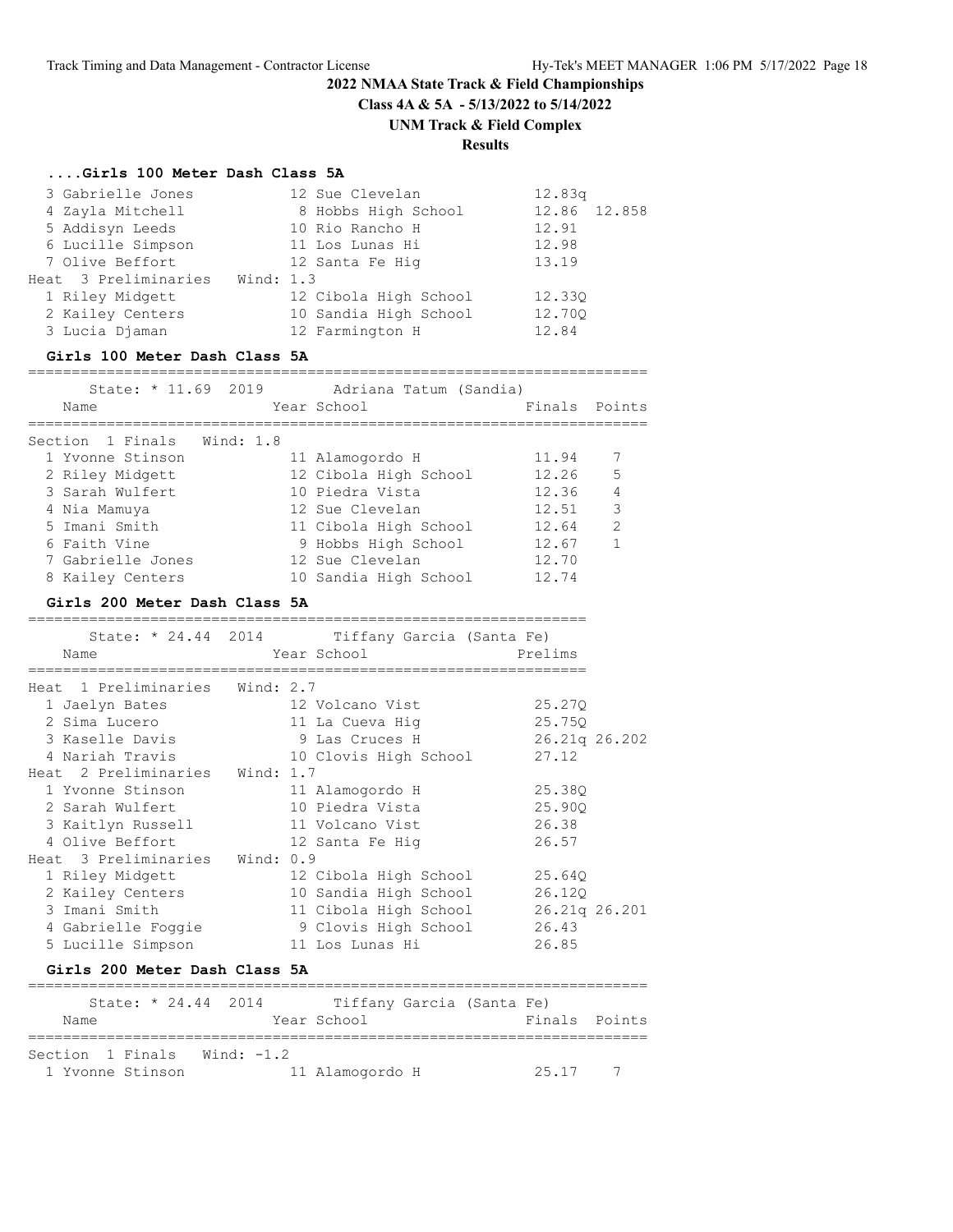**Class 4A & 5A - 5/13/2022 to 5/14/2022**

#### **UNM Track & Field Complex**

# **Results**

#### **....Girls 100 Meter Dash Class 5A**

| 3 Gabrielle Jones    |           | 12 Sue Clevelan       | 12.83q       |  |
|----------------------|-----------|-----------------------|--------------|--|
| 4 Zayla Mitchell     |           | 8 Hobbs High School   | 12.86 12.858 |  |
| 5 Addisyn Leeds      |           | 10 Rio Rancho H       | 12.91        |  |
| 6 Lucille Simpson    |           | 11 Los Lunas Hi       | 12.98        |  |
| 7 Olive Beffort      |           | 12 Santa Fe Hig       | 13.19        |  |
| Heat 3 Preliminaries | Wind: 1.3 |                       |              |  |
| 1 Riley Midgett      |           | 12 Cibola High School | 12.330       |  |
| 2 Kailey Centers     |           | 10 Sandia High School | 12.700       |  |
| 3 Lucia Djaman       |           | 12 Farmington H       | 12.84        |  |
|                      |           |                       |              |  |

#### **Girls 100 Meter Dash Class 5A**

#### =======================================================================

| State: * 11.69 2019        | Adriana Tatum (Sandia) |               |               |
|----------------------------|------------------------|---------------|---------------|
| Name                       | Year School            | Finals Points |               |
| Section 1 Finals Wind: 1.8 |                        |               |               |
| 1 Yvonne Stinson           | 11 Alamogordo H        | 11.94         |               |
| 2 Riley Midgett            | 12 Cibola High School  | 12.26         | .5            |
| 3 Sarah Wulfert            | 10 Piedra Vista        | 12.36         | 4             |
| 4 Nia Mamuya               | 12 Sue Clevelan        | 12.51         | 3             |
| 5 Imani Smith              | 11 Cibola High School  | 12.64         | $\mathcal{L}$ |
| 6 Faith Vine               | 9 Hobbs High School    | 12.67         |               |
| 7 Gabrielle Jones          | 12 Sue Clevelan        | 12.70         |               |
| 8 Kailey Centers           | 10 Sandia High School  | 12.74         |               |

#### **Girls 200 Meter Dash Class 5A**

|                                | State: * 24.44 2014 Tiffany Garcia (Santa Fe) |               |  |
|--------------------------------|-----------------------------------------------|---------------|--|
| Name                           | Year School                                   | Prelims       |  |
| Heat 1 Preliminaries Wind: 2.7 |                                               |               |  |
| 1 Jaelyn Bates                 | 12 Volcano Vist                               | 25.270        |  |
| 2 Sima Lucero                  | 11 La Cueva Hig                               | 25.750        |  |
| 3 Kaselle Davis                | 9 Las Cruces H                                | 26.21g 26.202 |  |
| 4 Nariah Travis                | 10 Clovis High School                         | 27.12         |  |
| Heat 2 Preliminaries Wind: 1.7 |                                               |               |  |
| 1 Yvonne Stinson               | 11 Alamogordo H                               | 25.380        |  |
| 2 Sarah Wulfert                | 10 Piedra Vista                               | 25.900        |  |
| 3 Kaitlyn Russell              | 11 Volcano Vist                               | 26.38         |  |
| 4 Olive Beffort                | 12 Santa Fe Hiq                               | 26.57         |  |
| Heat 3 Preliminaries Wind: 0.9 |                                               |               |  |
| 1 Riley Midgett                | 12 Cibola High School                         | 25.640        |  |
| 2 Kailey Centers               | 10 Sandia High School                         | 26.120        |  |
| 3 Imani Smith                  | 11 Cibola High School                         | 26.21g 26.201 |  |
| 4 Gabrielle Foggie             | 9 Clovis High School                          | 26.43         |  |
| 5 Lucille Simpson              | 11 Los Lunas Hi                               | 26.85         |  |

#### **Girls 200 Meter Dash Class 5A**

| State: $* 24.44 2014$ |            | Tiffany Garcia (Santa Fe) |       |               |
|-----------------------|------------|---------------------------|-------|---------------|
| Name                  |            | Year School               |       | Finals Points |
|                       |            |                           |       |               |
| Section 1 Finals      | Wind: -1.2 |                           |       |               |
| 1 Yvonne Stinson      |            | 11 Alamogordo H           | 25.17 | 7             |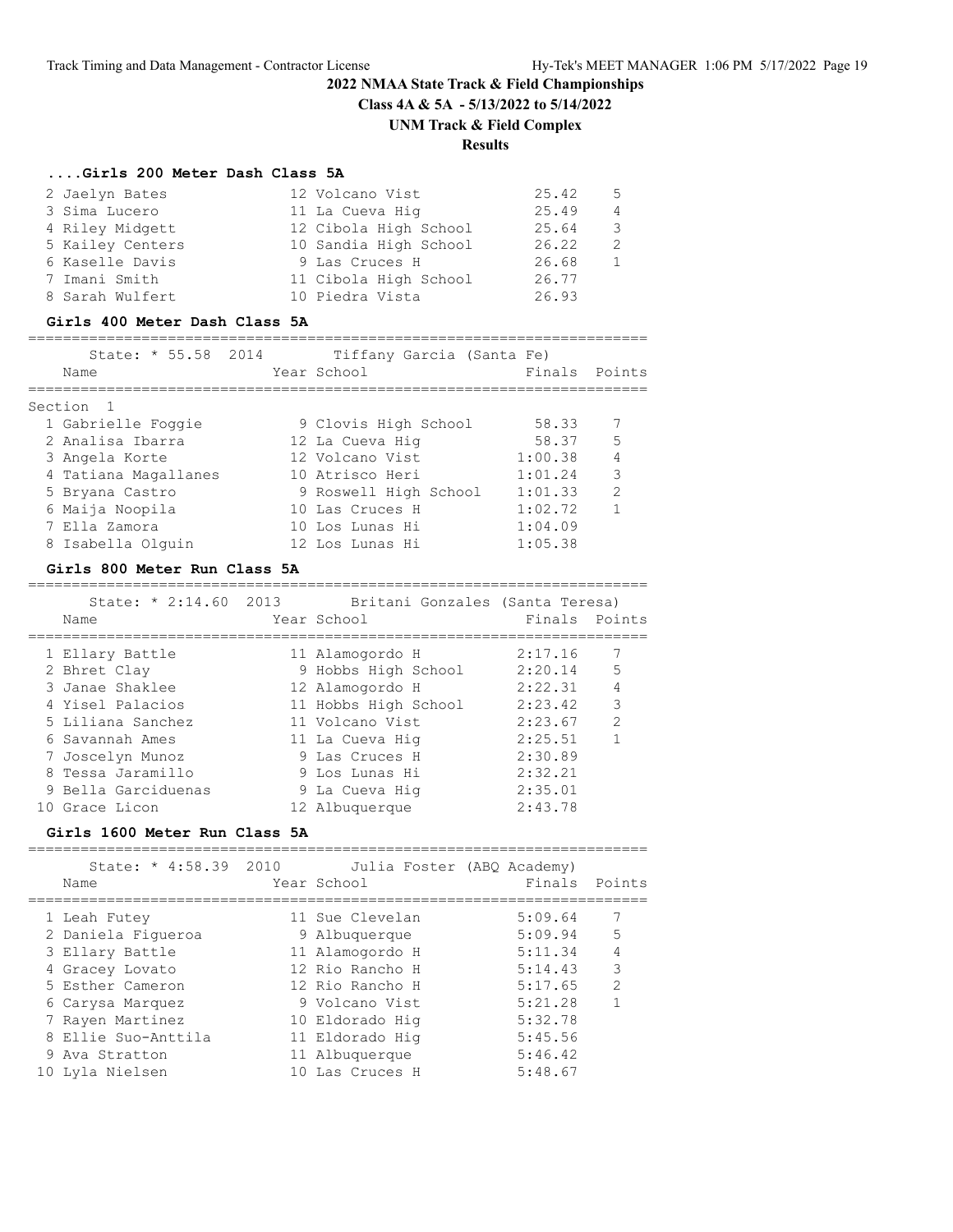# **2022 NMAA State Track & Field Championships Class 4A & 5A - 5/13/2022 to 5/14/2022**

#### **UNM Track & Field Complex**

# **Results**

#### **....Girls 200 Meter Dash Class 5A**

| 2 Jaelyn Bates   | 12 Volcano Vist       | 25.42 | - 5 |
|------------------|-----------------------|-------|-----|
| 3 Sima Lucero    | 11 La Cueva Hig       | 25.49 | 4   |
| 4 Riley Midgett  | 12 Cibola High School | 25.64 | -3  |
| 5 Kailey Centers | 10 Sandia High School | 26.22 |     |
| 6 Kaselle Davis  | 9 Las Cruces H        | 26.68 |     |
| 7 Imani Smith    | 11 Cibola High School | 26.77 |     |
| 8 Sarah Wulfert  | 10 Piedra Vista       | 26.93 |     |

# **Girls 400 Meter Dash Class 5A**

#### =======================================================================

| State: * 55.58 2014<br>Name | Tiffany Garcia (Santa Fe)<br>Year School | Finals  | Points        |
|-----------------------------|------------------------------------------|---------|---------------|
| Section <sub>1</sub>        |                                          |         |               |
| 1 Gabrielle Foggie          | 9 Clovis High School                     | 58.33   |               |
| 2 Analisa Ibarra            | 12 La Cueva Hig                          | 58.37   | 5             |
| 3 Angela Korte              | 12 Volcano Vist                          | 1:00.38 | 4             |
| 4 Tatiana Magallanes        | 10 Atrisco Heri                          | 1:01.24 | 3             |
| 5 Bryana Castro             | 9 Roswell High School                    | 1:01.33 | $\mathcal{L}$ |
| 6 Maija Noopila             | 10 Las Cruces H                          | 1:02.72 |               |
| 7 Ella Zamora               | 10 Los Lunas Hi                          | 1:04.09 |               |
| 8 Isabella Olquin           | 12 Los Lunas Hi                          | 1:05.38 |               |

#### **Girls 800 Meter Run Class 5A**

=======================================================================

| State: $* 2:14.60 2013$ | Britani Gonzales (Santa Teresa) |               |                |
|-------------------------|---------------------------------|---------------|----------------|
| Name                    | Year School                     | Finals Points |                |
|                         |                                 |               |                |
| 1 Ellary Battle         | 11 Alamogordo H                 | 2:17.16       |                |
| 2 Bhret Clay            | 9 Hobbs High School             | 2:20.14       | 5              |
| 3 Janae Shaklee         | 12 Alamogordo H                 | 2:22.31       | $\overline{4}$ |
| 4 Yisel Palacios        | 11 Hobbs High School            | 2:23.42       | 3              |
| 5 Liliana Sanchez       | 11 Volcano Vist                 | 2:23.67       | 2              |
| 6 Savannah Ames         | 11 La Cueva Hig                 | 2:25.51       | $\overline{1}$ |
| 7 Joscelyn Munoz        | 9 Las Cruces H                  | 2:30.89       |                |
| 8 Tessa Jaramillo       | 9 Los Lunas Hi                  | 2:32.21       |                |
| 9 Bella Garciduenas     | 9 La Cueva Hiq                  | 2:35.01       |                |
| 10 Grace Licon          | 12 Albuquerque                  | 2:43.78       |                |

#### **Girls 1600 Meter Run Class 5A**

| State: * 4:58.39 2010<br>Name | Year School     | Julia Foster (ABQ Academy)<br>Finals | Points        |
|-------------------------------|-----------------|--------------------------------------|---------------|
| 1 Leah Futey                  | 11 Sue Clevelan | 5:09.64                              | 7             |
| 2 Daniela Figueroa            | 9 Albuquerque   | 5:09.94                              | 5             |
| 3 Ellary Battle               | 11 Alamogordo H | 5:11.34                              | 4             |
| 4 Gracey Lovato               | 12 Rio Rancho H | 5:14.43                              | 3             |
| 5 Esther Cameron              | 12 Rio Rancho H | 5:17.65                              | $\mathcal{D}$ |
| 6 Carysa Marquez              | 9 Volcano Vist  | 5:21.28                              |               |
| 7 Rayen Martinez              | 10 Eldorado Hig | 5:32.78                              |               |
| 8 Ellie Suo-Anttila           | 11 Eldorado Hig | 5:45.56                              |               |
| 9 Ava Stratton                | 11 Albuquerque  | 5:46.42                              |               |
| 10 Lyla Nielsen               | 10 Las Cruces H | 5:48.67                              |               |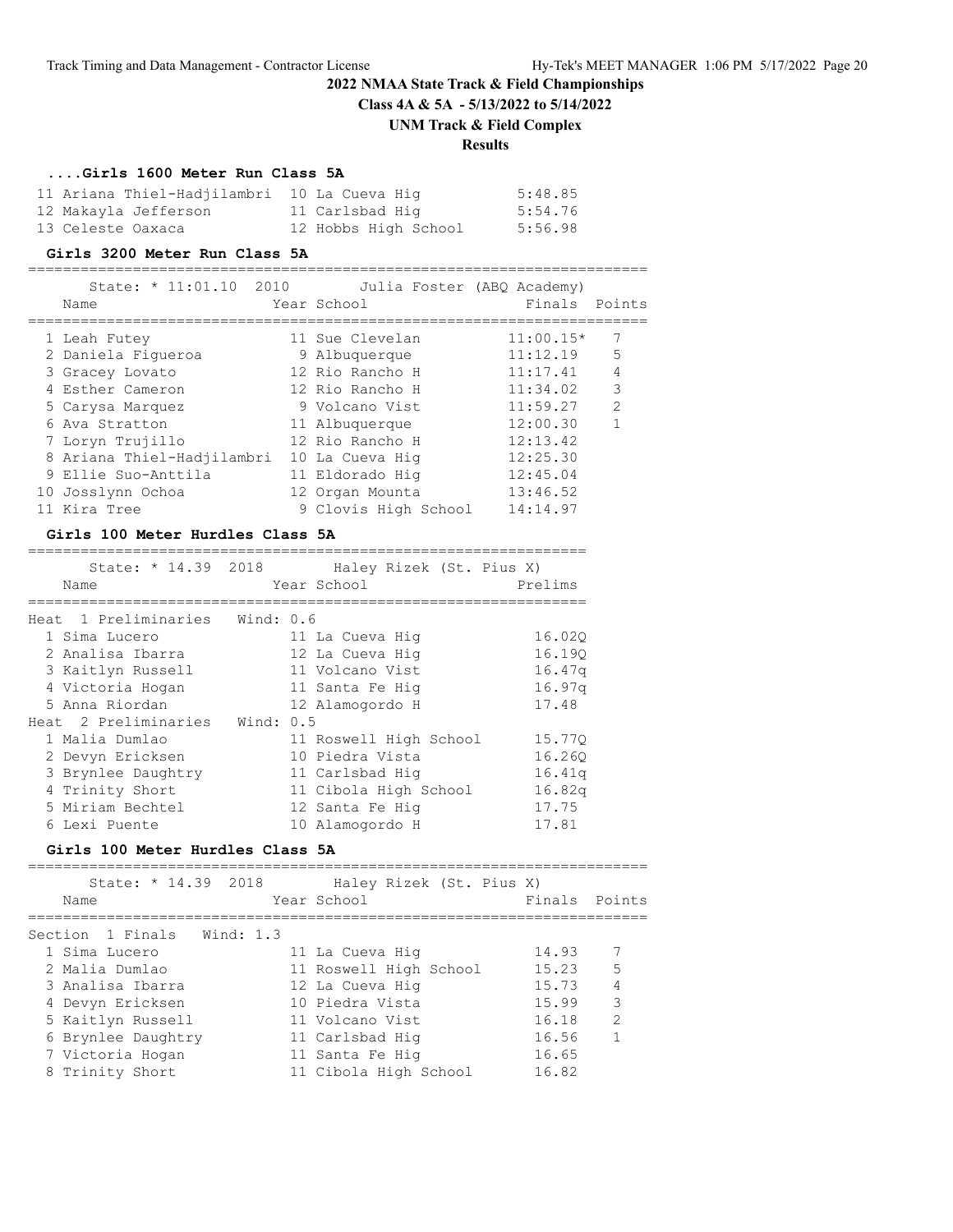**Class 4A & 5A - 5/13/2022 to 5/14/2022**

# **UNM Track & Field Complex**

# **Results**

================================================================

# **....Girls 1600 Meter Run Class 5A**

| 11 Ariana Thiel-Hadjilambri 10 La Cueva Hig |                      | 5:48.85 |
|---------------------------------------------|----------------------|---------|
| 12 Makayla Jefferson                        | 11 Carlsbad Hig      | 5:54.76 |
| 13 Celeste Oaxaca                           | 12 Hobbs High School | 5:56.98 |

#### **Girls 3200 Meter Run Class 5A**

| State: * 11:01.10 2010<br>Name | Year School          | Julia Foster (ABO Academy)<br>Finals | Points        |
|--------------------------------|----------------------|--------------------------------------|---------------|
| 1 Leah Futey                   | 11 Sue Clevelan      | $11:00.15*$                          |               |
| 2 Daniela Fiqueroa             | 9 Albuquerque        | 11:12.19                             | .5            |
| 3 Gracey Lovato                | 12 Rio Rancho H      | 11:17.41                             | 4             |
| 4 Esther Cameron               | 12 Rio Rancho H      | 11:34.02                             | 3             |
| 5 Carysa Marquez               | 9 Volcano Vist       | 11:59.27                             | $\mathcal{L}$ |
| 6 Ava Stratton                 | 11 Albuquerque       | 12:00.30                             |               |
| 7 Loryn Trujillo               | 12 Rio Rancho H      | 12:13.42                             |               |
| 8 Ariana Thiel-Hadjilambri     | 10 La Cueva Hig      | 12:25.30                             |               |
| 9 Ellie Suo-Anttila            | 11 Eldorado Hig      | 12:45.04                             |               |
| 10 Josslynn Ochoa              | 12 Organ Mounta      | 13:46.52                             |               |
| 11 Kira Tree                   | 9 Clovis High School | 14:14.97                             |               |

#### **Girls 100 Meter Hurdles Class 5A**

| State: * 14.39 2018<br>Name    | Haley Rizek (St. Pius X)<br>Year School | Prelims |
|--------------------------------|-----------------------------------------|---------|
| Heat 1 Preliminaries Wind: 0.6 |                                         |         |
| 1 Sima Lucero                  | 11 La Cueva Hiq                         | 16.020  |
| 2 Analisa Ibarra               | 12 La Cueva Hiq                         | 16.190  |
| 3 Kaitlyn Russell              | 11 Volcano Vist                         | 16.47q  |
| 4 Victoria Hogan               | 11 Santa Fe Hiq                         | 16.97q  |
| 5 Anna Riordan                 | 12 Alamogordo H                         | 17.48   |
| Heat 2 Preliminaries           | Wind: 0.5                               |         |
| 1 Malia Dumlao                 | 11 Roswell High School                  | 15.770  |
| 2 Devyn Ericksen               | 10 Piedra Vista                         | 16.260  |
| 3 Brynlee Daughtry             | 11 Carlsbad Hig                         | 16.41q  |
| 4 Trinity Short                | 11 Cibola High School                   | 16.82q  |
| 5 Miriam Bechtel               | 12 Santa Fe Hig                         | 17.75   |
| 6 Lexi Puente                  | 10 Alamogordo H                         | 17.81   |

#### **Girls 100 Meter Hurdles Class 5A**

| State: * 14.39 2018<br>Name | Haley Rizek (St. Pius X)<br>Year School | Finals Points |                |
|-----------------------------|-----------------------------------------|---------------|----------------|
| Section 1 Finals Wind: 1.3  |                                         |               |                |
| 1 Sima Lucero               | 11 La Cueva Hiq                         | 14.93         |                |
| 2 Malia Dumlao              | 11 Roswell High School                  | 15.23         | $5^{\circ}$    |
| 3 Analisa Ibarra            | 12 La Cueva Hiq                         | 15.73         | $\overline{4}$ |
| 4 Devyn Ericksen            | 10 Piedra Vista                         | 15.99         | 3              |
| 5 Kaitlyn Russell           | 11 Volcano Vist                         | 16.18         | $\mathcal{P}$  |
| 6 Brynlee Daughtry          | 11 Carlsbad Hig                         | 16.56         | $\overline{1}$ |
| 7 Victoria Hogan            | 11 Santa Fe Hiq                         | 16.65         |                |
| 8 Trinity Short             | 11 Cibola High School                   | 16.82         |                |
|                             |                                         |               |                |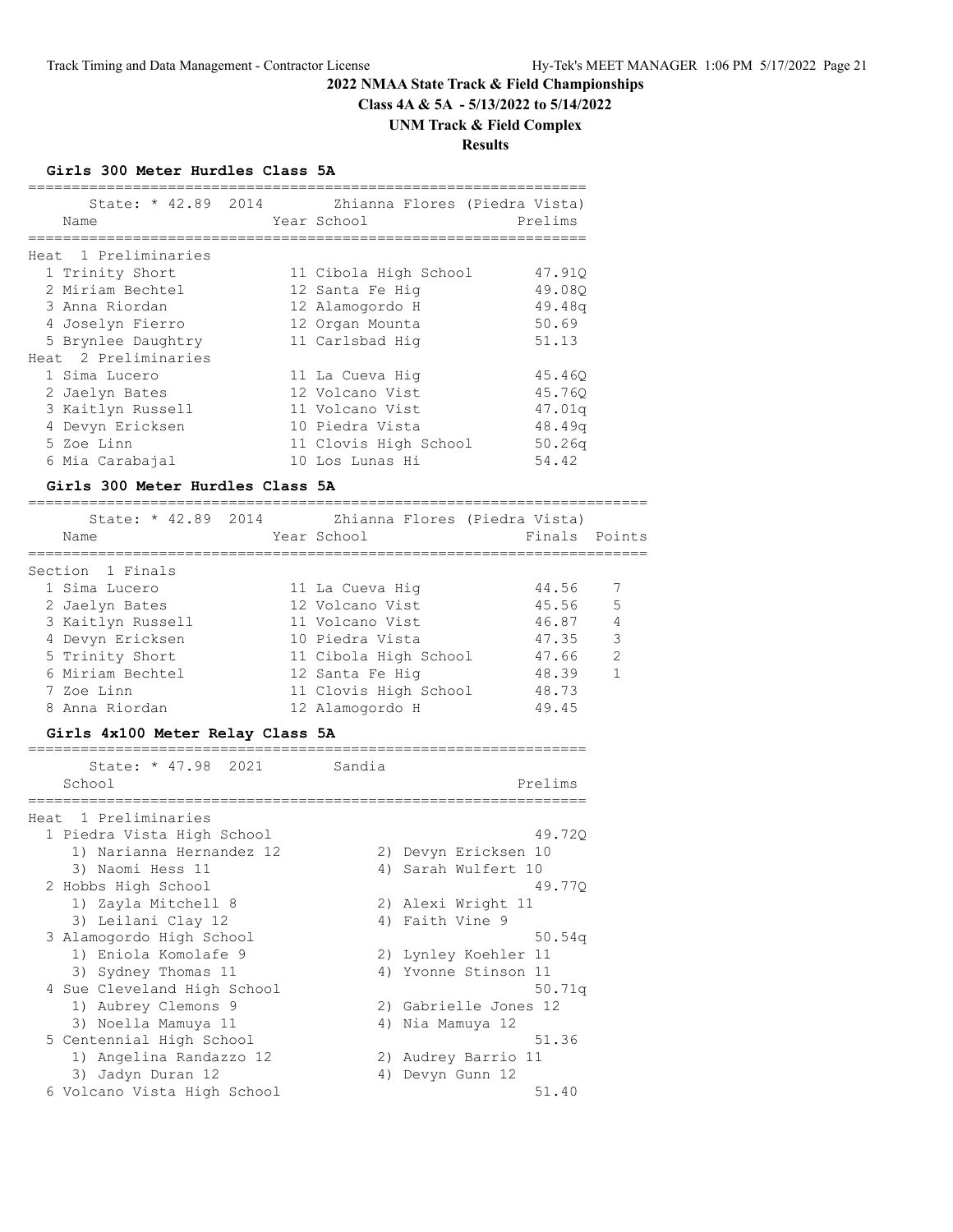**Class 4A & 5A - 5/13/2022 to 5/14/2022**

#### **UNM Track & Field Complex**

**Results**

#### **Girls 300 Meter Hurdles Class 5A**

|                      | State: * 42.89 2014 | Zhianna Flores (Piedra Vista) |         |
|----------------------|---------------------|-------------------------------|---------|
| Name                 |                     | Year School                   | Prelims |
|                      |                     |                               |         |
| Heat 1 Preliminaries |                     |                               |         |
| 1 Trinity Short      |                     | 11 Cibola High School         | 47.910  |
| 2 Miriam Bechtel     |                     | 12 Santa Fe Hiq               | 49.080  |
| 3 Anna Riordan       |                     | 12 Alamogordo H               | 49.48q  |
| 4 Joselyn Fierro     |                     | 12 Organ Mounta               | 50.69   |
| 5 Brynlee Daughtry   |                     | 11 Carlsbad Hig               | 51.13   |
| Heat 2 Preliminaries |                     |                               |         |
| 1 Sima Lucero        |                     | 11 La Cueva Hig               | 45.460  |
| 2 Jaelyn Bates       |                     | 12 Volcano Vist               | 45.760  |
| 3 Kaitlyn Russell    |                     | 11 Volcano Vist               | 47.01q  |
| 4 Devyn Ericksen     |                     | 10 Piedra Vista               | 48.49q  |
| 5 Zoe Linn           |                     | 11 Clovis High School         | 50.26q  |
| 6 Mia Carabajal      |                     | 10 Los Lunas Hi               | 54.42   |

#### **Girls 300 Meter Hurdles Class 5A** =======================================================================

| State: * 42.89 2014<br>Name | Zhianna Flores (Piedra Vista)<br>Year School | Finals Points |                |
|-----------------------------|----------------------------------------------|---------------|----------------|
| Section 1 Finals            |                                              |               |                |
| 1 Sima Lucero               | 11 La Cueva Hig                              | 44.56         |                |
| 2 Jaelyn Bates              | 12 Volcano Vist                              | 45.56         | 5              |
| 3 Kaitlyn Russell           | 11 Volcano Vist                              | 46.87         | $\overline{4}$ |
| 4 Devyn Ericksen            | 10 Piedra Vista                              | 47.35         | 3              |
| 5 Trinity Short             | 11 Cibola High School                        | 47.66         | $\mathcal{L}$  |
| 6 Miriam Bechtel            | 12 Santa Fe Hiq                              | 48.39         | $\overline{1}$ |
| 7 Zoe Linn                  | 11 Clovis High School                        | 48.73         |                |
| 8 Anna Riordan              | 12 Alamogordo H                              | 49.45         |                |

#### **Girls 4x100 Meter Relay Class 5A** ================================================================

| State: * 47.98 2021         | Sandia                |
|-----------------------------|-----------------------|
| School                      | Prelims               |
| Heat 1 Preliminaries        |                       |
| 1 Piedra Vista High School  | 49.720                |
| 1) Narianna Hernandez 12    | 2) Devyn Ericksen 10  |
| 3) Naomi Hess 11            | 4) Sarah Wulfert 10   |
| 2 Hobbs High School         | 49.770                |
| 1) Zayla Mitchell 8         | 2) Alexi Wright 11    |
| 3) Leilani Clay 12          | 4) Faith Vine 9       |
| 3 Alamogordo High School    | 50.54q                |
| 1) Eniola Komolafe 9        | 2) Lynley Koehler 11  |
| 3) Sydney Thomas 11         | 4) Yvonne Stinson 11  |
| 4 Sue Cleveland High School | 50.71q                |
| 1) Aubrey Clemons 9         | 2) Gabrielle Jones 12 |
| 3) Noella Mamuya 11         | 4) Nia Mamuya 12      |
| 5 Centennial High School    | 51.36                 |
| 1) Angelina Randazzo 12     | 2) Audrey Barrio 11   |
| 3) Jadyn Duran 12           | Devyn Gunn 12<br>4)   |
| 6 Volcano Vista High School | 51.40                 |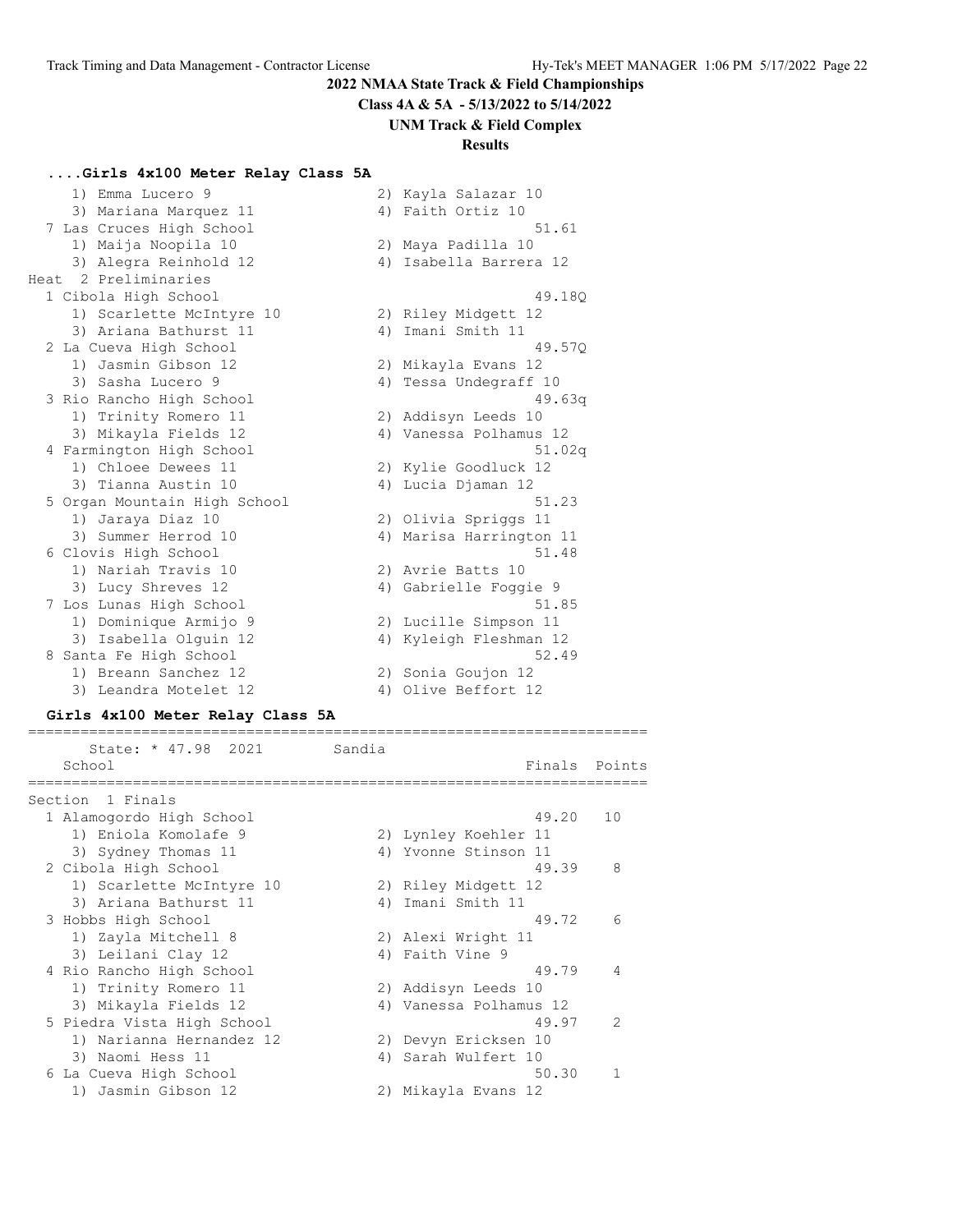**Class 4A & 5A - 5/13/2022 to 5/14/2022**

# **UNM Track & Field Complex**

# **Results**

# **....Girls 4x100 Meter Relay Class 5A**

| 1) Emma Lucero 9             | 2) Kayla Salazar 10       |
|------------------------------|---------------------------|
| 3) Mariana Marquez 11        | 4) Faith Ortiz 10         |
| 7 Las Cruces High School     | 51.61                     |
| 1) Maija Noopila 10          | 2) Maya Padilla 10        |
| 3) Alegra Reinhold 12        | 4) Isabella Barrera 12    |
| Heat 2 Preliminaries         |                           |
| 1 Cibola High School         | 49.180                    |
| 1) Scarlette McIntyre 10     | 2) Riley Midgett 12       |
| 3) Ariana Bathurst 11        | Imani Smith 11<br>4)      |
| 2 La Cueva High School       | 49.570                    |
| 1) Jasmin Gibson 12          | 2) Mikayla Evans 12       |
| 3) Sasha Lucero 9            | 4) Tessa Undegraff 10     |
| 3 Rio Rancho High School     | 49.63q                    |
| 1) Trinity Romero 11         | 2) Addisyn Leeds 10       |
| 3) Mikayla Fields 12         | 4) Vanessa Polhamus 12    |
| 4 Farmington High School     | 51.02q                    |
| 1) Chloee Dewees 11          | 2) Kylie Goodluck 12      |
| 3) Tianna Austin 10          | 4) Lucia Djaman 12        |
| 5 Organ Mountain High School | 51.23                     |
| 1) Jaraya Diaz 10            | 2) Olivia Spriggs 11      |
| 3) Summer Herrod 10          | 4) Marisa Harrington 11   |
| 6 Clovis High School         | 51.48                     |
| 1) Nariah Travis 10          | 2) Avrie Batts 10         |
| 3) Lucy Shreves 12           | 4) Gabrielle Foggie 9     |
| 7 Los Lunas High School      | 51.85                     |
| 1) Dominique Armijo 9        | 2) Lucille Simpson 11     |
| 3) Isabella Olquin 12        | Kyleigh Fleshman 12<br>4) |
| 8 Santa Fe High School       | 52.49                     |
| 1) Breann Sanchez 12         | 2) Sonia Goujon 12        |
| 3) Leandra Motelet 12        | 4) Olive Beffort 12       |

#### **Girls 4x100 Meter Relay Class 5A**

| State: * 47.98 2021        | Sandia |                        |               |
|----------------------------|--------|------------------------|---------------|
| School                     |        | Finals                 | Points        |
| Section 1 Finals           |        |                        |               |
| 1 Alamogordo High School   |        | 49.20                  | 10            |
| 1) Eniola Komolafe 9       |        | 2) Lynley Koehler 11   |               |
| 3) Sydney Thomas 11        |        | 4) Yvonne Stinson 11   |               |
| 2 Cibola High School       |        | 49.39                  | 8             |
| 1) Scarlette McIntyre 10   |        | 2) Riley Midgett 12    |               |
| 3) Ariana Bathurst 11      | 4)     | Imani Smith 11         |               |
| 3 Hobbs High School        |        | 49.72                  | 6             |
| 1) Zayla Mitchell 8        |        | 2) Alexi Wright 11     |               |
| 3) Leilani Clay 12         |        | 4) Faith Vine 9        |               |
| 4 Rio Rancho High School   |        | 49.79                  | 4             |
| 1) Trinity Romero 11       |        | 2) Addisyn Leeds 10    |               |
| 3) Mikayla Fields 12       |        | 4) Vanessa Polhamus 12 |               |
| 5 Piedra Vista High School |        | 49.97                  | $\mathcal{P}$ |
| 1) Narianna Hernandez 12   |        | 2) Devyn Ericksen 10   |               |
| 3) Naomi Hess 11           | 4)     | Sarah Wulfert 10       |               |
| 6 La Cueva High School     |        | 50.30                  |               |
| 1) Jasmin Gibson 12        |        | 2) Mikayla Evans 12    |               |
|                            |        |                        |               |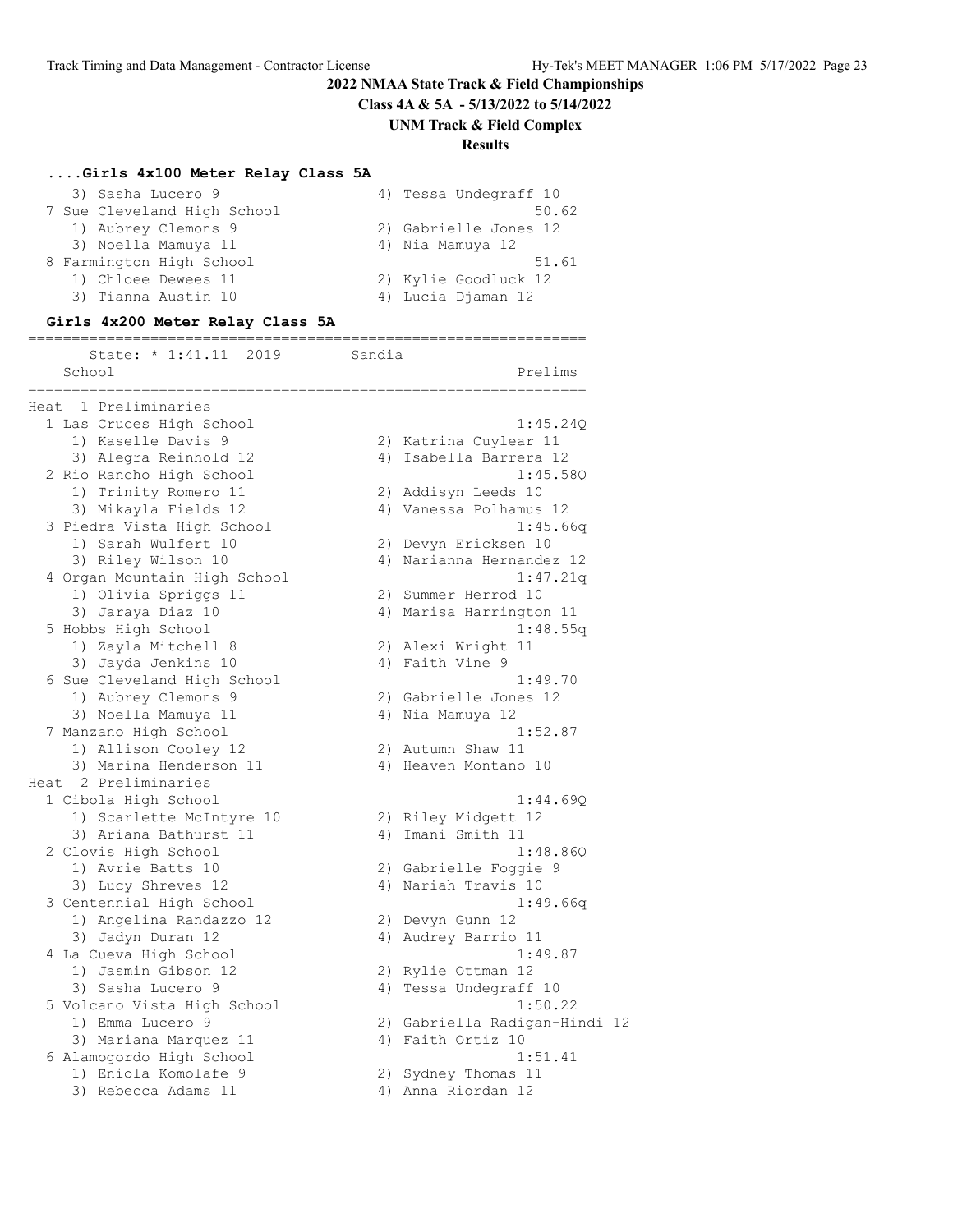**Class 4A & 5A - 5/13/2022 to 5/14/2022**

**UNM Track & Field Complex**

# **Results**

# **....Girls 4x100 Meter Relay Class 5A**

| 3) Sasha Lucero 9        |                             | 4) Tessa Undegraff 10 |
|--------------------------|-----------------------------|-----------------------|
|                          | 7 Sue Cleveland High School | 50.62                 |
|                          | 1) Aubrey Clemons 9         | 2) Gabrielle Jones 12 |
|                          | 3) Noella Mamuya 11         | 4) Nia Mamuya 12      |
| 8 Farmington High School |                             | 51.61                 |
|                          | 1) Chloee Dewees 11         | 2) Kylie Goodluck 12  |
|                          | 3) Tianna Austin 10         | 4) Lucia Djaman 12    |

#### **Girls 4x200 Meter Relay Class 5A**

|      | State: * 1:41.11 2019               | Sandia                        |
|------|-------------------------------------|-------------------------------|
|      | School<br>__________<br>___________ | Prelims                       |
| Heat | 1 Preliminaries                     | ===============               |
|      | 1 Las Cruces High School            | 1:45.24Q                      |
|      | 1) Kaselle Davis 9                  | 2) Katrina Cuylear 11         |
|      | 3) Alegra Reinhold 12               | 4) Isabella Barrera 12        |
|      | 2 Rio Rancho High School            | 1:45.58Q                      |
|      | 1) Trinity Romero 11                | 2) Addisyn Leeds 10           |
|      | 3) Mikayla Fields 12                | 4) Vanessa Polhamus 12        |
|      | 3 Piedra Vista High School          | 1:45.66q                      |
|      | 1) Sarah Wulfert 10                 | 2) Devyn Ericksen 10          |
|      | 3) Riley Wilson 10                  | 4) Narianna Hernandez 12      |
|      | 4 Organ Mountain High School        | 1:47.21q                      |
|      | 1) Olivia Spriggs 11                | 2) Summer Herrod 10           |
|      | 3) Jaraya Diaz 10                   | 4) Marisa Harrington 11       |
|      | 5 Hobbs High School                 | 1:48.55q                      |
|      | 1) Zayla Mitchell 8                 | 2) Alexi Wright 11            |
|      | 3) Jayda Jenkins 10                 | 4) Faith Vine 9               |
|      | 6 Sue Cleveland High School         | 1:49.70                       |
|      | 1) Aubrey Clemons 9                 | 2) Gabrielle Jones 12         |
|      | 3) Noella Mamuya 11                 | 4) Nia Mamuya 12              |
|      | 7 Manzano High School               | 1:52.87                       |
|      | 1) Allison Cooley 12                | 2) Autumn Shaw 11             |
|      | 3) Marina Henderson 11              | 4) Heaven Montano 10          |
|      | Heat 2 Preliminaries                |                               |
|      | 1 Cibola High School                | 1:44.690                      |
|      | 1) Scarlette McIntyre 10            | 2) Riley Midgett 12           |
|      | 3) Ariana Bathurst 11               | 4) Imani Smith 11             |
|      | 2 Clovis High School                | 1:48.86Q                      |
|      | 1) Avrie Batts 10                   | 2) Gabrielle Foggie 9         |
|      | 3) Lucy Shreves 12                  | 4) Nariah Travis 10           |
|      | 3 Centennial High School            | 1:49.66q                      |
|      | 1) Angelina Randazzo 12             | 2) Devyn Gunn 12              |
|      | 3) Jadyn Duran 12                   | 4) Audrey Barrio 11           |
|      | 4 La Cueva High School              | 1:49.87                       |
|      | 1) Jasmin Gibson 12                 | 2) Rylie Ottman 12            |
|      | 3) Sasha Lucero 9                   | 4) Tessa Undegraff 10         |
|      | 5 Volcano Vista High School         | 1:50.22                       |
|      | 1) Emma Lucero 9                    | 2) Gabriella Radigan-Hindi 12 |
|      | 3) Mariana Marquez 11               | 4) Faith Ortiz 10             |
|      | 6 Alamogordo High School            | 1:51.41                       |
|      | 1) Eniola Komolafe 9                | 2) Sydney Thomas 11           |
|      | 3) Rebecca Adams 11                 | 4) Anna Riordan 12            |
|      |                                     |                               |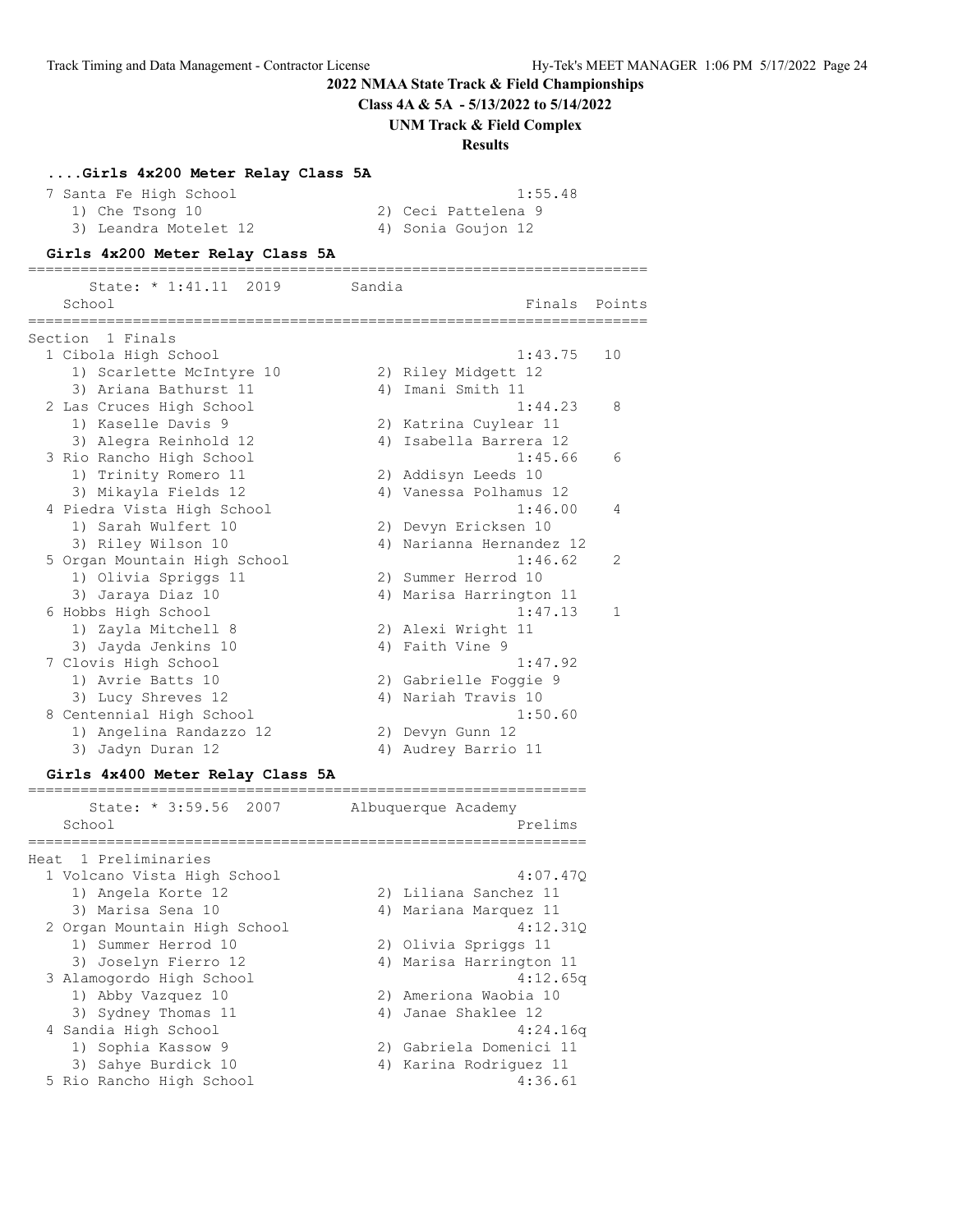**Class 4A & 5A - 5/13/2022 to 5/14/2022**

**UNM Track & Field Complex**

#### **Results**

#### **....Girls 4x200 Meter Relay Class 5A**

The Santa Fe High School 1:55.48<br>The High School 1:55.48 1) Che Tsong 10 2) Ceci Pattelena 9 3) Leandra Motelet 12 (4) Sonia Goujon 12

#### **Girls 4x200 Meter Relay Class 5A**

======================================================================= State: \* 1:41.11 2019 Sandia School **Finals** Points ======================================================================= Section 1 Finals 1 Cibola High School 1:43.75 10 1) Scarlette McIntyre 10 2) Riley Midgett 12 3) Ariana Bathurst 11 (4) Imani Smith 11 2 Las Cruces High School 1:44.23 8 1) Kaselle Davis 9 2) Katrina Cuylear 11 3) Alegra Reinhold 12 4) Isabella Barrera 12 3 Rio Rancho High School 1:45.66 6 1) Trinity Romero 11 2) Addisyn Leeds 10 3) Mikayla Fields 12 4) Vanessa Polhamus 12 4 Piedra Vista High School 1:46.00 4 1) Sarah Wulfert 10 2) Devyn Ericksen 10 3) Riley Wilson 10 4) Narianna Hernandez 12 5 Organ Mountain High School 1:46.62 2 1) Olivia Spriggs 11 2) Summer Herrod 10 3) Jaraya Diaz 10 4) Marisa Harrington 11 6 Hobbs High School 1:47.13 1 1) Zayla Mitchell 8 2) Alexi Wright 11 1.4<br>
1) Zayla Mitchell 8<br>
3) Jayda Jenkins 10<br>
2) Alexi Wright 11<br>
4) Faith Vine 9<br>
1:4 7 Clovis High School 1:47.92 1) Avrie Batts 10 2) Gabrielle Foggie 9 3) Lucy Shreves 12 4) Nariah Travis 10 8 Centennial High School 1:50.60 1) Angelina Randazzo 12 2) Devyn Gunn 12 3) Jadyn Duran 12 4) Audrey Barrio 11

#### **Girls 4x400 Meter Relay Class 5A**

| State: * 3:59.56 2007        | Albuquerque Academy     |
|------------------------------|-------------------------|
| School                       | Prelims                 |
| Heat 1 Preliminaries         |                         |
| 1 Volcano Vista High School  | 4:07.470                |
| 1) Angela Korte 12           | 2) Liliana Sanchez 11   |
| 3) Marisa Sena 10            | 4) Mariana Marquez 11   |
| 2 Organ Mountain High School | 4:12.310                |
| 1) Summer Herrod 10          | 2) Olivia Spriggs 11    |
| 3) Joselyn Fierro 12         | 4) Marisa Harrington 11 |
| 3 Alamogordo High School     | 4:12.65q                |
| 1) Abby Vazquez 10           | 2) Ameriona Waobia 10   |
| 3) Sydney Thomas 11          | 4) Janae Shaklee 12     |
| 4 Sandia High School         | 4:24.16q                |
| 1) Sophia Kassow 9           | 2) Gabriela Domenici 11 |
| 3) Sahye Burdick 10          | 4) Karina Rodriguez 11  |
| 5 Rio Rancho High School     | 4:36.61                 |
|                              |                         |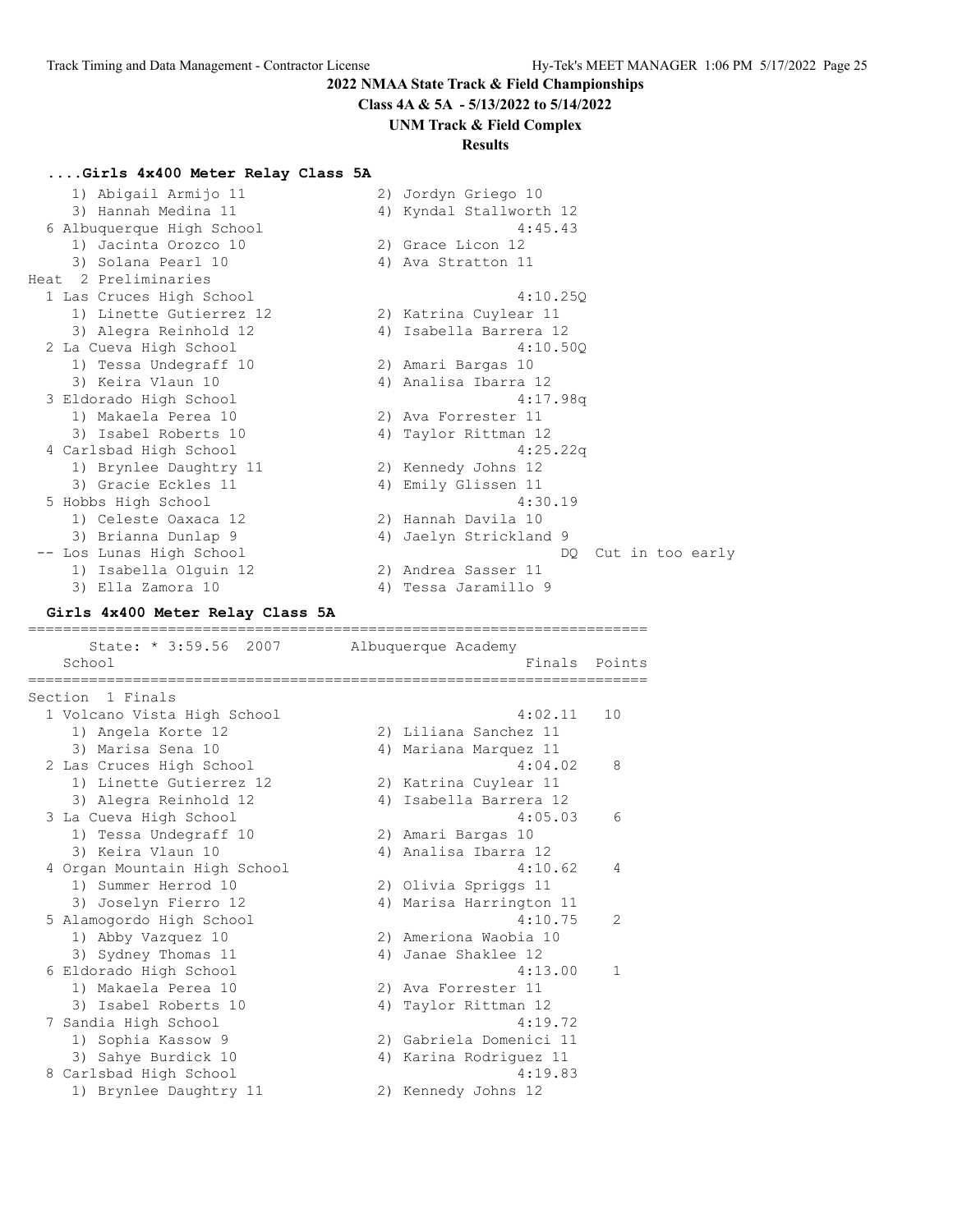**Class 4A & 5A - 5/13/2022 to 5/14/2022**

# **UNM Track & Field Complex**

# **Results**

# **....Girls 4x400 Meter Relay Class 5A**

| 6 Albuquerque High School<br>4:45.43<br>1) Jacinta Orozco 10<br>2) Grace Licon 12<br>3) Solana Pearl 10<br>4) Ava Stratton 11<br>Heat 2 Preliminaries<br>1 Las Cruces High School<br>4:10.25Q<br>1) Linette Gutierrez 12<br>2) Katrina Cuylear 11<br>3) Alegra Reinhold 12<br>4) Isabella Barrera 12<br>2 La Cueva High School<br>4:10.50Q<br>1) Tessa Undegraff 10<br>2) Amari Bargas 10<br>3) Keira Vlaun 10<br>4) Analisa Ibarra 12<br>3 Eldorado High School<br>4:17.98q<br>1) Makaela Perea 10<br>2) Ava Forrester 11<br>3) Isabel Roberts 10<br>4) Taylor Rittman 12<br>4:25.22q<br>4 Carlsbad High School<br>1) Brynlee Daughtry 11<br>2) Kennedy Johns 12<br>3) Gracie Eckles 11<br>4) Emily Glissen 11<br>5 Hobbs High School<br>4:30.19<br>1) Celeste Oaxaca 12<br>2) Hannah Davila 10<br>3) Brianna Dunlap 9<br>4) Jaelyn Strickland 9<br>-- Los Lunas High School<br>Cut in too early<br>DQ.<br>1) Isabella Olguin 12<br>2) Andrea Sasser 11<br>3) Ella Zamora 10<br>4) Tessa Jaramillo 9<br>Girls 4x400 Meter Relay Class 5A<br>---------------------------<br>State: * 3:59.56 2007<br>Albuquerque Academy<br>School<br>Finals<br>Points<br>===============<br>============================<br>====================<br>Section 1 Finals<br>4:02.11<br>1 Volcano Vista High School<br>10<br>1) Angela Korte 12<br>2) Liliana Sanchez 11<br>3) Marisa Sena 10<br>4) Mariana Marquez 11<br>2 Las Cruces High School<br>4:04.02<br>8<br>1) Linette Gutierrez 12<br>2) Katrina Cuylear 11<br>4) Isabella Barrera 12<br>3) Alegra Reinhold 12<br>4:05.03<br>3 La Cueva High School<br>6<br>1) Tessa Undegraff 10<br>2) Amari Bargas 10<br>3) Keira Vlaun 10<br>4) Analisa Ibarra 12<br>4 Organ Mountain High School<br>4:10.62<br>4<br>2) Olivia Spriggs 11<br>1) Summer Herrod 10<br>3) Joselyn Fierro 12<br>4) Marisa Harrington 11<br>4:10.75<br>5 Alamogordo High School<br>2<br>1) Abby Vazquez 10<br>2) Ameriona Waobia 10<br>3) Sydney Thomas 11<br>4) Janae Shaklee 12<br>6 Eldorado High School<br>4:13.00<br>1<br>1) Makaela Perea 10<br>2) Ava Forrester 11<br>3) Isabel Roberts 10<br>4) Taylor Rittman 12<br>7 Sandia High School<br>4:19.72<br>1) Sophia Kassow 9<br>2) Gabriela Domenici 11<br>3) Sahye Burdick 10<br>4) Karina Rodriguez 11<br>8 Carlsbad High School<br>4:19.83<br>1) Brynlee Daughtry 11<br>2) Kennedy Johns 12 | 1) Abigail Armijo 11<br>3) Hannah Medina 11 | 2) Jordyn Griego 10<br>4) Kyndal Stallworth 12 |  |
|-----------------------------------------------------------------------------------------------------------------------------------------------------------------------------------------------------------------------------------------------------------------------------------------------------------------------------------------------------------------------------------------------------------------------------------------------------------------------------------------------------------------------------------------------------------------------------------------------------------------------------------------------------------------------------------------------------------------------------------------------------------------------------------------------------------------------------------------------------------------------------------------------------------------------------------------------------------------------------------------------------------------------------------------------------------------------------------------------------------------------------------------------------------------------------------------------------------------------------------------------------------------------------------------------------------------------------------------------------------------------------------------------------------------------------------------------------------------------------------------------------------------------------------------------------------------------------------------------------------------------------------------------------------------------------------------------------------------------------------------------------------------------------------------------------------------------------------------------------------------------------------------------------------------------------------------------------------------------------------------------------------------------------------------------------------------------------------------------------------------------------------------------------------------------------------------------------------------------------------------------------------------------------------------------------------------------------------------------------------|---------------------------------------------|------------------------------------------------|--|
|                                                                                                                                                                                                                                                                                                                                                                                                                                                                                                                                                                                                                                                                                                                                                                                                                                                                                                                                                                                                                                                                                                                                                                                                                                                                                                                                                                                                                                                                                                                                                                                                                                                                                                                                                                                                                                                                                                                                                                                                                                                                                                                                                                                                                                                                                                                                                           |                                             |                                                |  |
|                                                                                                                                                                                                                                                                                                                                                                                                                                                                                                                                                                                                                                                                                                                                                                                                                                                                                                                                                                                                                                                                                                                                                                                                                                                                                                                                                                                                                                                                                                                                                                                                                                                                                                                                                                                                                                                                                                                                                                                                                                                                                                                                                                                                                                                                                                                                                           |                                             |                                                |  |
|                                                                                                                                                                                                                                                                                                                                                                                                                                                                                                                                                                                                                                                                                                                                                                                                                                                                                                                                                                                                                                                                                                                                                                                                                                                                                                                                                                                                                                                                                                                                                                                                                                                                                                                                                                                                                                                                                                                                                                                                                                                                                                                                                                                                                                                                                                                                                           |                                             |                                                |  |
|                                                                                                                                                                                                                                                                                                                                                                                                                                                                                                                                                                                                                                                                                                                                                                                                                                                                                                                                                                                                                                                                                                                                                                                                                                                                                                                                                                                                                                                                                                                                                                                                                                                                                                                                                                                                                                                                                                                                                                                                                                                                                                                                                                                                                                                                                                                                                           |                                             |                                                |  |
|                                                                                                                                                                                                                                                                                                                                                                                                                                                                                                                                                                                                                                                                                                                                                                                                                                                                                                                                                                                                                                                                                                                                                                                                                                                                                                                                                                                                                                                                                                                                                                                                                                                                                                                                                                                                                                                                                                                                                                                                                                                                                                                                                                                                                                                                                                                                                           |                                             |                                                |  |
|                                                                                                                                                                                                                                                                                                                                                                                                                                                                                                                                                                                                                                                                                                                                                                                                                                                                                                                                                                                                                                                                                                                                                                                                                                                                                                                                                                                                                                                                                                                                                                                                                                                                                                                                                                                                                                                                                                                                                                                                                                                                                                                                                                                                                                                                                                                                                           |                                             |                                                |  |
|                                                                                                                                                                                                                                                                                                                                                                                                                                                                                                                                                                                                                                                                                                                                                                                                                                                                                                                                                                                                                                                                                                                                                                                                                                                                                                                                                                                                                                                                                                                                                                                                                                                                                                                                                                                                                                                                                                                                                                                                                                                                                                                                                                                                                                                                                                                                                           |                                             |                                                |  |
|                                                                                                                                                                                                                                                                                                                                                                                                                                                                                                                                                                                                                                                                                                                                                                                                                                                                                                                                                                                                                                                                                                                                                                                                                                                                                                                                                                                                                                                                                                                                                                                                                                                                                                                                                                                                                                                                                                                                                                                                                                                                                                                                                                                                                                                                                                                                                           |                                             |                                                |  |
|                                                                                                                                                                                                                                                                                                                                                                                                                                                                                                                                                                                                                                                                                                                                                                                                                                                                                                                                                                                                                                                                                                                                                                                                                                                                                                                                                                                                                                                                                                                                                                                                                                                                                                                                                                                                                                                                                                                                                                                                                                                                                                                                                                                                                                                                                                                                                           |                                             |                                                |  |
|                                                                                                                                                                                                                                                                                                                                                                                                                                                                                                                                                                                                                                                                                                                                                                                                                                                                                                                                                                                                                                                                                                                                                                                                                                                                                                                                                                                                                                                                                                                                                                                                                                                                                                                                                                                                                                                                                                                                                                                                                                                                                                                                                                                                                                                                                                                                                           |                                             |                                                |  |
|                                                                                                                                                                                                                                                                                                                                                                                                                                                                                                                                                                                                                                                                                                                                                                                                                                                                                                                                                                                                                                                                                                                                                                                                                                                                                                                                                                                                                                                                                                                                                                                                                                                                                                                                                                                                                                                                                                                                                                                                                                                                                                                                                                                                                                                                                                                                                           |                                             |                                                |  |
|                                                                                                                                                                                                                                                                                                                                                                                                                                                                                                                                                                                                                                                                                                                                                                                                                                                                                                                                                                                                                                                                                                                                                                                                                                                                                                                                                                                                                                                                                                                                                                                                                                                                                                                                                                                                                                                                                                                                                                                                                                                                                                                                                                                                                                                                                                                                                           |                                             |                                                |  |
|                                                                                                                                                                                                                                                                                                                                                                                                                                                                                                                                                                                                                                                                                                                                                                                                                                                                                                                                                                                                                                                                                                                                                                                                                                                                                                                                                                                                                                                                                                                                                                                                                                                                                                                                                                                                                                                                                                                                                                                                                                                                                                                                                                                                                                                                                                                                                           |                                             |                                                |  |
|                                                                                                                                                                                                                                                                                                                                                                                                                                                                                                                                                                                                                                                                                                                                                                                                                                                                                                                                                                                                                                                                                                                                                                                                                                                                                                                                                                                                                                                                                                                                                                                                                                                                                                                                                                                                                                                                                                                                                                                                                                                                                                                                                                                                                                                                                                                                                           |                                             |                                                |  |
|                                                                                                                                                                                                                                                                                                                                                                                                                                                                                                                                                                                                                                                                                                                                                                                                                                                                                                                                                                                                                                                                                                                                                                                                                                                                                                                                                                                                                                                                                                                                                                                                                                                                                                                                                                                                                                                                                                                                                                                                                                                                                                                                                                                                                                                                                                                                                           |                                             |                                                |  |
|                                                                                                                                                                                                                                                                                                                                                                                                                                                                                                                                                                                                                                                                                                                                                                                                                                                                                                                                                                                                                                                                                                                                                                                                                                                                                                                                                                                                                                                                                                                                                                                                                                                                                                                                                                                                                                                                                                                                                                                                                                                                                                                                                                                                                                                                                                                                                           |                                             |                                                |  |
|                                                                                                                                                                                                                                                                                                                                                                                                                                                                                                                                                                                                                                                                                                                                                                                                                                                                                                                                                                                                                                                                                                                                                                                                                                                                                                                                                                                                                                                                                                                                                                                                                                                                                                                                                                                                                                                                                                                                                                                                                                                                                                                                                                                                                                                                                                                                                           |                                             |                                                |  |
|                                                                                                                                                                                                                                                                                                                                                                                                                                                                                                                                                                                                                                                                                                                                                                                                                                                                                                                                                                                                                                                                                                                                                                                                                                                                                                                                                                                                                                                                                                                                                                                                                                                                                                                                                                                                                                                                                                                                                                                                                                                                                                                                                                                                                                                                                                                                                           |                                             |                                                |  |
|                                                                                                                                                                                                                                                                                                                                                                                                                                                                                                                                                                                                                                                                                                                                                                                                                                                                                                                                                                                                                                                                                                                                                                                                                                                                                                                                                                                                                                                                                                                                                                                                                                                                                                                                                                                                                                                                                                                                                                                                                                                                                                                                                                                                                                                                                                                                                           |                                             |                                                |  |
|                                                                                                                                                                                                                                                                                                                                                                                                                                                                                                                                                                                                                                                                                                                                                                                                                                                                                                                                                                                                                                                                                                                                                                                                                                                                                                                                                                                                                                                                                                                                                                                                                                                                                                                                                                                                                                                                                                                                                                                                                                                                                                                                                                                                                                                                                                                                                           |                                             |                                                |  |
|                                                                                                                                                                                                                                                                                                                                                                                                                                                                                                                                                                                                                                                                                                                                                                                                                                                                                                                                                                                                                                                                                                                                                                                                                                                                                                                                                                                                                                                                                                                                                                                                                                                                                                                                                                                                                                                                                                                                                                                                                                                                                                                                                                                                                                                                                                                                                           |                                             |                                                |  |
|                                                                                                                                                                                                                                                                                                                                                                                                                                                                                                                                                                                                                                                                                                                                                                                                                                                                                                                                                                                                                                                                                                                                                                                                                                                                                                                                                                                                                                                                                                                                                                                                                                                                                                                                                                                                                                                                                                                                                                                                                                                                                                                                                                                                                                                                                                                                                           |                                             |                                                |  |
|                                                                                                                                                                                                                                                                                                                                                                                                                                                                                                                                                                                                                                                                                                                                                                                                                                                                                                                                                                                                                                                                                                                                                                                                                                                                                                                                                                                                                                                                                                                                                                                                                                                                                                                                                                                                                                                                                                                                                                                                                                                                                                                                                                                                                                                                                                                                                           |                                             |                                                |  |
|                                                                                                                                                                                                                                                                                                                                                                                                                                                                                                                                                                                                                                                                                                                                                                                                                                                                                                                                                                                                                                                                                                                                                                                                                                                                                                                                                                                                                                                                                                                                                                                                                                                                                                                                                                                                                                                                                                                                                                                                                                                                                                                                                                                                                                                                                                                                                           |                                             |                                                |  |
|                                                                                                                                                                                                                                                                                                                                                                                                                                                                                                                                                                                                                                                                                                                                                                                                                                                                                                                                                                                                                                                                                                                                                                                                                                                                                                                                                                                                                                                                                                                                                                                                                                                                                                                                                                                                                                                                                                                                                                                                                                                                                                                                                                                                                                                                                                                                                           |                                             |                                                |  |
|                                                                                                                                                                                                                                                                                                                                                                                                                                                                                                                                                                                                                                                                                                                                                                                                                                                                                                                                                                                                                                                                                                                                                                                                                                                                                                                                                                                                                                                                                                                                                                                                                                                                                                                                                                                                                                                                                                                                                                                                                                                                                                                                                                                                                                                                                                                                                           |                                             |                                                |  |
|                                                                                                                                                                                                                                                                                                                                                                                                                                                                                                                                                                                                                                                                                                                                                                                                                                                                                                                                                                                                                                                                                                                                                                                                                                                                                                                                                                                                                                                                                                                                                                                                                                                                                                                                                                                                                                                                                                                                                                                                                                                                                                                                                                                                                                                                                                                                                           |                                             |                                                |  |
|                                                                                                                                                                                                                                                                                                                                                                                                                                                                                                                                                                                                                                                                                                                                                                                                                                                                                                                                                                                                                                                                                                                                                                                                                                                                                                                                                                                                                                                                                                                                                                                                                                                                                                                                                                                                                                                                                                                                                                                                                                                                                                                                                                                                                                                                                                                                                           |                                             |                                                |  |
|                                                                                                                                                                                                                                                                                                                                                                                                                                                                                                                                                                                                                                                                                                                                                                                                                                                                                                                                                                                                                                                                                                                                                                                                                                                                                                                                                                                                                                                                                                                                                                                                                                                                                                                                                                                                                                                                                                                                                                                                                                                                                                                                                                                                                                                                                                                                                           |                                             |                                                |  |
|                                                                                                                                                                                                                                                                                                                                                                                                                                                                                                                                                                                                                                                                                                                                                                                                                                                                                                                                                                                                                                                                                                                                                                                                                                                                                                                                                                                                                                                                                                                                                                                                                                                                                                                                                                                                                                                                                                                                                                                                                                                                                                                                                                                                                                                                                                                                                           |                                             |                                                |  |
|                                                                                                                                                                                                                                                                                                                                                                                                                                                                                                                                                                                                                                                                                                                                                                                                                                                                                                                                                                                                                                                                                                                                                                                                                                                                                                                                                                                                                                                                                                                                                                                                                                                                                                                                                                                                                                                                                                                                                                                                                                                                                                                                                                                                                                                                                                                                                           |                                             |                                                |  |
|                                                                                                                                                                                                                                                                                                                                                                                                                                                                                                                                                                                                                                                                                                                                                                                                                                                                                                                                                                                                                                                                                                                                                                                                                                                                                                                                                                                                                                                                                                                                                                                                                                                                                                                                                                                                                                                                                                                                                                                                                                                                                                                                                                                                                                                                                                                                                           |                                             |                                                |  |
|                                                                                                                                                                                                                                                                                                                                                                                                                                                                                                                                                                                                                                                                                                                                                                                                                                                                                                                                                                                                                                                                                                                                                                                                                                                                                                                                                                                                                                                                                                                                                                                                                                                                                                                                                                                                                                                                                                                                                                                                                                                                                                                                                                                                                                                                                                                                                           |                                             |                                                |  |
|                                                                                                                                                                                                                                                                                                                                                                                                                                                                                                                                                                                                                                                                                                                                                                                                                                                                                                                                                                                                                                                                                                                                                                                                                                                                                                                                                                                                                                                                                                                                                                                                                                                                                                                                                                                                                                                                                                                                                                                                                                                                                                                                                                                                                                                                                                                                                           |                                             |                                                |  |
|                                                                                                                                                                                                                                                                                                                                                                                                                                                                                                                                                                                                                                                                                                                                                                                                                                                                                                                                                                                                                                                                                                                                                                                                                                                                                                                                                                                                                                                                                                                                                                                                                                                                                                                                                                                                                                                                                                                                                                                                                                                                                                                                                                                                                                                                                                                                                           |                                             |                                                |  |
|                                                                                                                                                                                                                                                                                                                                                                                                                                                                                                                                                                                                                                                                                                                                                                                                                                                                                                                                                                                                                                                                                                                                                                                                                                                                                                                                                                                                                                                                                                                                                                                                                                                                                                                                                                                                                                                                                                                                                                                                                                                                                                                                                                                                                                                                                                                                                           |                                             |                                                |  |
|                                                                                                                                                                                                                                                                                                                                                                                                                                                                                                                                                                                                                                                                                                                                                                                                                                                                                                                                                                                                                                                                                                                                                                                                                                                                                                                                                                                                                                                                                                                                                                                                                                                                                                                                                                                                                                                                                                                                                                                                                                                                                                                                                                                                                                                                                                                                                           |                                             |                                                |  |
|                                                                                                                                                                                                                                                                                                                                                                                                                                                                                                                                                                                                                                                                                                                                                                                                                                                                                                                                                                                                                                                                                                                                                                                                                                                                                                                                                                                                                                                                                                                                                                                                                                                                                                                                                                                                                                                                                                                                                                                                                                                                                                                                                                                                                                                                                                                                                           |                                             |                                                |  |
|                                                                                                                                                                                                                                                                                                                                                                                                                                                                                                                                                                                                                                                                                                                                                                                                                                                                                                                                                                                                                                                                                                                                                                                                                                                                                                                                                                                                                                                                                                                                                                                                                                                                                                                                                                                                                                                                                                                                                                                                                                                                                                                                                                                                                                                                                                                                                           |                                             |                                                |  |
|                                                                                                                                                                                                                                                                                                                                                                                                                                                                                                                                                                                                                                                                                                                                                                                                                                                                                                                                                                                                                                                                                                                                                                                                                                                                                                                                                                                                                                                                                                                                                                                                                                                                                                                                                                                                                                                                                                                                                                                                                                                                                                                                                                                                                                                                                                                                                           |                                             |                                                |  |
|                                                                                                                                                                                                                                                                                                                                                                                                                                                                                                                                                                                                                                                                                                                                                                                                                                                                                                                                                                                                                                                                                                                                                                                                                                                                                                                                                                                                                                                                                                                                                                                                                                                                                                                                                                                                                                                                                                                                                                                                                                                                                                                                                                                                                                                                                                                                                           |                                             |                                                |  |
|                                                                                                                                                                                                                                                                                                                                                                                                                                                                                                                                                                                                                                                                                                                                                                                                                                                                                                                                                                                                                                                                                                                                                                                                                                                                                                                                                                                                                                                                                                                                                                                                                                                                                                                                                                                                                                                                                                                                                                                                                                                                                                                                                                                                                                                                                                                                                           |                                             |                                                |  |
|                                                                                                                                                                                                                                                                                                                                                                                                                                                                                                                                                                                                                                                                                                                                                                                                                                                                                                                                                                                                                                                                                                                                                                                                                                                                                                                                                                                                                                                                                                                                                                                                                                                                                                                                                                                                                                                                                                                                                                                                                                                                                                                                                                                                                                                                                                                                                           |                                             |                                                |  |
|                                                                                                                                                                                                                                                                                                                                                                                                                                                                                                                                                                                                                                                                                                                                                                                                                                                                                                                                                                                                                                                                                                                                                                                                                                                                                                                                                                                                                                                                                                                                                                                                                                                                                                                                                                                                                                                                                                                                                                                                                                                                                                                                                                                                                                                                                                                                                           |                                             |                                                |  |
|                                                                                                                                                                                                                                                                                                                                                                                                                                                                                                                                                                                                                                                                                                                                                                                                                                                                                                                                                                                                                                                                                                                                                                                                                                                                                                                                                                                                                                                                                                                                                                                                                                                                                                                                                                                                                                                                                                                                                                                                                                                                                                                                                                                                                                                                                                                                                           |                                             |                                                |  |
|                                                                                                                                                                                                                                                                                                                                                                                                                                                                                                                                                                                                                                                                                                                                                                                                                                                                                                                                                                                                                                                                                                                                                                                                                                                                                                                                                                                                                                                                                                                                                                                                                                                                                                                                                                                                                                                                                                                                                                                                                                                                                                                                                                                                                                                                                                                                                           |                                             |                                                |  |
|                                                                                                                                                                                                                                                                                                                                                                                                                                                                                                                                                                                                                                                                                                                                                                                                                                                                                                                                                                                                                                                                                                                                                                                                                                                                                                                                                                                                                                                                                                                                                                                                                                                                                                                                                                                                                                                                                                                                                                                                                                                                                                                                                                                                                                                                                                                                                           |                                             |                                                |  |
|                                                                                                                                                                                                                                                                                                                                                                                                                                                                                                                                                                                                                                                                                                                                                                                                                                                                                                                                                                                                                                                                                                                                                                                                                                                                                                                                                                                                                                                                                                                                                                                                                                                                                                                                                                                                                                                                                                                                                                                                                                                                                                                                                                                                                                                                                                                                                           |                                             |                                                |  |
|                                                                                                                                                                                                                                                                                                                                                                                                                                                                                                                                                                                                                                                                                                                                                                                                                                                                                                                                                                                                                                                                                                                                                                                                                                                                                                                                                                                                                                                                                                                                                                                                                                                                                                                                                                                                                                                                                                                                                                                                                                                                                                                                                                                                                                                                                                                                                           |                                             |                                                |  |
|                                                                                                                                                                                                                                                                                                                                                                                                                                                                                                                                                                                                                                                                                                                                                                                                                                                                                                                                                                                                                                                                                                                                                                                                                                                                                                                                                                                                                                                                                                                                                                                                                                                                                                                                                                                                                                                                                                                                                                                                                                                                                                                                                                                                                                                                                                                                                           |                                             |                                                |  |
|                                                                                                                                                                                                                                                                                                                                                                                                                                                                                                                                                                                                                                                                                                                                                                                                                                                                                                                                                                                                                                                                                                                                                                                                                                                                                                                                                                                                                                                                                                                                                                                                                                                                                                                                                                                                                                                                                                                                                                                                                                                                                                                                                                                                                                                                                                                                                           |                                             |                                                |  |
|                                                                                                                                                                                                                                                                                                                                                                                                                                                                                                                                                                                                                                                                                                                                                                                                                                                                                                                                                                                                                                                                                                                                                                                                                                                                                                                                                                                                                                                                                                                                                                                                                                                                                                                                                                                                                                                                                                                                                                                                                                                                                                                                                                                                                                                                                                                                                           |                                             |                                                |  |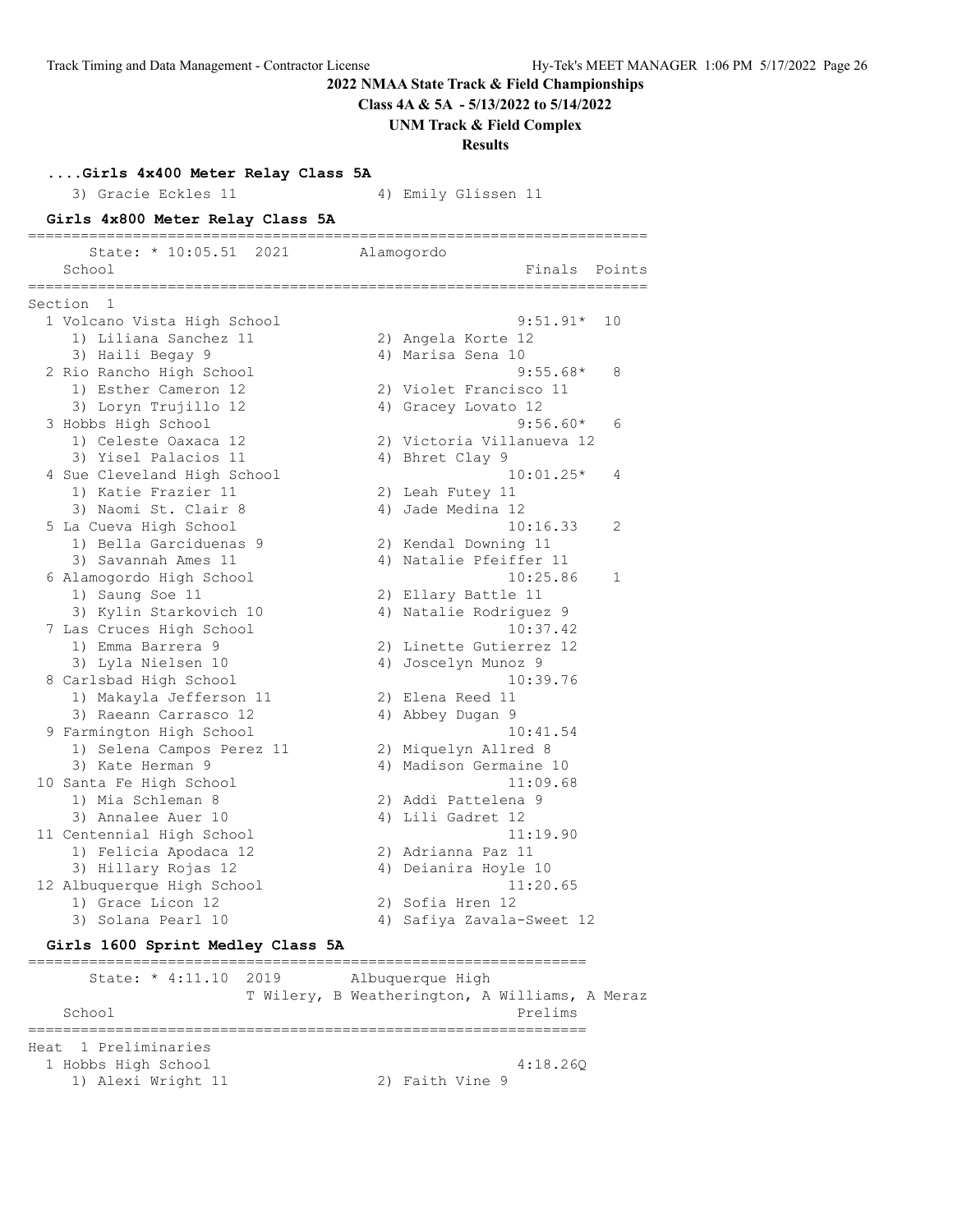**Class 4A & 5A - 5/13/2022 to 5/14/2022**

**UNM Track & Field Complex**

**Results**

**....Girls 4x400 Meter Relay Class 5A**

3) Gracie Eckles 11 4) Emily Glissen 11

**Girls 4x800 Meter Relay Class 5A** ======================================================================= State: \* 10:05.51 2021 Alamogordo School **Finals** Points **Points** ======================================================================= Section 1 1 Volcano Vista High School 9:51.91\* 10 1) Liliana Sanchez 11 2) Angela Korte 12 3) Haili Begay 9  $\hskip 1.5cm 4$ ) Marisa Sena 10 2 Rio Rancho High School 9:55.68\* 8 1) Esther Cameron 12 2) Violet Francisco 11 3) Loryn Trujillo 12 4) Gracey Lovato 12 3 Hobbs High School 9:56.60\* 6 1) Celeste Oaxaca 12 2) Victoria Villanueva 12 3) Yisel Palacios 11 (4) Bhret Clay 9 4 Sue Cleveland High School 10:01.25\* 4 1) Katie Frazier 11 2) Leah Futey 11 3) Naomi St. Clair 8 4) Jade Medina 12 5 La Cueva High School 10:16.33 2 1) Bella Garciduenas 9 2) Kendal Downing 11 3) Savannah Ames 11 4) Natalie Pfeiffer 11 6 Alamogordo High School 10:25.86 1 1) Saung Soe 11 2) Ellary Battle 11 3) Kylin Starkovich 10 4) Natalie Rodriguez 9 7 Las Cruces High School 10:37.42 1) Emma Barrera 9 2) Linette Gutierrez 12 3) Lyla Nielsen 10 4) Joscelyn Munoz 9 8 Carlsbad High School 10:39.76 1) Makayla Jefferson 11 2) Elena Reed 11 3) Raeann Carrasco 12 4) Abbey Dugan 9 9 Farmington High School 10:41.54 1) Selena Campos Perez 11 2) Miquelyn Allred 8 3) Kate Herman 9 4) Madison Germaine 10 10 Santa Fe High School 10 Santa Fe High School 2011:09.68 1) Mia Schleman 8 2) Addi Pattelena 9 3) Annalee Auer 10 4) Lili Gadret 12 11 Centennial High School 11:19.90 1) Felicia Apodaca 12 2) Adrianna Paz 11 3) Hillary Rojas 12 4) Deianira Hoyle 10 12 Albuquerque High School 11:20.65 1) Grace Licon 12 2) Sofia Hren 12 3) Solana Pearl 10 4) Safiya Zavala-Sweet 12

#### **Girls 1600 Sprint Medley Class 5A**

================================================================ State: \* 4:11.10 2019 Albuquerque High T Wilery, B Weatherington, A Williams, A Meraz School Prelims and Prelims of the School Prelims of the School Prelims of the School Prelims of the School Prelims of the School Prelims of the School Prelims of the School Prelims of the School Prelims of the School Preli ================================================================ Heat 1 Preliminaries 1 Hobbs High School 4:18.26Q 1) Alexi Wright 11 2) Faith Vine 9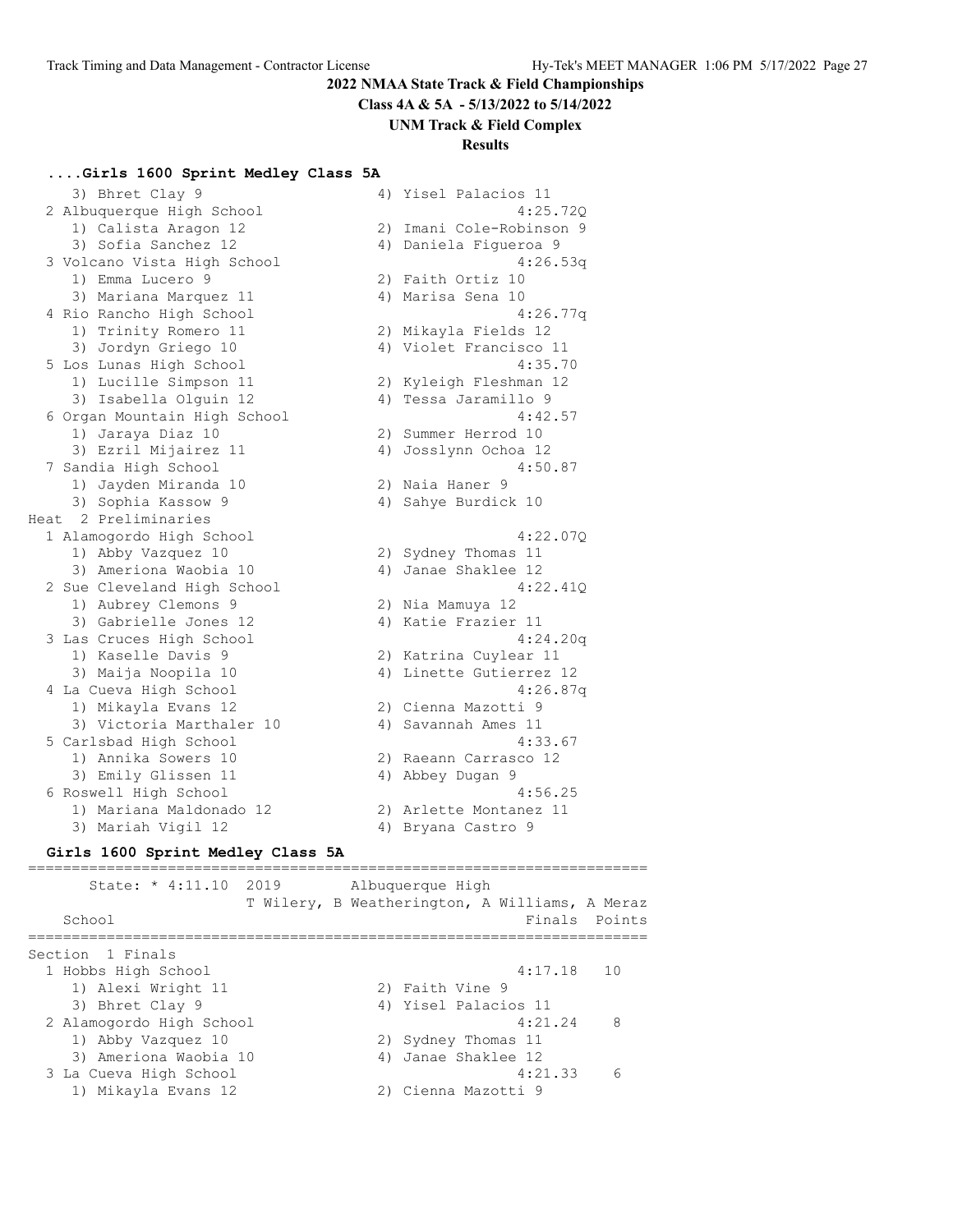**Class 4A & 5A - 5/13/2022 to 5/14/2022**

#### **UNM Track & Field Complex**

#### **Results**

#### **....Girls 1600 Sprint Medley Class 5A**

|      | 3) Bhret Clay 9              |    | 4) Yisel Palacios 11     |
|------|------------------------------|----|--------------------------|
|      | 2 Albuquerque High School    |    | 4:25.720                 |
|      | 1) Calista Aragon 12         |    | 2) Imani Cole-Robinson 9 |
|      | 3) Sofia Sanchez 12          |    | 4) Daniela Figueroa 9    |
|      | 3 Volcano Vista High School  |    | 4:26.53q                 |
|      | 1) Emma Lucero 9             |    | 2) Faith Ortiz 10        |
|      | 3) Mariana Marquez 11        |    | 4) Marisa Sena 10        |
|      | 4 Rio Rancho High School     |    | 4:26.77q                 |
|      | 1) Trinity Romero 11         |    | 2) Mikayla Fields 12     |
|      | 3) Jordyn Griego 10          |    | 4) Violet Francisco 11   |
|      | 5 Los Lunas High School      |    | 4:35.70                  |
|      | 1) Lucille Simpson 11        |    | 2) Kyleigh Fleshman 12   |
|      | 3) Isabella Olguin 12        |    | 4) Tessa Jaramillo 9     |
|      | 6 Organ Mountain High School |    | 4:42.57                  |
|      | 1) Jaraya Diaz 10            |    | 2) Summer Herrod 10      |
|      | 3) Ezril Mijairez 11         | 4) | Josslynn Ochoa 12        |
|      | 7 Sandia High School         |    | 4:50.87                  |
|      | 1) Jayden Miranda 10         |    | 2) Naia Haner 9          |
|      | 3) Sophia Kassow 9           | 4) | Sahye Burdick 10         |
| Heat | 2 Preliminaries              |    |                          |
|      | 1 Alamogordo High School     |    | 4:22.07Q                 |
|      | 1) Abby Vazquez 10           |    | 2) Sydney Thomas 11      |
|      | 3) Ameriona Waobia 10        |    | 4) Janae Shaklee 12      |
|      |                              |    |                          |
|      | 2 Sue Cleveland High School  |    | 4:22.41Q                 |
|      | 1) Aubrey Clemons 9          |    | 2) Nia Mamuya 12         |
|      | 3) Gabrielle Jones 12        |    | 4) Katie Frazier 11      |
|      | 3 Las Cruces High School     |    | 4:24.20q                 |
|      | 1) Kaselle Davis 9           |    | 2) Katrina Cuylear 11    |
|      | 3) Maija Noopila 10          |    | 4) Linette Gutierrez 12  |
|      | 4 La Cueva High School       |    | 4:26.87q                 |
|      | 1) Mikayla Evans 12          |    | 2) Cienna Mazotti 9      |
|      | 3) Victoria Marthaler 10     |    | 4) Savannah Ames 11      |
|      | 5 Carlsbad High School       |    | 4:33.67                  |
|      | 1) Annika Sowers 10          |    | 2) Raeann Carrasco 12    |
|      | 3) Emily Glissen 11          |    | 4) Abbey Dugan 9         |
|      | 6 Roswell High School        |    | 4:56.25                  |
|      | 1) Mariana Maldonado 12      |    | 2) Arlette Montanez 11   |

#### **Girls 1600 Sprint Medley Class 5A**

======================================================================= State: \* 4:11.10 2019 Albuquerque High T Wilery, B Weatherington, A Williams, A Meraz School **Finals** Points ======================================================================= Section 1 Finals 1 Hobbs High School 4:17.18 10 1) Alexi Wright 11 2) Faith Vine 9 3) Bhret Clay 9 4) Yisel Palacios 11 2 Alamogordo High School 4:21.24 8 1) Abby Vazquez 10 2) Sydney Thomas 11 3) Ameriona Waobia 10  $\hspace{1cm}$  4) Janae Shaklee 12 3 La Cueva High School 4:21.33 6 1) Mikayla Evans 12 2) Cienna Mazotti 9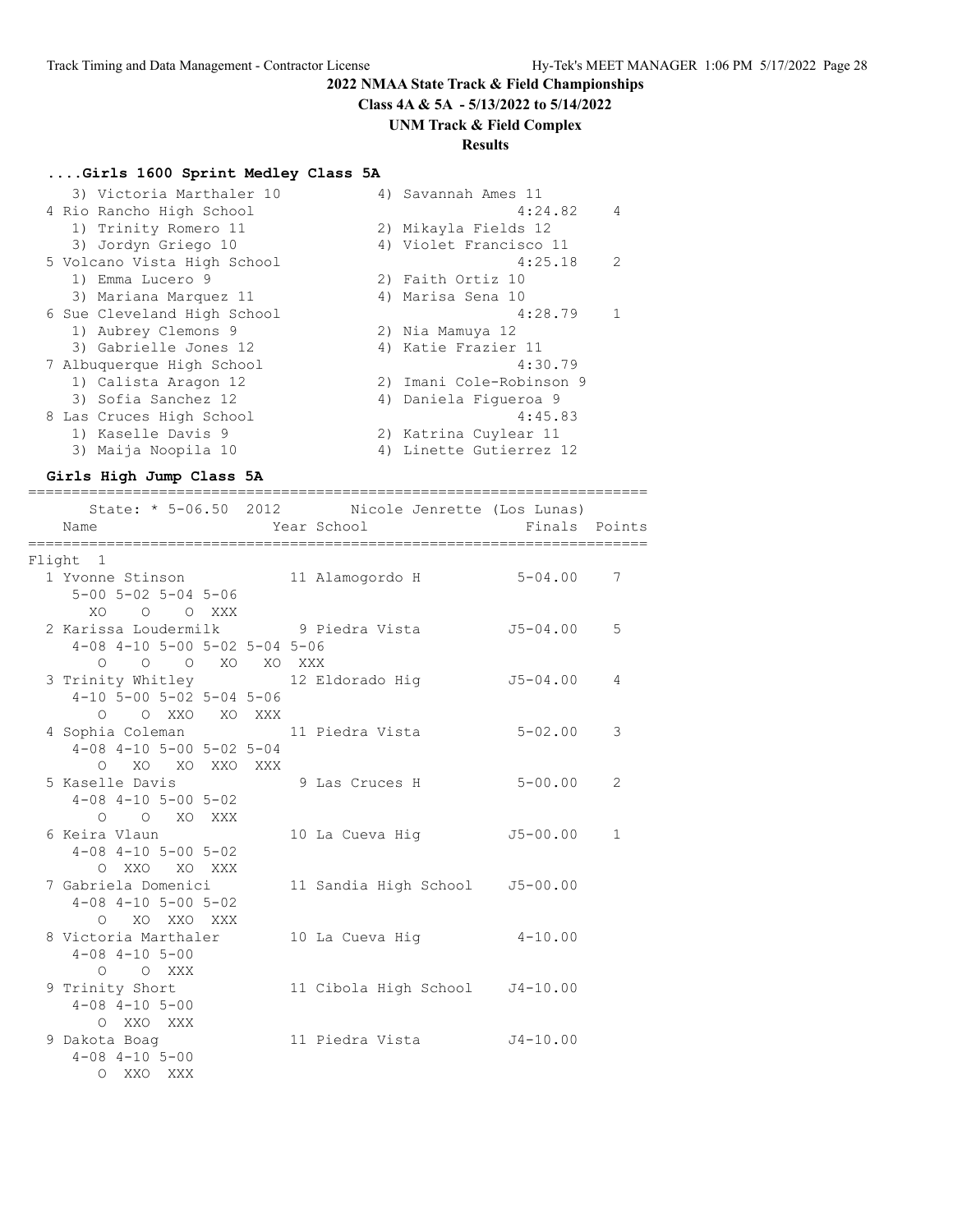**Class 4A & 5A - 5/13/2022 to 5/14/2022**

#### **UNM Track & Field Complex**

# **Results**

#### **....Girls 1600 Sprint Medley Class 5A**

| 3) Victoria Marthaler 10    | 4) Savannah Ames 11      |  |
|-----------------------------|--------------------------|--|
| 4 Rio Rancho High School    | 4:24.82<br>4             |  |
| 1) Trinity Romero 11        | 2) Mikayla Fields 12     |  |
| 3) Jordyn Griego 10         | 4) Violet Francisco 11   |  |
| 5 Volcano Vista High School | $\mathcal{L}$<br>4:25.18 |  |
| 1) Emma Lucero 9            | 2) Faith Ortiz 10        |  |
| 3) Mariana Marquez 11       | 4) Marisa Sena 10        |  |
| 6 Sue Cleveland High School | 4:28.79                  |  |
| 1) Aubrey Clemons 9         | 2) Nia Mamuya 12         |  |
| 3) Gabrielle Jones 12       | 4) Katie Frazier 11      |  |
| 7 Albuquerque High School   | 4:30.79                  |  |
| 1) Calista Aragon 12        | 2) Imani Cole-Robinson 9 |  |
| 3) Sofia Sanchez 12         | 4) Daniela Figueroa 9    |  |
| 8 Las Cruces High School    | 4:45.83                  |  |
| 1) Kaselle Davis 9          | 2) Katrina Cuylear 11    |  |
| 3) Maija Noopila 10         | 4) Linette Gutierrez 12  |  |

#### **Girls High Jump Class 5A**

=======================================================================

| Name                                          | State: * 5-06.50 2012 Nicole Jenrette (Los Lunas)<br>Year School | Finals Points |              |
|-----------------------------------------------|------------------------------------------------------------------|---------------|--------------|
| Flight 1                                      |                                                                  |               |              |
| 1 Yvonne Stinson 11 Alamogordo H 5-04.00      |                                                                  |               | 7            |
| $5 - 00$ $5 - 02$ $5 - 04$ $5 - 06$           |                                                                  |               |              |
| XO O O XXX                                    |                                                                  |               |              |
| 2 Karissa Loudermilk 19 Piedra Vista 15-04.00 |                                                                  |               | 5            |
| $4-08$ $4-10$ $5-00$ $5-02$ $5-04$ $5-06$     |                                                                  |               |              |
| O O O XO XO XXX                               |                                                                  |               |              |
| 3 Trinity Whitley 12 Eldorado Hig             |                                                                  | J5-04.00      | 4            |
| $4-10$ 5-00 5-02 5-04 5-06                    |                                                                  |               |              |
| O O XXO XO XXX                                |                                                                  |               |              |
| 4 Sophia Coleman 11 Piedra Vista              |                                                                  | $5 - 02.00$   | 3            |
| $4-08$ $4-10$ $5-00$ $5-02$ $5-04$            |                                                                  |               |              |
| O XO XO XXO XXX                               |                                                                  |               |              |
| 5 Kaselle Davis                               | 9 Las Cruces H 5-00.00                                           |               | 2            |
| $4-08$ $4-10$ $5-00$ $5-02$                   |                                                                  |               |              |
| O O XO XXX                                    |                                                                  |               |              |
| 6 Keira Vlaun                                 | 10 La Cueva Hig                                                  | J5-00.00      | $\mathbf{1}$ |
| $4-08$ $4-10$ $5-00$ $5-02$                   |                                                                  |               |              |
| O XXO XO XXX                                  |                                                                  |               |              |
| 7 Gabriela Domenici                           | 11 Sandia High School                                            | $J5 - 00.00$  |              |
| $4-08$ $4-10$ $5-00$ $5-02$                   |                                                                  |               |              |
| O XO XXO XXX                                  |                                                                  |               |              |
| 8 Victoria Marthaler                          | 10 La Cueva Hig   4-10.00                                        |               |              |
| $4 - 08$ $4 - 10$ $5 - 00$                    |                                                                  |               |              |
| O O XXX                                       |                                                                  |               |              |
| 9 Trinity Short                               | 11 Cibola High School J4-10.00                                   |               |              |
| $4 - 08$ $4 - 10$ $5 - 00$                    |                                                                  |               |              |
| O XXO XXX                                     |                                                                  |               |              |
| 9 Dakota Boaq                                 | 11 Piedra Vista 54-10.00                                         |               |              |
| $4 - 08$ $4 - 10$ $5 - 00$                    |                                                                  |               |              |
| O XXO XXX                                     |                                                                  |               |              |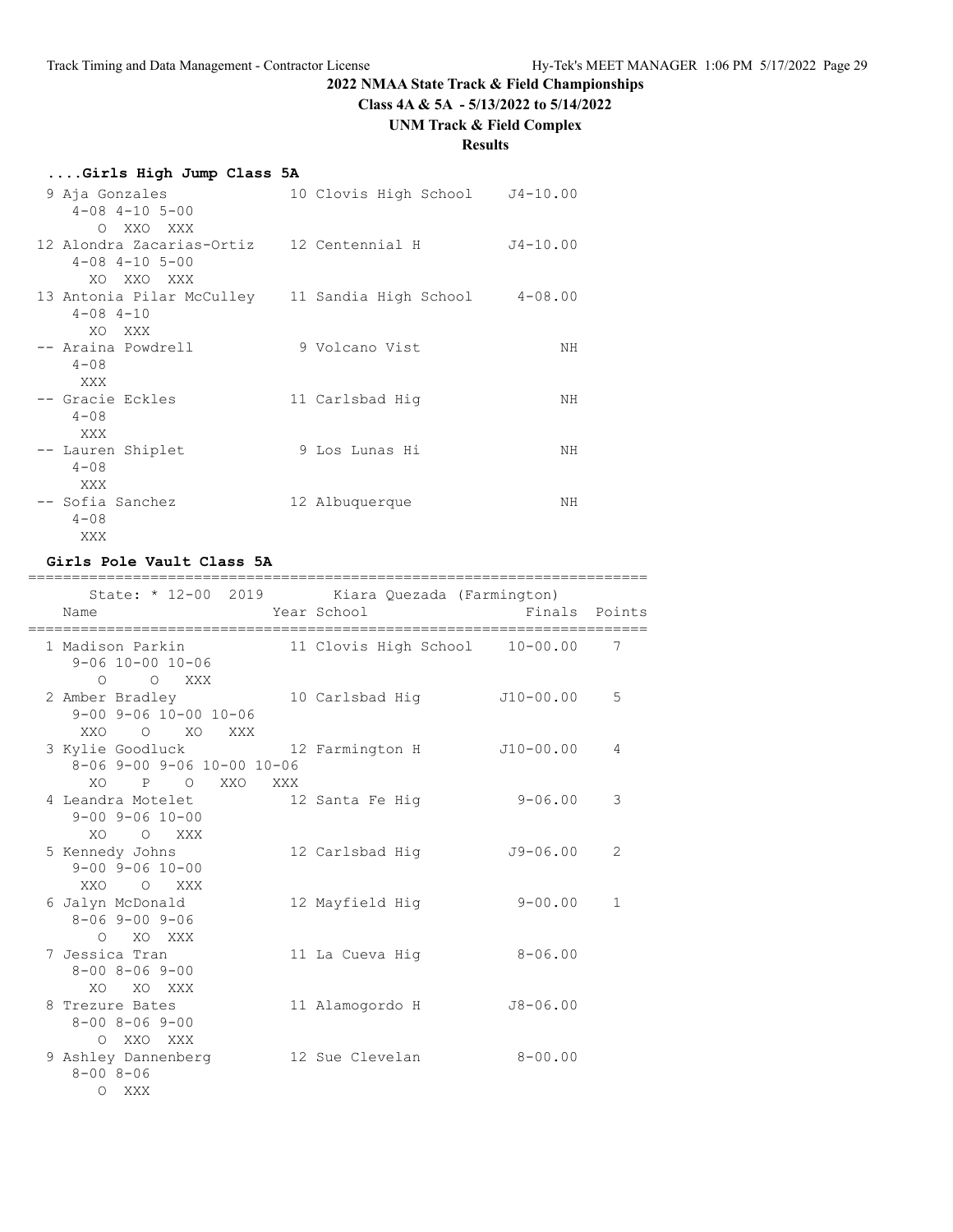**Class 4A & 5A - 5/13/2022 to 5/14/2022**

# **UNM Track & Field Complex**

# **Results**

| Girls High Jump Class 5A                                                              |                                |              |
|---------------------------------------------------------------------------------------|--------------------------------|--------------|
| 9 Aja Gonzales<br>$4 - 08$ $4 - 10$ $5 - 00$                                          | 10 Clovis High School J4-10.00 |              |
| O XXO XXX<br>12 Alondra Zacarias-Ortiz 12 Centennial H<br>$4 - 08$ $4 - 10$ $5 - 00$  |                                | $J4 - 10.00$ |
| XO XXO XXX<br>13 Antonia Pilar McCulley    11 Sandia High School<br>$4 - 08$ $4 - 10$ |                                | $4 - 08.00$  |
| XO XXX<br>-- Araina Powdrell<br>$4 - 08$                                              | 9 Volcano Vist                 | ΝH           |
| XXX<br>-- Gracie Eckles<br>$4 - 08$                                                   | 11 Carlsbad Hig                | NΗ           |
| XXX<br>-- Lauren Shiplet<br>$4 - 08$                                                  | 9 Los Lunas Hi                 | ΝH           |
| XXX<br>-- Sofia Sanchez<br>$4 - 0.8$<br>XXX                                           | 12 Albuquerque                 | ΝH           |

#### **Girls Pole Vault Class 5A**

| ------------------------<br>State: * 12-00 2019 Kiara Quezada (Farmington)                                    | ====================================== |               |   |
|---------------------------------------------------------------------------------------------------------------|----------------------------------------|---------------|---|
| Name                                                                                                          | Year School                            | Finals Points |   |
| $9 - 06$ 10-00 10-06                                                                                          |                                        |               | 7 |
| O XXX<br>$\Omega$<br>2 Amber Bradley 10 Carlsbad Hig<br>$9 - 00$ $9 - 06$ $10 - 00$ $10 - 06$<br>XXO O XO XXX |                                        | J10-00.00     | 5 |
| 3 Kylie Goodluck 12 Farmington H J10-00.00<br>8-06 9-00 9-06 10-00 10-06                                      |                                        |               | 4 |
| XO P O XXO XXX<br>4 Leandra Motelet 12 Santa Fe Hig<br>$9 - 00$ $9 - 06$ $10 - 00$                            |                                        | $9 - 06.00$   | 3 |
| XO O XXX<br>5 Kennedy Johns<br>$9 - 00$ $9 - 06$ $10 - 00$                                                    | 12 Carlsbad Hig                        | $J9 - 06.00$  | 2 |
| XXO O XXX<br>6 Jalyn McDonald<br>$8 - 069 - 009 - 06$                                                         | 12 Mayfield Hig                        | $9 - 00.00$   | 1 |
| O XO XXX<br>7 Jessica Tran<br>$8 - 00$ $8 - 06$ $9 - 00$                                                      | 11 La Cueva Hiq                        | $8 - 06.00$   |   |
| XO XO XXX<br>8 Trezure Bates<br>$8 - 00$ $8 - 06$ $9 - 00$                                                    | 11 Alamogordo H                        | $J8 - 06.00$  |   |
| O XXO XXX<br>9 Ashley Dannenberg<br>$8 - 008 - 06$<br>$\Omega$<br>XXX                                         | 12 Sue Clevelan                        | $8 - 00.00$   |   |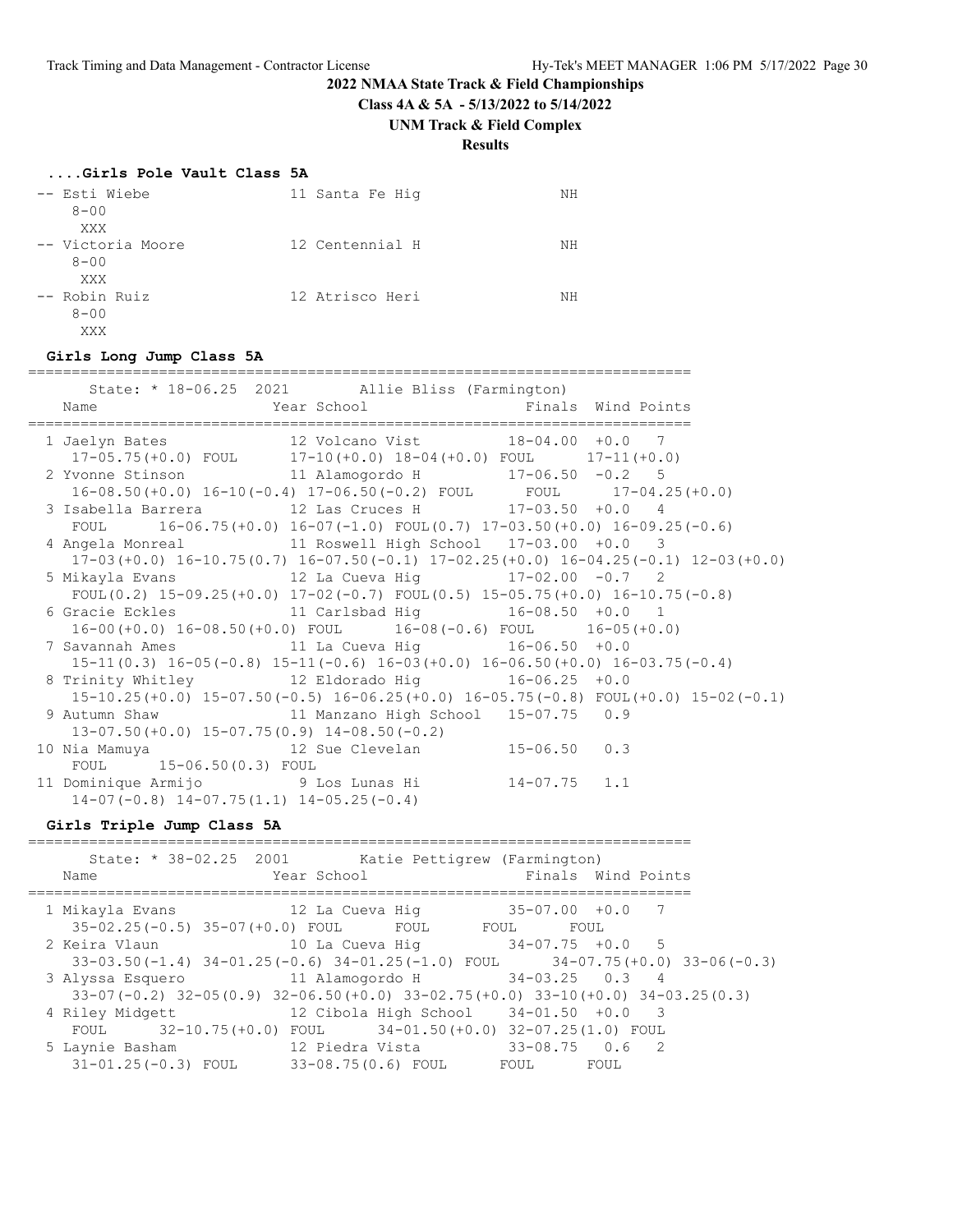**Class 4A & 5A - 5/13/2022 to 5/14/2022**

#### **UNM Track & Field Complex**

# **Results**

| -- Esti Wiebe<br>$8 - 00$     | 11 Santa Fe Hiq | NΗ |
|-------------------------------|-----------------|----|
| XXX                           |                 |    |
| -- Victoria Moore<br>$8 - 00$ | 12 Centennial H | NΗ |
| XXX                           |                 |    |
| -- Robin Ruiz                 | 12 Atrisco Heri | NΗ |
| $8 - 00$                      |                 |    |
| XXX                           |                 |    |

#### **Girls Long Jump Class 5A**

============================================================================

|                                                                                                | State: * 18-06.25 2021 Allie Bliss (Farmington) |  |
|------------------------------------------------------------------------------------------------|-------------------------------------------------|--|
| Name                                                                                           | Year School Timals Wind Points                  |  |
| 1 Jaelyn Bates 12 Volcano Vist 18-04.00 +0.0 7                                                 |                                                 |  |
| 17-05.75(+0.0) FOUL 17-10(+0.0) $18-04(+0.0)$ FOUL 17-11(+0.0)                                 |                                                 |  |
| 2 Yvonne Stinson 11 Alamogordo H 17-06.50 -0.2 5                                               |                                                 |  |
| 16-08.50(+0.0) 16-10(-0.4) 17-06.50(-0.2) FOUL FOUL 17-04.25(+0.0)                             |                                                 |  |
| 3 Isabella Barrera $12$ Las Cruces H $17-03.50$ +0.0 4                                         |                                                 |  |
| FOUL 16-06.75 (+0.0) $16-07$ (-1.0) FOUL (0.7) $17-03.50$ (+0.0) $16-09.25$ (-0.6)             |                                                 |  |
| 4 Angela Monreal 11 Roswell High School 17-03.00 +0.0 3                                        |                                                 |  |
| $17-03(+0.0)$ $16-10.75(0.7)$ $16-07.50(-0.1)$ $17-02.25(+0.0)$ $16-04.25(-0.1)$ $12-03(+0.0)$ |                                                 |  |
|                                                                                                |                                                 |  |
| FOUL(0.2) $15-09.25(+0.0)$ $17-02(-0.7)$ FOUL(0.5) $15-05.75(+0.0)$ $16-10.75(-0.8)$           |                                                 |  |
| 6 Gracie Eckles 11 Carlsbad Hig 16-08.50 +0.0 1                                                |                                                 |  |
| $16-00 (+0.0) 16-08.50 (+0.0)$ FOUL $16-08 (-0.6)$ FOUL $16-05 (+0.0)$                         |                                                 |  |
| 7 Savannah Ames 11 La Cueva Hig 16-06.50 +0.0                                                  |                                                 |  |
| $15-11(0.3)$ $16-05(-0.8)$ $15-11(-0.6)$ $16-03(+0.0)$ $16-06.50(+0.0)$ $16-03.75(-0.4)$       |                                                 |  |
| 8 Trinity Whitley 12 Eldorado Hig 16-06.25 +0.0                                                |                                                 |  |
| $15-10.25(+0.0)$ $15-07.50(-0.5)$ $16-06.25(+0.0)$ $16-05.75(-0.8)$ $FOUT(+0.0)$ $15-02(-0.1)$ |                                                 |  |
| 9 Autumn Shaw 11 Manzano High School 15-07.75 0.9                                              |                                                 |  |
| $13-07.50 (+0.0)$ $15-07.75(0.9)$ $14-08.50(-0.2)$                                             |                                                 |  |
| 10 Nia Mamuya $12$ Sue Clevelan $15-06.50$ 0.3                                                 |                                                 |  |
| FOUL 15-06.50(0.3) FOUL                                                                        |                                                 |  |
| 11 Dominique Armijo 9 Los Lunas Hi 14-07.75 1.1                                                |                                                 |  |
| $14-07(-0.8)$ $14-07.75(1.1)$ $14-05.25(-0.4)$                                                 |                                                 |  |

#### **Girls Triple Jump Class 5A**

| State: * 38-02.25 2001              | Katie Pettigrew (Farmington)                                                               |                                |                          |
|-------------------------------------|--------------------------------------------------------------------------------------------|--------------------------------|--------------------------|
| Name                                | Year School                                                                                | Finals Wind Points             |                          |
|                                     |                                                                                            |                                |                          |
| 1 Mikayla Evans                     | 12 La Cueva Hig                                                                            | $35 - 07.00 + 0.0 7$           |                          |
| $35-02.25(-0.5)$ $35-07(+0.0)$ FOUL | FOUL<br>FOUL                                                                               | FOUL                           |                          |
| 2 Keira Vlaun                       | 10 La Cueva Hiq                                                                            | $34 - 07.75 + 0.0$ 5           |                          |
|                                     | $33-03.50(-1.4)$ $34-01.25(-0.6)$ $34-01.25(-1.0)$ FOUL                                    | $34-07.75(+0.0)$ $33-06(-0.3)$ |                          |
| 3 Alyssa Esquero                    | 11 Alamogordo H                                                                            | $34 - 03.25$ 0.3 4             |                          |
|                                     | $33-07(-0.2)$ $32-05(0.9)$ $32-06.50(+0.0)$ $33-02.75(+0.0)$ $33-10(+0.0)$ $34-03.25(0.3)$ |                                |                          |
| 4 Riley Midgett                     | 12 Cibola High School $34-01.50 +0.0$                                                      |                                | $\overline{\phantom{a}}$ |
|                                     | FOUL $32-10.75(+0.0)$ FOUL $34-01.50(+0.0)$ $32-07.25(1.0)$ FOUL                           |                                |                          |
| 5 Laynie Basham                     | 12 Piedra Vista                                                                            | $33 - 08.75$ 0.6 2             |                          |
| $31 - 01.25(-0.3)$ FOUL             | 33-08.75(0.6) FOUL                                                                         | FOUL<br>FOUL                   |                          |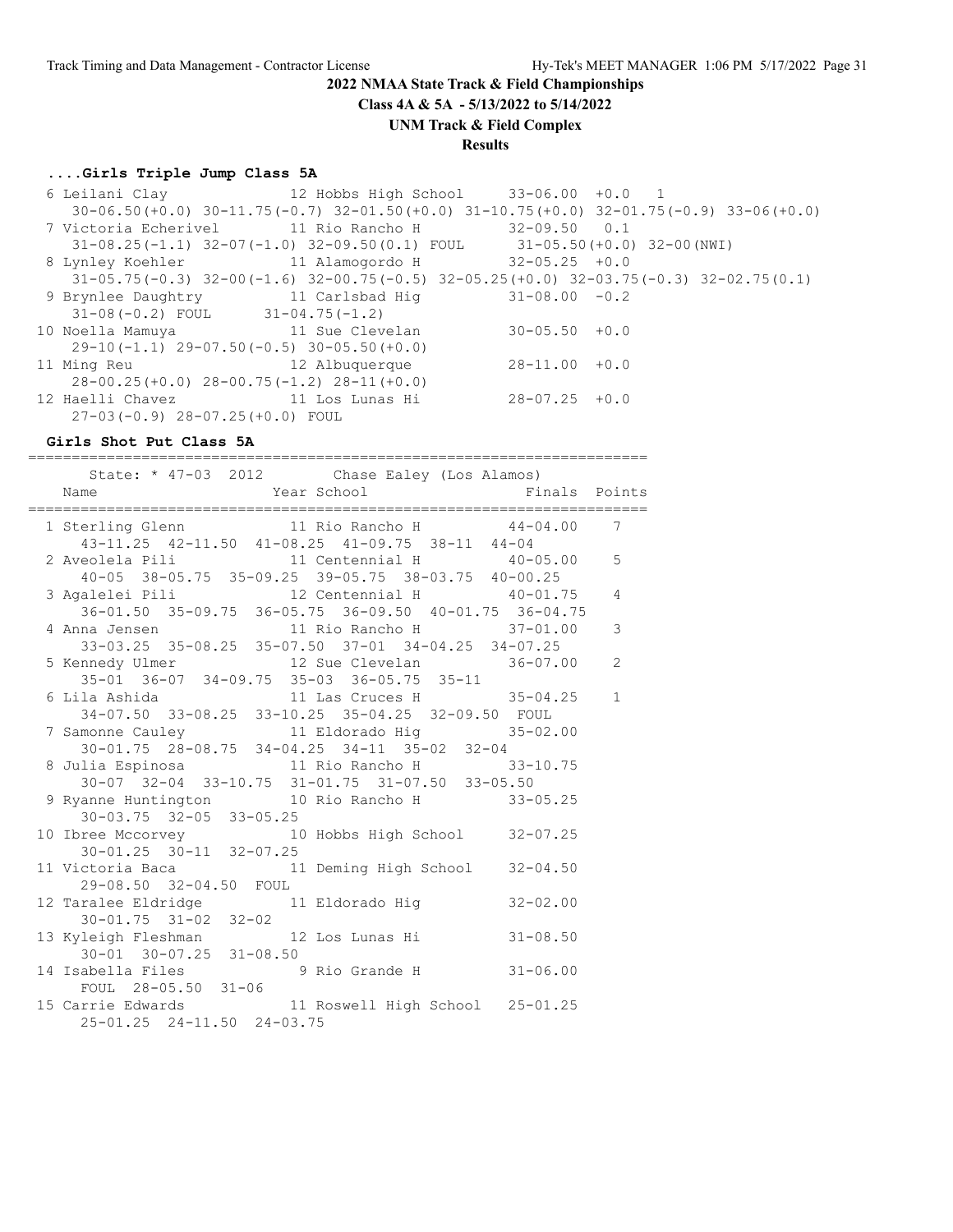**Class 4A & 5A - 5/13/2022 to 5/14/2022**

#### **UNM Track & Field Complex**

#### **Results**

#### **....Girls Triple Jump Class 5A**

 6 Leilani Clay 12 Hobbs High School 33-06.00 +0.0 1 30-06.50(+0.0) 30-11.75(-0.7) 32-01.50(+0.0) 31-10.75(+0.0) 32-01.75(-0.9) 33-06(+0.0) 7 Victoria Echerivel 11 Rio Rancho H 32-09.50 0.1 31-08.25(-1.1) 32-07(-1.0) 32-09.50(0.1) FOUL 31-05.50(+0.0) 32-00(NWI) 8 Lynley Koehler 11 Alamogordo H 32-05.25 +0.0 31-05.75(-0.3) 32-00(-1.6) 32-00.75(-0.5) 32-05.25(+0.0) 32-03.75(-0.3) 32-02.75(0.1) 9 Brynlee Daughtry 11 Carlsbad Hig 31-08.00 -0.2 31-08(-0.2) FOUL 31-04.75(-1.2) 10 Noella Mamuya 11 Sue Clevelan 30-05.50 +0.0 29-10(-1.1) 29-07.50(-0.5) 30-05.50(+0.0) 11 Ming Reu 12 Albuquerque 28-11.00 +0.0 28-00.25(+0.0) 28-00.75(-1.2) 28-11(+0.0) 12 Haelli Chavez 11 Los Lunas Hi 28-07.25 +0.0 27-03(-0.9) 28-07.25(+0.0) FOUL

#### **Girls Shot Put Class 5A**

======================================================================= State: \* 47-03 2012 Chase Ealey (Los Alamos) Name **Name** Year School **Finals** Points ======================================================================= 1 Sterling Glenn 11 Rio Rancho H 44-04.00 7 43-11.25 42-11.50 41-08.25 41-09.75 38-11 44-04 2 Aveolela Pili 11 Centennial H 40-05.00 5 40-05 38-05.75 35-09.25 39-05.75 38-03.75 40-00.25 3 Agalelei Pili 12 Centennial H 40-01.75 4 36-01.50 35-09.75 36-05.75 36-09.50 40-01.75 36-04.75 4 Anna Jensen 11 Rio Rancho H 37-01.00 3 33-03.25 35-08.25 35-07.50 37-01 34-04.25 34-07.25 5 Kennedy Ulmer 12 Sue Clevelan 36-07.00 2 35-01 36-07 34-09.75 35-03 36-05.75 35-11 6 Lila Ashida 11 Las Cruces H 35-04.25 1 34-07.50 33-08.25 33-10.25 35-04.25 32-09.50 FOUL 7 Samonne Cauley 11 Eldorado Hig 35-02.00 30-01.75 28-08.75 34-04.25 34-11 35-02 32-04 8 Julia Espinosa  $11$  Rio Rancho H 33-10.75 30-07 32-04 33-10.75 31-01.75 31-07.50 33-05.50 9 Ryanne Huntington 10 Rio Rancho H 33-05.25 30-03.75 32-05 33-05.25 10 Ibree Mccorvey 10 Hobbs High School 32-07.25 30-01.25 30-11 32-07.25 11 Victoria Baca 11 Deming High School 32-04.50 29-08.50 32-04.50 FOUL 12 Taralee Eldridge 11 Eldorado Hig 32-02.00 30-01.75 31-02 32-02 13 Kyleigh Fleshman 12 Los Lunas Hi 31-08.50 30-01 30-07.25 31-08.50 14 Isabella Files 9 Rio Grande H 31-06.00 FOUL 28-05.50 31-06 15 Carrie Edwards 11 Roswell High School 25-01.25 25-01.25 24-11.50 24-03.75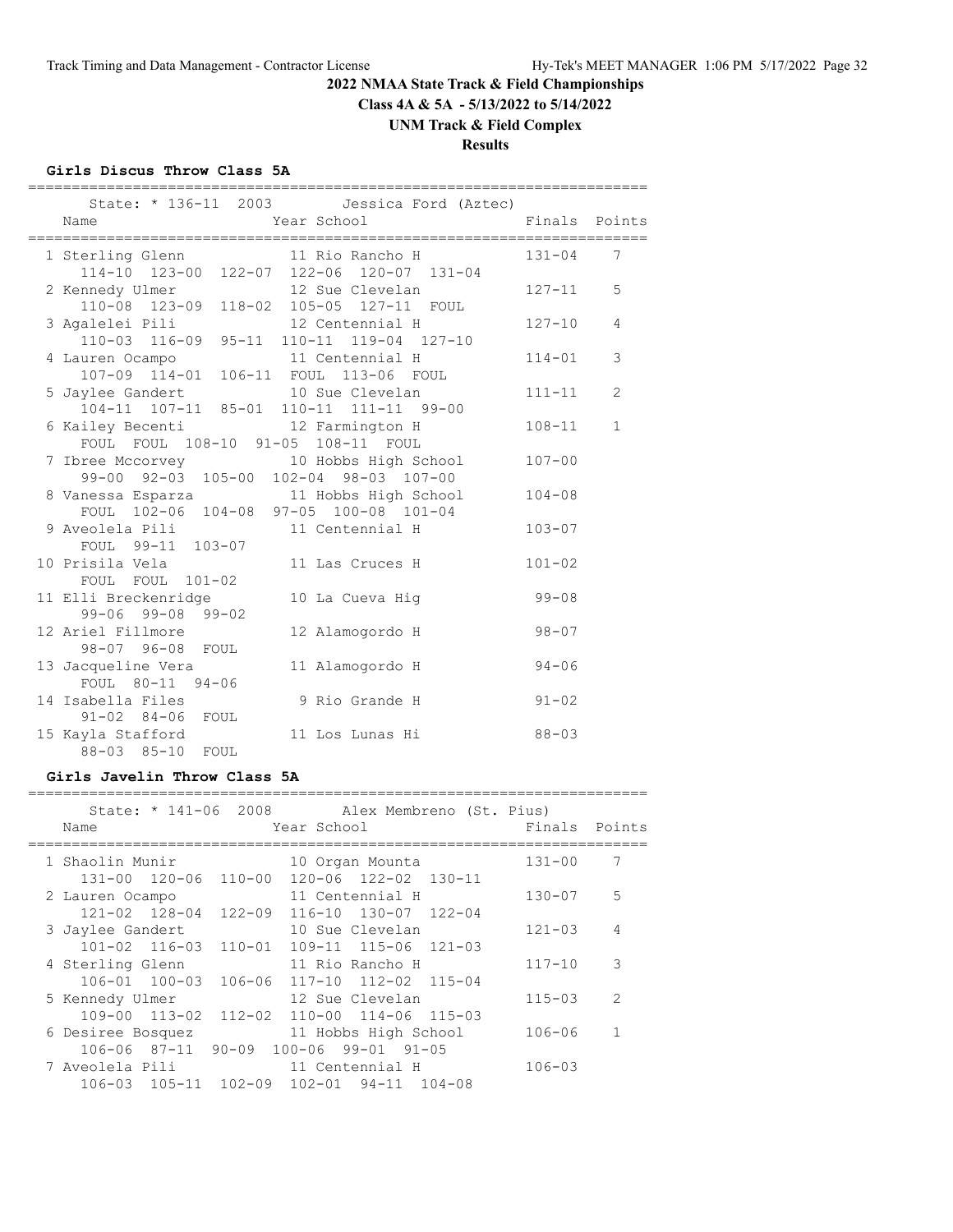**Class 4A & 5A - 5/13/2022 to 5/14/2022**

# **UNM Track & Field Complex**

# **Results**

#### **Girls Discus Throw Class 5A**

| State: * 136-11 2003 Jessica Ford (Aztec)<br>Year School<br>Name                              | Finals Points |                |
|-----------------------------------------------------------------------------------------------|---------------|----------------|
|                                                                                               |               |                |
| 1 Sterling Glenn 11 Rio Rancho H                                                              | $131 - 04$    | 7              |
| 114-10 123-00 122-07 122-06 120-07 131-04                                                     |               |                |
| 2 Kennedy Ulmer 12 Sue Clevelan<br>110-08 123-09 118-02 105-05 127-11 FOUL<br>12 Sue Clevelan | $127 - 11$    | 5              |
|                                                                                               |               |                |
| 3 Agalelei Pili<br>12 Centennial H                                                            | $127 - 10$    | $\overline{4}$ |
| 110-03 116-09 95-11 110-11 119-04 127-10                                                      |               |                |
| 11 Centennial H<br>4 Lauren Ocampo                                                            | $114 - 01$    | 3              |
| 107-09 114-01 106-11 FOUL 113-06 FOUL                                                         |               |                |
| 10 Sue Clevelan<br>5 Jaylee Gandert                                                           | $111 - 11$    | 2              |
| 104-11 107-11 85-01 110-11 111-11 99-00                                                       |               |                |
| 6 Kailey Becenti 12 Farmington H                                                              | $108 - 11$    | $\mathbf{1}$   |
| FOUL FOUL 108-10 91-05 108-11 FOUL                                                            |               |                |
| 7 Ibree Mccorvey 10 Hobbs High School                                                         | $107 - 00$    |                |
| 99-00 92-03 105-00 102-04 98-03 107-00                                                        |               |                |
| 8 Vanessa Esparza 11 Hobbs High School                                                        | $104 - 08$    |                |
| FOUL 102-06 104-08 97-05 100-08 101-04                                                        |               |                |
| 9 Aveolela Pili                           11 Centennial H                                     | $103 - 07$    |                |
| FOUL 99-11 103-07                                                                             |               |                |
| 10 Prisila Vela<br>11 Las Cruces H                                                            | $101 - 02$    |                |
| FOUL FOUL 101-02                                                                              |               |                |
| 11 Elli Breckenridge<br>10 La Cueva Hig                                                       | $99 - 08$     |                |
| $99 - 06$ $99 - 08$ $99 - 02$                                                                 |               |                |
| 12 Ariel Fillmore<br>12 Alamogordo H                                                          | $98 - 07$     |                |
| 98-07 96-08 FOUL                                                                              |               |                |
| 13 Jacqueline Vera<br>11 Alamogordo H                                                         | $94 - 06$     |                |
| FOUL 80-11 94-06                                                                              |               |                |
| 14 Isabella Files<br>9 Rio Grande H                                                           | $91 - 02$     |                |
| 91-02 84-06 FOUL                                                                              |               |                |
| 15 Kayla Stafford<br>11 Los Lunas Hi                                                          | $88 - 03$     |                |
| 88-03 85-10<br>FOUL                                                                           |               |                |

#### **Girls Javelin Throw Class 5A**

| Name                  | State: * 141-06 2008 Alex Membreno (St. Pius)<br>Year School | Finals     | Points         |
|-----------------------|--------------------------------------------------------------|------------|----------------|
| 1 Shaolin Munir       | 10 Organ Mounta                                              | $131 - 00$ | 7              |
| 131-00 120-06 110-00  | 120-06 122-02 130-11                                         |            |                |
| 2 Lauren Ocampo       | 11 Centennial H                                              | $130 - 07$ | 5              |
|                       | 121-02 128-04 122-09 116-10 130-07 122-04                    |            |                |
| 3 Jaylee Gandert      | 10 Sue Clevelan                                              | $121 - 03$ | 4              |
|                       | 101-02 116-03 110-01 109-11 115-06 121-03                    |            |                |
| 4 Sterling Glenn      | 11 Rio Rancho H                                              | $117 - 10$ | 3              |
| 106-01 100-03         | 106-06 117-10 112-02 115-04                                  |            |                |
| 5 Kennedy Ulmer       | 12 Sue Clevelan                                              | $115 - 03$ | $\mathcal{L}$  |
| $109 - 00$ $113 - 02$ | 112-02 110-00 114-06 115-03                                  |            |                |
| 6 Desiree Bosquez     | 11 Hobbs High School                                         | $106 - 06$ | $\overline{1}$ |
| $106 - 06$ 87-11      | $90 - 09$ $100 - 06$ $99 - 01$ $91 - 05$                     |            |                |
| 7 Aveolela Pili       | 11 Centennial H                                              | $106 - 03$ |                |
|                       | 106-03 105-11 102-09 102-01 94-11 104-08                     |            |                |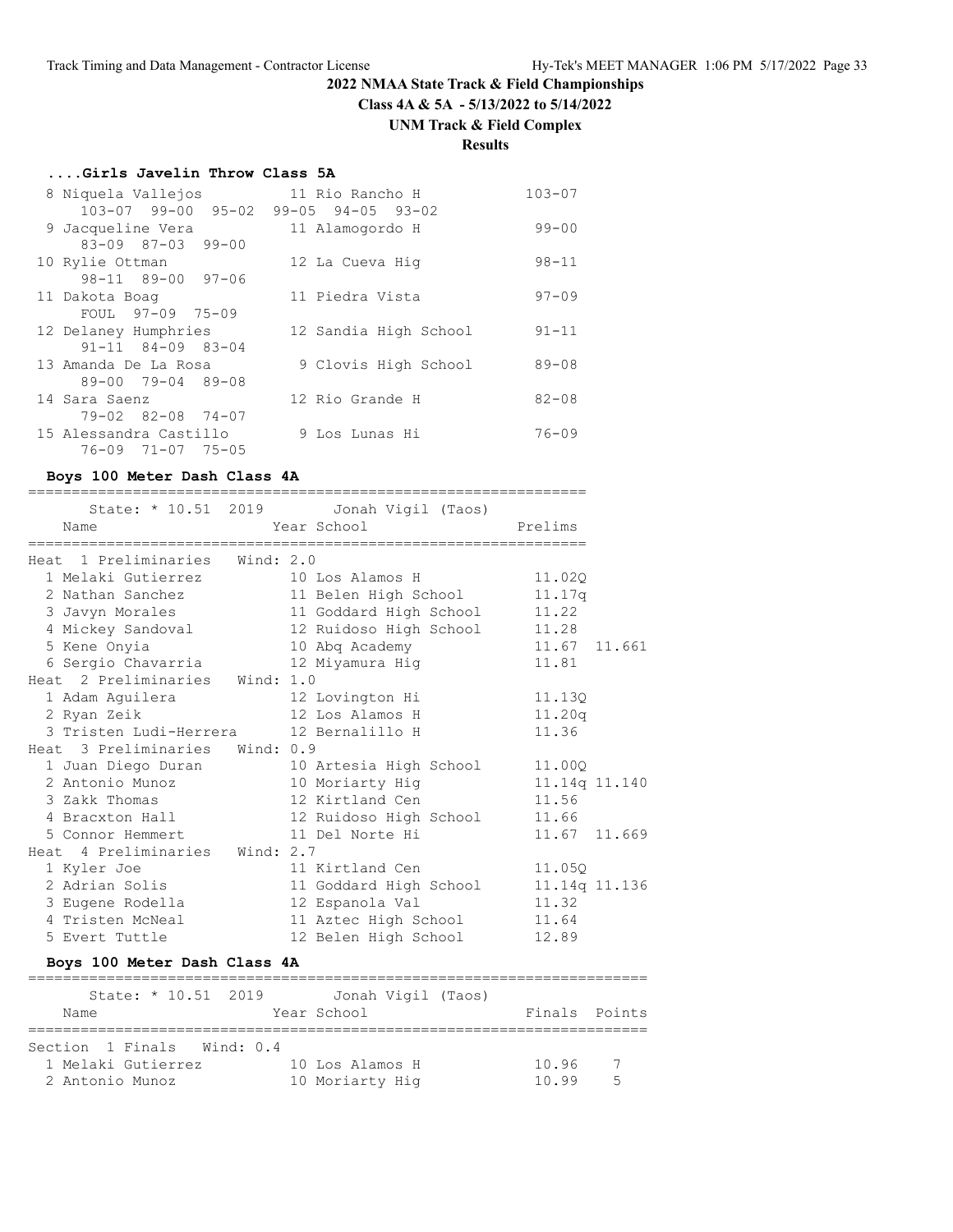**Class 4A & 5A - 5/13/2022 to 5/14/2022**

# **UNM Track & Field Complex**

# **Results**

# **....Girls Javelin Throw Class 5A**

| 8 Niquela Vallejos            | 11 Rio Rancho H               | $103 - 07$ |
|-------------------------------|-------------------------------|------------|
| $103 - 07$ 99-00 95-02        | $99 - 05$ $94 - 05$ $93 - 02$ |            |
| 9 Jacqueline Vera             | 11 Alamogordo H               | $99 - 00$  |
| $83 - 09$ $87 - 03$ $99 - 00$ |                               |            |
| 10 Rylie Ottman               | 12 La Cueva Hig               | $98 - 11$  |
| $98 - 11$ $89 - 00$ $97 - 06$ |                               |            |
| 11 Dakota Boag                | 11 Piedra Vista               | $97 - 09$  |
| FOUL 97-09 75-09              |                               |            |
| 12 Delaney Humphries          | 12 Sandia High School         | $91 - 11$  |
| $91 - 11$ $84 - 09$ $83 - 04$ |                               |            |
| 13 Amanda De La Rosa          | 9 Clovis High School          | $89 - 08$  |
| $89 - 00$ $79 - 04$ $89 - 08$ |                               |            |
| 14 Sara Saenz                 | 12 Rio Grande H               | $82 - 08$  |
| 79-02 82-08 74-07             |                               |            |
| 15 Alessandra Castillo        | 9 Los Lunas Hi                | $76 - 09$  |
| 76-09 71-07 75-05             |                               |            |

# **Boys 100 Meter Dash Class 4A**

|                                                    | State: * 10.51 2019 Jonah Vigil (Taos) |               |
|----------------------------------------------------|----------------------------------------|---------------|
| Name                                               | Year School Prelims                    |               |
| Heat 1 Preliminaries Wind: 2.0                     |                                        |               |
| 1 Melaki Gutierrez 10 Los Alamos H 11.02Q          |                                        |               |
| 2 Nathan Sanchez                                   | 11 Belen High School 11.17q            |               |
| 3 Javyn Morales                                    | 11 Goddard High School 11.22           |               |
| 4 Mickey Sandoval 12 Ruidoso High School 11.28     |                                        |               |
| 5 Kene Onyia                                       | 10 Abq Academy                         | 11.67 11.661  |
| 6 Sergio Chavarria (a. 12 Miyamura Higabush 11.81) |                                        |               |
| Heat 2 Preliminaries Wind: 1.0                     |                                        |               |
| 1 Adam Aquilera                                    | 12 Lovington Hi                        | 11.130        |
| 2 Ryan Zeik                                        | 12 Los Alamos H 11.20q                 |               |
| 3 Tristen Ludi-Herrera 12 Bernalillo H             |                                        | 11.36         |
| Heat 3 Preliminaries Wind: 0.9                     |                                        |               |
| 1 Juan Diego Duran                                 | 10 Artesia High School                 | 11,000        |
| 2 Antonio Munoz                                    | 10 Moriarty Hig                        | 11.14q 11.140 |
| 3 Zakk Thomas                                      | 12 Kirtland Cen                        | 11.56         |
| 4 Bracxton Hall                                    | 12 Ruidoso High School 11.66           |               |
| 5 Connor Hemmert 11 Del Norte Hi                   |                                        | 11.67 11.669  |
| Heat 4 Preliminaries Wind: 2.7                     |                                        |               |
| 1 Kyler Joe                                        | 11 Kirtland Cen                        | 11.050        |
| 2 Adrian Solis                                     | 11 Goddard High School 11.14q 11.136   |               |
| 3 Eugene Rodella                                   | 12 Espanola Val                        | 11.32         |
| 4 Tristen McNeal 11 Aztec High School 11.64        |                                        |               |
| 5 Evert Tuttle                                     | 12 Belen High School                   | 12.89         |

# **Boys 100 Meter Dash Class 4A**

| State: $* 10.51 2019$      | Jonah Vigil (Taos) |               |
|----------------------------|--------------------|---------------|
| Name                       | Year School        | Finals Points |
|                            |                    |               |
| Section 1 Finals Wind: 0.4 |                    |               |
| 1 Melaki Gutierrez         | 10 Los Alamos H    | 10.96         |
| 2 Antonio Munoz            | 10 Moriarty Hig    | 5<br>10.99    |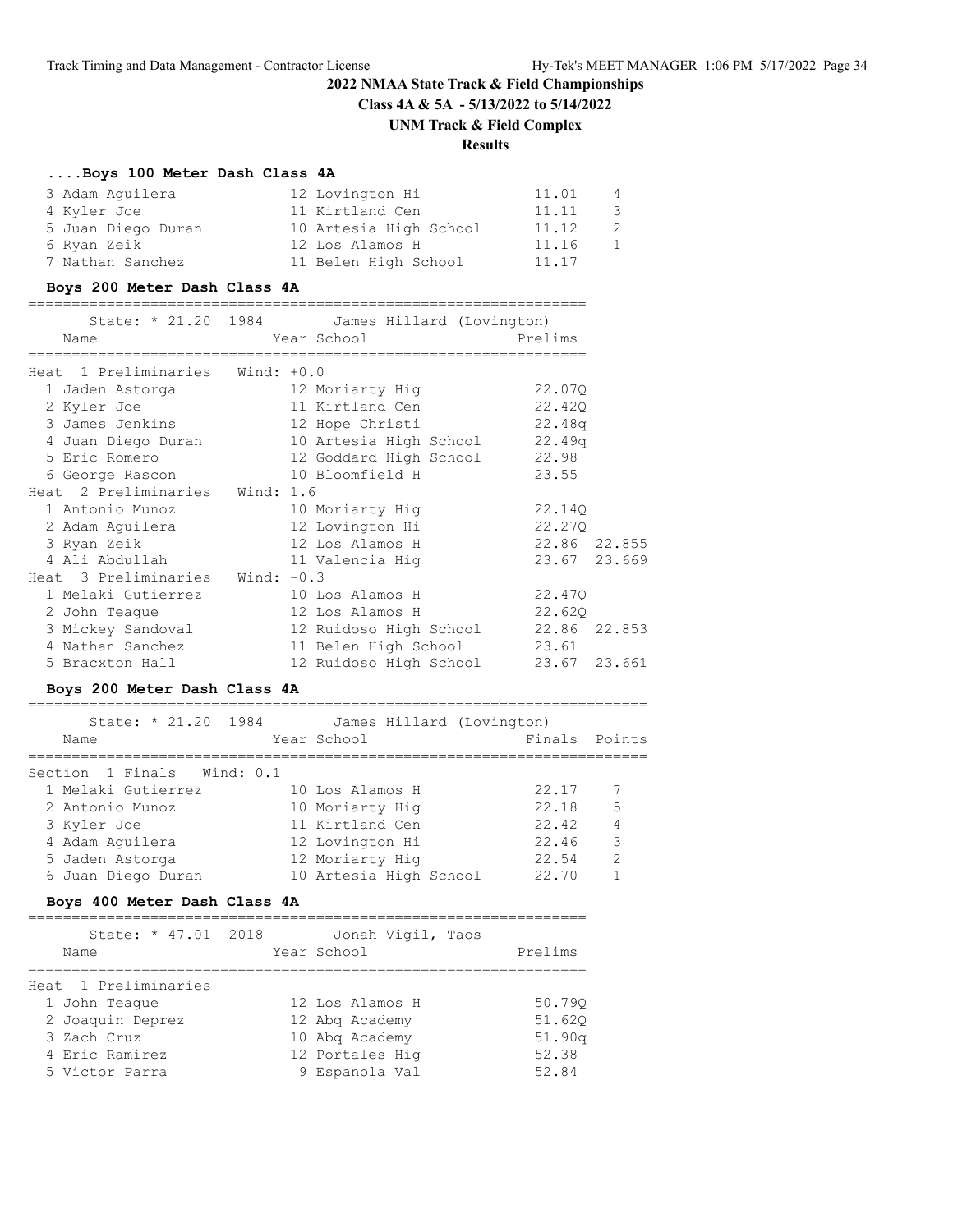# **2022 NMAA State Track & Field Championships Class 4A & 5A - 5/13/2022 to 5/14/2022 UNM Track & Field Complex**

# **Results**

#### **....Boys 100 Meter Dash Class 4A**

| 3 Adam Aquilera    | 12 Lovington Hi        | 11.01 | 4            |
|--------------------|------------------------|-------|--------------|
| 4 Kyler Joe        | 11 Kirtland Cen        | 11.11 | 3            |
| 5 Juan Diego Duran | 10 Artesia High School | 11.12 |              |
| 6 Ryan Zeik        | 12 Los Alamos H        | 11.16 | $\mathbf{1}$ |
| 7 Nathan Sanchez   | 11 Belen High School   | 11.17 |              |

#### **Boys 200 Meter Dash Class 4A**

| Name                                                               | State: * 21.20 1984 James Hillard (Lovington)    |              |
|--------------------------------------------------------------------|--------------------------------------------------|--------------|
| ===============================<br>Heat 1 Preliminaries Wind: +0.0 | =============================                    |              |
| 1 Jaden Astorga                                                    | 12 Moriarty Hig                                  | 22.070       |
| 2 Kyler Joe                                                        | 11 Kirtland Cen                                  | 22.42Q       |
| 3 James Jenkins                                                    | 12 Hope Christi 22.48q                           |              |
|                                                                    | 4 Juan Diego Duran 10 Artesia High School 22.49q |              |
| 5 Eric Romero                                                      | 12 Goddard High School 22.98                     |              |
| 6 George Rascon 10 Bloomfield H                                    |                                                  | 23.55        |
| Heat 2 Preliminaries Wind: 1.6                                     |                                                  |              |
| 1 Antonio Munoz 10 Moriarty Hig                                    |                                                  | 22.140       |
|                                                                    |                                                  | 22.270       |
| 3 Ryan Zeik                                                        | 12 Los Alamos H                                  | 22.86 22.855 |
| 4 Ali Abdullah 11 Valencia Hiq                                     |                                                  | 23.67 23.669 |
| Heat 3 Preliminaries Wind: -0.3                                    |                                                  |              |
| 1 Melaki Gutierrez 10 Los Alamos H                                 |                                                  | 22.47Q       |
| 2 John Teague                                                      | 12 Los Alamos H                                  | 22.620       |
| 3 Mickey Sandoval                                                  | 12 Ruidoso High School 22.86 22.853              |              |
| 4 Nathan Sanchez                                                   | 11 Belen High School                             | 23.61        |
| 5 Bracxton Hall                                                    | 12 Ruidoso High School                           | 23.67 23.661 |

#### **Boys 200 Meter Dash Class 4A**

| State: * 21.20 1984<br>James Hillard (Lovington)<br>Finals Points<br>Year School<br>Name |                |
|------------------------------------------------------------------------------------------|----------------|
|                                                                                          |                |
| Section 1 Finals Wind: 0.1                                                               |                |
| 1 Melaki Gutierrez<br>22.17<br>10 Los Alamos H                                           |                |
| 22.18<br>10 Moriarty Hig<br>2 Antonio Munoz                                              | 5              |
| 22.42<br>11 Kirtland Cen<br>3 Kyler Joe                                                  | $\overline{4}$ |
| 22.46<br>4 Adam Aquilera<br>12 Lovington Hi                                              | 3              |
| 12 Moriarty Hig<br>22.54<br>5 Jaden Astorga                                              | $\mathcal{L}$  |
| 10 Artesia High School<br>22.70<br>6 Juan Diego Duran                                    |                |

#### **Boys 400 Meter Dash Class 4A**

| State: * 47.01 2018<br>Name | Jonah Vigil, Taos<br>Year School | Prelims |
|-----------------------------|----------------------------------|---------|
|                             |                                  |         |
| Heat 1 Preliminaries        |                                  |         |
| 1 John Teague               | 12 Los Alamos H                  | 50.790  |
| 2 Joaquin Deprez            | 12 Abg Academy                   | 51.620  |
| 3 Zach Cruz                 | 10 Abg Academy                   | 51.90q  |
| 4 Eric Ramirez              | 12 Portales Hig                  | 52.38   |
| 5 Victor Parra              | 9 Espanola Val                   | 52.84   |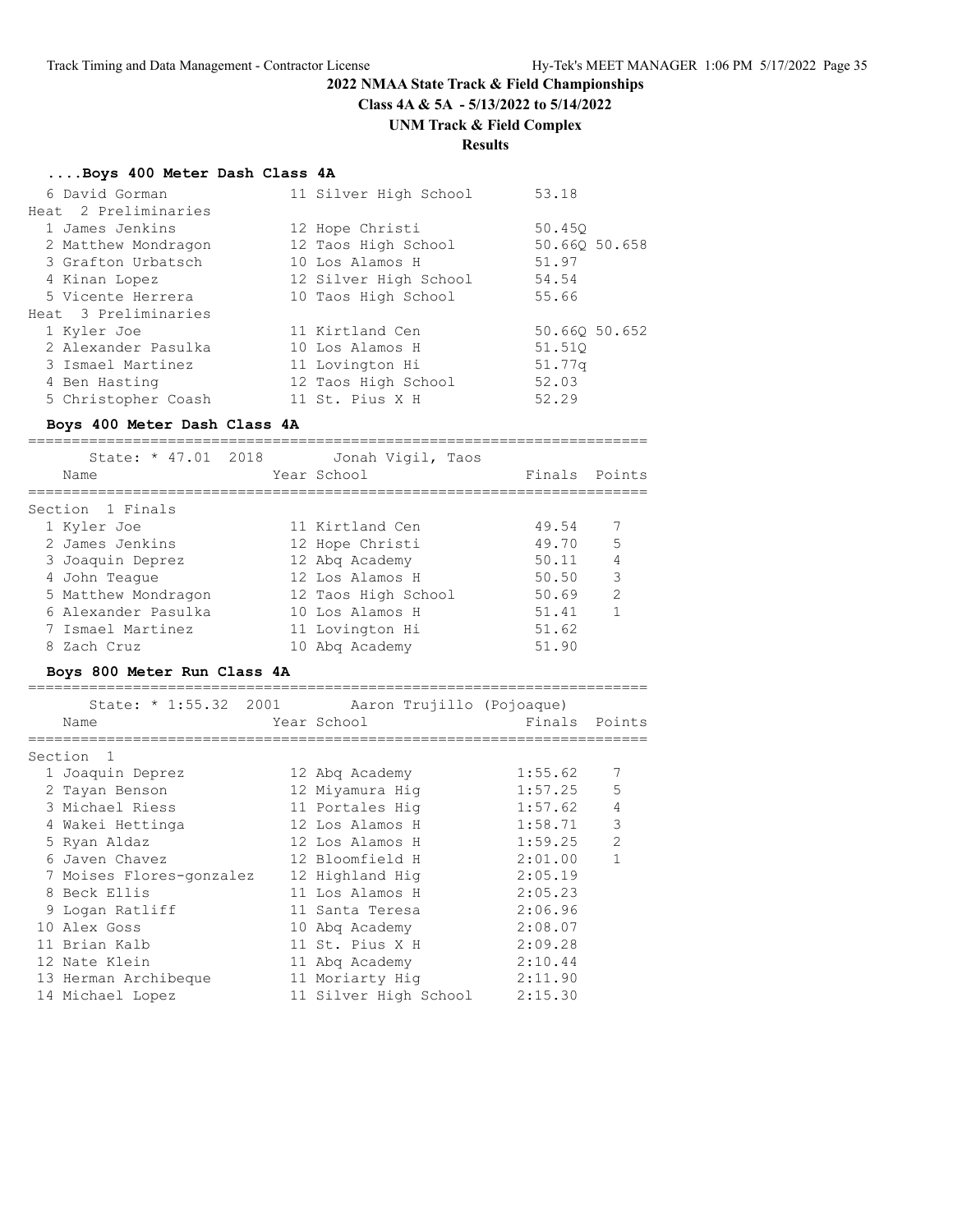# **2022 NMAA State Track & Field Championships Class 4A & 5A - 5/13/2022 to 5/14/2022**

# **UNM Track & Field Complex**

# **Results**

#### **....Boys 400 Meter Dash Class 4A**

| 6 David Gorman       | 11 Silver High School | 53.18         |
|----------------------|-----------------------|---------------|
| Heat 2 Preliminaries |                       |               |
| 1 James Jenkins      | 12 Hope Christi       | 50.450        |
| 2 Matthew Mondragon  | 12 Taos High School   | 50.660 50.658 |
| 3 Grafton Urbatsch   | 10 Los Alamos H       | 51.97         |
| 4 Kinan Lopez        | 12 Silver High School | 54.54         |
| 5 Vicente Herrera    | 10 Taos High School   | 55.66         |
| Heat 3 Preliminaries |                       |               |
| 1 Kyler Joe          | 11 Kirtland Cen       | 50.660 50.652 |
| 2 Alexander Pasulka  | 10 Los Alamos H       | 51.510        |
| 3 Ismael Martinez    | 11 Lovington Hi       | 51.77q        |
| 4 Ben Hasting        | 12 Taos High School   | 52.03         |
| 5 Christopher Coash  | 11 St. Pius X H       | 52.29         |

#### **Boys 400 Meter Dash Class 4A**

=======================================================================

| State: * 47.01 2018<br>Name | Jonah Vigil, Taos<br>Year School | Finals Points |               |
|-----------------------------|----------------------------------|---------------|---------------|
| Section 1 Finals            |                                  |               |               |
| 1 Kyler Joe                 | 11 Kirtland Cen                  | 49.54         |               |
| 2 James Jenkins             | 12 Hope Christi                  | 49.70         | 5             |
| 3 Joaquin Deprez            | 12 Abg Academy                   | 50.11         | 4             |
| 4 John Teaque               | 12 Los Alamos H                  | 50.50         | 3             |
| 5 Matthew Mondragon         | 12 Taos High School              | 50.69         | $\mathcal{L}$ |
| 6 Alexander Pasulka         | 10 Los Alamos H                  | 51.41         |               |
| 7 Ismael Martinez           | 11 Lovington Hi                  | 51.62         |               |
| 8 Zach Cruz                 | 10 Abg Academy                   | 51.90         |               |

#### **Boys 800 Meter Run Class 4A**

| State: * 1:55.32 2001<br>Name | Aaron Trujillo (Pojoaque)<br>Year School | Finals  | Points         |
|-------------------------------|------------------------------------------|---------|----------------|
|                               |                                          |         |                |
| Section<br>-1                 |                                          |         |                |
| 1 Joaquin Deprez              | 12 Abg Academy                           | 1:55.62 |                |
| 2 Tayan Benson                | 12 Miyamura Hiq                          | 1:57.25 | 5              |
| 3 Michael Riess               | 11 Portales Hig                          | 1:57.62 | $\overline{4}$ |
| 4 Wakei Hettinga              | 12 Los Alamos H                          | 1:58.71 | 3              |
| 5 Ryan Aldaz                  | 12 Los Alamos H                          | 1:59.25 | $\overline{2}$ |
| 6 Javen Chavez                | 12 Bloomfield H                          | 2:01.00 | 1              |
| 7 Moises Flores-gonzalez      | 12 Highland Hig                          | 2:05.19 |                |
| 8 Beck Ellis                  | 11 Los Alamos H                          | 2:05.23 |                |
| 9 Logan Ratliff               | 11 Santa Teresa                          | 2:06.96 |                |
| 10 Alex Goss                  | 10 Abg Academy                           | 2:08.07 |                |
| 11 Brian Kalb                 | 11 St. Pius X H                          | 2:09.28 |                |
| 12 Nate Klein                 | 11 Abg Academy                           | 2:10.44 |                |
| 13 Herman Archibeque          | 11 Moriarty Hig                          | 2:11.90 |                |
| 14 Michael Lopez              | 11 Silver High School                    | 2:15.30 |                |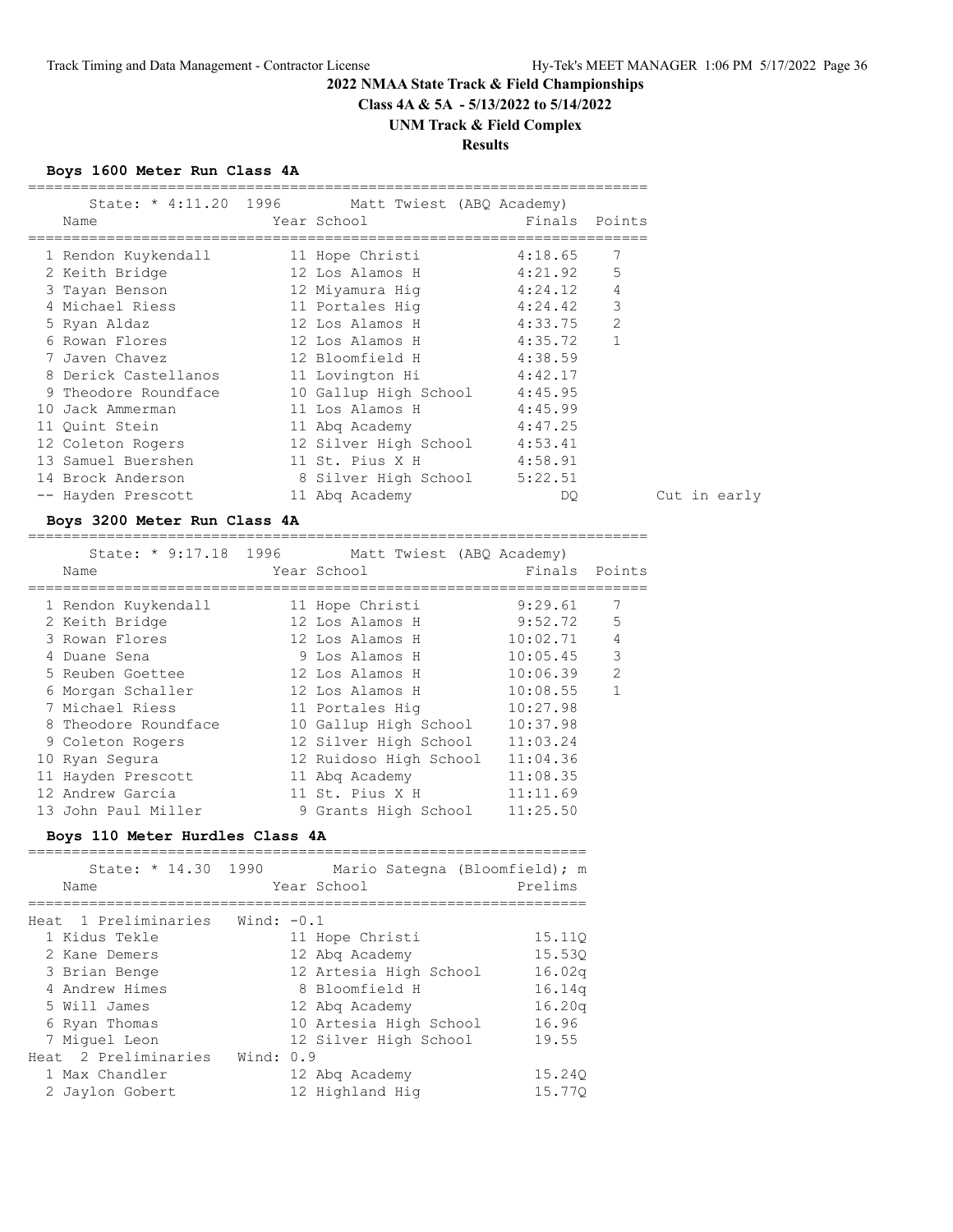**Class 4A & 5A - 5/13/2022 to 5/14/2022**

# **UNM Track & Field Complex**

# **Results**

# **Boys 1600 Meter Run Class 4A**

| Name                 | State: * 4:11.20 1996 Matt Twiest (ABQ Academy)<br>Year School | Finals Points |              |
|----------------------|----------------------------------------------------------------|---------------|--------------|
| 1 Rendon Kuykendall  | 11 Hope Christi                                                | 4:18.65       | 7            |
| 2 Keith Bridge       | 12 Los Alamos H                                                | 4:21.92       | 5            |
| 3 Tayan Benson       | 12 Miyamura Hiq                                                | 4:24.12       | 4            |
| 4 Michael Riess      | 11 Portales Hig                                                | 4:24.42       | 3            |
| 5 Ryan Aldaz         | 12 Los Alamos H                                                | 4:33.75       | 2            |
| 6 Rowan Flores       | 12 Los Alamos H                                                | 4:35.72       | $\mathbf{1}$ |
| 7 Javen Chavez       | 12 Bloomfield H                                                | 4:38.59       |              |
| 8 Derick Castellanos | 11 Lovington Hi                                                | 4:42.17       |              |
| 9 Theodore Roundface | 10 Gallup High School 4:45.95                                  |               |              |
| Jack Ammerman<br>10  | 11 Los Alamos H                                                | 4:45.99       |              |
| 11 Ouint Stein       | 11 Abg Academy                                                 | 4:47.25       |              |
| 12 Coleton Rogers    | 12 Silver High School 4:53.41                                  |               |              |
| 13 Samuel Buershen   | 11 St. Pius X H                                                | 4:58.91       |              |
| 14 Brock Anderson    | 8 Silver High School                                           | 5:22.51       |              |
| -- Hayden Prescott   | 11 Abg Academy                                                 | DQ.           |              |

#### **Boys 3200 Meter Run Class 4A**

======================================================================= State: \* 9:17.18 1996 Matt Twiest (ABQ Academy)

| Name                 | Year School            | Finals   | Points         |
|----------------------|------------------------|----------|----------------|
| 1 Rendon Kuykendall  | 11 Hope Christi        | 9:29.61  |                |
| 2 Keith Bridge       | 12 Los Alamos H        | 9:52.72  | 5              |
| 3 Rowan Flores       | 12 Los Alamos H        | 10:02.71 | $\overline{4}$ |
| 4 Duane Sena         | 9 Los Alamos H         | 10:05.45 | 3              |
| 5 Reuben Goettee     | 12 Los Alamos H        | 10:06.39 | $\overline{2}$ |
| 6 Morgan Schaller    | 12 Los Alamos H        | 10:08.55 |                |
| 7 Michael Riess      | 11 Portales Hig        | 10:27.98 |                |
| 8 Theodore Roundface | 10 Gallup High School  | 10:37.98 |                |
| 9 Coleton Rogers     | 12 Silver High School  | 11:03.24 |                |
| 10 Ryan Segura       | 12 Ruidoso High School | 11:04.36 |                |
| 11 Hayden Prescott   | 11 Abg Academy         | 11:08.35 |                |
| 12 Andrew Garcia     | 11 St. Pius X H        | 11:11.69 |                |
| 13 John Paul Miller  | 9 Grants High School   | 11:25.50 |                |

#### **Boys 110 Meter Hurdles Class 4A**

| State: * 14.30 1990<br>Name |              | Mario Sategna (Bloomfield); m<br>Year School | Prelims |
|-----------------------------|--------------|----------------------------------------------|---------|
| Heat 1 Preliminaries        | Wind: $-0.1$ |                                              |         |
| 1 Kidus Tekle               |              | 11 Hope Christi                              | 15.110  |
| 2 Kane Demers               |              | 12 Abg Academy                               | 15.530  |
| 3 Brian Benge               |              | 12 Artesia High School                       | 16.02q  |
| 4 Andrew Himes              |              | 8 Bloomfield H                               | 16.14q  |
| 5 Will James                |              | 12 Abg Academy                               | 16.20q  |
| 6 Ryan Thomas               |              | 10 Artesia High School                       | 16.96   |
| 7 Miquel Leon               |              | 12 Silver High School                        | 19.55   |
| Heat 2 Preliminaries        | Wind: 0.9    |                                              |         |
| 1 Max Chandler              |              | 12 Abg Academy                               | 15.240  |
| 2 Jaylon Gobert             |              | 12 Highland Hig                              | 15.770  |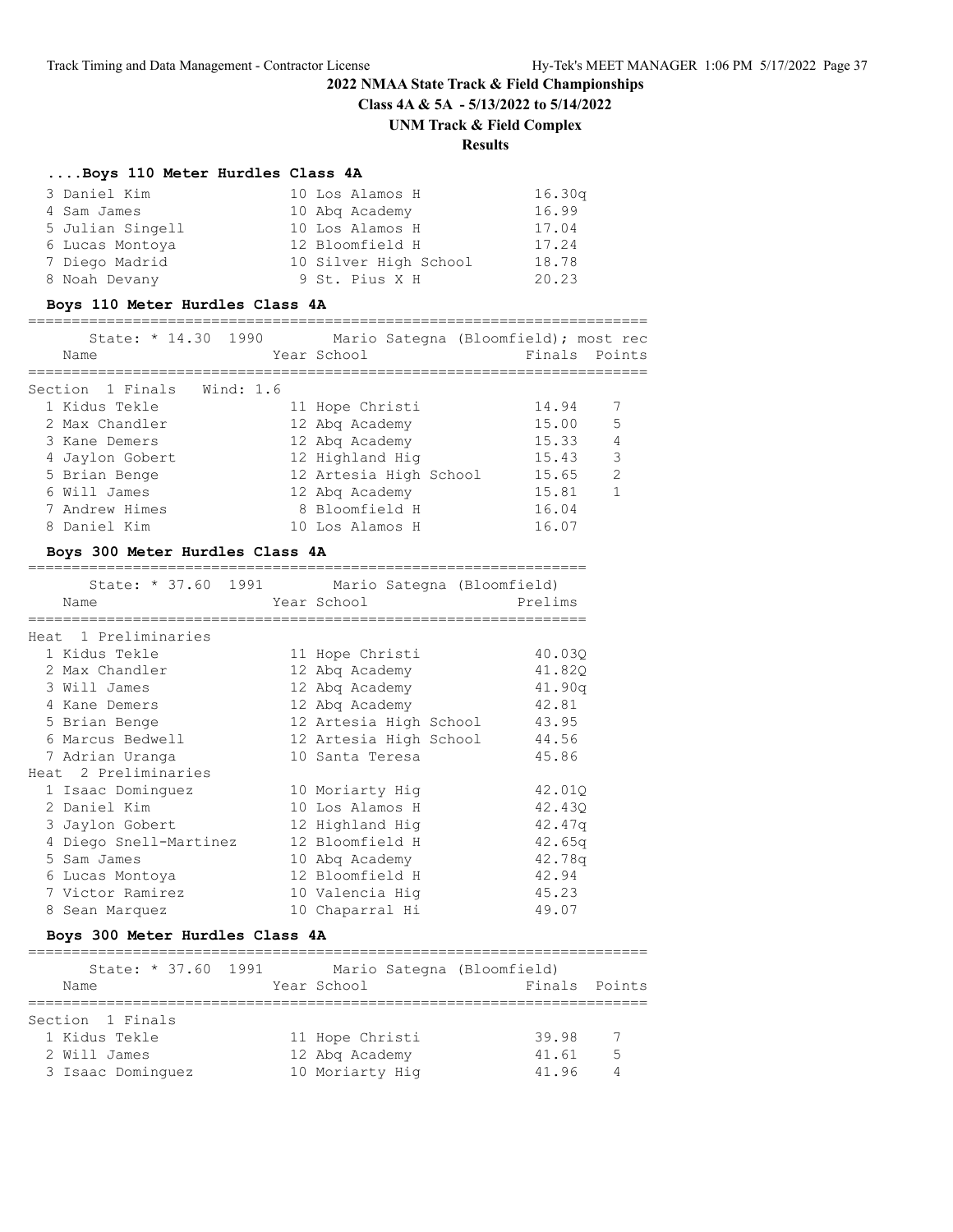**Class 4A & 5A - 5/13/2022 to 5/14/2022**

#### **UNM Track & Field Complex**

# **Results**

#### **....Boys 110 Meter Hurdles Class 4A**

| 3 Daniel Kim     | 10 Los Alamos H       | 16.30q |
|------------------|-----------------------|--------|
| 4 Sam James      | 10 Abg Academy        | 16.99  |
| 5 Julian Singell | 10 Los Alamos H       | 17.04  |
| 6 Lucas Montoya  | 12 Bloomfield H       | 17.24  |
| 7 Diego Madrid   | 10 Silver High School | 18.78  |
| 8 Noah Devany    | 9 St. Pius X H        | 20.23  |

#### **Boys 110 Meter Hurdles Class 4A**

#### ======================================================================= State: \* 14.30 1990 Mario Sategna (Bloomfield); most rec Name Year School Finals Points ======================================================================= Section 1 Finals Wind: 1.6 1 Kidus Tekle 11 Hope Christi 14.94 7 2 Max Chandler 12 Abq Academy 15.00 5 3 Kane Demers 12 Abq Academy 15.33 4 4 Jaylon Gobert 12 Highland Hig 15.43 3 5 Brian Benge 12 Artesia High School 15.65 2 6 Will James 12 Abq Academy 15.81 1

#### **Boys 300 Meter Hurdles Class 4A**

|                        | State: * 37.60 1991 Mario Sategna (Bloomfield) |         |
|------------------------|------------------------------------------------|---------|
| Name                   | Year School                                    | Prelims |
|                        |                                                |         |
| Heat 1 Preliminaries   |                                                |         |
| 1 Kidus Tekle          | 11 Hope Christi                                | 40.03Q  |
| 2 Max Chandler         | 12 Abq Academy                                 | 41.82Q  |
| 3 Will James           | 12 Abg Academy                                 | 41.90a  |
| 4 Kane Demers          | 12 Abg Academy                                 | 42.81   |
| 5 Brian Benge          | 12 Artesia High School                         | 43.95   |
| 6 Marcus Bedwell       | 12 Artesia High School                         | 44.56   |
| 7 Adrian Uranga        | 10 Santa Teresa                                | 45.86   |
| Heat 2 Preliminaries   |                                                |         |
| 1 Isaac Dominquez      | 10 Moriarty Hig                                | 42.01Q  |
| 2 Daniel Kim           | 10 Los Alamos H                                | 42.430  |
| 3 Jaylon Gobert        | 12 Highland Hig                                | 42.47q  |
| 4 Diego Snell-Martinez | 12 Bloomfield H                                | 42.65q  |
| 5 Sam James            | 10 Abg Academy                                 | 42.78q  |
| 6 Lucas Montoya        | 12 Bloomfield H                                | 42.94   |
| 7 Victor Ramirez       | 10 Valencia Hiq                                | 45.23   |
| 8 Sean Marquez         | 10 Chaparral Hi                                | 49.07   |

 7 Andrew Himes 8 Bloomfield H 16.04 8 Daniel Kim 10 Los Alamos H 16.07

#### **Boys 300 Meter Hurdles Class 4A**

| State: * 37.60 1991 | Mario Sategna (Bloomfield) |               |                |
|---------------------|----------------------------|---------------|----------------|
| Name                | Year School                | Finals Points |                |
|                     |                            |               |                |
| Section 1 Finals    |                            |               |                |
| 1 Kidus Tekle       | 11 Hope Christi            | 39.98         | $\overline{7}$ |
| 2 Will James        | 12 Abg Academy             | 41.61         | - 5            |
| 3 Isaac Dominquez   | 10 Moriarty Hig            | 41.96         | 4              |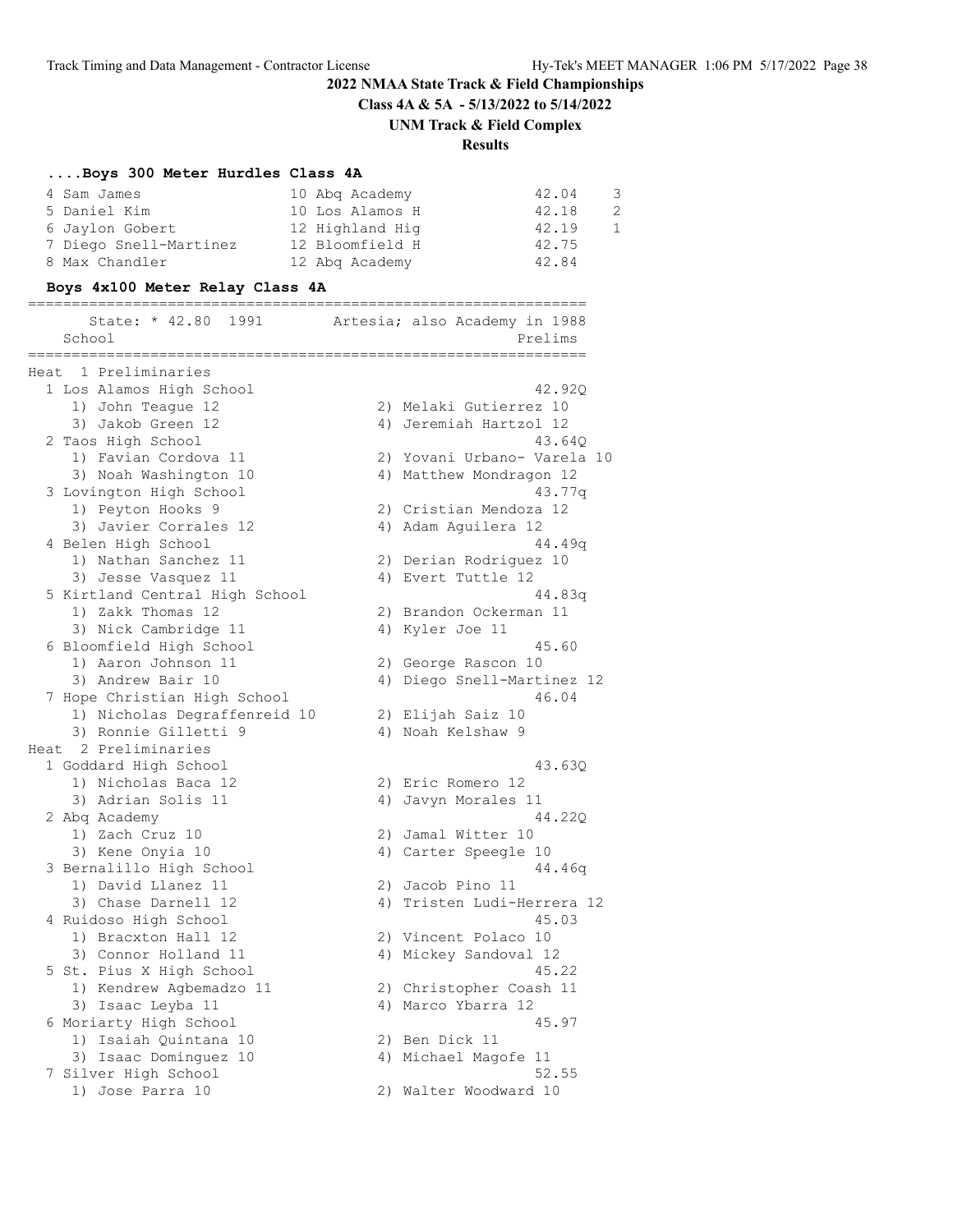**Class 4A & 5A - 5/13/2022 to 5/14/2022**

**UNM Track & Field Complex**

# **Results**

# **....Boys 300 Meter Hurdles Class 4A**

| 4 Sam James            | 10 Abg Academy  | 42.04 | 3 |
|------------------------|-----------------|-------|---|
| 5 Daniel Kim           | 10 Los Alamos H | 42.18 |   |
| 6 Jaylon Gobert        | 12 Highland Hig | 42.19 |   |
| 7 Diego Snell-Martinez | 12 Bloomfield H | 42.75 |   |
| 8 Max Chandler         | 12 Abg Academy  | 42.84 |   |

# **Boys 4x100 Meter Relay Class 4A**

|        | =========                                         | =================================== |  |
|--------|---------------------------------------------------|-------------------------------------|--|
|        | State: * 42.80 1991 Artesia; also Academy in 1988 |                                     |  |
| School |                                                   | Prelims                             |  |
|        | ===================                               | =============                       |  |
|        | Heat 1 Preliminaries                              |                                     |  |
|        | 1 Los Alamos High School                          | 42.92Q                              |  |
|        | 1) John Teague 12                                 | 2) Melaki Gutierrez 10              |  |
|        | 3) Jakob Green 12                                 | 4) Jeremiah Hartzol 12              |  |
|        | 2 Taos High School                                | 43.640                              |  |
|        | 1) Favian Cordova 11                              | 2) Yovani Urbano- Varela 10         |  |
|        | 3) Noah Washington 10                             | 4) Matthew Mondragon 12             |  |
|        | 3 Lovington High School                           | 43.77q                              |  |
|        | 1) Peyton Hooks 9                                 | 2) Cristian Mendoza 12              |  |
|        | 3) Javier Corrales 12                             | 4) Adam Aquilera 12                 |  |
|        | 4 Belen High School                               | 44.49q                              |  |
|        | 1) Nathan Sanchez 11                              | 2) Derian Rodriguez 10              |  |
|        | 3) Jesse Vasquez 11                               | 4) Evert Tuttle 12                  |  |
|        | 5 Kirtland Central High School                    | 44.83q                              |  |
|        | 1) Zakk Thomas 12                                 | 2) Brandon Ockerman 11              |  |
|        | 3) Nick Cambridge 11                              | 4) Kyler Joe 11                     |  |
|        | 6 Bloomfield High School                          | 45.60                               |  |
|        | 1) Aaron Johnson 11                               | 2) George Rascon 10                 |  |
|        | 3) Andrew Bair 10                                 | 4) Diego Snell-Martinez 12          |  |
|        | 7 Hope Christian High School                      | 46.04                               |  |
|        | 1) Nicholas Degraffenreid 10                      | 2) Elijah Saiz 10                   |  |
|        | 3) Ronnie Gilletti 9                              | 4) Noah Kelshaw 9                   |  |
|        | Heat 2 Preliminaries                              |                                     |  |
|        | 1 Goddard High School                             | 43.63Q                              |  |
|        | 1) Nicholas Baca 12                               | 2) Eric Romero 12                   |  |
|        | 3) Adrian Solis 11                                | 4) Javyn Morales 11                 |  |
|        | 2 Abq Academy                                     | 44.22Q                              |  |
|        | 1) Zach Cruz 10                                   | 2) Jamal Witter 10                  |  |
|        | 3) Kene Onyia 10                                  | 4) Carter Speegle 10                |  |
|        | 3 Bernalillo High School                          | 44.46q                              |  |
|        | 1) David Llanez 11                                | 2) Jacob Pino 11                    |  |
|        | 3) Chase Darnell 12                               | 4) Tristen Ludi-Herrera 12          |  |
|        | 4 Ruidoso High School                             | 45.03                               |  |
|        | 1) Bracxton Hall 12                               | 2) Vincent Polaco 10                |  |
|        | 3) Connor Holland 11                              | 4) Mickey Sandoval 12               |  |
|        | 5 St. Pius X High School                          | 45.22                               |  |
|        | 1) Kendrew Agbemadzo 11                           | 2) Christopher Coash 11             |  |
|        | 3) Isaac Leyba 11                                 | 4) Marco Ybarra 12                  |  |
|        | 6 Moriarty High School                            | 45.97                               |  |
|        | 1) Isaiah Quintana 10                             | 2) Ben Dick 11                      |  |
|        | 3) Isaac Dominguez 10                             | 4) Michael Magofe 11                |  |
|        | 7 Silver High School                              | 52.55                               |  |
|        | 1) Jose Parra 10                                  | 2) Walter Woodward 10               |  |
|        |                                                   |                                     |  |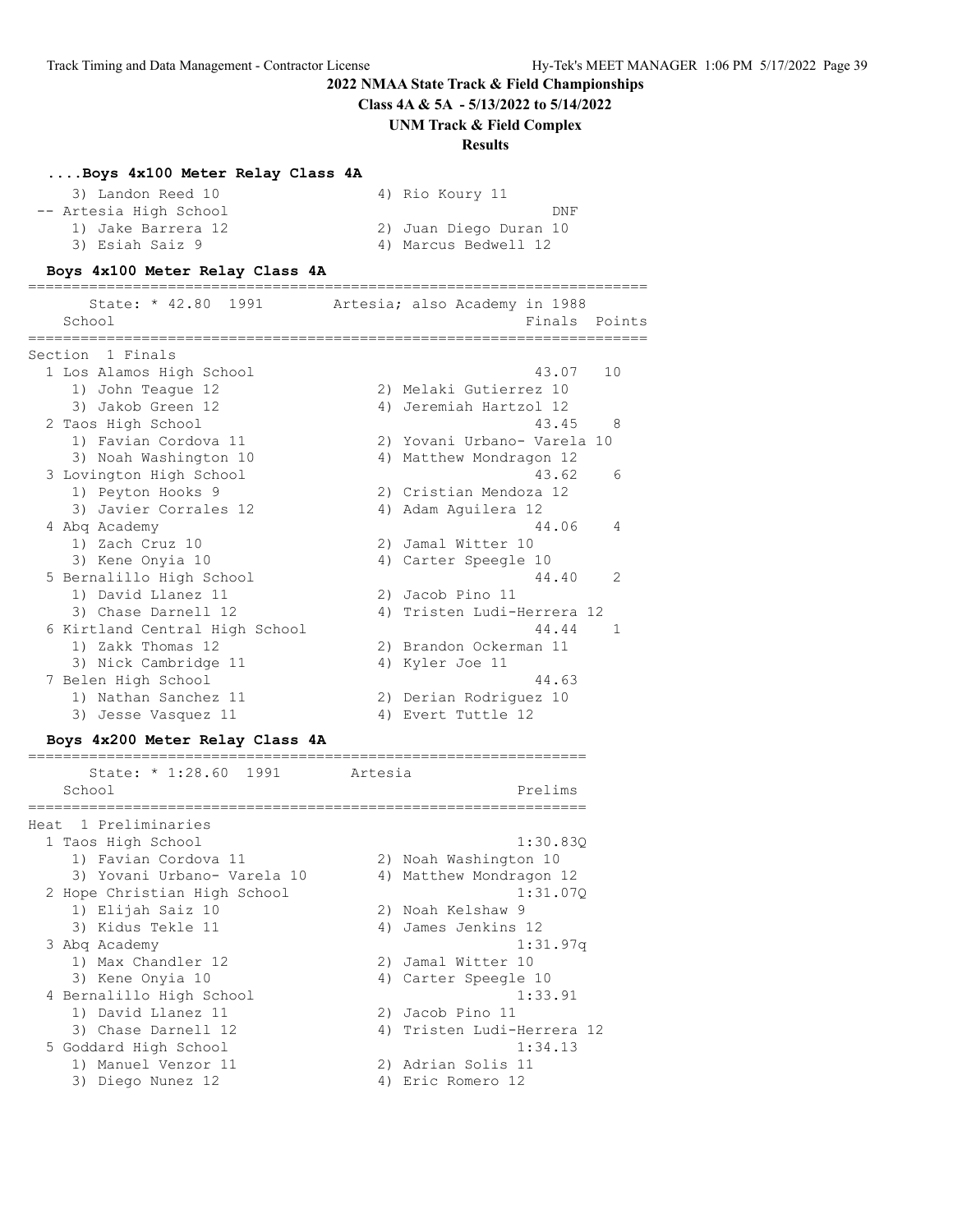**Class 4A & 5A - 5/13/2022 to 5/14/2022**

**UNM Track & Field Complex**

#### **Results**

#### **....Boys 4x100 Meter Relay Class 4A**

| 3) Landon Reed 10      | 4) Rio Koury 11        |
|------------------------|------------------------|
| -- Artesia High School | DNF                    |
| 1) Jake Barrera 12     | 2) Juan Diego Duran 10 |
| 3) Esiah Saiz 9        | 4) Marcus Bedwell 12   |

#### **Boys 4x100 Meter Relay Class 4A**

======================================================================= State: \* 42.80 1991 Artesia; also Academy in 1988 School **Finals** Points ======================================================================= Section 1 Finals 1 Los Alamos High School 43.07 10 1) John Teague 12 2) Melaki Gutierrez 10 3) Jakob Green 12 4) Jeremiah Hartzol 12 2 Taos High School 43.45 8 1) Favian Cordova 11 2) Yovani Urbano- Varela 10 3) Noah Washington 10 4) Matthew Mondragon 12 3 Lovington High School 43.62 6 1) Peyton Hooks 9 2) Cristian Mendoza 12 3) Javier Corrales 12 (4) Adam Aguilera 12 4 Abq Academy 44.06 4 1) Zach Cruz 10 2) Jamal Witter 10 3) Kene Onyia 10 10 10 4) Carter Speegle 10 5 Bernalillo High School 44.40 2 1) David Llanez 11 2) Jacob Pino 11 3) Chase Darnell 12 4) Tristen Ludi-Herrera 12 6 Kirtland Central High School 44.44 1 1) Zakk Thomas 12 2) Brandon Ockerman 11 3) Nick Cambridge 11 (4) Kyler Joe 11 7 Belen High School 44.63 1) Nathan Sanchez 11 2) Derian Rodriguez 10 3) Jesse Vasquez 11 <a>> 4) Evert Tuttle 12

#### **Boys 4x200 Meter Relay Class 4A**

| State: * 1:28.60 1991        | Artesia                    |
|------------------------------|----------------------------|
| School                       | Prelims                    |
| 1 Preliminaries<br>Heat      |                            |
| 1 Taos High School           | 1:30.830                   |
| 1) Favian Cordova 11         | 2) Noah Washington 10      |
| 3) Yovani Urbano- Varela 10  | 4) Matthew Mondragon 12    |
| 2 Hope Christian High School | 1:31.070                   |
| 1) Elijah Saiz 10            | 2) Noah Kelshaw 9          |
| 3) Kidus Tekle 11            | James Jenkins 12<br>4)     |
| 3 Abg Academy                | 1:31.97q                   |
| 1) Max Chandler 12           | Jamal Witter 10<br>2)      |
| 3) Kene Onyia 10             | 4) Carter Speegle 10       |
| 4 Bernalillo High School     | 1:33.91                    |
| 1) David Llanez 11           | 2) Jacob Pino 11           |
| 3) Chase Darnell 12          | 4) Tristen Ludi-Herrera 12 |
| 5 Goddard High School        | 1:34.13                    |
| 1) Manuel Venzor 11          | 2) Adrian Solis 11         |
| 3) Diego Nunez 12            | Eric Romero 12<br>4)       |
|                              |                            |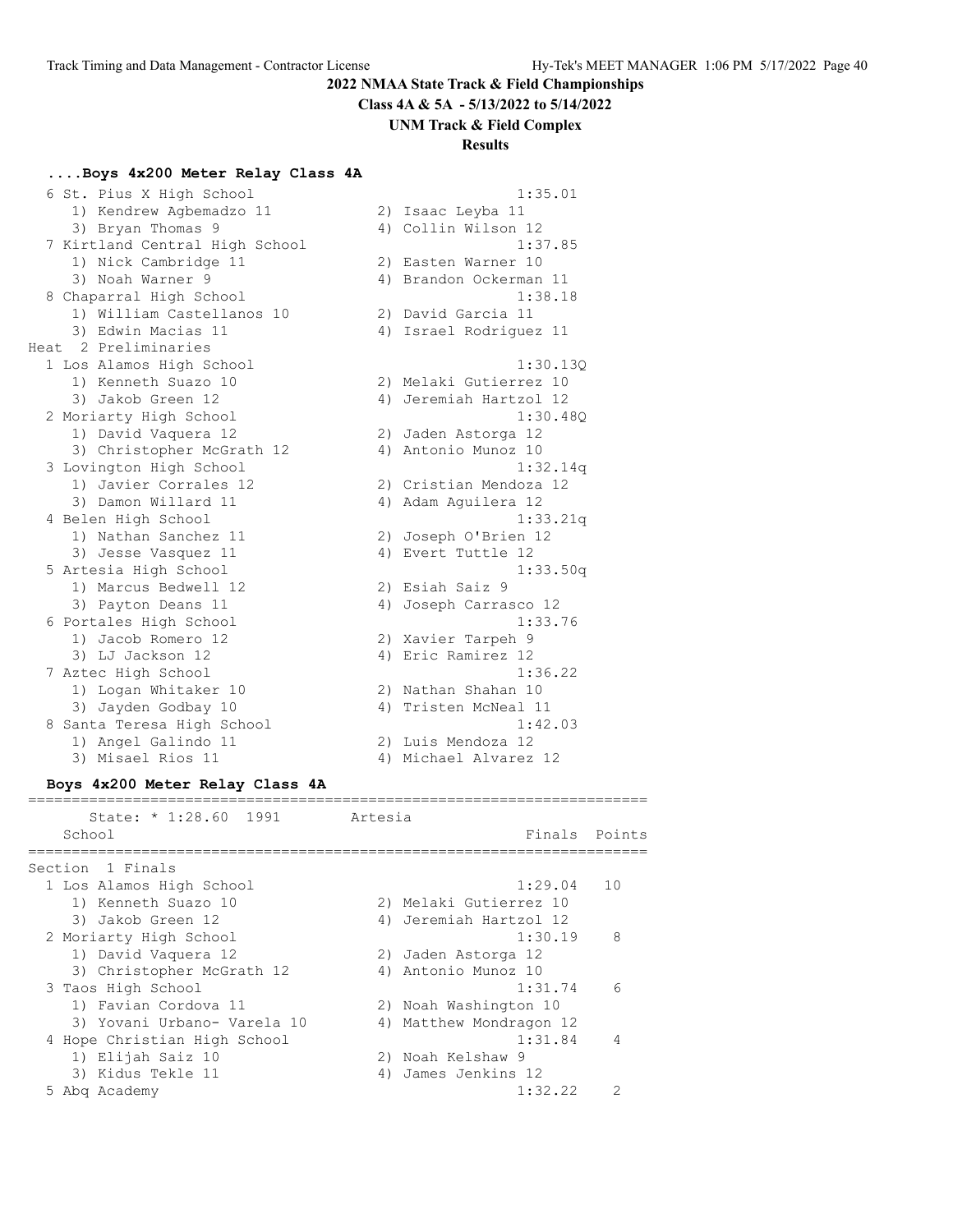**Class 4A & 5A - 5/13/2022 to 5/14/2022**

**UNM Track & Field Complex**

#### **Results**

#### **....Boys 4x200 Meter Relay Class 4A**

 6 St. Pius X High School 1:35.01 1) Kendrew Agbemadzo 11 2) Isaac Leyba 11 3) Bryan Thomas 9 4) Collin Wilson 12 7 Kirtland Central High School 1:37.85 1) Nick Cambridge 11 2) Easten Warner 10 3) Noah Warner 9 4) Brandon Ockerman 11 8 Chaparral High School 1:38.18 1) William Castellanos 10 2) David Garcia 11 3) Edwin Macias 11 4) Israel Rodriguez 11 Heat 2 Preliminaries 1 Los Alamos High School 1:30.13Q 1) Kenneth Suazo 10 2) Melaki Gutierrez 10 3) Jakob Green 12 4) Jeremiah Hartzol 12 2 Moriarty High School 1:30.48Q 1) David Vaquera 12 2) Jaden Astorga 12 3) Christopher McGrath 12 (4) Antonio Munoz 10 3 Lovington High School 1:32.14q 1:32.14<br>
1) Javier Corrales 12 2) Cristian Mendoza 12<br>
3) Damon Willard 11 4) Adam Aguilera 12<br>
1:33.2 3) Damon Willard 11  $\qquad \qquad$  4) Adam Aguilera 12 4 Belen High School 1:33.21q 1) Nathan Sanchez 11 2) Joseph O'Brien 12 3) Jesse Vasquez 11 <a>> 4) Evert Tuttle 12 5 Artesia High School 1:33.50q 1) Marcus Bedwell 12 2) Esiah Saiz 9 3) Payton Deans 11 4) Joseph Carrasco 12 6 Portales High School 1:33.76 1) Jacob Romero 12 2) Xavier Tarpeh 9 3) LJ Jackson 12 (4) Eric Ramirez 12 7 Aztec High School 1:36.22 1) Logan Whitaker 10 2) Nathan Shahan 10 3) Jayden Godbay 10  $\hskip1cm$  4) Tristen McNeal 11 8 Santa Teresa High School 1:42.03 1) Angel Galindo 11 2) Luis Mendoza 12 3) Misael Rios 11 4) Michael Alvarez 12

#### **Boys 4x200 Meter Relay Class 4A**

======================================================================= State: \* 1:28.60 1991 Artesia School **Finals Points** ======================================================================= Section 1 Finals 1 Los Alamos High School 1:29.04 10 1) Kenneth Suazo 10 2) Melaki Gutierrez 10 3) Jakob Green 12 4) Jeremiah Hartzol 12 2 Moriarty High School 2 2 Moriarty 1:30.19 8 1) David Vaquera 12 2) Jaden Astorga 12 3) Christopher McGrath 12 (4) Antonio Munoz 10 3 Taos High School 1:31.74 6 1) Favian Cordova 11 2) Noah Washington 10 3) Yovani Urbano- Varela 10 4) Matthew Mondragon 12 4 Hope Christian High School 1:31.84 4 1) Elijah Saiz 10 2) Noah Kelshaw 9 3) Kidus Tekle 11 (4) James Jenkins 12 5 Abq Academy 1:32.22 2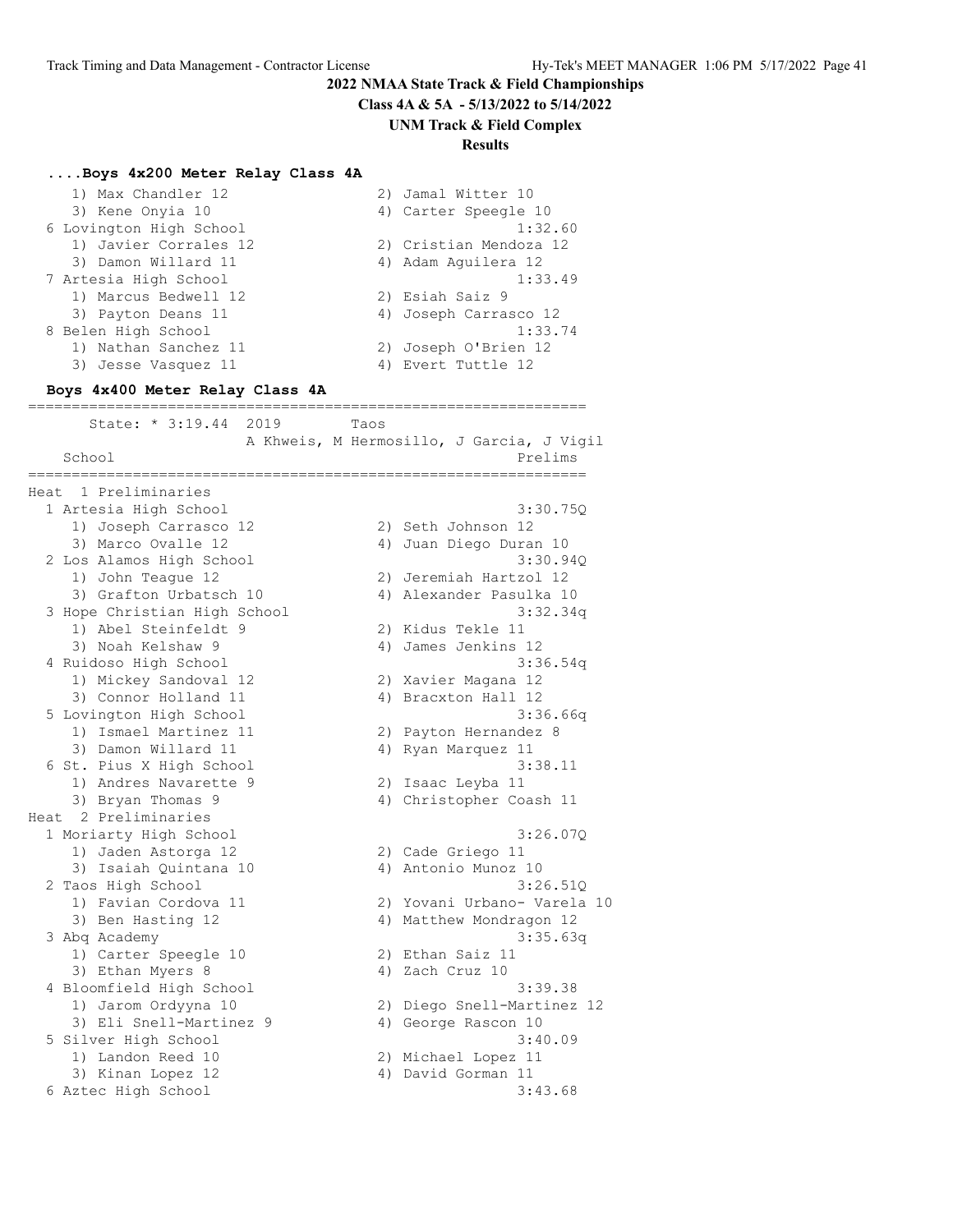**Class 4A & 5A - 5/13/2022 to 5/14/2022**

**UNM Track & Field Complex**

#### **Results**

#### **....Boys 4x200 Meter Relay Class 4A**

| 1) Max Chandler 12      | 2) Jamal Witter 10     |
|-------------------------|------------------------|
| 3) Kene Onyia 10        | 4) Carter Speegle 10   |
| 6 Lovington High School | 1:32.60                |
| 1) Javier Corrales 12   | 2) Cristian Mendoza 12 |
| 3) Damon Willard 11     | 4) Adam Aquilera 12    |
| 7 Artesia High School   | 1:33.49                |
| 1) Marcus Bedwell 12    | 2) Esiah Saiz 9        |
| 3) Payton Deans 11      | 4) Joseph Carrasco 12  |
| 8 Belen High School     | 1:33.74                |
| 1) Nathan Sanchez 11    | 2) Joseph O'Brien 12   |
| 3) Jesse Vasquez 11     | 4) Evert Tuttle 12     |

#### **Boys 4x400 Meter Relay Class 4A**

================================================================ State: \* 3:19.44 2019 Taos A Khweis, M Hermosillo, J Garcia, J Vigil School Prelims and the set of the set of the set of the set of the set of the set of the set of the set of the set of the set of the set of the set of the set of the set of the set of the set of the set of the set of the s ================================================================ Heat 1 Preliminaries 1 Artesia High School 3:30.75Q 1) Joseph Carrasco 12 2) Seth Johnson 12 3) Marco Ovalle 12 4) Juan Diego Duran 10 2 Los Alamos High School 3:30.94Q 1) John Teague 12 2) Jeremiah Hartzol 12 3) Grafton Urbatsch 10 4) Alexander Pasulka 10 3 Hope Christian High School 3:32.34q 1) Abel Steinfeldt 9 2) Kidus Tekle 11 3) Noah Kelshaw 9 4) James Jenkins 12 4 Ruidoso High School 3:36.54q 1) Mickey Sandoval 12 2) Xavier Magana 12 3) Connor Holland 11 (4) Bracxton Hall 12 5 Lovington High School 3:36.66q 1) Ismael Martinez 11 2) Payton Hernandez 8 3) Damon Willard 11  $\hskip1cm$  4) Ryan Marquez 11 6 St. Pius X High School 3:38.11 1) Andres Navarette 9 2) Isaac Leyba 11 3) Bryan Thomas 9 4) Christopher Coash 11 Heat 2 Preliminaries 1 Moriarty High School 3:26.07Q 1) Jaden Astorga 12 2) Cade Griego 11 3) Isaiah Quintana 10  $\hspace{1cm}$  4) Antonio Munoz 10 2 Taos High School 3:26.51Q 1) Favian Cordova 11 2) Yovani Urbano- Varela 10 3) Ben Hasting 12 4) Matthew Mondragon 12 3 Abq Academy 3:35.63q 1) Carter Speegle 10 2) Ethan Saiz 11 3) Ethan Myers 8 4) Zach Cruz 10 4 Bloomfield High School 3:39.38 1) Jarom Ordyyna 10 2) Diego Snell-Martinez 12 3) Eli Snell-Martinez 9 (4) George Rascon 10 5 Silver High School 3:40.09 1) Landon Reed 10 2) Michael Lopez 11 3) Kinan Lopez 12 (4) David Gorman 11 6 Aztec High School 3:43.68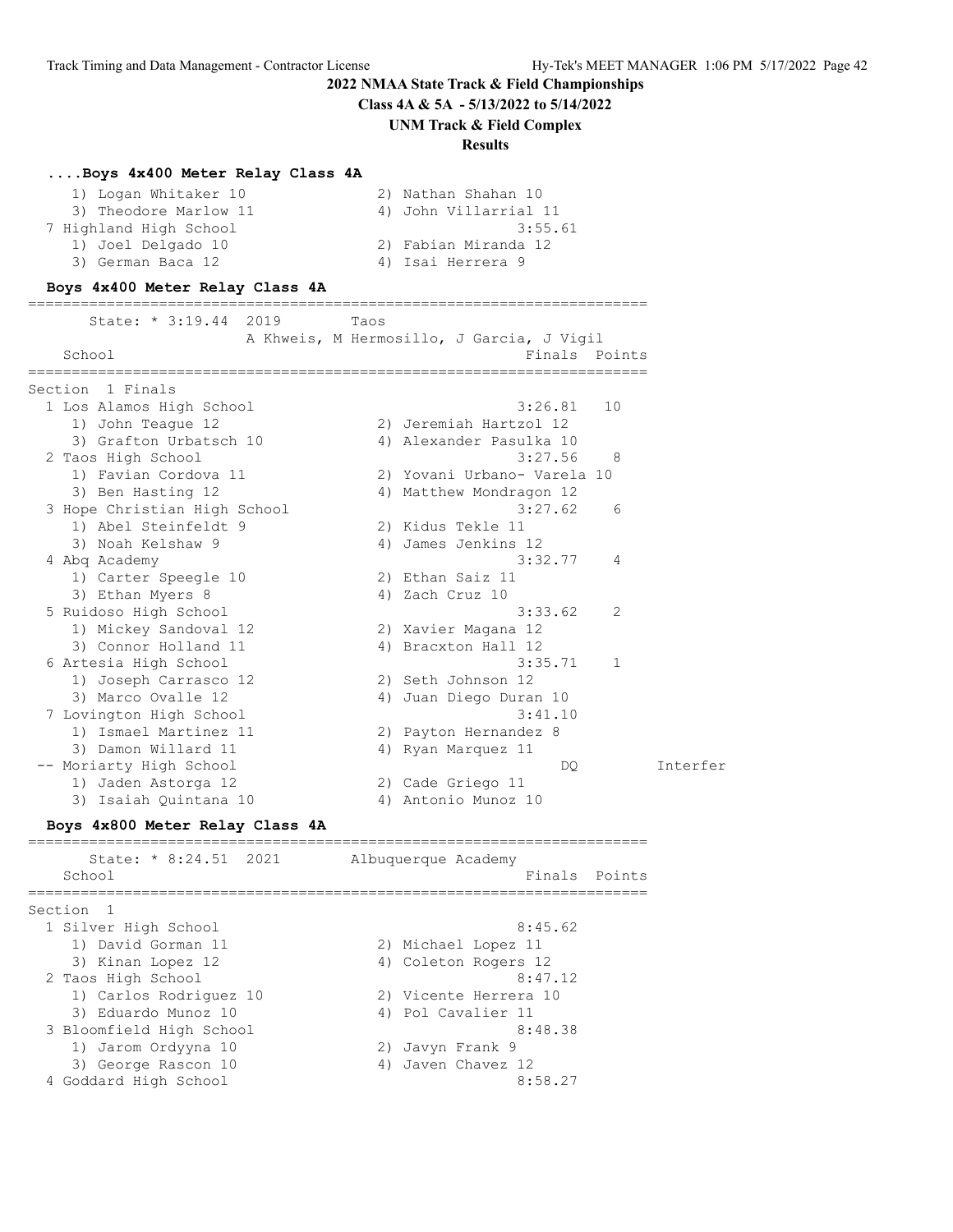**Class 4A & 5A - 5/13/2022 to 5/14/2022**

#### **UNM Track & Field Complex**

#### **Results**

#### **....Boys 4x400 Meter Relay Class 4A**

| 1) Logan Whitaker 10   | 2) Nathan Shahan 10   |
|------------------------|-----------------------|
| 3) Theodore Marlow 11  | 4) John Villarrial 11 |
| 7 Highland High School | 3:55.61               |
| 1) Joel Delgado 10     | 2) Fabian Miranda 12  |
| 3) German Baca 12      | 4) Isai Herrera 9     |

#### **Boys 4x400 Meter Relay Class 4A**

| State: $* 3:19.44$<br>2019   | Taos                                                       |
|------------------------------|------------------------------------------------------------|
| School                       | A Khweis, M Hermosillo, J Garcia, J Vigil<br>Finals Points |
| Section<br>1 Finals          |                                                            |
| 1 Los Alamos High School     | 3:26.81<br>10                                              |
| 1) John Teaque 12            | 2) Jeremiah Hartzol 12                                     |
| 3) Grafton Urbatsch 10       | 4) Alexander Pasulka 10                                    |
| 2 Taos High School           | 3:27.56<br>-8                                              |
| 1) Favian Cordova 11         | 2) Yovani Urbano- Varela 10                                |
| 3) Ben Hasting 12            | Matthew Mondragon 12<br>4)                                 |
| 3 Hope Christian High School | 3:27.62<br>6                                               |
| 1) Abel Steinfeldt 9         | 2) Kidus Tekle 11                                          |
| 3) Noah Kelshaw 9            | 4) James Jenkins 12                                        |
| 4 Abg Academy                | 3:32.77<br>4                                               |
| 1) Carter Speegle 10         | 2) Ethan Saiz 11                                           |
| 3) Ethan Myers 8             | 4) Zach Cruz 10                                            |
| 5 Ruidoso High School        | 3:33.62<br>2                                               |
| 1) Mickey Sandoval 12        | 2) Xavier Magana 12                                        |
| 3) Connor Holland 11         | 4) Bracxton Hall 12                                        |
| 6 Artesia High School        | 3:35.71<br>1                                               |
| 1) Joseph Carrasco 12        | 2) Seth Johnson 12                                         |
| 3) Marco Ovalle 12           | Juan Diego Duran 10<br>4)                                  |
| 7 Lovington High School      | 3:41.10                                                    |
| 1) Ismael Martinez 11        | 2) Payton Hernandez 8                                      |
| 3) Damon Willard 11          | Ryan Marquez 11<br>4)                                      |
| -- Moriarty High School      | DO                                                         |
| 1) Jaden Astorga 12          | 2) Cade Griego 11                                          |
| 3) Isaiah Quintana 10        | 4) Antonio Munoz 10                                        |

#### **Boys 4x800 Meter Relay Class 4A**

======================================================================= State: \* 8:24.51 2021 Albuquerque Academy School Finals Points Points and Points Points Points Points Points Points Points Points Points Points Points Points Points Points Points Points Points Points Points Points Points Points Points Points Points Points Points P ======================================================================= Section 1 1 Silver High School 8:45.62 1) David Gorman 11 2) Michael Lopez 11 3) Kinan Lopez 12 (4) Coleton Rogers 12 2 Taos High School 8:47.12 1) Carlos Rodriguez 10 2) Vicente Herrera 10 3) Eduardo Munoz 10 (4) Pol Cavalier 11 3 Bloomfield High School 8:48.38 1) Jarom Ordyyna 10 2) Javyn Frank 9 3) George Rascon 10 4) Javen Chavez 12 4 Goddard High School 8:58.27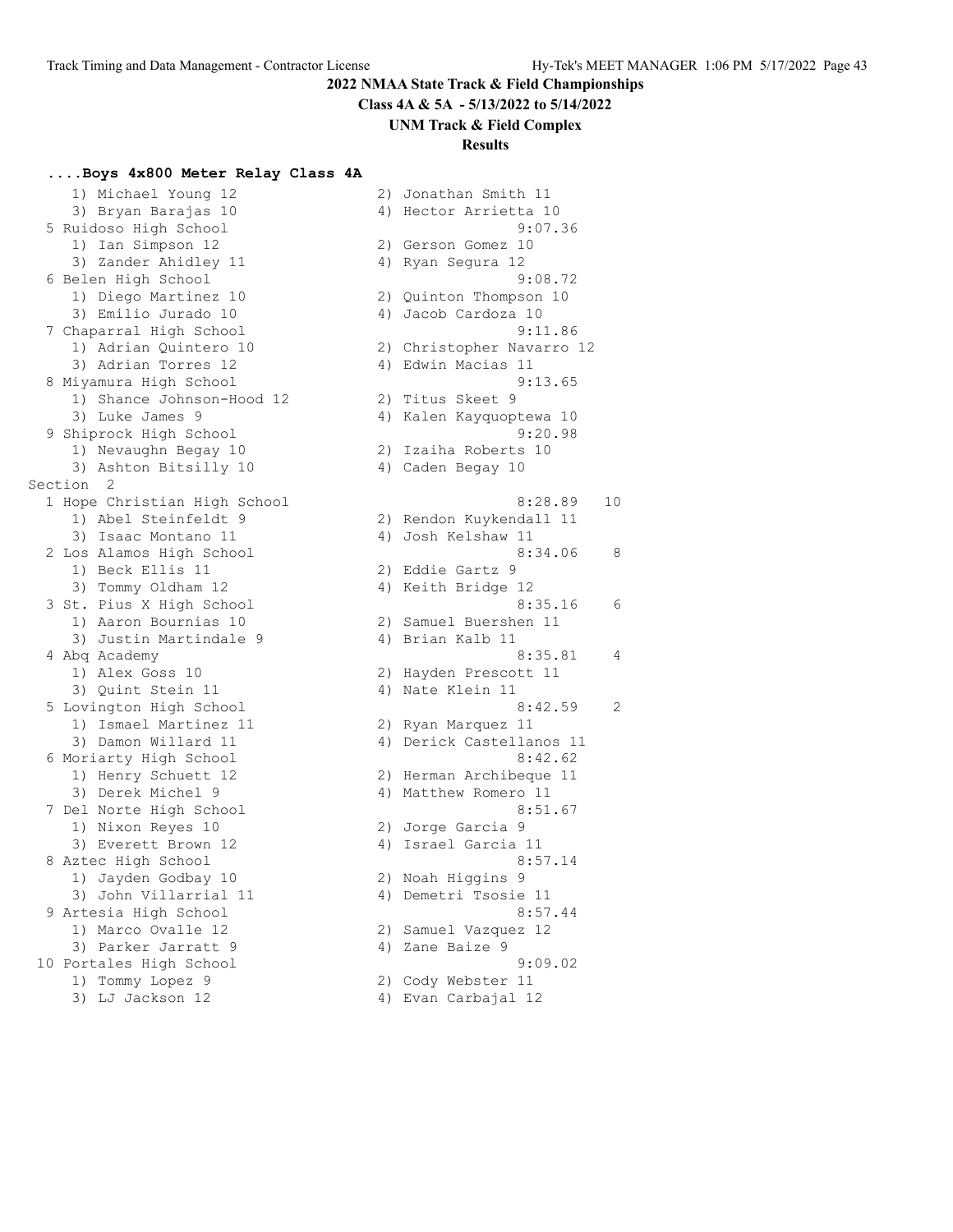**Class 4A & 5A - 5/13/2022 to 5/14/2022**

#### **UNM Track & Field Complex**

#### **Results**

#### **....Boys 4x800 Meter Relay Class 4A**

 1) Michael Young 12 2) Jonathan Smith 11 3) Bryan Barajas 10 4) Hector Arrietta 10 5 Ruidoso High School 9:07.36 1) Ian Simpson 12 2) Gerson Gomez 10 3) Zander Ahidley 11 (4) Ayan Segura 12 6 Belen High School 9:08.72 1) Diego Martinez 10 2) Quinton Thompson 10 3) Emilio Jurado 10 (4) Jacob Cardoza 10 7 Chaparral High School 9:11.86 1) Adrian Quintero 10 2) Christopher Navarro 12 3) Adrian Torres 12 (4) Edwin Macias 11 8 Miyamura High School 9:13.65 1) Shance Johnson-Hood 12 2) Titus Skeet 9 3) Luke James 9 4) Kalen Kayquoptewa 10 9 Shiprock High School 9:20.98 1) Nevaughn Begay 10 2) Izaiha Roberts 10 3) Ashton Bitsilly 10 4) Caden Begay 10 Section 2 1) Abel Steinfeldt 9 2) Rendon Kuykendall 11 3) Isaac Montano 11  $\qquad \qquad \qquad$  4) Josh Kelshaw 11 1) Beck Ellis 11 2) Eddie Gartz 9 3) Tommy Oldham 12 4) Keith Bridge 12 1) Aaron Bournias 10 2) Samuel Buershen 11 3) Justin Martindale 9 (4) Brian Kalb 11 1) Alex Goss 10 2) Hayden Prescott 11 3) Quint Stein 11 4) Nate Klein 11 1) Ismael Martinez 11 2) Ryan Marquez 11 3) Damon Willard 11 4) Derick Castellanos 11 6 Moriarty High School 8:42.62 1) Henry Schuett 12 2) Herman Archibeque 11 3) Derek Michel 9 12 12 12 13 Matthew Romero 11 7 Del Norte High School 8:51.67 1) Nixon Reyes 10 2) Jorge Garcia 9 3) Everett Brown 12 (4) Israel Garcia 11 8 Aztec High School 8:57.14 1) Jayden Godbay 10 2) Noah Higgins 9 3) John Villarrial 11 (4) Demetri Tsosie 11 9 Artesia High School 8:57.44 1) Marco Ovalle 12 2) Samuel Vazquez 12 3) Parker Jarratt 9 (4) 2ane Baize 9 10 Portales High School 9:09.02 1) Tommy Lopez 9 2) Cody Webster 11

 1 Hope Christian High School 8:28.89 10 2 Los Alamos High School 8:34.06 8 3 St. Pius X High School 8:35.16 6 4 Abq Academy 8:35.81 4 5 Lovington High School 8:42.59 2 3) LJ Jackson 12 4) Evan Carbajal 12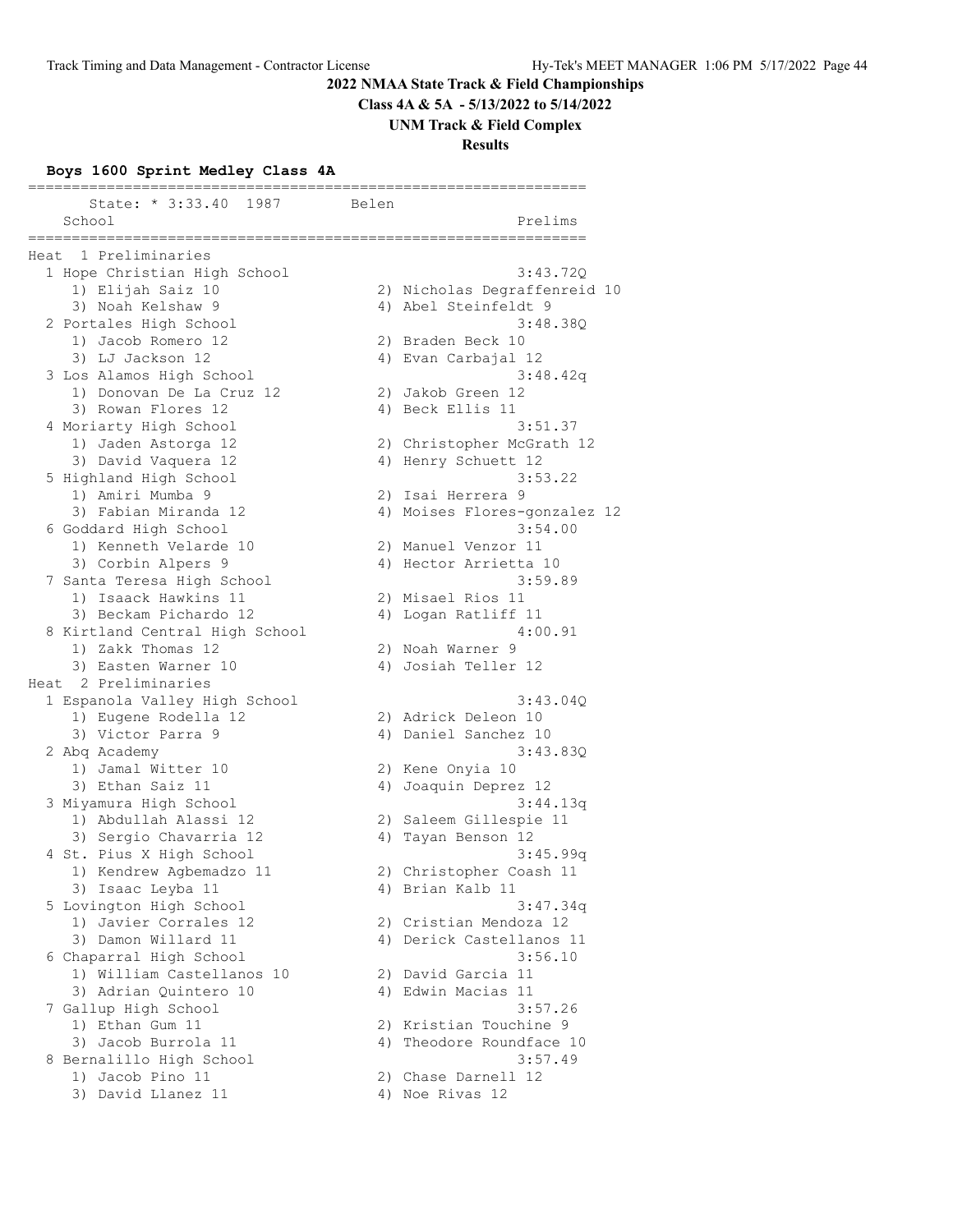**Class 4A & 5A - 5/13/2022 to 5/14/2022**

**UNM Track & Field Complex**

**Results**

#### **Boys 1600 Sprint Medley Class 4A**

================================================================ State: \* 3:33.40 1987 Belen School Prelims ================================================================ Heat 1 Preliminaries 1 Hope Christian High School 3:43.72Q 1) Elijah Saiz 10 2) Nicholas Degraffenreid 10 3) Noah Kelshaw 9 4) Abel Steinfeldt 9 2 Portales High School 3:48.38Q 1) Jacob Romero 12 2) Braden Beck 10 3) LJ Jackson 12 4) Evan Carbajal 12 3 Los Alamos High School 3:48.42q 1) Donovan De La Cruz 12 (2008) 2008 (2012) 2014 3) Rowan Flores 12 (a) 4) Beck Ellis 11 4 Moriarty High School 3:51.37 1) Jaden Astorga 12 2) Christopher McGrath 12 3) David Vaquera 12 4) Henry Schuett 12 5 Highland High School 3:53.22 1) Amiri Mumba 9 2) Isai Herrera 9 3) Fabian Miranda 12 4) Moises Flores-gonzalez 12 6 Goddard High School 3:54.00 1) Kenneth Velarde 10 2) Manuel Venzor 11 3) Corbin Alpers 9 4) Hector Arrietta 10 7 Santa Teresa High School 3:59.89 1) Isaack Hawkins 11 2) Misael Rios 11 3) Beckam Pichardo 12  $\hskip1cm$  4) Logan Ratliff 11 8 Kirtland Central High School 4:00.91 1) Zakk Thomas 12 2) Noah Warner 9 3) Easten Warner 10 4) Josiah Teller 12 Heat 2 Preliminaries 1 Espanola Valley High School 3:43.04Q 1) Eugene Rodella 12 2) Adrick Deleon 10 3) Victor Parra 9 12 12 13 13 14 13 14 13 14 14 15 16 16 17 18 19 19 19 19 19 19 19 19 19 19 19 19 1 2 Abq Academy 3:43.83Q 1) Jamal Witter 10 2) Kene Onyia 10 3) Ethan Saiz 11 (4) Joaquin Deprez 12 3 Miyamura High School 3:44.13q 1) Abdullah Alassi 12 2) Saleem Gillespie 11 3) Sergio Chavarria 12 4) Tayan Benson 12 4 St. Pius X High School 3:45.99q 1) Kendrew Agbemadzo 11 2) Christopher Coash 11 3) Isaac Leyba 11  $\hskip1cm$  4) Brian Kalb 11 5 Lovington High School 3:47.34q 1) Javier Corrales 12 2) Cristian Mendoza 12 3) Damon Willard 11 4) Derick Castellanos 11 6 Chaparral High School 3:56.10 1) William Castellanos 10 2) David Garcia 11 3) Adrian Quintero 10 (4) Edwin Macias 11 7 Gallup High School 3:57.26 1) Ethan Gum 11 2) Kristian Touchine 9 3) Jacob Burrola 11 4) Theodore Roundface 10 8 Bernalillo High School 3:57.49 1) Jacob Pino 11 2) Chase Darnell 12 3) David Llanez 11 (4) Noe Rivas 12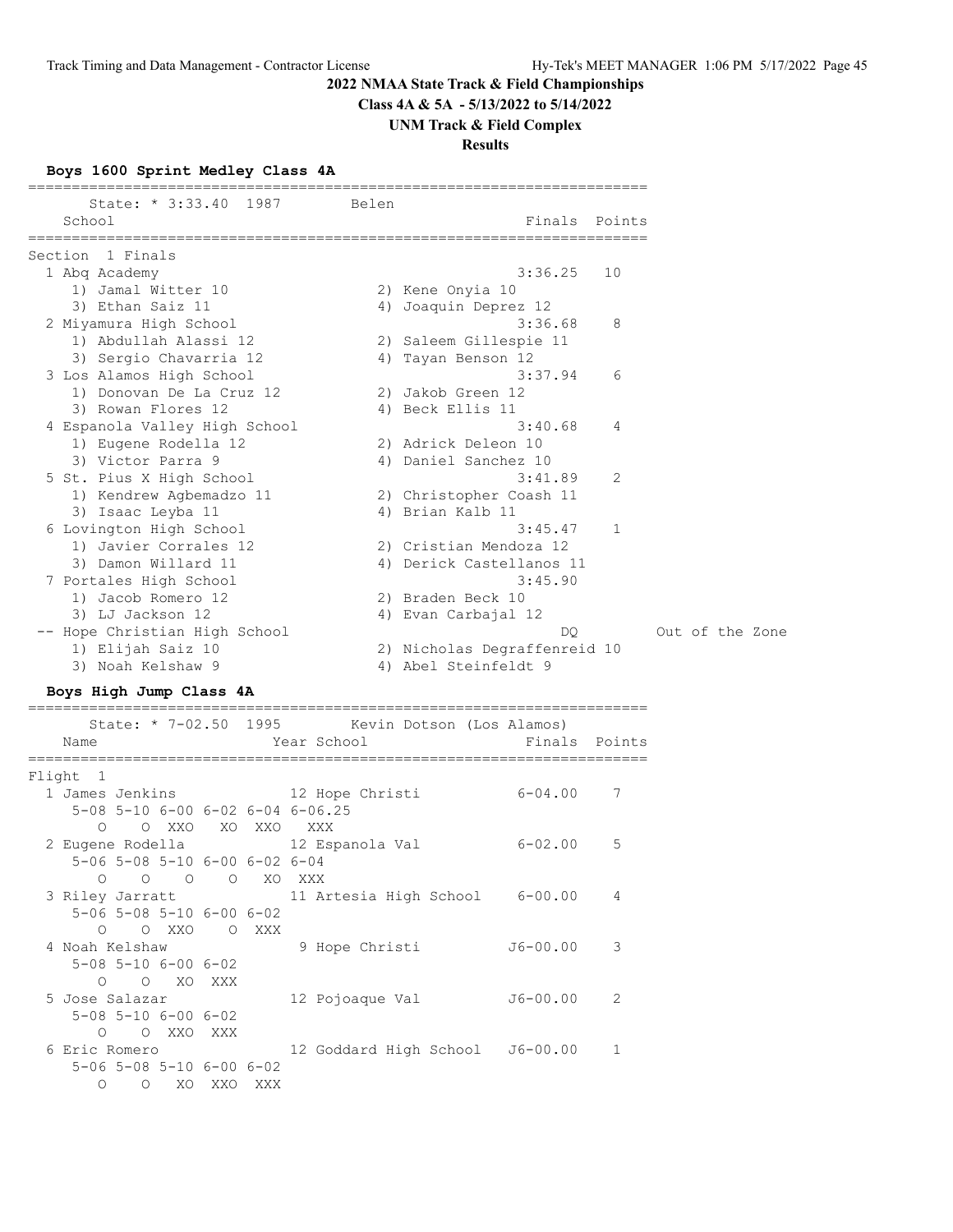**Class 4A & 5A - 5/13/2022 to 5/14/2022**

#### **UNM Track & Field Complex**

# **Results**

# **Boys 1600 Sprint Medley Class 4A**

| State: * 3:33.40 1987         | Belen |                              |              |
|-------------------------------|-------|------------------------------|--------------|
| School                        |       | Finals                       | Points       |
| Section 1 Finals              |       |                              |              |
| 1 Abg Academy                 |       | 3:36.25                      | 10           |
| 1) Jamal Witter 10            |       | 2) Kene Onyia 10             |              |
| 3) Ethan Saiz 11              |       | 4) Joaquin Deprez 12         |              |
| 2 Miyamura High School        |       | 3:36.68                      | 8            |
| 1) Abdullah Alassi 12         |       | 2) Saleem Gillespie 11       |              |
| 3) Sergio Chavarria 12        |       | 4) Tayan Benson 12           |              |
| 3 Los Alamos High School      |       | 3:37.94                      | 6            |
| 1) Donovan De La Cruz 12      |       | 2) Jakob Green 12            |              |
| 3) Rowan Flores 12            |       | 4) Beck Ellis 11             |              |
| 4 Espanola Valley High School |       | 3:40.68                      | 4            |
| 1) Eugene Rodella 12          |       | 2) Adrick Deleon 10          |              |
| 3) Victor Parra 9             |       | 4) Daniel Sanchez 10         |              |
| 5 St. Pius X High School      |       | 3:41.89                      | 2            |
| 1) Kendrew Agbemadzo 11       |       | 2) Christopher Coash 11      |              |
| 3) Isaac Leyba 11             |       | 4) Brian Kalb 11             |              |
| 6 Lovington High School       |       | 3:45.47                      | $\mathbf{1}$ |
| 1) Javier Corrales 12         |       | 2) Cristian Mendoza 12       |              |
| 3) Damon Willard 11           |       | 4) Derick Castellanos 11     |              |
| 7 Portales High School        |       | 3:45.90                      |              |
| 1) Jacob Romero 12            |       | 2) Braden Beck 10            |              |
| 3) LJ Jackson 12              |       | 4) Evan Carbajal 12          |              |
| -- Hope Christian High School |       | DO                           |              |
| 1) Elijah Saiz 10             |       | 2) Nicholas Degraffenreid 10 |              |
| 3) Noah Kelshaw 9             |       | 4) Abel Steinfeldt 9         |              |

# **Boys High Jump Class 4A**

=======================================================================

| Name           |                                              |         | State: * 7-02.50 1995 Kevin Dotson (Los Alamos)<br>Finals Points<br>Year School The Manuscript School |   |
|----------------|----------------------------------------------|---------|-------------------------------------------------------------------------------------------------------|---|
| Flight 1       |                                              |         |                                                                                                       |   |
|                |                                              |         | $6 - 04.00$ 7<br>1 James Jenkins 12 Hope Christi                                                      |   |
|                |                                              |         | $5-08$ $5-10$ $6-00$ $6-02$ $6-04$ $6-06.25$                                                          |   |
|                |                                              |         | O OXXO XOXXO XXX                                                                                      |   |
|                |                                              |         | 2 Eugene Rodella (12 Espanola Val<br>$6 - 02.00$ 5                                                    |   |
|                | 5-06 5-08 5-10 6-00 6-02 6-04                |         |                                                                                                       |   |
|                | O O O O XO XXX                               |         |                                                                                                       |   |
|                |                                              |         | 3 Riley Jarratt 11 Artesia High School 6-00.00 4                                                      |   |
|                | $5 - 06$ $5 - 08$ $5 - 10$ $6 - 00$ $6 - 02$ |         |                                                                                                       |   |
|                | O OXXO OXXX                                  |         |                                                                                                       |   |
|                |                                              |         | 4 Noah Kelshaw 5 9 Hope Christi<br>J6-00.00                                                           | 3 |
|                | $5 - 08$ $5 - 10$ $6 - 00$ $6 - 02$          |         |                                                                                                       |   |
|                | O O XO XXX                                   |         |                                                                                                       |   |
| 5 Jose Salazar |                                              |         | J6-00.00<br>12 Pojoaque Val                                                                           | 2 |
|                | $5 - 08$ $5 - 10$ $6 - 00$ $6 - 02$          |         |                                                                                                       |   |
|                | O OXXOXXX                                    |         |                                                                                                       |   |
| 6 Eric Romero  |                                              |         | 12 Goddard High School J6-00.00 1                                                                     |   |
|                | $5 - 06$ $5 - 08$ $5 - 10$ $6 - 00$ $6 - 02$ |         |                                                                                                       |   |
| $\Omega$       | $O$ XO                                       | XXO XXX |                                                                                                       |   |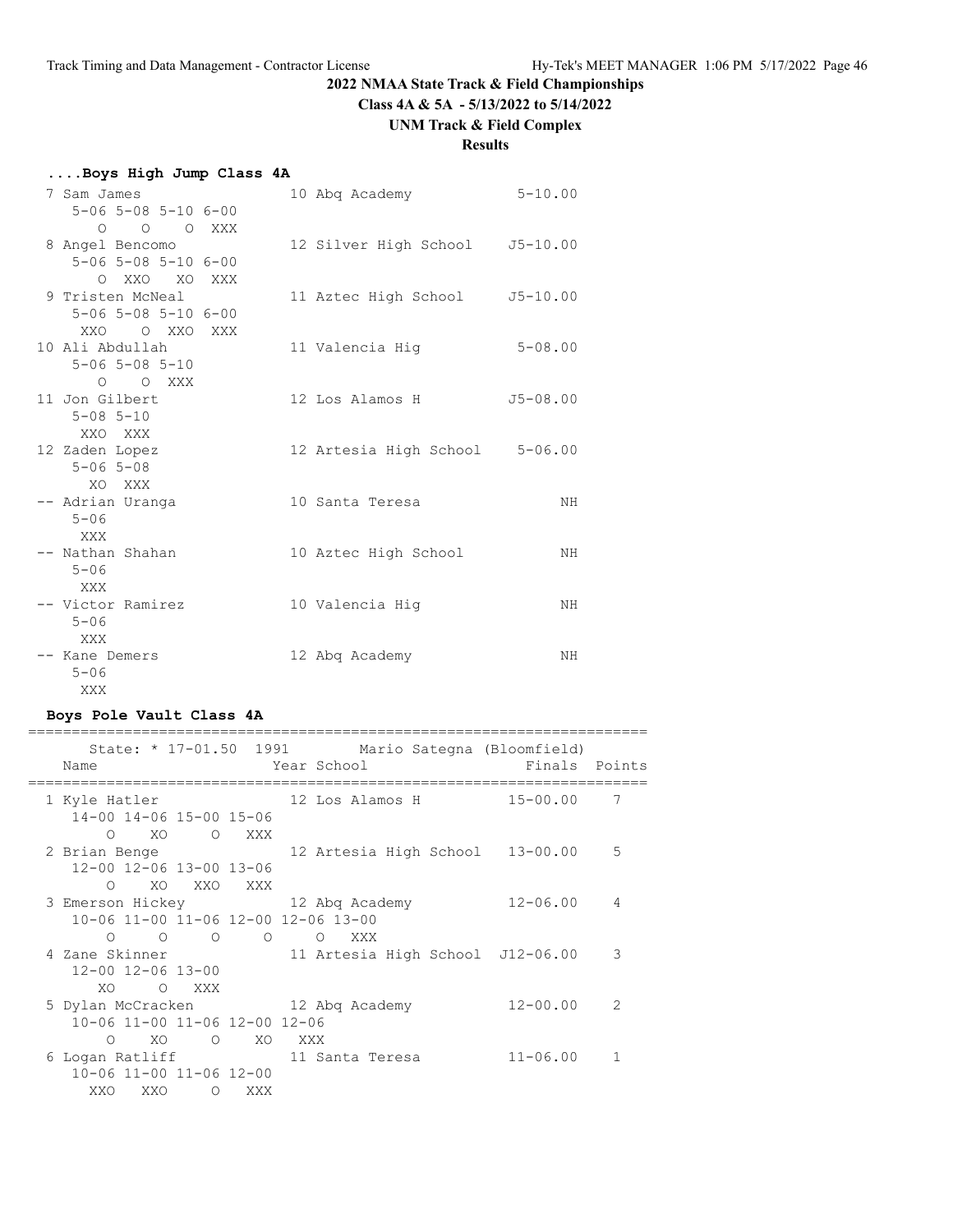**Class 4A & 5A - 5/13/2022 to 5/14/2022**

# **UNM Track & Field Complex**

# **Results**

| Boys High Jump Class 4A |  |  |  |  |
|-------------------------|--|--|--|--|
|-------------------------|--|--|--|--|

| 7 Sam James                         |  | 10 Abg Academy                 | $5 - 10.00$  |
|-------------------------------------|--|--------------------------------|--------------|
| $5 - 06$ $5 - 08$ $5 - 10$ $6 - 00$ |  |                                |              |
| O O O XXX                           |  |                                |              |
| 8 Angel Bencomo                     |  | 12 Silver High School J5-10.00 |              |
| $5 - 06$ $5 - 08$ $5 - 10$ $6 - 00$ |  |                                |              |
| O XXO XO XXX                        |  |                                |              |
| 9 Tristen McNeal                    |  | 11 Aztec High School           | $J5 - 10.00$ |
| $5 - 06$ $5 - 08$ $5 - 10$ $6 - 00$ |  |                                |              |
| XXO O XXO XXX                       |  |                                |              |
| 10 Ali Abdullah                     |  | 11 Valencia Hig                | $5 - 08.00$  |
| $5 - 06$ $5 - 08$ $5 - 10$          |  |                                |              |
| O O XXX                             |  |                                |              |
| 11 Jon Gilbert                      |  | 12 Los Alamos H                | $J5 - 08.00$ |
| $5 - 08$ $5 - 10$                   |  |                                |              |
| XXO XXX                             |  |                                |              |
| 12 Zaden Lopez                      |  | 12 Artesia High School 5-06.00 |              |
| $5 - 06$ $5 - 08$                   |  |                                |              |
| XO XXX                              |  |                                |              |
| -- Adrian Uranga                    |  | 10 Santa Teresa                | ΝH           |
| $5 - 06$                            |  |                                |              |
| XXX                                 |  |                                |              |
| -- Nathan Shahan                    |  | 10 Aztec High School           | ΝH           |
| $5 - 06$                            |  |                                |              |
| XXX                                 |  |                                |              |
| -- Victor Ramirez                   |  | 10 Valencia Hig                | ΝH           |
| $5 - 06$                            |  |                                |              |
| XXX                                 |  |                                |              |
| -- Kane Demers                      |  | 12 Abg Academy                 | ΝH           |
| $5 - 06$                            |  |                                |              |
| XXX                                 |  |                                |              |

# **Boys Pole Vault Class 4A**

| State: * 17-01.50 1991 Mario Sategna (Bloomfield)<br>Name |       |  |  | Year School and the Market School | Finals Points            |                 |
|-----------------------------------------------------------|-------|--|--|-----------------------------------|--------------------------|-----------------|
| 1 Kyle Hatler                                             |       |  |  |                                   | 12 Los Alamos H 15-00.00 | $7\overline{ }$ |
| 14-00 14-06 15-00 15-06                                   |       |  |  |                                   |                          |                 |
| O XO O XXX                                                |       |  |  |                                   |                          |                 |
| 2 Brian Benge 12 Artesia High School 13-00.00 5           |       |  |  |                                   |                          |                 |
| 12-00 12-06 13-00 13-06                                   |       |  |  |                                   |                          |                 |
| O XO XXO XXX                                              |       |  |  |                                   |                          |                 |
| 3 Emerson Hickey 12 Abq Academy                           |       |  |  |                                   | $12 - 06.00$ 4           |                 |
| 10-06 11-00 11-06 12-00 12-06 13-00                       |       |  |  |                                   |                          |                 |
| $O$ $O$ $O$ $O$ $O$ $XXX$                                 |       |  |  |                                   |                          |                 |
| 4 Zane Skinner 11 Artesia High School J12-06.00           |       |  |  |                                   |                          | 3               |
| 12-00 12-06 13-00                                         |       |  |  |                                   |                          |                 |
| XO O XXX                                                  |       |  |  |                                   |                          |                 |
| 5 Dylan McCracken 12 Abq Academy                          |       |  |  |                                   | 12-00.00                 | 2               |
| 10-06 11-00 11-06 12-00 12-06                             |       |  |  |                                   |                          |                 |
| O XO O XO XXX                                             |       |  |  |                                   |                          |                 |
| 6 Logan Ratliff 11 Santa Teresa                           |       |  |  |                                   | $11 - 06.00$             | $\mathbf{1}$    |
| 10-06 11-00 11-06 12-00                                   |       |  |  |                                   |                          |                 |
| XXO XXO                                                   | O XXX |  |  |                                   |                          |                 |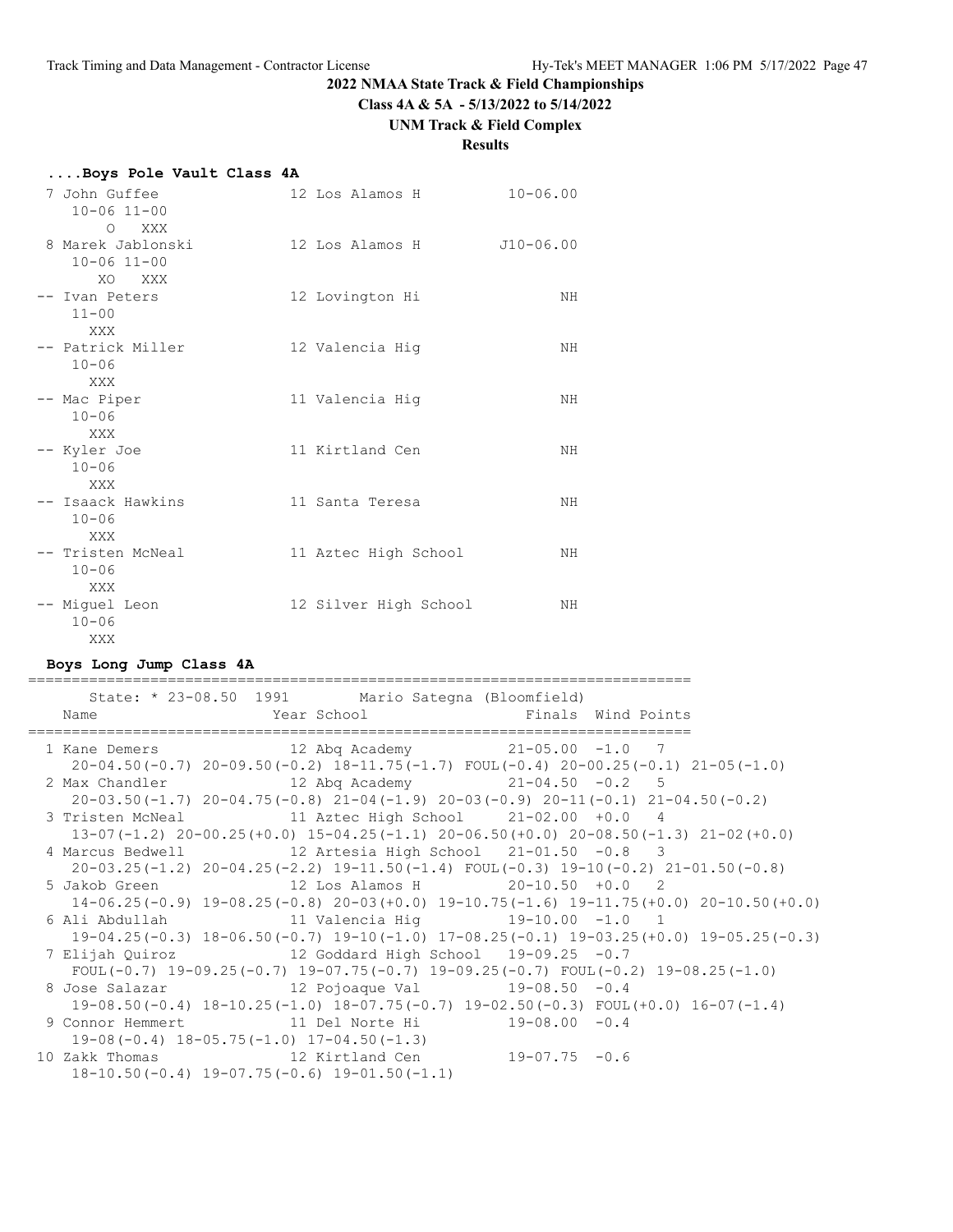**Class 4A & 5A - 5/13/2022 to 5/14/2022**

# **UNM Track & Field Complex**

# **Results**

| Boys Pole Vault Class 4A                                   |                       |              |
|------------------------------------------------------------|-----------------------|--------------|
| 7 John Guffee<br>$10 - 06$ $11 - 00$                       | 12 Los Alamos H       | $10 - 06.00$ |
| $\circ$<br>XXX<br>8 Marek Jablonski<br>$10 - 06$ $11 - 00$ | 12 Los Alamos H       | J10-06.00    |
| XO<br>XXX<br>-- Ivan Peters<br>$11 - 00$                   | 12 Lovington Hi       | NH           |
| XXX<br>-- Patrick Miller<br>$10 - 06$                      | 12 Valencia Hiq       | ΝH           |
| <b>XXX</b><br>-- Mac Piper<br>$10 - 06$                    | 11 Valencia Hiq       | NH           |
| XXX<br>-- Kyler Joe<br>$10 - 06$                           | 11 Kirtland Cen       | NH           |
| <b>XXX</b><br>-- Isaack Hawkins<br>$10 - 06$               | 11 Santa Teresa       | ΝH           |
| XXX<br>-- Tristen McNeal<br>$10 - 06$                      | 11 Aztec High School  | ΝH           |
| <b>XXX</b><br>-- Miquel Leon<br>$10 - 06$<br>XXX           | 12 Silver High School | ΝH           |

#### **Boys Long Jump Class 4A**

| Name | State: * 23-08.50 1991 Mario Sategna (Bloomfield)                                                  |  |  |
|------|----------------------------------------------------------------------------------------------------|--|--|
|      | Year School <a> Finals Wind Points</a>                                                             |  |  |
|      | 1 Kane Demers 12 Abq Academy 21-05.00 -1.0 7                                                       |  |  |
|      | $20-04.50(-0.7)$ $20-09.50(-0.2)$ $18-11.75(-1.7)$ $FOUL(-0.4)$ $20-00.25(-0.1)$ $21-05(-1.0)$     |  |  |
|      | 2 Max Chandler 12 Abq Academy 21-04.50 -0.2 5                                                      |  |  |
|      | $20-03.50(-1.7)$ $20-04.75(-0.8)$ $21-04(-1.9)$ $20-03(-0.9)$ $20-11(-0.1)$ $21-04.50(-0.2)$       |  |  |
|      | 3 Tristen McNeal 11 Aztec High School 21-02.00 +0.0 4                                              |  |  |
|      | $13-07(-1.2)$ $20-00.25(+0.0)$ $15-04.25(-1.1)$ $20-06.50(+0.0)$ $20-08.50(-1.3)$ $21-02(+0.0)$    |  |  |
|      | 4 Marcus Bedwell 12 Artesia High School 21-01.50 -0.8 3                                            |  |  |
|      | $20-03.25(-1.2)$ $20-04.25(-2.2)$ $19-11.50(-1.4)$ $FOUT(-0.3)$ $19-10(-0.2)$ $21-01.50(-0.8)$     |  |  |
|      | 5 Jakob Green 12 Los Alamos H 20-10.50 +0.0 2                                                      |  |  |
|      | $14-06.25(-0.9)$ $19-08.25(-0.8)$ $20-03(+0.0)$ $19-10.75(-1.6)$ $19-11.75(+0.0)$ $20-10.50(+0.0)$ |  |  |
|      | 6 Ali Abdullah                 11 Valencia Hig           19-10.00  -1.0   1                        |  |  |
|      | $19-04.25(-0.3)$ $18-06.50(-0.7)$ $19-10(-1.0)$ $17-08.25(-0.1)$ $19-03.25(+0.0)$ $19-05.25(-0.3)$ |  |  |
|      | 7 Elijah Quiroz 12 Goddard High School 19-09.25 -0.7                                               |  |  |
|      | FOUL(-0.7) $19-09.25(-0.7)$ $19-07.75(-0.7)$ $19-09.25(-0.7)$ FOUL(-0.2) $19-08.25(-1.0)$          |  |  |
|      |                                                                                                    |  |  |
|      | $19-08.50(-0.4)$ $18-10.25(-1.0)$ $18-07.75(-0.7)$ $19-02.50(-0.3)$ $FOUT(+0.0)$ $16-07(-1.4)$     |  |  |
|      | 9 Connor Hemmert 11 Del Norte Hi 19-08.00 -0.4                                                     |  |  |
|      | $19-08(-0.4)$ $18-05.75(-1.0)$ $17-04.50(-1.3)$                                                    |  |  |
|      | 10 Zakk Thomas 12 Kirtland Cen 19-07.75 -0.6                                                       |  |  |
|      | $18-10.50(-0.4)$ $19-07.75(-0.6)$ $19-01.50(-1.1)$                                                 |  |  |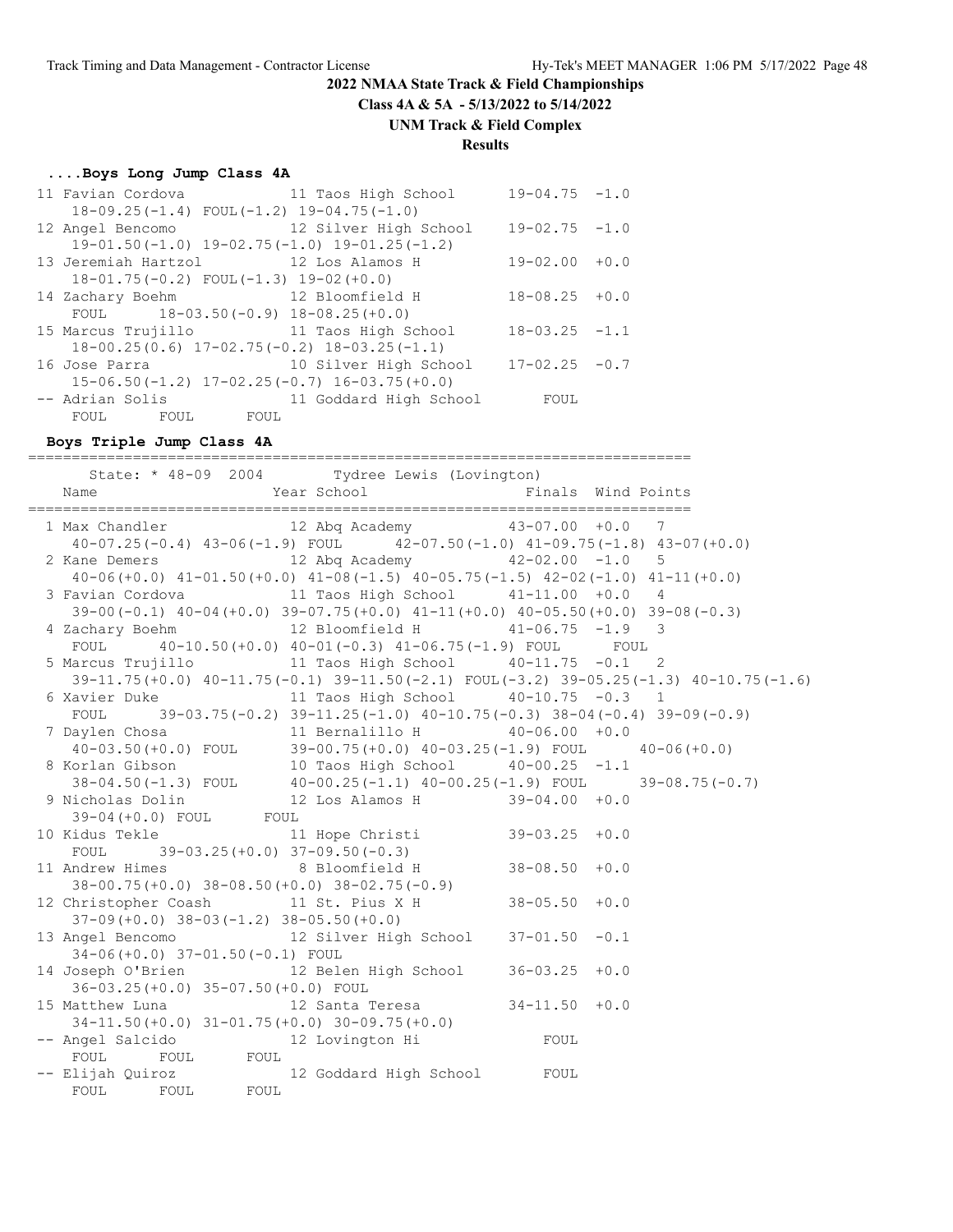**Class 4A & 5A - 5/13/2022 to 5/14/2022**

#### **UNM Track & Field Complex**

#### **Results**

#### **....Boys Long Jump Class 4A**

| 11 Favian Cordova 11 Taos High School                |                        | $19 - 04.75 - 1.0$ |        |
|------------------------------------------------------|------------------------|--------------------|--------|
| $18-09.25(-1.4)$ FOUL $(-1.2)$ 19-04.75(-1.0)        |                        |                    |        |
| 12 Angel Bencomo               12 Silver High School |                        | $19 - 02.75 - 1.0$ |        |
| $19-01.50(-1.0)$ $19-02.75(-1.0)$ $19-01.25(-1.2)$   |                        |                    |        |
| 13 Jeremiah Hartzol 12 Los Alamos H                  |                        | $19 - 02.00 + 0.0$ |        |
| $18-01.75(-0.2)$ FOUL $(-1.3)$ $19-02(+0.0)$         |                        |                    |        |
| 14 Zachary Boehm 12 Bloomfield H                     |                        | 18-08.25           | $+0.0$ |
| FOUL $18-03.50(-0.9) 18-08.25(+0.0)$                 |                        |                    |        |
| 15 Marcus Trujillo 11 Taos High School               |                        | $18 - 03.25 - 1.1$ |        |
| $18-00.25(0.6)$ $17-02.75(-0.2)$ $18-03.25(-1.1)$    |                        |                    |        |
| 16 Jose Parra                                        | 10 Silver High School  | $17 - 02.25 - 0.7$ |        |
| $15-06.50(-1.2)$ $17-02.25(-0.7)$ $16-03.75(+0.0)$   |                        |                    |        |
| -- Adrian Solis                                      | 11 Goddard High School | FOUL               |        |
| FOUL FOUL<br>FOUL                                    |                        |                    |        |

#### **Boys Triple Jump Class 4A**

============================================================================ State: \* 48-09 2004 Tydree Lewis (Lovington) Name **The Year School** Finals Wind Points ============================================================================ 1 Max Chandler 12 Abq Academy 43-07.00 +0.0 7 40-07.25(-0.4) 43-06(-1.9) FOUL 42-07.50(-1.0) 41-09.75(-1.8) 43-07(+0.0) 2 Kane Demers 12 Abq Academy 42-02.00 -1.0 5 40-06(+0.0) 41-01.50(+0.0) 41-08(-1.5) 40-05.75(-1.5) 42-02(-1.0) 41-11(+0.0) 3 Favian Cordova 11 Taos High School 41-11.00 +0.0 4 39-00(-0.1) 40-04(+0.0) 39-07.75(+0.0) 41-11(+0.0) 40-05.50(+0.0) 39-08(-0.3) 4 Zachary Boehm 12 Bloomfield H 41-06.75 -1.9 3 FOUL 40-10.50(+0.0) 40-01(-0.3) 41-06.75(-1.9) FOUL FOUL 5 Marcus Trujillo 11 Taos High School 40-11.75 -0.1 2 39-11.75(+0.0) 40-11.75(-0.1) 39-11.50(-2.1) FOUL(-3.2) 39-05.25(-1.3) 40-10.75(-1.6) 6 Xavier Duke 11 Taos High School 40-10.75 -0.3 1 FOUL 39-03.75(-0.2)  $39-11.25(-1.0)$   $40-10.75(-0.3)$   $38-04(-0.4)$   $39-09(-0.9)$  7 Daylen Chosa 11 Bernalillo H 40-06.00 +0.0 40-03.50(+0.0) FOUL 39-00.75(+0.0) 40-03.25(-1.9) FOUL 40-06(+0.0) 8 Korlan Gibson 10 Taos High School 40-00.25 -1.1 38-04.50(-1.3) FOUL 40-00.25(-1.1) 40-00.25(-1.9) FOUL 39-08.75(-0.7) 9 Nicholas Dolin 12 Los Alamos H 39-04.00 +0.0 39-04(+0.0) FOUL FOUL 10 Kidus Tekle 11 Hope Christi 39-03.25 +0.0 FOUL 39-03.25(+0.0) 37-09.50(-0.3) 11 Andrew Himes 8 Bloomfield H 38-08.50 +0.0 38-00.75(+0.0) 38-08.50(+0.0) 38-02.75(-0.9) 12 Christopher Coash 11 St. Pius X H 38-05.50 +0.0 37-09(+0.0) 38-03(-1.2) 38-05.50(+0.0) 13 Angel Bencomo 12 Silver High School 37-01.50 -0.1 34-06(+0.0) 37-01.50(-0.1) FOUL 14 Joseph O'Brien 12 Belen High School 36-03.25 +0.0 36-03.25(+0.0) 35-07.50(+0.0) FOUL 15 Matthew Luna 12 Santa Teresa 34-11.50 +0.0 34-11.50(+0.0) 31-01.75(+0.0) 30-09.75(+0.0) -- Angel Salcido 12 Lovington Hi FOUL FOUL FOUL FOUL -- Elijah Quiroz 12 Goddard High School FOUL FOUL FOUL FOUL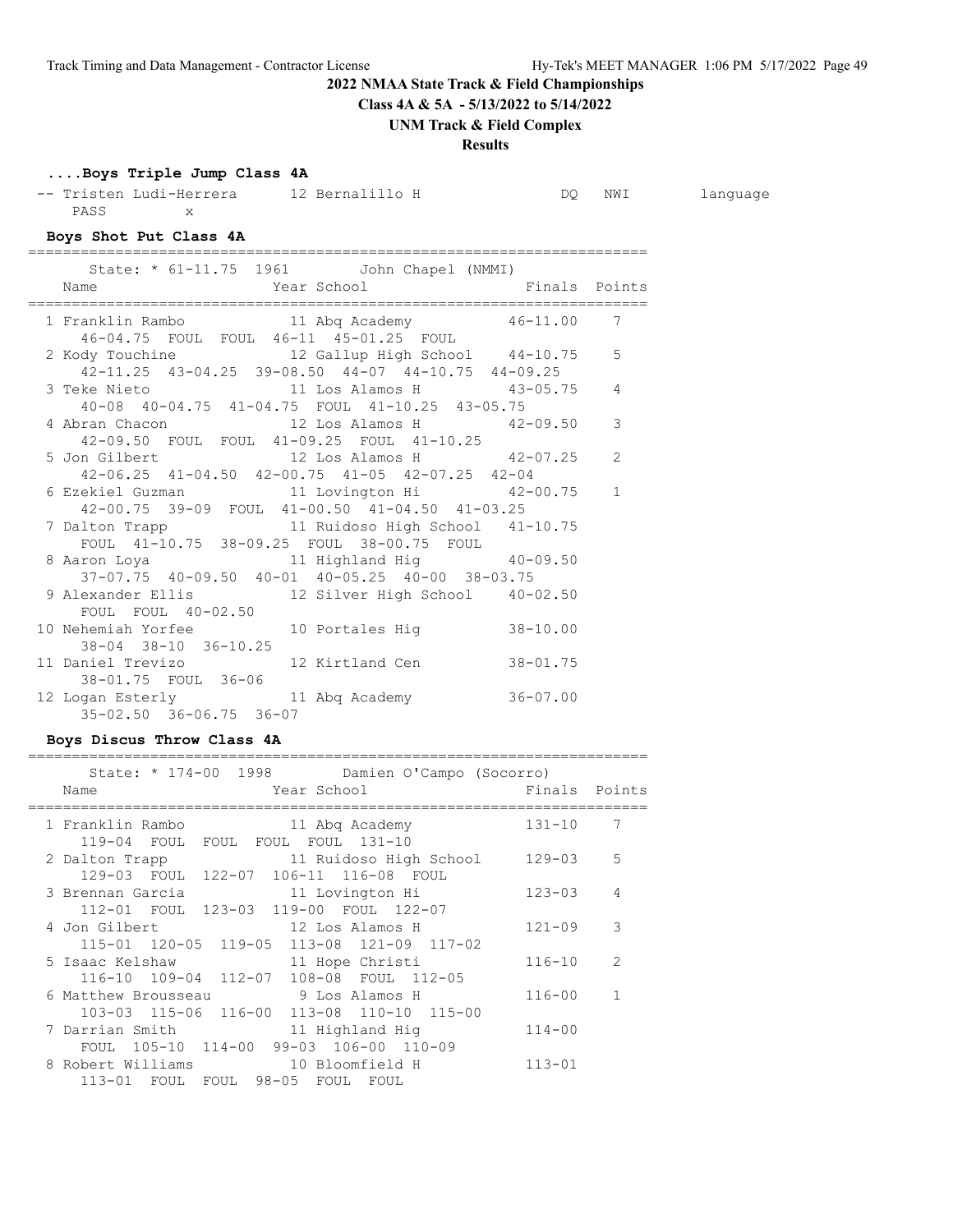**Class 4A & 5A - 5/13/2022 to 5/14/2022**

**UNM Track & Field Complex**

# **Results**

# **....Boys Triple Jump Class 4A**

-- Tristen Ludi-Herrera 12 Bernalillo H DQ NWI language PASS x

**Boys Shot Put Class 4A**

| State: * 61-11.75 1961   John Chapel (NMMI)<br>Name                                      |                           |              |                |
|------------------------------------------------------------------------------------------|---------------------------|--------------|----------------|
| ===============                                                                          | Year School Finals Points |              |                |
| 1 Franklin Rambo 11 Abq Academy 46-11.00 7<br>46-04.75 FOUL FOUL 46-11 45-01.25 FOUL     |                           |              |                |
| 2 Kody Touchine 12 Gallup High School 44-10.75 5                                         |                           |              |                |
| 42-11.25 43-04.25 39-08.50 44-07 44-10.75 44-09.25                                       |                           |              |                |
| 3 Teke Nieto 11 Los Alamos H 43-05.75                                                    |                           |              | 4              |
| 40-08 40-04.75 41-04.75 FOUL 41-10.25 43-05.75                                           |                           |              |                |
| 4 Abran Chacon 12 Los Alamos H 42-09.50                                                  |                           |              | 3              |
| 42-09.50 FOUL FOUL 41-09.25 FOUL 41-10.25                                                |                           |              |                |
| 5 Jon Gilbert 12 Los Alamos H 42-07.25                                                   |                           |              | $\overline{2}$ |
| 42-06.25 41-04.50 42-00.75 41-05 42-07.25 42-04                                          |                           |              |                |
| 6 Ezekiel Guzman 11 Lovington Hi 42-00.75 1                                              |                           |              |                |
| 42-00.75 39-09 FOUL 41-00.50 41-04.50 41-03.25                                           |                           |              |                |
| 7 Dalton Trapp 11 Ruidoso High School 41-10.75                                           |                           |              |                |
| FOUL 41-10.75 38-09.25 FOUL 38-00.75 FOUL                                                |                           |              |                |
|                                                                                          |                           |              |                |
| 8 Aaron Loya 11 Highland Hig 40-09.50<br>37-07.75 40-09.50 40-01 40-05.25 40-00 38-03.75 |                           |              |                |
| 9 Alexander Ellis 12 Silver High School 40-02.50                                         |                           |              |                |
| FOUL FOUL 40-02.50                                                                       |                           |              |                |
| 10 Nehemiah Yorfee 10 Portales Hig 38-10.00                                              |                           |              |                |
| $38 - 04$ $38 - 10$ $36 - 10.25$                                                         |                           |              |                |
| 11 Daniel Trevizo 12 Kirtland Cen                                                        |                           | $38 - 01.75$ |                |
| 38-01.75 FOUL 36-06                                                                      |                           |              |                |
| 12 Logan Esterly 11 Abq Academy 36-07.00                                                 |                           |              |                |
| 35-02.50 36-06.75 36-07                                                                  |                           |              |                |
|                                                                                          |                           |              |                |

#### **Boys Discus Throw Class 4A**

| State: * 174-00 1998 Damien O'Campo (Socorro) |               |                |
|-----------------------------------------------|---------------|----------------|
| Year School<br>Name                           | Finals Points |                |
| 1 Franklin Rambo<br>11 Abg Academy            | $131 - 10$    | 7              |
| 119-04 FOUL<br>FOUL FOUL FOUL 131-10          |               |                |
| 11 Ruidoso High School<br>2 Dalton Trapp      | $129 - 03$    | 5              |
| 129-03 FOUL 122-07 106-11 116-08 FOUL         |               |                |
| 3 Brennan Garcia<br>11 Lovington Hi           | $123 - 03$    | 4              |
| 112-01 FOUL 123-03 119-00 FOUL 122-07         |               |                |
| 12 Los Alamos H<br>4 Jon Gilbert              | $121 - 09$    | 3              |
| 115-01 120-05 119-05 113-08 121-09 117-02     |               |                |
| 11 Hope Christi<br>5 Isaac Kelshaw            | $116 - 10$    | $\mathcal{L}$  |
| 116-10 109-04 112-07 108-08 FOUL 112-05       |               |                |
| 9 Los Alamos H<br>6 Matthew Brousseau         | $116 - 00$    | $\overline{1}$ |
| 103-03 115-06 116-00 113-08 110-10 115-00     |               |                |
| 7 Darrian Smith<br>11 Highland Hig            | $114 - 00$    |                |
| FOUL 105-10 114-00 99-03 106-00 110-09        |               |                |
| 8 Robert Williams<br>10 Bloomfield H          | $113 - 01$    |                |
| 113-01 FOUL FOUL 98-05 FOUL<br>FOUL           |               |                |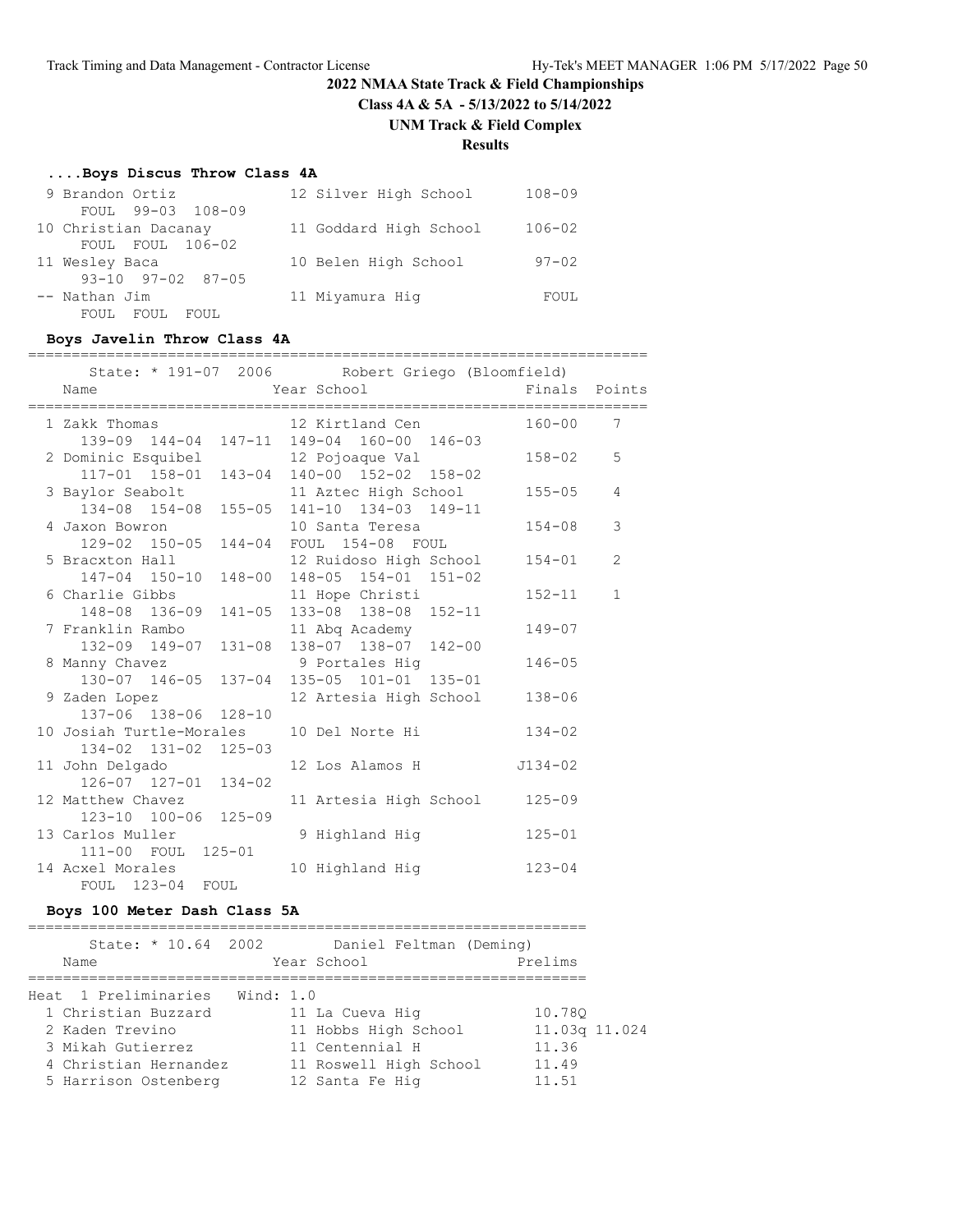# **2022 NMAA State Track & Field Championships Class 4A & 5A - 5/13/2022 to 5/14/2022 UNM Track & Field Complex**

# **Results**

#### **....Boys Discus Throw Class 4A**

| 9 Brandon Ortiz               | 12 Silver High School  | $108 - 09$ |
|-------------------------------|------------------------|------------|
| FOUL 99-03 108-09             |                        |            |
| 10 Christian Dacanay          | 11 Goddard High School | $106 - 02$ |
| FOUL FOUL 106-02              |                        |            |
| 11 Wesley Baca                | 10 Belen High School   | $97 - 02$  |
| $93 - 10$ $97 - 02$ $87 - 05$ |                        |            |
| -- Nathan Jim                 | 11 Miyamura Hiq        | FOUL       |
| FOUL FOUL<br>FOUL.            |                        |            |

#### **Boys Javelin Throw Class 4A**

#### ======================================================================= State: \* 191-07 2006 Robert Griego (Bloomfield) Name The Year School The Finals Points ======================================================================= 1 Zakk Thomas 12 Kirtland Cen 160-00 7 139-09 144-04 147-11 149-04 160-00 146-03 2 Dominic Esquibel 12 Pojoaque Val 158-02 5 117-01 158-01 143-04 140-00 152-02 158-02 3 Baylor Seabolt 11 Aztec High School 155-05 4 134-08 154-08 155-05 141-10 134-03 149-11 4 Jaxon Bowron 10 Santa Teresa 154-08 3 129-02 150-05 144-04 FOUL 154-08 FOUL 5 Bracxton Hall 12 Ruidoso High School 154-01 2 147-04 150-10 148-00 148-05 154-01 151-02 6 Charlie Gibbs 11 Hope Christi 152-11 1 148-08 136-09 141-05 133-08 138-08 152-11 7 Franklin Rambo 11 Abq Academy 149-07 132-09 149-07 131-08 138-07 138-07 142-00 8 Manny Chavez 9 Portales Hig 146-05 130-07 146-05 137-04 135-05 101-01 135-01 9 Zaden Lopez 12 Artesia High School 138-06 137-06 138-06 128-10 10 Josiah Turtle-Morales 10 Del Norte Hi 134-02 134-02 131-02 125-03<br>11 John Delgado 12 Los Alamos H J134-02 126-07 127-01 134-02 12 Matthew Chavez 11 Artesia High School 125-09 123-10 100-06 125-09 13 Carlos Muller 9 Highland Hig 125-01 111-00 FOUL 125-01 14 Acxel Morales 10 Highland Hig 123-04 FOUL 123-04 FOUL

#### **Boys 100 Meter Dash Class 5A**

| State: * 10.64 2002   | Daniel Feltman (Deming) |               |
|-----------------------|-------------------------|---------------|
| Name                  | Year School             | Prelims       |
|                       |                         |               |
| Heat 1 Preliminaries  | Wind: 1.0               |               |
| 1 Christian Buzzard   | 11 La Cueva Hig         | 10.780        |
| 2 Kaden Trevino       | 11 Hobbs High School    | 11.03g 11.024 |
| 3 Mikah Gutierrez     | 11 Centennial H         | 11.36         |
| 4 Christian Hernandez | 11 Roswell High School  | 11.49         |
| 5 Harrison Ostenberg  | 12 Santa Fe Hiq         | 11.51         |
|                       |                         |               |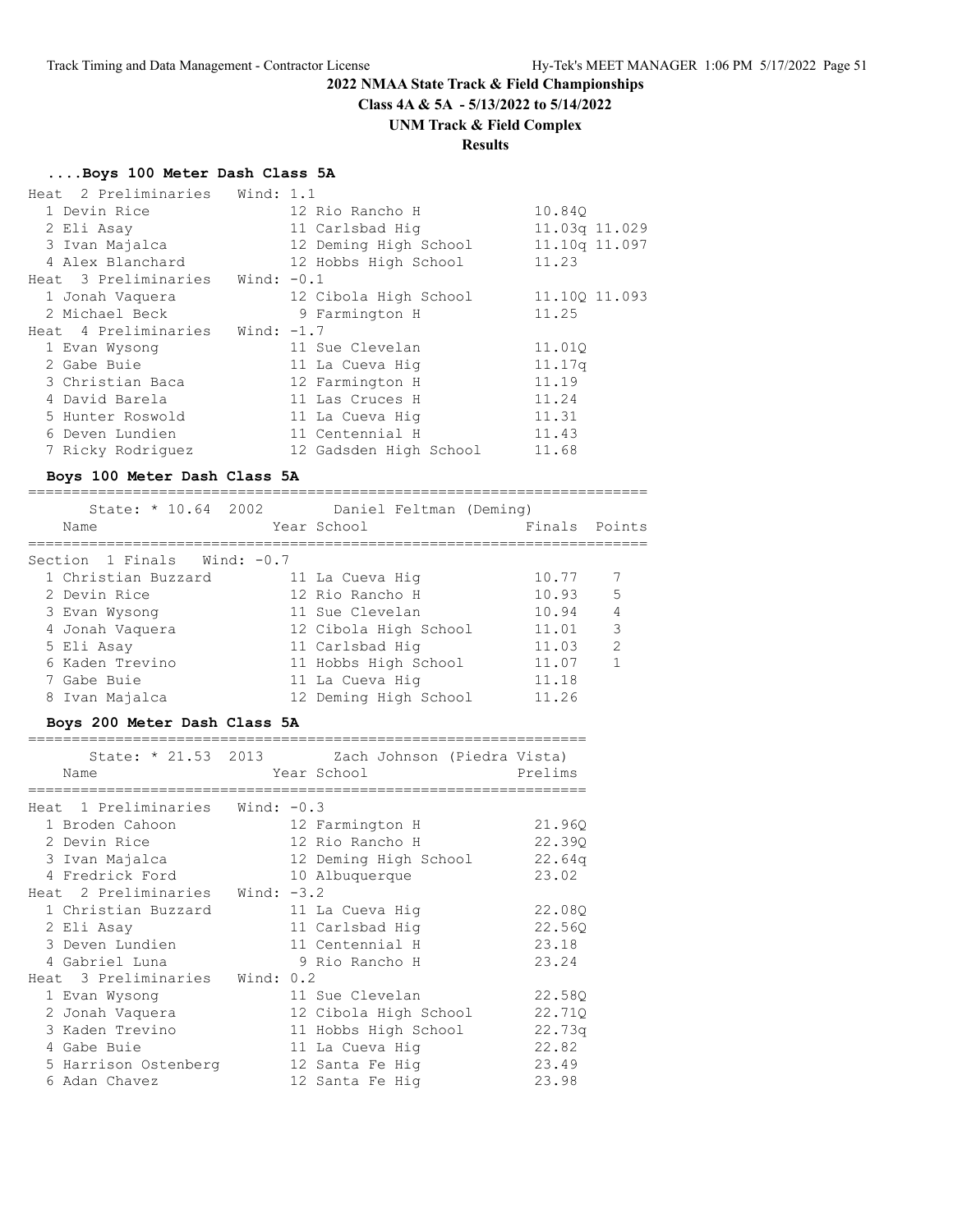**Class 4A & 5A - 5/13/2022 to 5/14/2022**

# **UNM Track & Field Complex**

# **Results**

# **....Boys 100 Meter Dash Class 5A**

| Heat 2 Preliminaries Wind: 1.1 |              |                        |               |
|--------------------------------|--------------|------------------------|---------------|
| 1 Devin Rice                   |              | 12 Rio Rancho H        | 10.840        |
| 2 Eli Asay                     |              | 11 Carlsbad Hig        | 11.03q 11.029 |
| 3 Ivan Majalca                 |              | 12 Deming High School  | 11.10q 11.097 |
| 4 Alex Blanchard               |              | 12 Hobbs High School   | 11.23         |
| Heat 3 Preliminaries           | Wind: $-0.1$ |                        |               |
| 1 Jonah Vaquera                |              | 12 Cibola High School  | 11.100 11.093 |
| 2 Michael Beck                 |              | 9 Farmington H         | 11.25         |
| Heat 4 Preliminaries           | Wind: -1.7   |                        |               |
| 1 Evan Wysong                  |              | 11 Sue Clevelan        | 11.01Q        |
| 2 Gabe Buie                    |              | 11 La Cueva Hiq        | 11.17q        |
| 3 Christian Baca               |              | 12 Farmington H        | 11.19         |
| 4 David Barela                 |              | 11 Las Cruces H        | 11.24         |
| 5 Hunter Roswold               |              | 11 La Cueva Hiq        | 11.31         |
| 6 Deven Lundien                |              | 11 Centennial H        | 11.43         |
| 7 Ricky Rodriguez              |              | 12 Gadsden High School | 11.68         |

#### **Boys 100 Meter Dash Class 5A**

| State: * 10.64 2002<br>Name | Daniel Feltman (Deming)<br>Year School | Finals Points |                |
|-----------------------------|----------------------------------------|---------------|----------------|
| Section 1 Finals Wind: -0.7 |                                        |               |                |
| 1 Christian Buzzard         | 11 La Cueva Hig                        | 10.77         |                |
| 2 Devin Rice                | 12 Rio Rancho H                        | 10.93         | $5^{\circ}$    |
| 3 Evan Wysong               | 11 Sue Clevelan                        | 10.94         | $\overline{4}$ |
| 4 Jonah Vaquera             | 12 Cibola High School                  | 11.01         | 3              |
| 5 Eli Asay                  | 11 Carlsbad Hig                        | 11.03         | 2              |
| 6 Kaden Trevino             | 11 Hobbs High School                   | 11.07         | $\mathbf{1}$   |
| 7 Gabe Buie                 | 11 La Cueva Hig                        | 11.18         |                |
| 8 Ivan Majalca              | 12 Deming High School                  | 11.26         |                |
|                             |                                        |               |                |

#### **Boys 200 Meter Dash Class 5A**

| Name                              | State: * 21.53 2013 Zach Johnson (Piedra Vista)<br>Year School | Prelims |
|-----------------------------------|----------------------------------------------------------------|---------|
| Heat 1 Preliminaries Wind: $-0.3$ |                                                                |         |
| 1 Broden Cahoon                   | 12 Farmington H                                                | 21.96Q  |
| 2 Devin Rice                      | 12 Rio Rancho H                                                | 22.390  |
| 3 Ivan Majalca                    | 12 Deming High School                                          | 22.64q  |
| 4 Fredrick Ford                   | 10 Albuquerque                                                 | 23.02   |
| Heat 2 Preliminaries Wind: -3.2   |                                                                |         |
| 1 Christian Buzzard               | 11 La Cueva Hig                                                | 22.08Q  |
| 2 Eli Asay                        | 11 Carlsbad Hig                                                | 22.56Q  |
| 3 Deven Lundien                   | 11 Centennial H                                                | 23.18   |
| 4 Gabriel Luna                    | 9 Rio Rancho H                                                 | 23.24   |
| Heat 3 Preliminaries Wind: 0.2    |                                                                |         |
| 1 Evan Wysong                     | 11 Sue Clevelan                                                | 22.58Q  |
| 2 Jonah Vaquera                   | 12 Cibola High School                                          | 22.71Q  |
| 3 Kaden Trevino                   | 11 Hobbs High School                                           | 22.73q  |
| 4 Gabe Buie                       | 11 La Cueva Hiq                                                | 22.82   |
| 5 Harrison Ostenberg              | 12 Santa Fe Hiq                                                | 23.49   |
| 6 Adan Chavez                     | 12 Santa Fe Hig                                                | 23.98   |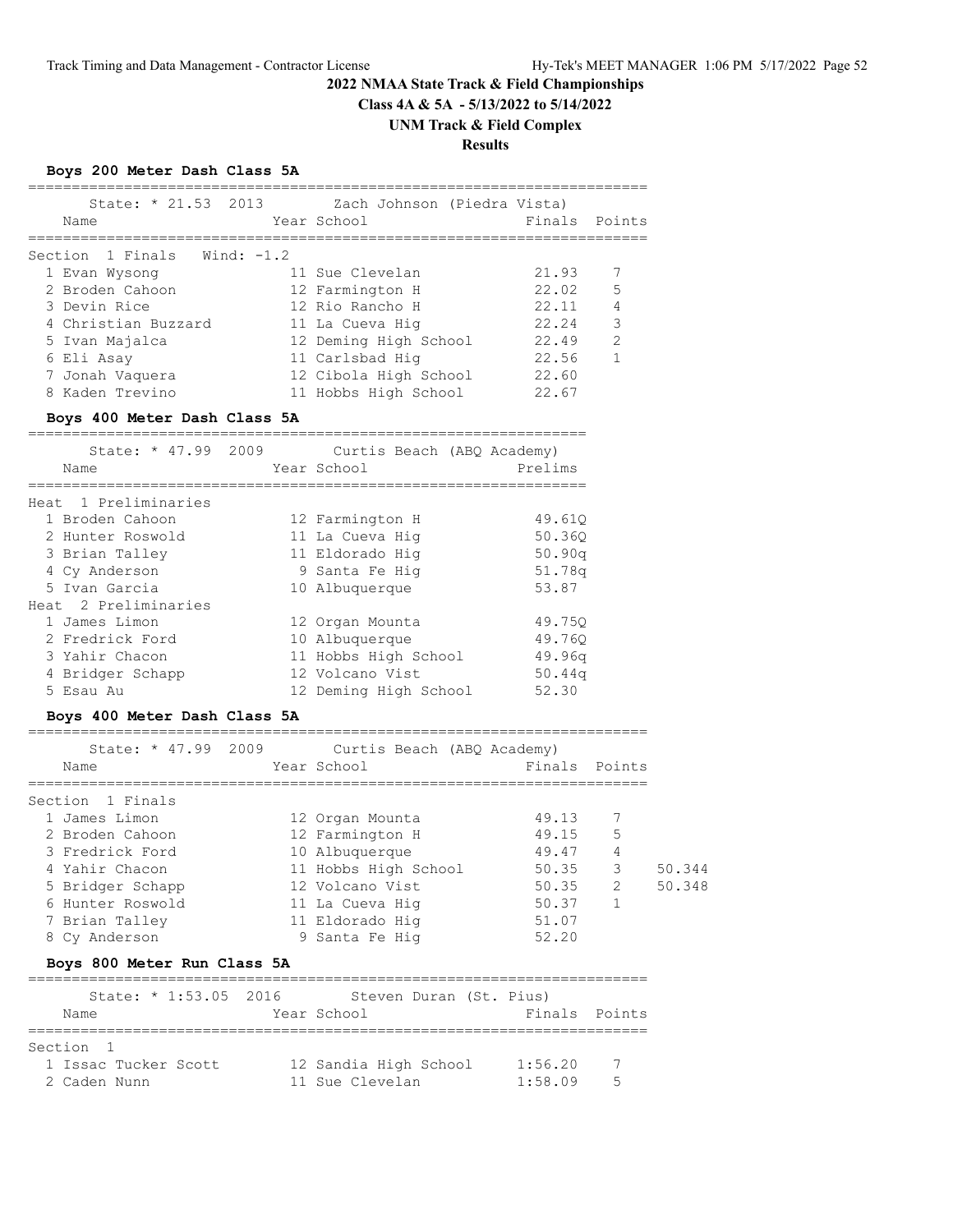**Class 4A & 5A - 5/13/2022 to 5/14/2022**

#### **UNM Track & Field Complex**

**Results**

# **Boys 200 Meter Dash Class 5A**

| State: * 21.53 2013<br>Zach Johnson (Piedra Vista)<br>Finals Points<br>Year School<br>Name<br>Section 1 Finals Wind: -1.2<br>21.93<br>7<br>11 Sue Clevelan<br>1 Evan Wysong<br>5<br>22.02<br>2 Broden Cahoon<br>12 Farmington H<br>4<br>3 Devin Rice<br>12 Rio Rancho H<br>22.11<br>3<br>4 Christian Buzzard<br>22.24<br>11 La Cueva Hig |  |
|------------------------------------------------------------------------------------------------------------------------------------------------------------------------------------------------------------------------------------------------------------------------------------------------------------------------------------------|--|
|                                                                                                                                                                                                                                                                                                                                          |  |
|                                                                                                                                                                                                                                                                                                                                          |  |
|                                                                                                                                                                                                                                                                                                                                          |  |
|                                                                                                                                                                                                                                                                                                                                          |  |
|                                                                                                                                                                                                                                                                                                                                          |  |
|                                                                                                                                                                                                                                                                                                                                          |  |
| $\mathcal{L}$<br>22.49<br>12 Deming High School<br>5 Ivan Majalca                                                                                                                                                                                                                                                                        |  |
| 22.56<br>$\mathbf{1}$<br>11 Carlsbad Hig<br>6 Eli Asay                                                                                                                                                                                                                                                                                   |  |
| 12 Cibola High School<br>22.60<br>7 Jonah Vaquera                                                                                                                                                                                                                                                                                        |  |
| 22.67<br>8 Kaden Trevino<br>11 Hobbs High School                                                                                                                                                                                                                                                                                         |  |

#### **Boys 400 Meter Dash Class 5A**

| State: $* 47.99$<br>Name | 2009 | Curtis Beach (ABQ Academy)<br>Year School | Prelims |
|--------------------------|------|-------------------------------------------|---------|
| Heat 1 Preliminaries     |      |                                           |         |
| 1 Broden Cahoon          |      | 12 Farmington H                           | 49.610  |
| 2 Hunter Roswold         |      | 11 La Cueva Hiq                           | 50.360  |
| 3 Brian Talley           |      | 11 Eldorado Hiq                           | 50.90q  |
| 4 Cy Anderson            |      | 9 Santa Fe Hiq                            | 51.78q  |
| 5 Ivan Garcia            |      | 10 Albuquerque                            | 53.87   |
| Heat 2 Preliminaries     |      |                                           |         |
| 1 James Limon            |      | 12 Organ Mounta                           | 49.750  |
| 2 Fredrick Ford          |      | 10 Albuquerque                            | 49.760  |
| 3 Yahir Chacon           |      | 11 Hobbs High School                      | 49.96q  |
| 4 Bridger Schapp         |      | 12 Volcano Vist                           | 50.44q  |
| 5 Esau Au                |      | 12 Deming High School                     | 52.30   |

#### **Boys 400 Meter Dash Class 5A**

| State: $* 47.99 2009$ | Curtis Beach (ABQ Academy) |               |                |        |
|-----------------------|----------------------------|---------------|----------------|--------|
| Name                  | Year School                | Finals Points |                |        |
| Section 1 Finals      |                            |               |                |        |
| 1 James Limon         | 12 Organ Mounta            | 49.13         | 7              |        |
| 2 Broden Cahoon       | 12 Farmington H            | 49.15         | 5              |        |
| 3 Fredrick Ford       | 10 Albuquerque             | 49.47         | $\overline{4}$ |        |
| 4 Yahir Chacon        | 11 Hobbs High School       | 50.35         | 3              | 50.344 |
| 5 Bridger Schapp      | 12 Volcano Vist            | 50.35         | 2              | 50.348 |
| 6 Hunter Roswold      | 11 La Cueva Hig            | 50.37         |                |        |
| 7 Brian Talley        | 11 Eldorado Hig            | 51.07         |                |        |
| 8 Cy Anderson         | 9 Santa Fe Hiq             | 52.20         |                |        |

# **Boys 800 Meter Run Class 5A**

| State: $* 1:53.05 2016$ | Steven Duran (St. Pius) |               |
|-------------------------|-------------------------|---------------|
| Name                    | Year School             | Finals Points |
|                         |                         |               |
| Section 1               |                         |               |
| 1 Issac Tucker Scott    | 12 Sandia High School   | 1:56.20<br>7  |
| 2 Caden Nunn            | 11 Sue Clevelan         | 1:58.09<br>5  |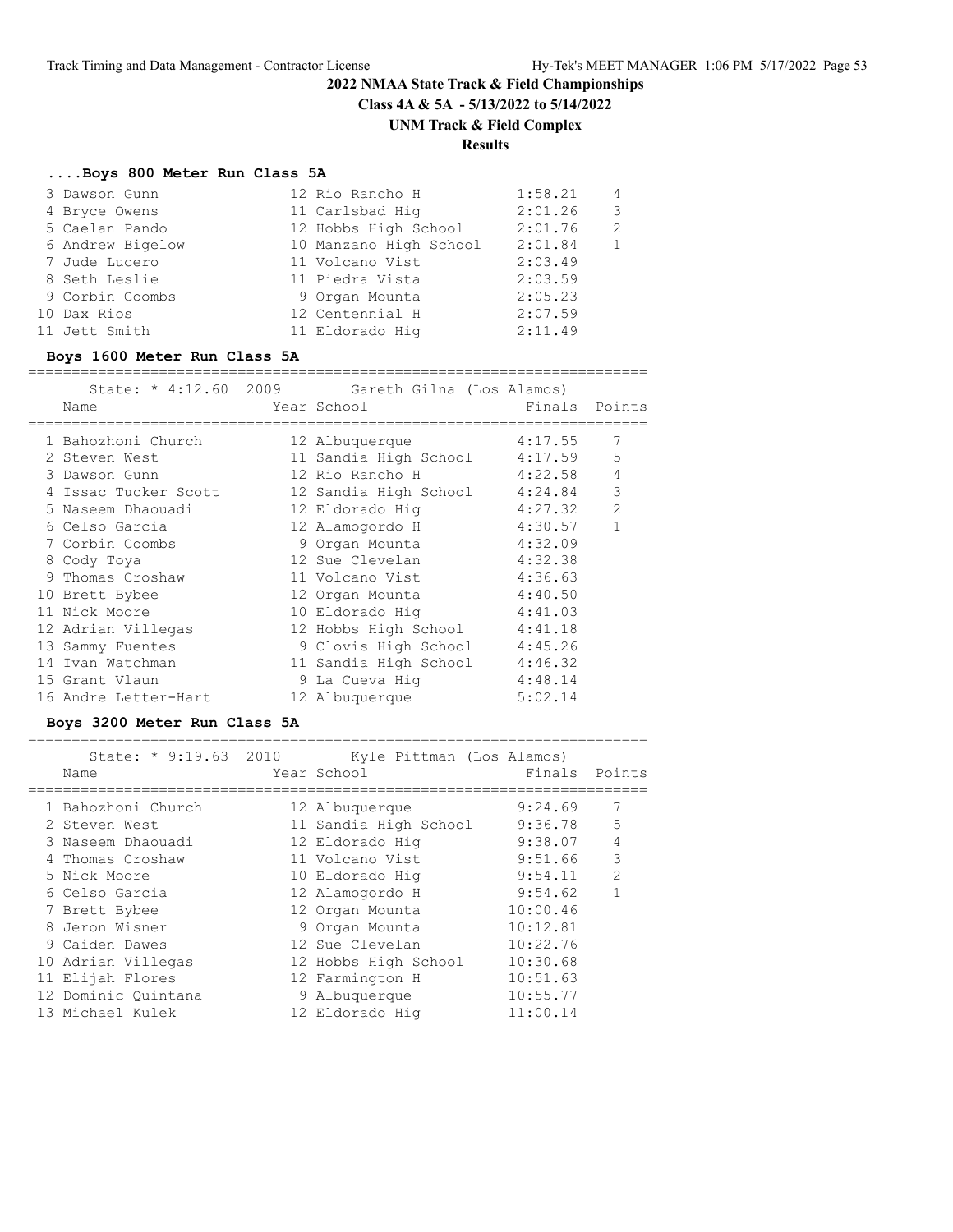**Class 4A & 5A - 5/13/2022 to 5/14/2022**

# **UNM Track & Field Complex**

# **Results**

#### **....Boys 800 Meter Run Class 5A**

| 3 Dawson Gunn    | 12 Rio Rancho H        | 1:58.21 | 4              |
|------------------|------------------------|---------|----------------|
| 4 Bryce Owens    | 11 Carlsbad Hig        | 2:01.26 | 3              |
| 5 Caelan Pando   | 12 Hobbs High School   | 2:01.76 | $\mathcal{L}$  |
| 6 Andrew Bigelow | 10 Manzano High School | 2:01.84 | $\overline{1}$ |
| 7 Jude Lucero    | 11 Volcano Vist        | 2:03.49 |                |
| 8 Seth Leslie    | 11 Piedra Vista        | 2:03.59 |                |
| 9 Corbin Coombs  | 9 Organ Mounta         | 2:05.23 |                |
| 10 Dax Rios      | 12 Centennial H        | 2:07.59 |                |
| 11 Jett Smith    | 11 Eldorado Hig        | 2:11.49 |                |

#### **Boys 1600 Meter Run Class 5A**

#### =======================================================================

|                      | State: * 4:12.60 2009 Gareth Gilna (Los Alamos)    |               |                |
|----------------------|----------------------------------------------------|---------------|----------------|
| Name                 | Year School                                        | Finals Points |                |
| 1 Bahozhoni Church   | 4:17.55<br>12 Albuquerque                          |               | 7              |
| 2 Steven West        | 11 Sandia High School 4:17.59                      |               | 5              |
| 3 Dawson Gunn        | 12 Rio Rancho H 4:22.58                            |               | $\overline{4}$ |
|                      | 4 Issac Tucker Scott 12 Sandia High School 4:24.84 |               | 3              |
| 5 Naseem Dhaouadi    | 12 Eldorado Hig                         4:27.32    |               | $\overline{2}$ |
| 6 Celso Garcia       | 12 Alamogordo H 4:30.57                            |               | $\mathbf{1}$   |
| 7 Corbin Coombs      | 9 Organ Mounta 4:32.09                             |               |                |
| 8 Cody Toya          | 12 Sue Clevelan                                    | 4:32.38       |                |
| 9 Thomas Croshaw     | 11 Volcano Vist                                    | 4:36.63       |                |
| 10 Brett Bybee       | 12 Organ Mounta 4:40.50                            |               |                |
| 11 Nick Moore        | 10 Eldorado Hig 4:41.03                            |               |                |
| 12 Adrian Villegas   | 12 Hobbs High School 4:41.18                       |               |                |
| 13 Sammy Fuentes     | 9 Clovis High School 4:45.26                       |               |                |
| 14 Ivan Watchman     | 11 Sandia High School 4:46.32                      |               |                |
| 15 Grant Vlaun       | 9 La Cueva Hiq 4:48.14                             |               |                |
| 16 Andre Letter-Hart | 12 Albuquerque                                     | 5:02.14       |                |
|                      |                                                    |               |                |

#### **Boys 3200 Meter Run Class 5A**

#### ======================================================================= State: \* 9:19.63 2010 Kyle Pittman (Los Alamos)

| State: * 9:19.63 2010 | Kyle Pittman (Los Alamos) |          |                |
|-----------------------|---------------------------|----------|----------------|
| Name                  | Year School               | Finals   | Points         |
| 1 Bahozhoni Church    | 12 Albuquerque            | 9:24.69  | 7              |
| 2 Steven West         | 11 Sandia High School     | 9:36.78  | 5              |
| 3 Naseem Dhaouadi     | 12 Eldorado Hig           | 9:38.07  | $\overline{4}$ |
| 4 Thomas Croshaw      | 11 Volcano Vist           | 9:51.66  | 3              |
| 5 Nick Moore          | 10 Eldorado Hig           | 9:54.11  | 2              |
| 6 Celso Garcia        | 12 Alamogordo H           | 9:54.62  |                |
| 7 Brett Bybee         | 12 Organ Mounta           | 10:00.46 |                |
| 8 Jeron Wisner        | 9 Organ Mounta            | 10:12.81 |                |
| 9 Caiden Dawes        | 12 Sue Clevelan           | 10:22.76 |                |
| 10 Adrian Villegas    | 12 Hobbs High School      | 10:30.68 |                |
| 11 Elijah Flores      | 12 Farmington H           | 10:51.63 |                |
| 12 Dominic Ouintana   | 9 Albuquerque             | 10:55.77 |                |
| 13 Michael Kulek      | 12 Eldorado Hig           | 11:00.14 |                |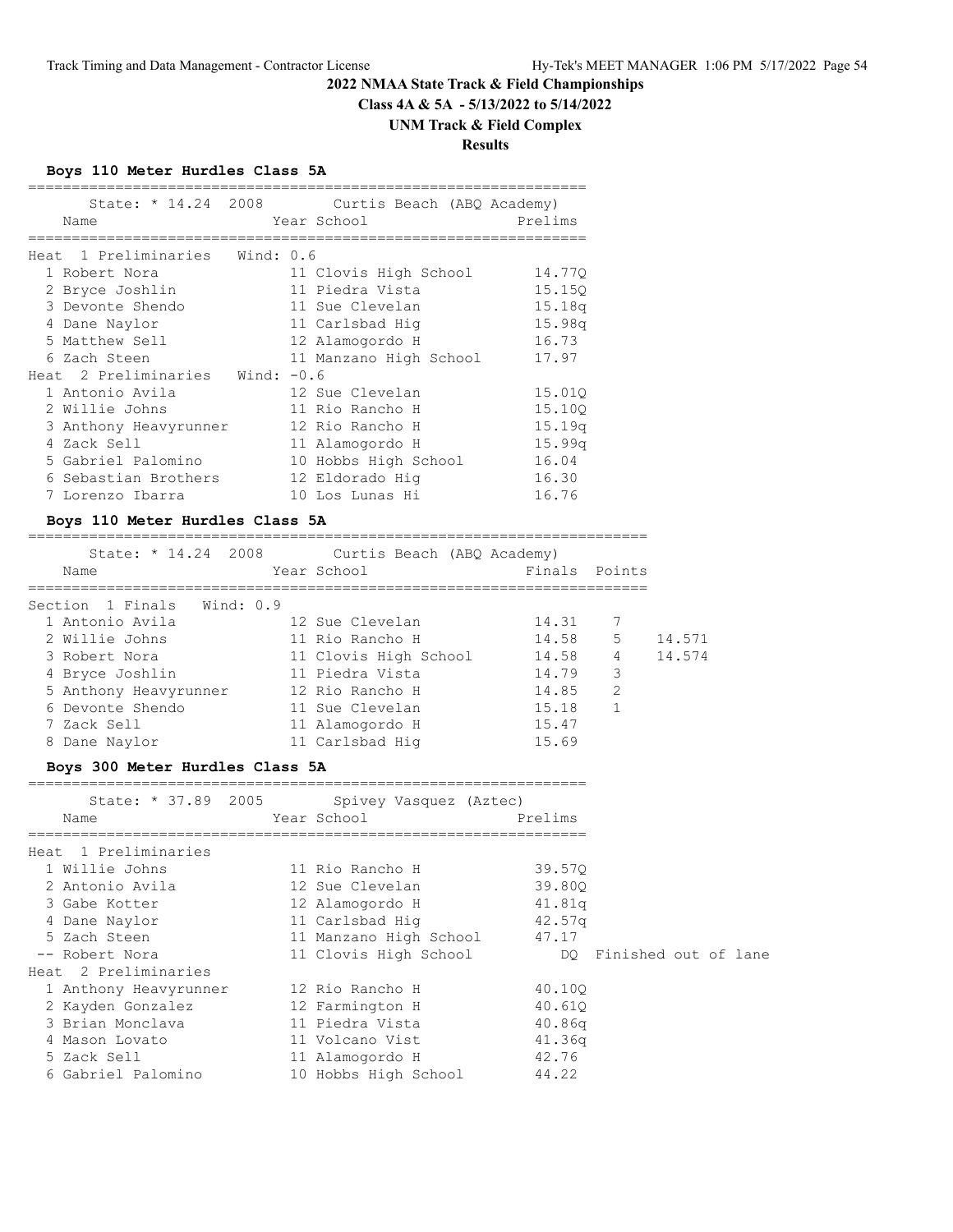**Class 4A & 5A - 5/13/2022 to 5/14/2022**

# **UNM Track & Field Complex**

**Results**

# **Boys 110 Meter Hurdles Class 5A**

| State: * 14.24 2008               | Curtis Beach (ABQ Academy) |         |
|-----------------------------------|----------------------------|---------|
| Name                              | Year School                | Prelims |
|                                   |                            |         |
| 1 Preliminaries Wind: 0.6<br>Heat |                            |         |
| 1 Robert Nora                     | 11 Clovis High School      | 14.770  |
| 2 Bryce Joshlin                   | 11 Piedra Vista            | 15.150  |
| 3 Devonte Shendo                  | 11 Sue Clevelan            | 15.18q  |
| 4 Dane Naylor                     | 11 Carlsbad Hig            | 15.98q  |
| 5 Matthew Sell                    | 12 Alamogordo H            | 16.73   |
| 6 Zach Steen                      | 11 Manzano High School     | 17.97   |
| Heat 2 Preliminaries Wind: -0.6   |                            |         |
| 1 Antonio Avila                   | 12 Sue Clevelan            | 15.010  |
| 2 Willie Johns                    | 11 Rio Rancho H            | 15.100  |
| 3 Anthony Heavyrunner             | 12 Rio Rancho H            | 15.19q  |
| 4 Zack Sell                       | 11 Alamogordo H            | 15.99q  |
| 5 Gabriel Palomino                | 10 Hobbs High School       | 16.04   |
| 6 Sebastian Brothers              | 12 Eldorado Hiq            | 16.30   |
| 7 Lorenzo Ibarra                  | 10 Los Lunas Hi            | 16.76   |

# **Boys 110 Meter Hurdles Class 5A**

| State: * 14.24 2008<br>Name | Curtis Beach (ABO Academy)<br>Year School | Finals Points |                |        |
|-----------------------------|-------------------------------------------|---------------|----------------|--------|
| Section 1 Finals Wind: 0.9  |                                           |               |                |        |
| 1 Antonio Avila             | 12 Sue Clevelan                           | 14.31         | 7              |        |
| 2 Willie Johns              | 11 Rio Rancho H                           | 14.58         | $5^{\circ}$    | 14.571 |
| 3 Robert Nora               | 11 Clovis High School                     | 14.58         | $\overline{4}$ | 14.574 |
| 4 Bryce Joshlin             | 11 Piedra Vista                           | 14.79         | 3              |        |
| 5 Anthony Heavyrunner       | 12 Rio Rancho H                           | 14.85         | $\mathcal{L}$  |        |
| 6 Devonte Shendo            | 11 Sue Clevelan                           | 15.18         |                |        |
| 7 Zack Sell                 | 11 Alamogordo H                           | 15.47         |                |        |
| 8 Dane Naylor               | 11 Carlsbad Hig                           | 15.69         |                |        |

#### **Boys 300 Meter Hurdles Class 5A**

|                       | State: * 37.89 2005 Spivey Vasquez (Aztec) |         |                         |
|-----------------------|--------------------------------------------|---------|-------------------------|
| Name                  | Year School                                | Prelims |                         |
| Heat 1 Preliminaries  |                                            |         |                         |
| 1 Willie Johns        | 11 Rio Rancho H                            | 39.570  |                         |
| 2 Antonio Avila       | 12 Sue Clevelan                            | 39.800  |                         |
| 3 Gabe Kotter         | 12 Alamogordo H                            | 41.81q  |                         |
| 4 Dane Naylor         | 11 Carlsbad Hig                            | 42.57q  |                         |
| 5 Zach Steen          | 11 Manzano High School 47.17               |         |                         |
| -- Robert Nora        | 11 Clovis High School                      |         | DO Finished out of lane |
| Heat 2 Preliminaries  |                                            |         |                         |
| 1 Anthony Heavyrunner | 12 Rio Rancho H                            | 40.100  |                         |
| 2 Kayden Gonzalez     | 12 Farmington H                            | 40.610  |                         |
| 3 Brian Monclava      | 11 Piedra Vista                            | 40.86q  |                         |
| 4 Mason Lovato        | 11 Volcano Vist                            | 41.36g  |                         |
| 5 Zack Sell           | 11 Alamogordo H                            | 42.76   |                         |
| 6 Gabriel Palomino    | 10 Hobbs High School                       | 44.22   |                         |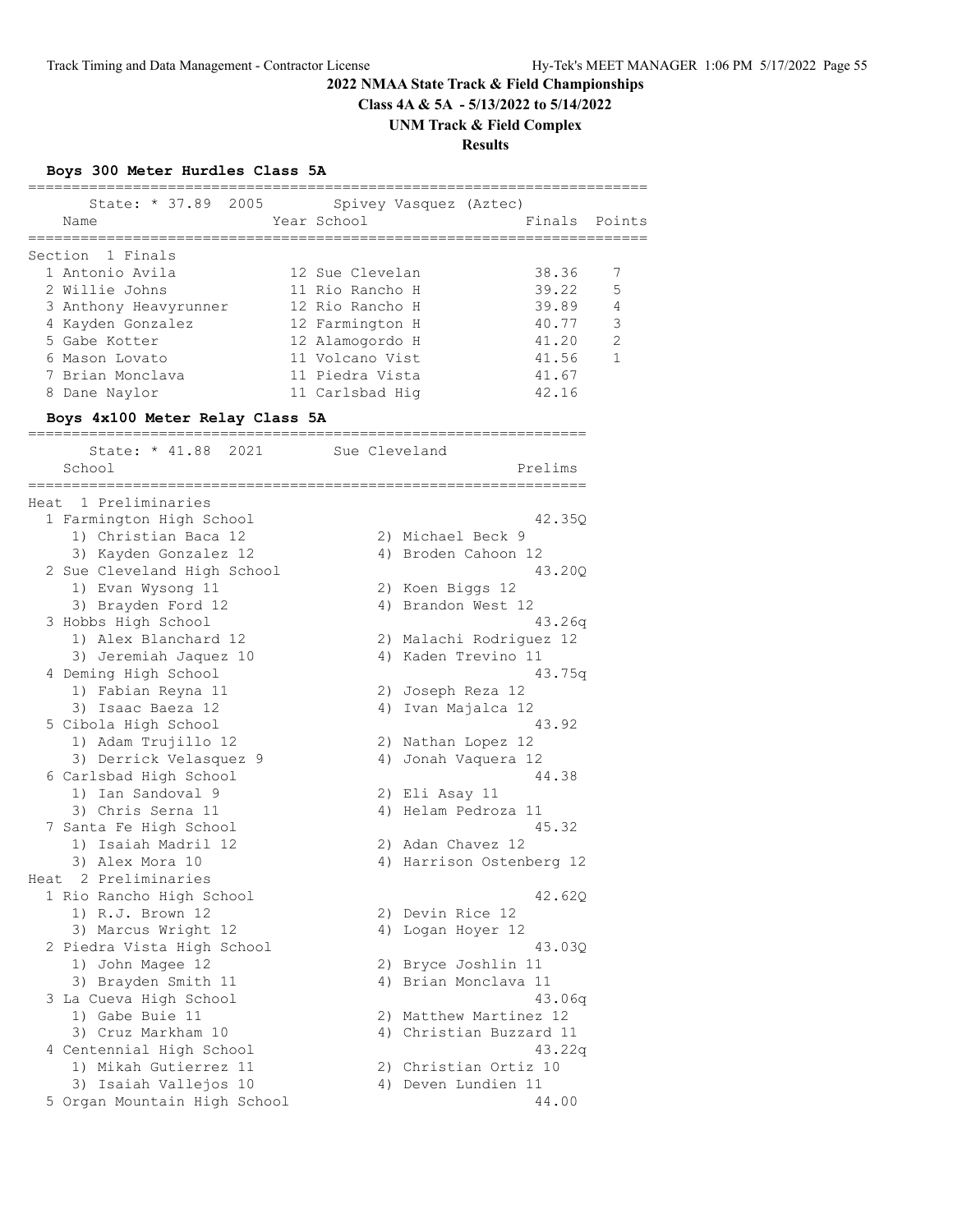**Class 4A & 5A - 5/13/2022 to 5/14/2022**

**UNM Track & Field Complex**

**Results**

# **Boys 300 Meter Hurdles Class 5A**

|   | State: * 37.89 2005<br>Name     | Spivey Vasquez (Aztec)<br>Year School |         | Finals Points  |
|---|---------------------------------|---------------------------------------|---------|----------------|
|   | Section 1 Finals                |                                       |         |                |
|   | 1 Antonio Avila                 | 12 Sue Clevelan                       | 38.36   | 7              |
|   | 2 Willie Johns                  | 11 Rio Rancho H                       | 39.22 5 |                |
|   | 3 Anthony Heavyrunner           | 12 Rio Rancho H                       | 39.89   | $\overline{4}$ |
|   | 4 Kayden Gonzalez               | 12 Farmington H                       | 40.77   | 3              |
|   | 5 Gabe Kotter                   | 12 Alamogordo H                       | 41.20   | $\overline{2}$ |
|   | 6 Mason Lovato                  | 11 Volcano Vist                       | 41.56   | $\mathbf{1}$   |
|   | 7 Brian Monclava                | 11 Piedra Vista                       | 41.67   |                |
| 8 | Dane Naylor                     | 11 Carlsbad Hig                       | 42.16   |                |
|   | Boys 4x100 Meter Relay Class 5A |                                       |         |                |

| State: * 41.88<br>2021       | Sue Cleveland            |
|------------------------------|--------------------------|
| School                       | Prelims                  |
|                              |                          |
| 1 Preliminaries<br>Heat      |                          |
| 1 Farmington High School     | 42.35Q                   |
| 1) Christian Baca 12         | 2) Michael Beck 9        |
| 3) Kayden Gonzalez 12        | 4) Broden Cahoon 12      |
| 2 Sue Cleveland High School  | 43.20Q                   |
| 1) Evan Wysong 11            | 2) Koen Biggs 12         |
| 3) Brayden Ford 12           | 4) Brandon West 12       |
| 3 Hobbs High School          | 43.26q                   |
| 1) Alex Blanchard 12         | 2) Malachi Rodriguez 12  |
| 3) Jeremiah Jaquez 10        | 4) Kaden Trevino 11      |
| 4 Deming High School         | 43.75q                   |
| 1) Fabian Reyna 11           | Joseph Reza 12<br>2)     |
| 3) Isaac Baeza 12            | Ivan Majalca 12<br>4)    |
| 5 Cibola High School         | 43.92                    |
| 1) Adam Trujillo 12          | 2) Nathan Lopez 12       |
| 3) Derrick Velasquez 9       | Jonah Vaquera 12<br>4)   |
| 6 Carlsbad High School       | 44.38                    |
| 1) Ian Sandoval 9            | 2) Eli Asay 11           |
| 3) Chris Serna 11            | Helam Pedroza 11<br>4)   |
| 7 Santa Fe High School       | 45.32                    |
| Isaiah Madril 12<br>1)       | 2) Adan Chavez 12        |
| 3) Alex Mora 10              | 4) Harrison Ostenberg 12 |
| Heat 2 Preliminaries         |                          |
| 1 Rio Rancho High School     | 42.620                   |
| 1) R.J. Brown 12             | 2) Devin Rice 12         |
| 3) Marcus Wright 12          | 4) Logan Hoyer 12        |
| 2 Piedra Vista High School   | 43.03Q                   |
| 1) John Magee 12             | 2) Bryce Joshlin 11      |
| 3) Brayden Smith 11          | 4) Brian Monclava 11     |
| 3 La Cueva High School       | 43.06q                   |
| 1) Gabe Buie 11              | 2) Matthew Martinez 12   |
| 3) Cruz Markham 10           | 4) Christian Buzzard 11  |
| 4 Centennial High School     | 43.22q                   |
| 1) Mikah Gutierrez 11        | Christian Ortiz 10<br>2) |
| 3) Isaiah Vallejos 10        | Deven Lundien 11<br>4)   |
| 5 Organ Mountain High School | 44.00                    |
|                              |                          |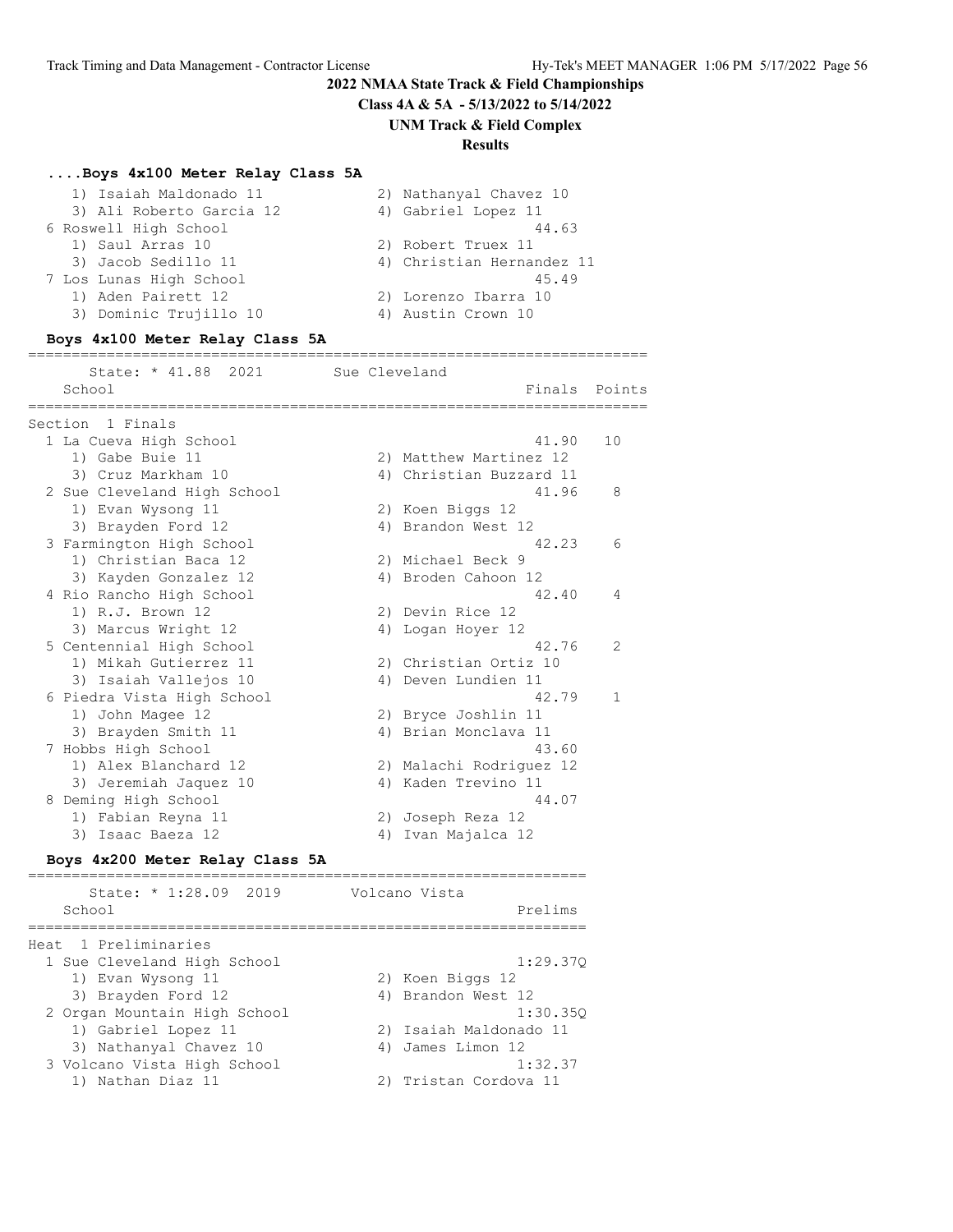**Class 4A & 5A - 5/13/2022 to 5/14/2022**

**UNM Track & Field Complex**

#### **Results**

#### **....Boys 4x100 Meter Relay Class 5A**

| 1) Isaiah Maldonado 11   | 2) Nathanyal Chavez 10    |
|--------------------------|---------------------------|
| 3) Ali Roberto Garcia 12 | 4) Gabriel Lopez 11       |
| 6 Roswell High School    | 44.63                     |
| 1) Saul Arras 10         | 2) Robert Truex 11        |
| 3) Jacob Sedillo 11      | 4) Christian Hernandez 11 |
| 7 Los Lunas High School  | 45.49                     |
| 1) Aden Pairett 12       | 2) Lorenzo Ibarra 10      |
| 3) Dominic Trujillo 10   | 4) Austin Crown 10        |
|                          |                           |

#### **Boys 4x100 Meter Relay Class 5A**

======================================================================= State: \* 41.88 2021 Sue Cleveland School **Finals** Points ======================================================================= Section 1 Finals 1 La Cueva High School 41.90 10 1) Gabe Buie 11 2) Matthew Martinez 12 3) Cruz Markham 10 4) Christian Buzzard 11 2 Sue Cleveland High School 41.96 8 1) Evan Wysong 11 2) Koen Biggs 12 3) Brayden Ford 12 4) Brandon West 12 3 Farmington High School 42.23 6 1) Christian Baca 12 2) Michael Beck 9 3) Kayden Gonzalez 12 (4) Broden Cahoon 12 4 Rio Rancho High School 42.40 4 1) R.J. Brown 12 2) Devin Rice 12 3) Marcus Wright 12 4) Logan Hoyer 12 5 Centennial High School 42.76 2 1) Mikah Gutierrez 11 2) Christian Ortiz 10 3) Isaiah Vallejos 10  $\hskip1cm$  4) Deven Lundien 11 6 Piedra Vista High School 42.79 1 1) John Magee 12 2) Bryce Joshlin 11 3) John Magee 12 (2) Bryce Joshlin 11 (3) Brayden Smith 11 (3) 4) Brian Monclava 11 7 Hobbs High School 43.60 1) Alex Blanchard 12 2) Malachi Rodriguez 12 3) Jeremiah Jaquez 10 4) Kaden Trevino 11 8 Deming High School 44.07 1) Fabian Reyna 11 2) Joseph Reza 12 3) Isaac Baeza 12 4) Ivan Majalca 12

#### **Boys 4x200 Meter Relay Class 5A**

| State: * 1:28.09 2019        | Volcano Vista          |
|------------------------------|------------------------|
| School                       | Prelims                |
| Heat 1 Preliminaries         |                        |
| 1 Sue Cleveland High School  | 1:29.370               |
| 1) Evan Wysong 11            | 2) Koen Biggs 12       |
| 3) Brayden Ford 12           | 4) Brandon West 12     |
| 2 Organ Mountain High School | 1:30.350               |
| 1) Gabriel Lopez 11          | 2) Isaiah Maldonado 11 |
| 3) Nathanyal Chavez 10       | 4) James Limon 12      |
| 3 Volcano Vista High School  | 1:32.37                |
| 1) Nathan Diaz 11            | 2) Tristan Cordova 11  |
|                              |                        |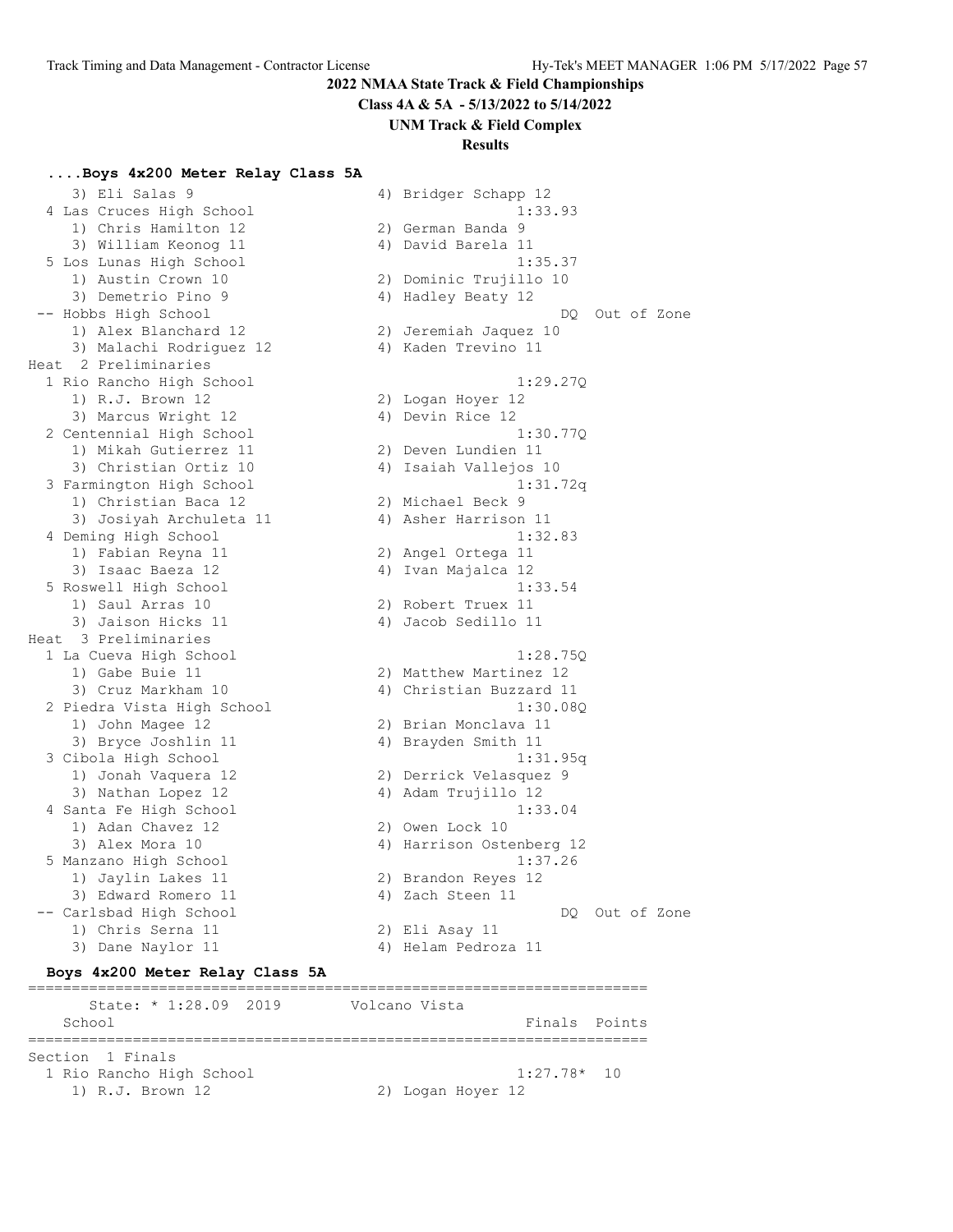**Class 4A & 5A - 5/13/2022 to 5/14/2022**

**UNM Track & Field Complex**

#### **Results**

#### **....Boys 4x200 Meter Relay Class 5A**

3) Eli Salas 9 4) Bridger Schapp 12 4 Las Cruces High School 1:33.93 1) Chris Hamilton 12 (2) German Banda 9 3) William Keonog 11 (4) David Barela 11 5 Los Lunas High School 1:35.37 1) Austin Crown 10 2) Dominic Trujillo 10 3) Demetrio Pino 9 4) Hadley Beaty 12 -- Hobbs High School DQ Out of Zone 1) Alex Blanchard 12 2) Jeremiah Jaquez 10 3) Malachi Rodriguez 12 4) Kaden Trevino 11 Heat 2 Preliminaries 1 Rio Rancho High School 1:29.27Q 1) R.J. Brown 12 2) Logan Hoyer 12 3) Marcus Wright 12 (4) Devin Rice 12 2 Centennial High School 1:30.77Q 1) Mikah Gutierrez 11 2) Deven Lundien 11 3) Christian Ortiz 10 4) Isaiah Vallejos 10 3 Farmington High School 1:31.72q 1) Christian Baca 12 2) Michael Beck 9 3) Josiyah Archuleta 11  $\hskip1cm$  4) Asher Harrison 11 4 Deming High School 1:32.83 1) Fabian Reyna 11 2) Angel Ortega 11 3) Isaac Baeza 12  $\hskip1cm$  4) Ivan Majalca 12 5 Roswell High School 1:33.54 1) Saul Arras 10 2) Robert Truex 11 3) Jaison Hicks 11 (4) Jacob Sedillo 11 Heat 3 Preliminaries 1 La Cueva High School 1:28.75Q 1) Gabe Buie 11 2) Matthew Martinez 12 3) Cruz Markham 10 4) Christian Buzzard 11 2 Piedra Vista High School 1:30.08Q 1) John Magee 12 2) Brian Monclava 11 3) Bryce Joshlin 11 4) Brayden Smith 11 3 Cibola High School 1:31.95q 1) Jonah Vaquera 12 2) Derrick Velasquez 9 3) Nathan Lopez 12 4) Adam Trujillo 12 4 Santa Fe High School 1:33.04 1) Adan Chavez 12 2) Owen Lock 10 3) Alex Mora 10 4) Harrison Ostenberg 12 5 Manzano High School 1:37.26 1) Jaylin Lakes 11 2) Brandon Reyes 12 3) Edward Romero 11 (4) Zach Steen 11 -- Carlsbad High School DQ Out of Zone 1) Chris Serna 11 2) Eli Asay 11 3) Dane Naylor 11 (4) Helam Pedroza 11

**Boys 4x200 Meter Relay Class 5A** ======================================================================= State: \* 1:28.09 2019 Volcano Vista School **Finals** Points ======================================================================= Section 1 Finals 1 Rio Rancho High School 1:27.78\* 10 1) R.J. Brown 12 2) Logan Hoyer 12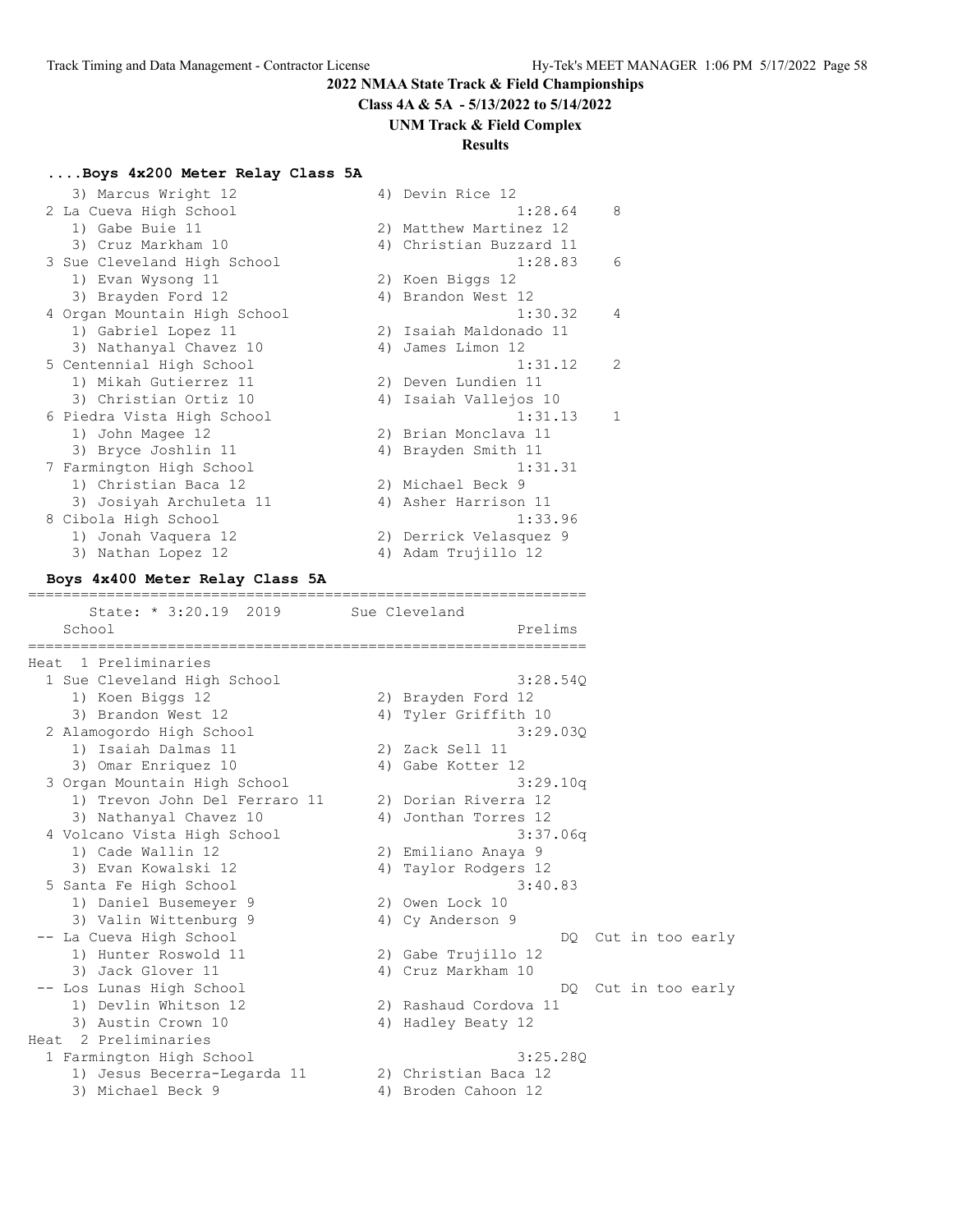**Class 4A & 5A - 5/13/2022 to 5/14/2022**

#### **UNM Track & Field Complex**

#### **Results**

#### **....Boys 4x200 Meter Relay Class 5A**

| 3) Marcus Wright 12                  | 4) Devin Rice 12                                                               |
|--------------------------------------|--------------------------------------------------------------------------------|
| 2 La Cueva High School               | 1:28.64<br>8                                                                   |
| 1) Gabe Buie 11                      | 2) Matthew Martinez 12                                                         |
| 3) Cruz Markham 10                   | 4) Christian Buzzard 11                                                        |
| 3 Sue Cleveland High School          | 1:28.83<br>6                                                                   |
| 1) Evan Wysong 11                    | 2) Koen Biggs 12                                                               |
| 3) Brayden Ford 12                   | 4) Brandon West 12                                                             |
| 4 Organ Mountain High School         | 1:30.32<br>4                                                                   |
| 1) Gabriel Lopez 11                  | 2) Isaiah Maldonado 11                                                         |
| 3) Nathanyal Chavez 10               | 4) James Limon 12                                                              |
| 5 Centennial High School             | 1:31.12<br>2                                                                   |
| 1) Mikah Gutierrez 11                | 2) Deven Lundien 11                                                            |
| 3) Christian Ortiz 10                | 4) Isaiah Vallejos 10                                                          |
| 6 Piedra Vista High School           | 1:31.13<br>1                                                                   |
| 1) John Magee 12                     | 2) Brian Monclava 11                                                           |
| 3) Bryce Joshlin 11                  | 4) Brayden Smith 11                                                            |
| 7 Farmington High School             | 1:31.31                                                                        |
| 1) Christian Baca 12                 | 2) Michael Beck 9                                                              |
| 3) Josiyah Archuleta 11              | 4) Asher Harrison 11                                                           |
| 8 Cibola High School                 | 1:33.96                                                                        |
| 1) Jonah Vaquera 12                  | 2) Derrick Velasquez 9                                                         |
| 3) Nathan Lopez 12                   | 4) Adam Trujillo 12                                                            |
| Boys 4x400 Meter Relay Class 5A      | ======================================                                         |
| State: * 3:20.19 2019                | Sue Cleveland                                                                  |
| School<br>-------------------------- | Prelims<br>,,,,,,,,,,,,,,,,,,,,,,,,<br>, , , , , , , , , , , , , , , , , , , , |
| 1 Preliminaries<br>Heat              |                                                                                |
| 1 Sue Cleveland High School          | 3:28.54Q                                                                       |
| 1) Koen Biggs 12                     | 2) Brayden Ford 12                                                             |
| 3) Brandon West 12                   | 4) Tyler Griffith 10                                                           |
| 2 Alamogordo High School             |                                                                                |
|                                      | 3:29.030                                                                       |
| 1) Isaiah Dalmas 11                  | 2) Zack Sell 11                                                                |
| 3) Omar Enriquez 10                  | 4) Gabe Kotter 12                                                              |
| 3 Organ Mountain High School         | 3:29.10q                                                                       |
| 1) Trevon John Del Ferraro 11        | 2) Dorian Riverra 12                                                           |
| 3) Nathanyal Chavez 10               | 4) Jonthan Torres 12                                                           |
| 4 Volcano Vista High School          | 3:37.06q                                                                       |
| 1) Cade Wallin 12                    | 2) Emiliano Anaya 9<br>4) Taylor Rodgers 12                                    |

 5 Santa Fe High School 3:40.83 1) Daniel Busemeyer 9 2) Owen Lock 10 3) Valin Wittenburg 9 4) Cy Anderson 9 -- La Cueva High School DQ Cut in too early 1) Hunter Roswold 11 2) Gabe Trujillo 12 3) Jack Glover 11 4) Cruz Markham 10 -- Los Lunas High School **DQ** Cut in too early 1) Devlin Whitson 12 2) Rashaud Cordova 11 3) Austin Crown 10 4) Hadley Beaty 12 Heat 2 Preliminaries 1 Farmington High School 3:25.28Q

1) Jesus Becerra-Legarda 11 2) Christian Baca 12

3) Michael Beck 9 4) Broden Cahoon 12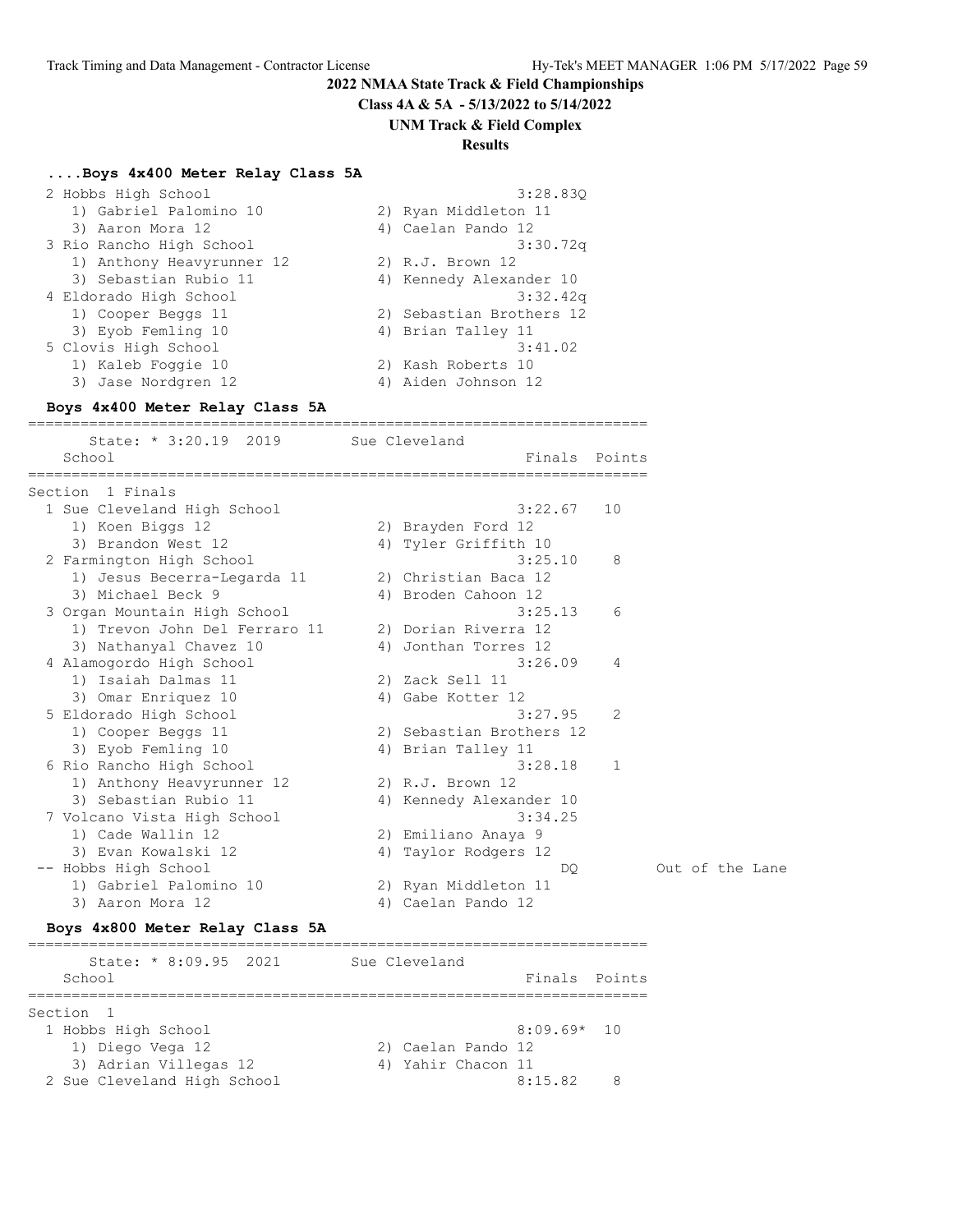**Class 4A & 5A - 5/13/2022 to 5/14/2022**

#### **UNM Track & Field Complex**

#### **Results**

#### **....Boys 4x400 Meter Relay Class 5A**

| 2 Hobbs High School       | 3:28.830                 |
|---------------------------|--------------------------|
| 1) Gabriel Palomino 10    | 2) Ryan Middleton 11     |
| 3) Aaron Mora 12          | 4) Caelan Pando 12       |
| 3 Rio Rancho High School  | 3:30.72q                 |
| 1) Anthony Heavyrunner 12 | 2) R.J. Brown 12         |
| 3) Sebastian Rubio 11     | 4) Kennedy Alexander 10  |
| 4 Eldorado High School    | 3:32.42q                 |
| 1) Cooper Beggs 11        | 2) Sebastian Brothers 12 |
| 3) Eyob Femling 10        | 4) Brian Talley 11       |
| 5 Clovis High School      | 3:41.02                  |
| 1) Kaleb Foggie 10        | 2) Kash Roberts 10       |
| 3) Jase Nordgren 12       | 4) Aiden Johnson 12      |
|                           |                          |

#### **Boys 4x400 Meter Relay Class 5A**

======================================================================= State: \* 3:20.19 2019 Sue Cleveland

| School                        |    | Finals                   | Points      |                 |
|-------------------------------|----|--------------------------|-------------|-----------------|
| 1 Finals<br>Section           |    |                          |             |                 |
| 1 Sue Cleveland High School   |    | 3:22.67                  | 10          |                 |
| 1) Koen Biggs 12              |    | 2) Brayden Ford 12       |             |                 |
| 3) Brandon West 12            |    | 4) Tyler Griffith 10     |             |                 |
| 2 Farmington High School      |    | 3:25.10                  | 8           |                 |
| 1) Jesus Becerra-Legarda 11   |    | 2) Christian Baca 12     |             |                 |
| 3) Michael Beck 9             |    | 4) Broden Cahoon 12      |             |                 |
| 3 Organ Mountain High School  |    | 3:25.13                  | 6           |                 |
| 1) Trevon John Del Ferraro 11 |    | 2) Dorian Riverra 12     |             |                 |
| 3) Nathanyal Chavez 10        |    | 4) Jonthan Torres 12     |             |                 |
| 4 Alamogordo High School      |    | 3:26.09                  | 4           |                 |
| 1) Isaiah Dalmas 11           |    | 2) Zack Sell 11          |             |                 |
| 3) Omar Enriquez 10           |    | 4) Gabe Kotter 12        |             |                 |
| 5 Eldorado High School        |    | 3:27.95                  | 2           |                 |
| 1) Cooper Beggs 11            |    | 2) Sebastian Brothers 12 |             |                 |
| 3) Eyob Femling 10            |    | 4) Brian Talley 11       |             |                 |
| 6 Rio Rancho High School      |    | 3:28.18                  | $\mathbf 1$ |                 |
| 1) Anthony Heavyrunner 12     |    | 2) R.J. Brown 12         |             |                 |
| 3) Sebastian Rubio 11         |    | 4) Kennedy Alexander 10  |             |                 |
| 7 Volcano Vista High School   |    | 3:34.25                  |             |                 |
| 1) Cade Wallin 12             |    | 2) Emiliano Anaya 9      |             |                 |
| 3) Evan Kowalski 12           | 4) | Taylor Rodgers 12        |             |                 |
| -- Hobbs High School          |    | DO                       |             | Out of the Lane |
| 1) Gabriel Palomino 10        |    | 2) Ryan Middleton 11     |             |                 |
| Aaron Mora 12<br>3)           | 4) | Caelan Pando 12          |             |                 |

# **Boys 4x800 Meter Relay Class 5A**

======================================================================= State: \* 8:09.95 2021 Sue Cleveland School **Finals** Points ======================================================================= Section 1 1 Hobbs High School 8:09.69\* 10 1) Diego Vega 12 2) Caelan Pando 12 3) Adrian Villegas 12 (4) Yahir Chacon 11 2 Sue Cleveland High School 8:15.82 8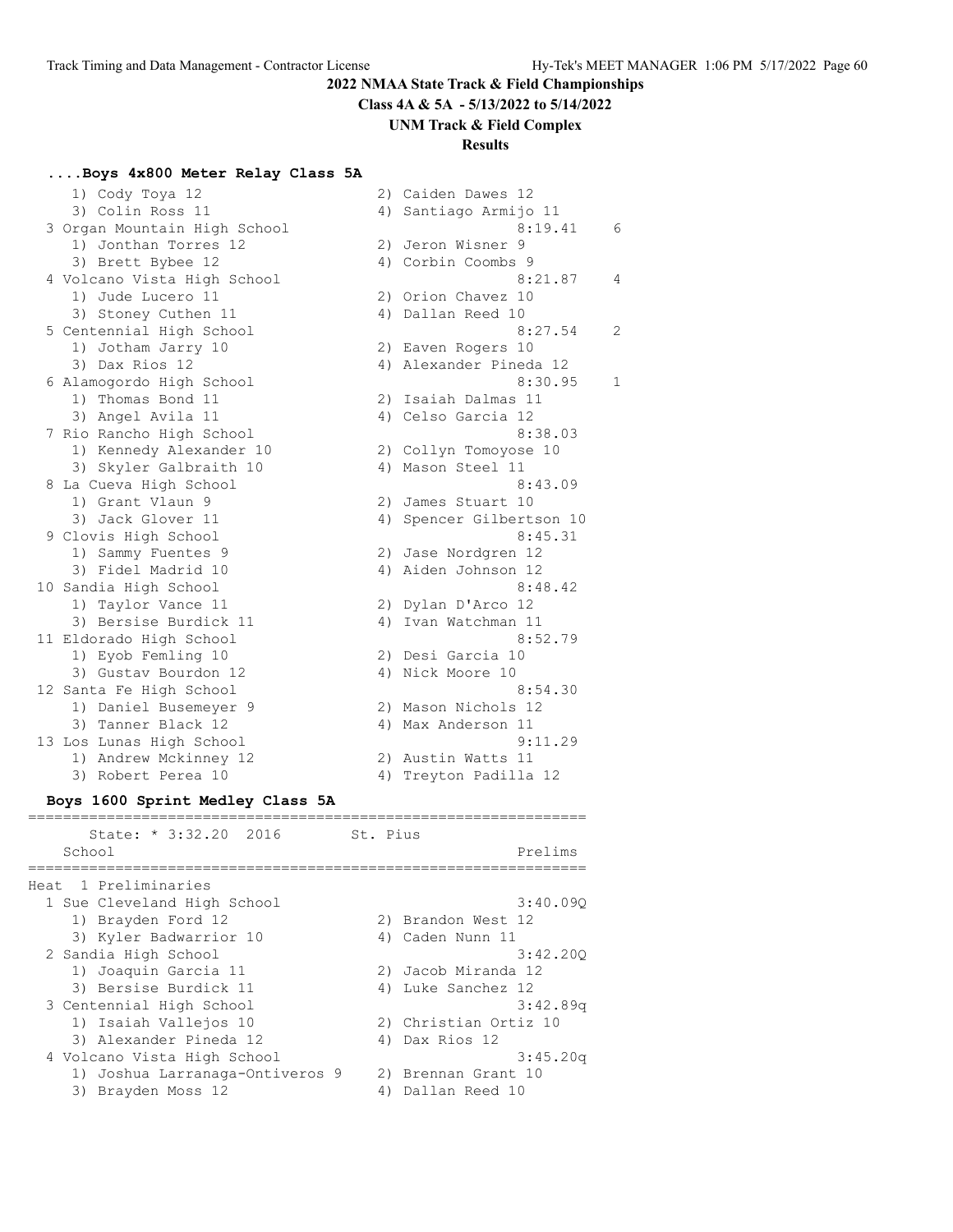**Class 4A & 5A - 5/13/2022 to 5/14/2022**

#### **UNM Track & Field Complex**

# **Results**

#### **....Boys 4x800 Meter Relay Class 5A**

| 1) Cody Toya 12              |    | 2) Caiden Dawes 12     |                |
|------------------------------|----|------------------------|----------------|
| 3) Colin Ross 11             |    | 4) Santiago Armijo 11  |                |
| 3 Organ Mountain High School |    | 8:19.41                | 6              |
| 1) Jonthan Torres 12         |    | 2) Jeron Wisner 9      |                |
| 3) Brett Bybee 12            |    | 4) Corbin Coombs 9     |                |
| 4 Volcano Vista High School  |    | 8:21.87                | $\overline{4}$ |
| 1) Jude Lucero 11            |    | 2) Orion Chavez 10     |                |
| 3) Stoney Cuthen 11          |    | 4) Dallan Reed 10      |                |
| 5 Centennial High School     |    | 8:27.54                | 2              |
| 1) Jotham Jarry 10           |    | 2) Eaven Rogers 10     |                |
| 3) Dax Rios 12               |    | 4) Alexander Pineda 12 |                |
| 6 Alamogordo High School     |    | 8:30.95                | 1              |
| 1) Thomas Bond 11            |    | 2) Isaiah Dalmas 11    |                |
| 3) Angel Avila 11            |    | 4) Celso Garcia 12     |                |
| 7 Rio Rancho High School     |    | 8:38.03                |                |
| 1) Kennedy Alexander 10      |    | 2) Collyn Tomoyose 10  |                |
| 3) Skyler Galbraith 10       |    | 4) Mason Steel 11      |                |
| 8 La Cueva High School       |    | 8:43.09                |                |
| 1) Grant Vlaun 9             |    | 2) James Stuart 10     |                |
| 3) Jack Glover 11            | 4) | Spencer Gilbertson 10  |                |
| 9 Clovis High School         |    | 8:45.31                |                |
| 1) Sammy Fuentes 9           |    | 2) Jase Nordgren 12    |                |
| 3) Fidel Madrid 10           |    | 4) Aiden Johnson 12    |                |
| 10 Sandia High School        |    | 8:48.42                |                |
| 1) Taylor Vance 11           |    | 2) Dylan D'Arco 12     |                |
| 3) Bersise Burdick 11        | 4) | Ivan Watchman 11       |                |
| 11 Eldorado High School      |    | 8:52.79                |                |
| 1) Eyob Femling 10           |    | 2) Desi Garcia 10      |                |
| 3) Gustav Bourdon 12         |    | 4) Nick Moore 10       |                |
| 12 Santa Fe High School      |    | 8:54.30                |                |
| 1) Daniel Busemeyer 9        |    | 2) Mason Nichols 12    |                |
| 3) Tanner Black 12           |    | 4) Max Anderson 11     |                |
| 13 Los Lunas High School     |    | 9:11.29                |                |
| 1) Andrew Mckinney 12        |    | 2) Austin Watts 11     |                |
| 3) Robert Perea 10           |    | 4) Treyton Padilla 12  |                |
|                              |    |                        |                |

# **Boys 1600 Sprint Medley Class 5A**

|      | State: * 3:32.20 2016<br>School | St. Pius | Prelims               |
|------|---------------------------------|----------|-----------------------|
|      |                                 |          |                       |
| Heat | 1 Preliminaries                 |          |                       |
|      | 1 Sue Cleveland High School     |          | 3:40.090              |
|      | 1) Brayden Ford 12              |          | 2) Brandon West 12    |
|      | 3) Kyler Badwarrior 10          |          | 4) Caden Nunn 11      |
|      | 2 Sandia High School            |          | 3:42.200              |
|      | 1) Joaquin Garcia 11            |          | 2) Jacob Miranda 12   |
|      | 3) Bersise Burdick 11           | 4)       | Luke Sanchez 12       |
|      | 3 Centennial High School        |          | 3:42.89q              |
|      | 1) Isaiah Vallejos 10           |          | 2) Christian Ortiz 10 |
|      | 3) Alexander Pineda 12          |          | 4) Dax Rios 12        |
|      | 4 Volcano Vista High School     |          | 3:45.20q              |
|      | 1) Joshua Larranaga-Ontiveros 9 |          | 2) Brennan Grant 10   |
|      | 3) Brayden Moss 12              |          | Dallan Reed 10        |
|      |                                 |          |                       |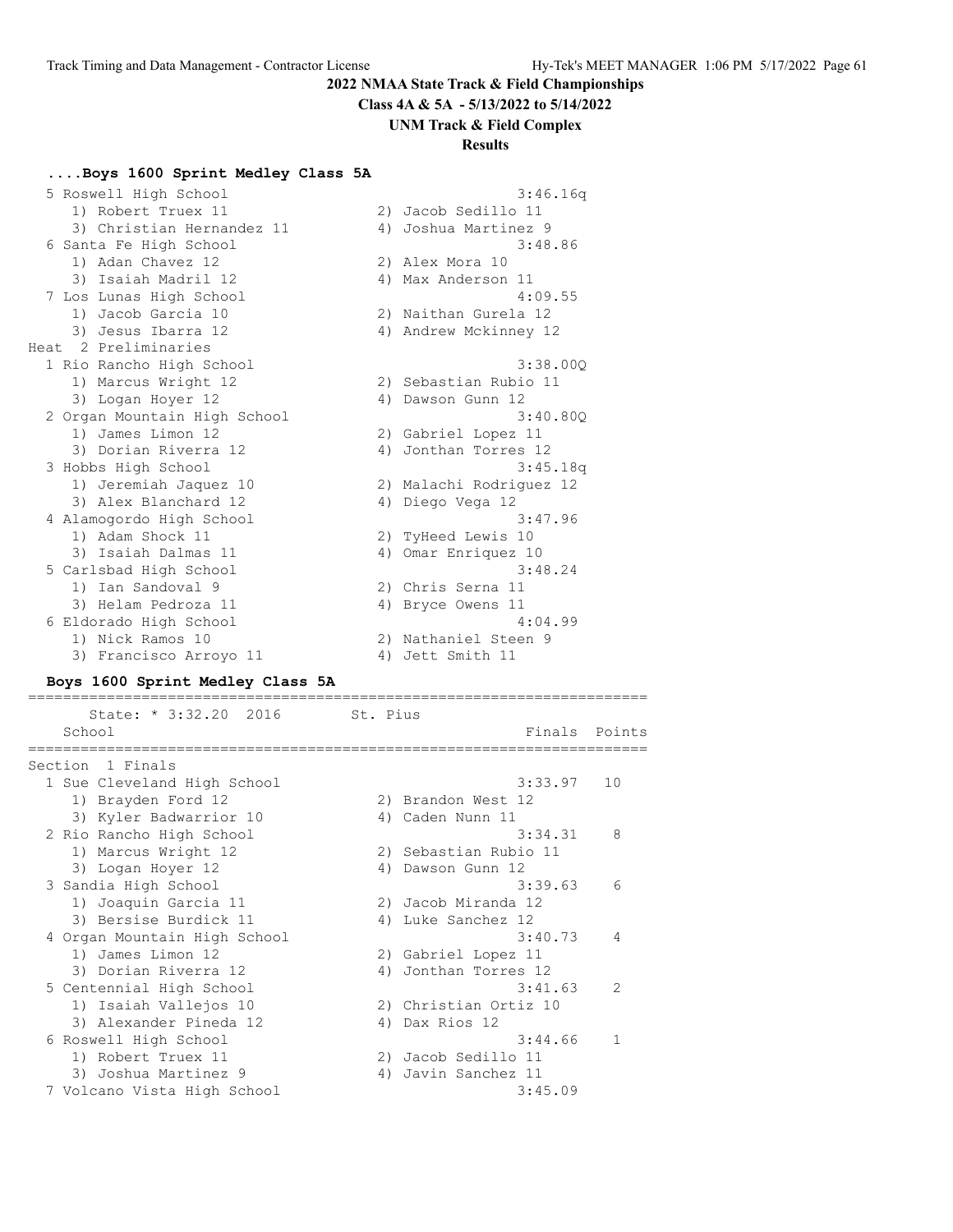**Class 4A & 5A - 5/13/2022 to 5/14/2022**

#### **UNM Track & Field Complex**

# **Results**

#### **....Boys 1600 Sprint Medley Class 5A**

| 5 Roswell High School        |    | 3:46.16q                |
|------------------------------|----|-------------------------|
| 1) Robert Truex 11           |    | 2) Jacob Sedillo 11     |
| 3) Christian Hernandez 11    |    | 4) Joshua Martinez 9    |
| 6 Santa Fe High School       |    | 3:48.86                 |
| 1) Adan Chavez 12            |    | 2) Alex Mora 10         |
| 3) Isaiah Madril 12          |    | 4) Max Anderson 11      |
| 7 Los Lunas High School      |    | 4:09.55                 |
| 1) Jacob Garcia 10           |    | 2) Naithan Gurela 12    |
| 3) Jesus Ibarra 12           |    | 4) Andrew Mckinney 12   |
| Heat 2 Preliminaries         |    |                         |
| 1 Rio Rancho High School     |    | 3:38.000                |
| 1) Marcus Wright 12          |    | 2) Sebastian Rubio 11   |
| 3) Logan Hoyer 12            |    | 4) Dawson Gunn 12       |
| 2 Organ Mountain High School |    | 3:40.800                |
| 1) James Limon 12            |    | 2) Gabriel Lopez 11     |
| 3) Dorian Riverra 12         |    | 4) Jonthan Torres 12    |
| 3 Hobbs High School          |    | 3:45.18q                |
| 1) Jeremiah Jaquez 10        |    | 2) Malachi Rodriguez 12 |
| 3) Alex Blanchard 12         |    | 4) Diego Vega 12        |
| 4 Alamogordo High School     |    | 3:47.96                 |
| 1) Adam Shock 11             |    | 2) TyHeed Lewis 10      |
| 3) Isaiah Dalmas 11          | 4) | Omar Enriquez 10        |
| 5 Carlsbad High School       |    | 3:48.24                 |
| 1) Ian Sandoval 9            |    | 2) Chris Serna 11       |
| 3) Helam Pedroza 11          |    | 4) Bryce Owens 11       |
| 6 Eldorado High School       |    | 4:04.99                 |
| 1) Nick Ramos 10             |    | 2) Nathaniel Steen 9    |
| 3) Francisco Arroyo 11       |    | 4) Jett Smith 11        |

#### **Boys 1600 Sprint Medley Class 5A**

======================================================================= State: \* 3:32.20 2016 St. Pius School **Finals** Points ======================================================================= Section 1 Finals 1 Sue Cleveland High School 3:33.97 10 1) Brayden Ford 12 2) Brandon West 12 3) Kyler Badwarrior 10 <a>> 4) Caden Nunn 11 2 Rio Rancho High School 3:34.31 8 1) Marcus Wright 12 2) Sebastian Rubio 11 3) Logan Hoyer 12 4) Dawson Gunn 12 3 Sandia High School 3:39.63 6 1) Joaquin Garcia 11 2) Jacob Miranda 12 3) Bersise Burdick 11 (4) Luke Sanchez 12 4 Organ Mountain High School 3:40.73 4 1) James Limon 12 2) Gabriel Lopez 11 3) Dorian Riverra 12 (4) Jonthan Torres 12 5 Centennial High School 3:41.63 2 1) Isaiah Vallejos 10 2) Christian Ortiz 10 3) Alexander Pineda 12 (4) Dax Rios 12 6 Roswell High School 3:44.66 1 1) Robert Truex 11 2) Jacob Sedillo 11 3) Joshua Martinez 9 1988 (4) Javin Sanchez 11 7 Volcano Vista High School 3:45.09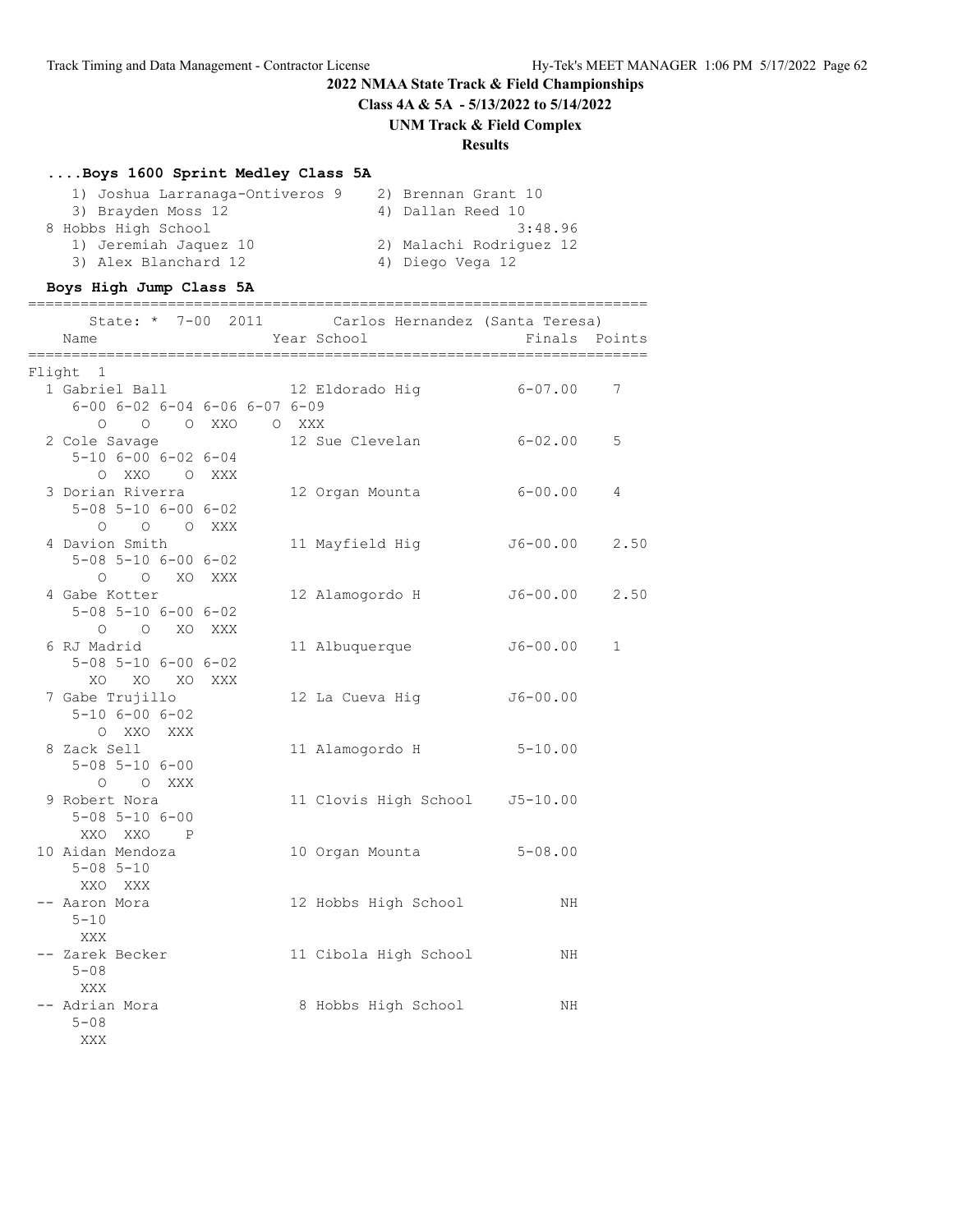**Class 4A & 5A - 5/13/2022 to 5/14/2022**

# **UNM Track & Field Complex**

# **Results**

# **....Boys 1600 Sprint Medley Class 5A**

| 1) Joshua Larranaga-Ontiveros 9 | 2) Brennan Grant 10     |
|---------------------------------|-------------------------|
| 3) Brayden Moss 12              | 4) Dallan Reed 10       |
| 8 Hobbs High School             | 3:48.96                 |
| 1) Jeremiah Jaquez 10           | 2) Malachi Rodriguez 12 |
| 3) Alex Blanchard 12            | 4) Diego Vega 12        |

# **Boys High Jump Class 5A**

| Name                                                  |  | State: * 7-00 2011 Carlos Hernandez (Santa Teresa)<br>Year School | Finals Points |             |
|-------------------------------------------------------|--|-------------------------------------------------------------------|---------------|-------------|
| Flight 1                                              |  |                                                                   |               |             |
|                                                       |  | 1 Gabriel Ball 12 Eldorado Hig 6-07.00 7                          |               |             |
| $6 - 00$ $6 - 02$ $6 - 04$ $6 - 06$ $6 - 07$ $6 - 09$ |  |                                                                   |               |             |
| 0 0 0 XXO O XXX                                       |  |                                                                   |               |             |
| 2 Cole Savage                                         |  | 12 Sue Clevelan                                                   | $6 - 02.00$   | 5           |
| $5 - 10$ 6-00 6-02 6-04                               |  |                                                                   |               |             |
| O XXO O XXX                                           |  |                                                                   |               |             |
| 3 Dorian Riverra                                      |  | 12 Organ Mounta 6-00.00                                           |               | 4           |
| $5 - 08$ $5 - 10$ $6 - 00$ $6 - 02$                   |  |                                                                   |               |             |
| O O O XXX                                             |  |                                                                   |               |             |
| 4 Davion Smith                                        |  | 11 Mayfield Hig                                                   | J6-00.00      | 2.50        |
| $5 - 08$ $5 - 10$ $6 - 00$ $6 - 02$                   |  |                                                                   |               |             |
| O O XO XXX                                            |  |                                                                   |               |             |
| 4 Gabe Kotter                                         |  | 12 Alamogordo H                                                   | J6-00.00 2.50 |             |
| $5 - 08$ $5 - 10$ $6 - 00$ $6 - 02$                   |  |                                                                   |               |             |
| O O XO XXX                                            |  |                                                                   |               |             |
| 6 RJ Madrid                                           |  | 11 Albuquerque                                                    | $J6 - 00.00$  | $\mathbf 1$ |
| $5 - 08$ $5 - 10$ $6 - 00$ $6 - 02$                   |  |                                                                   |               |             |
| XO XO XO XXX                                          |  |                                                                   |               |             |
| 7 Gabe Trujillo                                       |  | 12 La Cueva Hiq                                                   | $J6 - 00.00$  |             |
| $5 - 10$ $6 - 00$ $6 - 02$                            |  |                                                                   |               |             |
| O XXO XXX                                             |  |                                                                   |               |             |
| 8 Zack Sell                                           |  | 11 Alamogordo H                                                   | $5 - 10.00$   |             |
| $5 - 08$ $5 - 10$ $6 - 00$                            |  |                                                                   |               |             |
| O O XXX                                               |  |                                                                   |               |             |
| 9 Robert Nora                                         |  | 11 Clovis High School J5-10.00                                    |               |             |
| $5 - 08$ $5 - 10$ $6 - 00$                            |  |                                                                   |               |             |
| XXO XXO P                                             |  |                                                                   |               |             |
| 10 Aidan Mendoza                                      |  | 10 Organ Mounta 5-08.00                                           |               |             |
| $5 - 08$ $5 - 10$                                     |  |                                                                   |               |             |
| XXO XXX                                               |  |                                                                   |               |             |
| -- Aaron Mora                                         |  | 12 Hobbs High School                                              | ΝH            |             |
| $5 - 10$                                              |  |                                                                   |               |             |
| XXX                                                   |  |                                                                   |               |             |
| -- Zarek Becker                                       |  | 11 Cibola High School                                             | ΝH            |             |
| $5 - 08$                                              |  |                                                                   |               |             |
| XXX                                                   |  |                                                                   |               |             |
| -- Adrian Mora                                        |  | 8 Hobbs High School                                               | ΝH            |             |
| $5 - 08$                                              |  |                                                                   |               |             |
| XXX                                                   |  |                                                                   |               |             |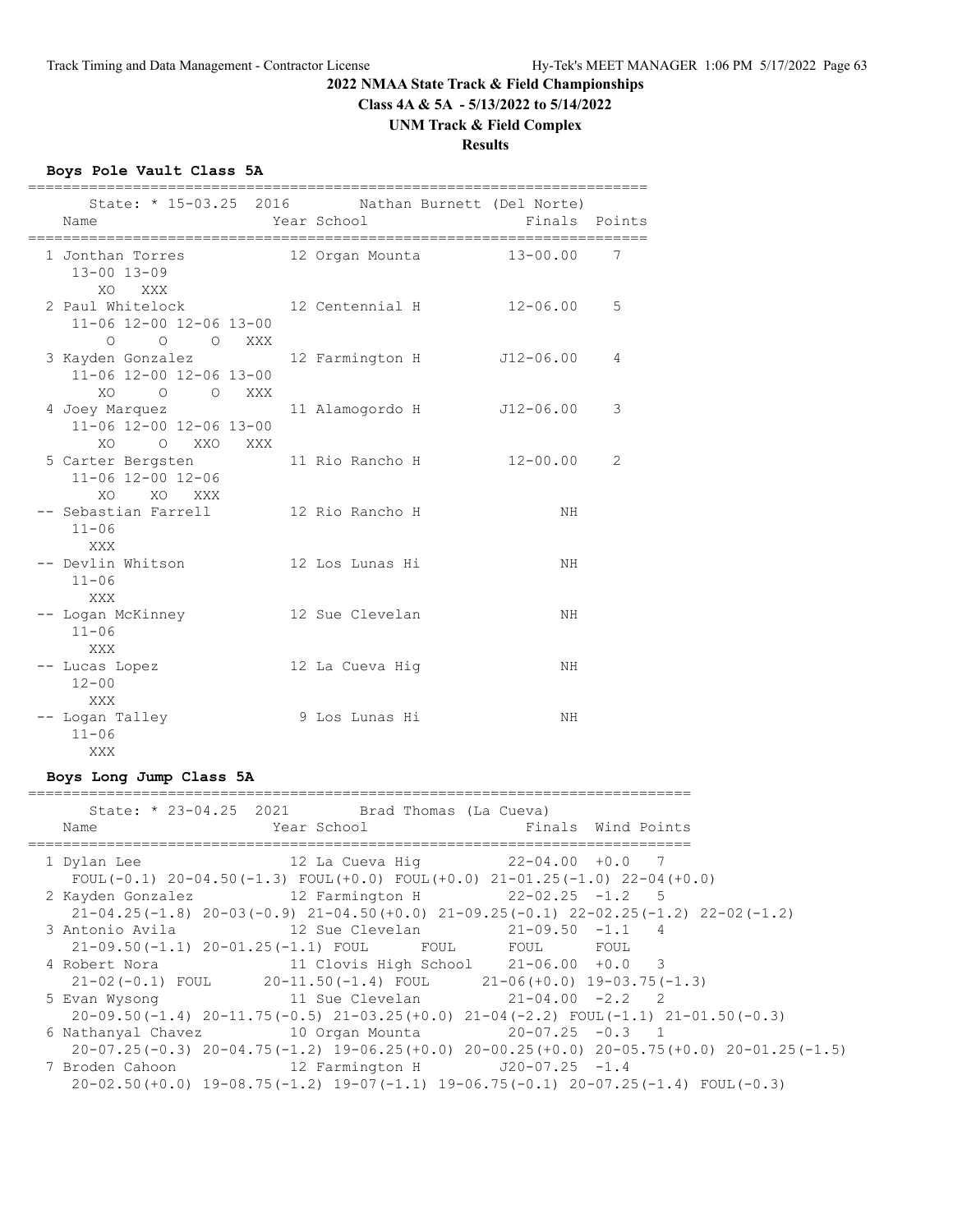**Class 4A & 5A - 5/13/2022 to 5/14/2022**

#### **UNM Track & Field Complex**

# **Results**

#### **Boys Pole Vault Class 5A**

| Name                                                                                                                                                  |                                                 | Year School | State: * 15-03.25 2016 Nathan Burnett (Del Norte) | Finals Points  |   |
|-------------------------------------------------------------------------------------------------------------------------------------------------------|-------------------------------------------------|-------------|---------------------------------------------------|----------------|---|
| 1 Jonthan Torres<br>$13 - 00$ $13 - 09$                                                                                                               | <b>XXX</b>                                      |             | 12 Organ Mounta                                   | $13 - 00.00$ 7 |   |
| XO.                                                                                                                                                   | 11-06 12-00 12-06 13-00                         |             | 2 Paul Whitelock 12 Centennial H                  | $12 - 06.00$   | 5 |
| 3 Kayden Gonzalez                                                                                                                                     | 0 0 0 XXX<br>11-06 12-00 12-06 13-00<br>O O XXX |             | 12 Farmington H J12-06.00                         |                | 4 |
| XO.<br>4 Joey Marquez<br>XO.                                                                                                                          | 11-06 12-00 12-06 13-00<br>O XXO                | <b>XXX</b>  | 11 Alamogordo H J12-06.00                         |                | 3 |
| 5 Carter Bergsten                                                                                                                                     | 11-06 12-00 12-06<br>XO XO XXX                  |             | 11 Rio Rancho H                                   | $12 - 00.00$   | 2 |
| -- Sebastian Farrell<br>$11 - 06$<br>XXX                                                                                                              |                                                 |             | 12 Rio Rancho H                                   | NH             |   |
| -- Devlin Whitson<br>$11 - 06$<br><b>XXX</b>                                                                                                          |                                                 |             | 12 Los Lunas Hi                                   | ΝH             |   |
| -- Logan McKinney<br>$11 - 06$<br>XXX                                                                                                                 |                                                 |             | 12 Sue Clevelan                                   | NH             |   |
| -- Lucas Lopez<br>$12 - 00$                                                                                                                           |                                                 |             | 12 La Cueva Hiq                                   | ΝH             |   |
| XXX<br>-- Logan Talley<br>$11 - 06$<br>and a series of the series of the series of the series of the series of the series of the series of the series |                                                 |             | 9 Los Lunas Hi                                    | ΝH             |   |

#### **Boys Long Jump Class 5A**

#### ============================================================================ State: \* 23-04.25 2021 Brad Thomas (La Cueva) Name **Name** Year School **Finals** Wind Points ============================================================================ 1 Dylan Lee 12 La Cueva Hig 22-04.00 +0.0 7 FOUL(-0.1)  $20-04.50(-1.3)$  FOUL(+0.0) FOUL(+0.0)  $21-01.25(-1.0)$   $22-04(+0.0)$  2 Kayden Gonzalez 12 Farmington H 22-02.25 -1.2 5 21-04.25(-1.8) 20-03(-0.9) 21-04.50(+0.0) 21-09.25(-0.1) 22-02.25(-1.2) 22-02(-1.2) 3 Antonio Avila 12 Sue Clevelan 21-09.50 -1.1 4 21-09.50(-1.1) 20-01.25(-1.1) FOUL FOUL FOUL FOUL 4 Robert Nora 11 Clovis High School 21-06.00 +0.0 3 21-02(-0.1) FOUL 20-11.50(-1.4) FOUL 21-06(+0.0) 19-03.75(-1.3) 5 Evan Wysong 11 Sue Clevelan 21-04.00 -2.2 2 20-09.50(-1.4) 20-11.75(-0.5) 21-03.25(+0.0) 21-04(-2.2) FOUL(-1.1) 21-01.50(-0.3) 6 Nathanyal Chavez 10 Organ Mounta 20-07.25 -0.3 1 20-07.25(-0.3) 20-04.75(-1.2) 19-06.25(+0.0) 20-00.25(+0.0) 20-05.75(+0.0) 20-01.25(-1.5) 12 Farmington H J20-07.25 -1.4 20-02.50(+0.0) 19-08.75(-1.2) 19-07(-1.1) 19-06.75(-0.1) 20-07.25(-1.4) FOUL(-0.3)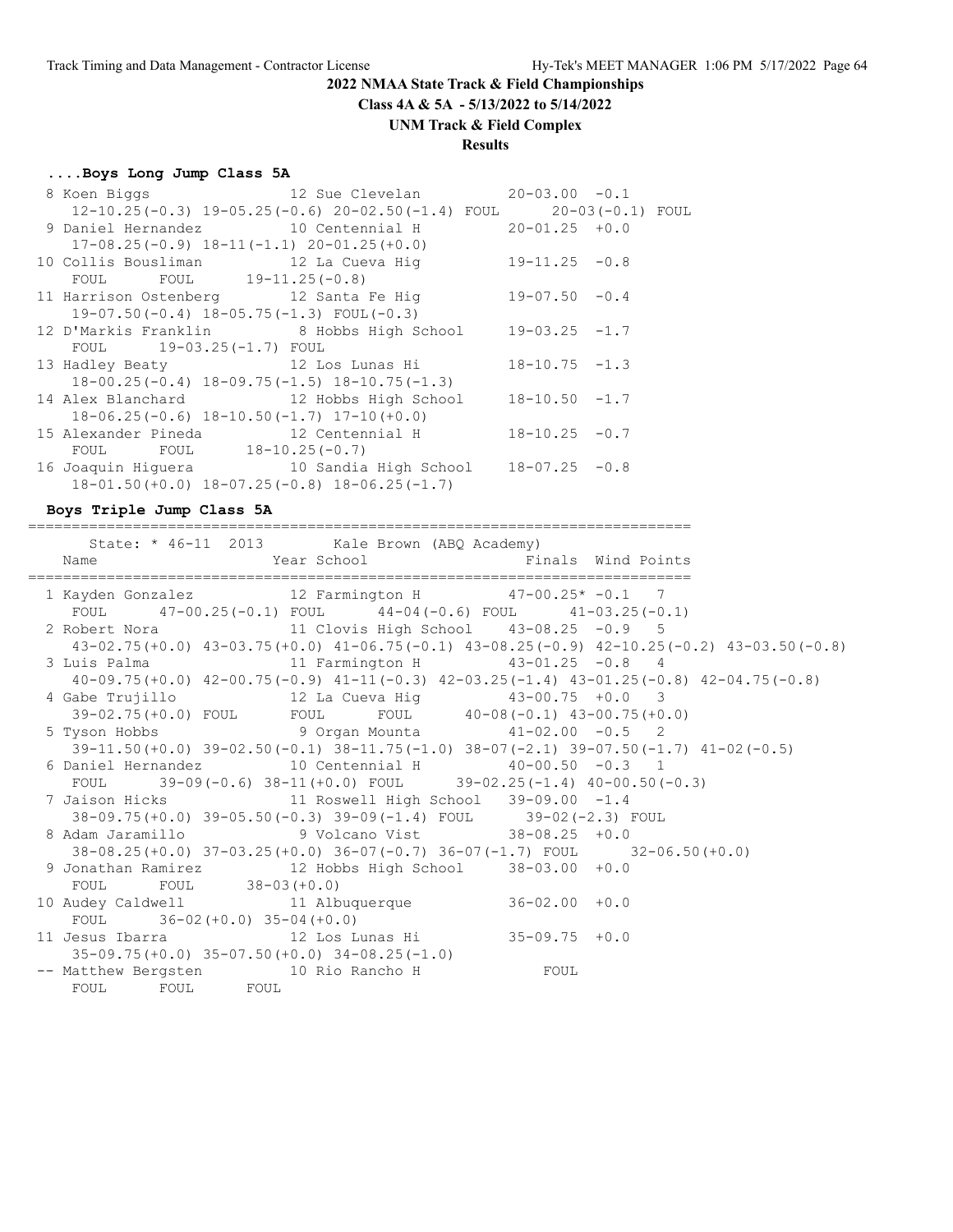**Class 4A & 5A - 5/13/2022 to 5/14/2022**

#### **UNM Track & Field Complex**

# **Results**

#### **....Boys Long Jump Class 5A**

|                          | 8 Koen Biggs 12 Sue Clevelan 20-03.00 -0.1                           |  |
|--------------------------|----------------------------------------------------------------------|--|
|                          | $12-10.25(-0.3)$ 19-05.25(-0.6) 20-02.50(-1.4) FOUL 20-03(-0.1) FOUL |  |
|                          | 9 Daniel Hernandez 10 Centennial H 20-01.25 +0.0                     |  |
|                          | $17-08.25(-0.9)$ $18-11(-1.1)$ $20-01.25(+0.0)$                      |  |
|                          | 10 Collis Bousliman 12 La Cueva Hig 19-11.25 -0.8                    |  |
| FOUL FOUL 19-11.25(-0.8) |                                                                      |  |
|                          | 11 Harrison Ostenberg 12 Santa Fe Hig 19-07.50 -0.4                  |  |
|                          | $19-07.50(-0.4)$ $18-05.75(-1.3)$ FOUL(-0.3)                         |  |
|                          | 12 D'Markis Franklin 8 Hobbs High School 19-03.25 -1.7               |  |
| FOUL 19-03.25(-1.7) FOUL |                                                                      |  |
|                          | 13 Hadley Beaty 12 Los Lunas Hi 18-10.75 -1.3                        |  |
|                          | $18-00.25(-0.4)$ $18-09.75(-1.5)$ $18-10.75(-1.3)$                   |  |
|                          | 14 Alex Blanchard 12 Hobbs High School 18-10.50 -1.7                 |  |
|                          | $18-06.25(-0.6)$ $18-10.50(-1.7)$ $17-10(+0.0)$                      |  |
|                          | 15 Alexander Pineda $12$ Centennial H $18-10.25$ -0.7                |  |
| FOUL FOUL 18-10.25(-0.7) |                                                                      |  |
|                          | 16 Joaquin Higuera 10 Sandia High School 18-07.25 -0.8               |  |
|                          | $18-01.50 (+0.0)$ $18-07.25 (-0.8)$ $18-06.25 (-1.7)$                |  |

**Boys Triple Jump Class 5A**

============================================================================ State: \* 46-11 2013 Kale Brown (ABQ Academy) Name **The School** Year School **Finals** Wind Points

|                                  | 1 Kayden Gonzalez 12 Farmington H 47-00.25* -0.1 7<br>FOUL $47-00.25(-0.1)$ FOUL $44-04(-0.6)$ FOUL $41-03.25(-0.1)$ |                                                                                                       |  |
|----------------------------------|----------------------------------------------------------------------------------------------------------------------|-------------------------------------------------------------------------------------------------------|--|
|                                  | 2 Robert Nora 11 Clovis High School 43-08.25 -0.9 5                                                                  |                                                                                                       |  |
|                                  |                                                                                                                      | 43-02.75 (+0.0) 43-03.75 (+0.0) 41-06.75 (-0.1) 43-08.25 (-0.9) 42-10.25 (-0.2) 43-03.50 (-0.8)       |  |
|                                  | 3 Luis Palma                       11 Farmington H           43-01.25 -0.8   4                                       |                                                                                                       |  |
|                                  |                                                                                                                      | $40-09.75(+0.0)$ $42-00.75(-0.9)$ $41-11(-0.3)$ $42-03.25(-1.4)$ $43-01.25(-0.8)$ $42-04.75(-0.8)$    |  |
|                                  |                                                                                                                      |                                                                                                       |  |
|                                  | 39-02.75(+0.0) FOUL FOUL FOUL $40-08(-0.1)$ 43-00.75(+0.0)                                                           |                                                                                                       |  |
|                                  | 5 Tyson Hobbs 9 Organ Mounta 41-02.00 -0.5 2                                                                         |                                                                                                       |  |
|                                  |                                                                                                                      | $39-11.50 (+0.0)$ $39-02.50 (-0.1)$ $38-11.75 (-1.0)$ $38-07 (-2.1)$ $39-07.50 (-1.7)$ $41-02 (-0.5)$ |  |
|                                  | 6 Daniel Hernandez $10$ Centennial H $40-00.50$ $-0.3$ 1                                                             |                                                                                                       |  |
|                                  |                                                                                                                      | FOUL 39-09 (-0.6) $38-11$ (+0.0) FOUL 39-02.25 (-1.4) $40-00.50$ (-0.3)                               |  |
|                                  | 7 Jaison Hicks 11 Roswell High School 39-09.00 -1.4                                                                  |                                                                                                       |  |
|                                  | 38-09.75(+0.0) 39-05.50(-0.3) 39-09(-1.4) FOUL 39-02(-2.3) FOUL                                                      |                                                                                                       |  |
|                                  | 8 Adam Jaramillo           9 Volcano Vist         38-08.25 +0.0                                                      |                                                                                                       |  |
|                                  |                                                                                                                      | $38-08.25(+0.0)$ $37-03.25(+0.0)$ $36-07(-0.7)$ $36-07(-1.7)$ FOUL $32-06.50(+0.0)$                   |  |
|                                  | 9 Jonathan Ramirez 12 Hobbs High School 38-03.00 +0.0                                                                |                                                                                                       |  |
| FOUL FOUL 38-03 (+0.0)           |                                                                                                                      |                                                                                                       |  |
|                                  | 10 Audey Caldwell 11 Albuquerque 36-02.00 +0.0                                                                       |                                                                                                       |  |
| FOUL $36-02 (+0.0) 35-04 (+0.0)$ |                                                                                                                      |                                                                                                       |  |
|                                  | 11 Jesus Ibarra $12$ Los Lunas Hi $35-09.75$ +0.0                                                                    |                                                                                                       |  |
|                                  | $35-09.75(+0.0)$ $35-07.50(+0.0)$ $34-08.25(-1.0)$                                                                   |                                                                                                       |  |
|                                  | -- Matthew Bergsten 10 Rio Rancho H FOUL                                                                             |                                                                                                       |  |
| FOUL FOUL FOUL                   |                                                                                                                      |                                                                                                       |  |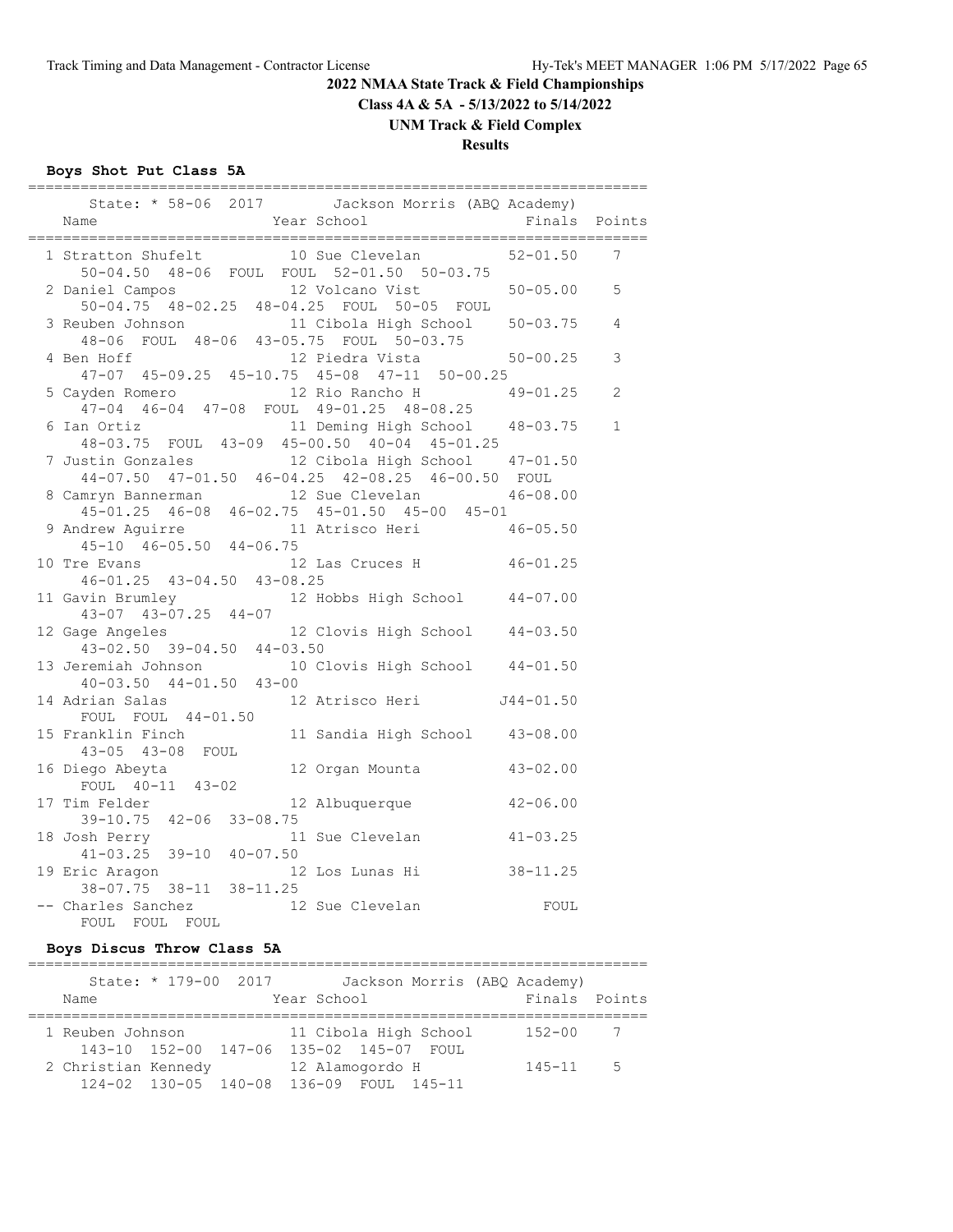**Class 4A & 5A - 5/13/2022 to 5/14/2022**

**UNM Track & Field Complex**

# **Results**

# **Boys Shot Put Class 5A**

| ===============================<br>State: * 58-06 2017 Jackson Morris (ABQ Academy)<br>Year School<br>Name                        |              | Finals Points |
|-----------------------------------------------------------------------------------------------------------------------------------|--------------|---------------|
| 1 Stratton Shufelt 10 Sue Clevelan<br>50-04.50 48-06 FOUL FOUL 52-01.50 50-03.75                                                  | $52 - 01.50$ | 7             |
| 2 Daniel Campos 12 Volcano Vist 50-05.00<br>50-04.75 48-02.25 48-04.25 FOUL 50-05 FOUL                                            |              | 5             |
| 3 Reuben Johnson 11 Cibola High School 50-03.75<br>48-06 FOUL 48-06 43-05.75 FOUL 50-03.75<br>4 Ben Hoff 12 Piedra Vista 50-00.25 |              | 4             |
| 47-07 45-09.25 45-10.75 45-08 47-11 50-00.25                                                                                      |              | 3             |
| 12 Rio Rancho H<br>5 Cayden Romero<br>47-04 46-04 47-08 FOUL 49-01.25 48-08.25                                                    | $49 - 01.25$ | 2             |
| 11 Deming High School 48-03.75<br>6 Ian Ortiz 11 Deming High School<br>48-03.75 FOUL 43-09 45-00.50 40-04 45-01.25                |              | 1             |
| 7 Justin Gonzales 12 Cibola High School 47-01.50<br>44-07.50 47-01.50 46-04.25 42-08.25 46-00.50 FOUL                             |              |               |
| 12 Sue Clevelan 46-08.00<br>8 Camryn Bannerman                                                                                    |              |               |
| 45-01.25 46-08 46-02.75 45-01.50 45-00 45-01<br>9 Andrew Aguirre 11 Atrisco Heri 46-05.50<br>45-10 46-05.50 44-06.75              |              |               |
| 10 Tre Evans 12 Li<br>46-01.25 43-04.50 43-08.25<br>12 Las Cruces H 46-01.25                                                      |              |               |
| 11 Gavin Brumley 12 Hobbs High School 44-07.00<br>$43-07$ $43-07.25$ $44-07$                                                      |              |               |
| ge Angeles 12 Clovis High School 44-03.50<br>43-02.50 39-04.50 44-03.50<br>12 Gage Angeles                                        |              |               |
| 13 Jeremiah Johnson 10 Clovis High School 44-01.50<br>$40-03.50$ $44-01.50$ $43-00$                                               |              |               |
| 14 Adrian Salas 12 Atrisco Heri 1944-01.50<br>FOUL FOUL 44-01.50                                                                  |              |               |
| 11 Sandia High School 43-08.00<br>15 Franklin Finch<br>43-05 43-08 FOUL                                                           |              |               |
| 12 Organ Mounta 43-02.00<br>16 Diego Abeyta<br>FOUL 40-11 43-02                                                                   |              |               |
| 12 Albuquerque 42-06.00<br>17 Tim Felder<br>39-10.75 42-06 33-08.75                                                               |              |               |
| 18 Josh Perry<br>41-03.25 39-10 40-07.50<br>11 Sue Clevelan 41-03.25                                                              |              |               |
| 12 Los Lunas Hi 38-11.25<br>19 Eric Aragon<br>38-07.75 38-11 38-11.25                                                             |              |               |
| 12 Sue Clevelan<br>-- Charles Sanchez<br>FOUL FOUL FOUL                                                                           | FOUL         |               |

# **Boys Discus Throw Class 5A**

|                     | State: * 179-00 2017 | Jackson Morris (ABQ Academy)            |               |                |
|---------------------|----------------------|-----------------------------------------|---------------|----------------|
| Name                |                      | Year School                             | Finals Points |                |
| 1 Reuben Johnson    |                      | 11 Cibola High School                   | $152 - 00$    | $\overline{7}$ |
|                     | 143-10 152-00 147-06 | 135-02 145-07 FOUL                      |               |                |
| 2 Christian Kennedy |                      | 12 Alamogordo H                         | $145 - 11$    | $5^{\circ}$    |
|                     |                      | 124-02 130-05 140-08 136-09 FOUL 145-11 |               |                |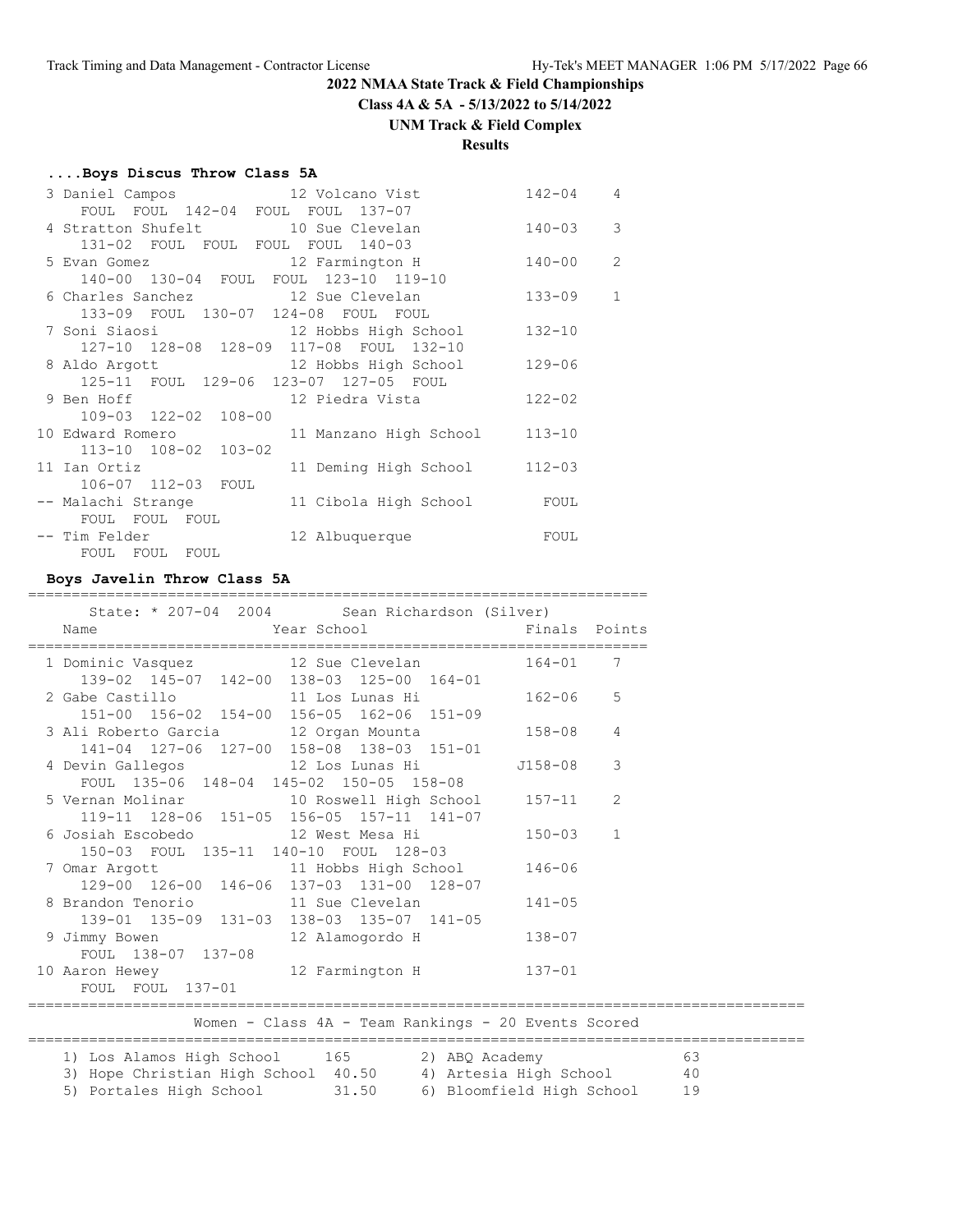**Class 4A & 5A - 5/13/2022 to 5/14/2022**

#### **UNM Track & Field Complex**

# **Results**

#### **....Boys Discus Throw Class 5A**

| 3 Daniel Campos 12 Volcano Vist         |                                                                 | $142 - 04$ | $\overline{4}$ |
|-----------------------------------------|-----------------------------------------------------------------|------------|----------------|
| FOUL FOUL 142-04 FOUL FOUL 137-07       |                                                                 |            |                |
| 4 Stratton Shufelt 10 Sue Clevelan      |                                                                 | $140 - 03$ | $\mathcal{E}$  |
| 131-02 FOUL FOUL FOUL FOUL 140-03       |                                                                 |            |                |
|                                         | 5 Evan Gomez 12 Farmington H 140-00                             |            | $\overline{2}$ |
| 140-00 130-04 FOUL FOUL 123-10 119-10   |                                                                 |            |                |
| 6 Charles Sanchez 12 Sue Clevelan       |                                                                 | $133 - 09$ | $\mathbf{1}$   |
| 133-09 FOUL 130-07 124-08 FOUL FOUL     |                                                                 |            |                |
|                                         | 7 Soni Siaosi                 12 Hobbs High School       132-10 |            |                |
| 127-10 128-08 128-09 117-08 FOUL 132-10 |                                                                 |            |                |
|                                         | 8 Aldo Argott 12 Hobbs High School                              | $129 - 06$ |                |
| 125-11 FOUL 129-06 123-07 127-05 FOUL   |                                                                 |            |                |
| 9 Ben Hoff                              | 12 Piedra Vista                                                 | $122 - 02$ |                |
| 109-03 122-02 108-00                    |                                                                 |            |                |
| 10 Edward Romero                        | 11 Manzano High School                                          | $113 - 10$ |                |
| 113-10 108-02 103-02                    |                                                                 |            |                |
| 11 Ian Ortiz                            | 11 Deming High School 112-03                                    |            |                |
| 106-07 112-03 FOUL                      |                                                                 |            |                |
| -- Malachi Strange                      | 11 Cibola High School FOUL                                      |            |                |
| FOUL FOUL FOUL                          |                                                                 |            |                |
| -- Tim Felder                           | 12 Albuquerque                                                  | FOUL       |                |
| FOUL FOUL FOUL                          |                                                                 |            |                |

#### **Boys Javelin Throw Class 5A**

| _______________________________<br>Name                                                                                 | State: * 207-04 2004 Sean Richardson (Silver)<br>Year School <a> Finals Points</a> Finals Points | _____________________________ |  |
|-------------------------------------------------------------------------------------------------------------------------|--------------------------------------------------------------------------------------------------|-------------------------------|--|
| 1 Dominic Vasquez 12 Sue Clevelan 164-01 7<br>139-02 145-07 142-00 138-03 125-00 164-01                                 |                                                                                                  |                               |  |
| 2 Gabe Castillo 11 Los Lunas Hi 162-06 5                                                                                | 151-00 156-02 154-00 156-05 162-06 151-09                                                        |                               |  |
| 3 Ali Roberto Garcia 12 Organ Mounta 158-08 4<br>141-04 127-06 127-00 158-08 138-03 151-01                              |                                                                                                  |                               |  |
| 4 Devin Gallegos 12 Los Lunas Hi 1158-08 3                                                                              | FOUL 135-06 148-04 145-02 150-05 158-08                                                          |                               |  |
| 5 Vernan Molinar 10 Roswell High School 157-11 2                                                                        | 119-11 128-06 151-05 156-05 157-11 141-07                                                        |                               |  |
| 6 Josiah Escobedo               12 West Mesa Hi                   150-03     1<br>150-03 FOUL 135-11 140-10 FOUL 128-03 |                                                                                                  |                               |  |
| 7 Omar Argott 11 Hobbs High School 146-06                                                                               | 129-00 126-00 146-06 137-03 131-00 128-07                                                        |                               |  |
| 8 Brandon Tenorio 11 Sue Clevelan                                                                                       | 139-01 135-09 131-03 138-03 135-07 141-05                                                        | $141 - 05$                    |  |
| 9 Jimmy Bowen 12 Alamogordo H<br>FOUL 138-07 137-08                                                                     |                                                                                                  | 138-07                        |  |
| 10 Aaron Hewey 12 Farmington H<br>FOUL FOUL 137-01                                                                      |                                                                                                  | $137 - 01$                    |  |
|                                                                                                                         | Women - Class 4A - Team Rankings - 20 Events Scored                                              |                               |  |
| 1) Los Alamos High School 165 2) ABQ Academy 63<br>3) Hope Christian High School 40.50 4) Artesia High School 40        |                                                                                                  |                               |  |

5) Portales High School 31.50 6) Bloomfield High School 19